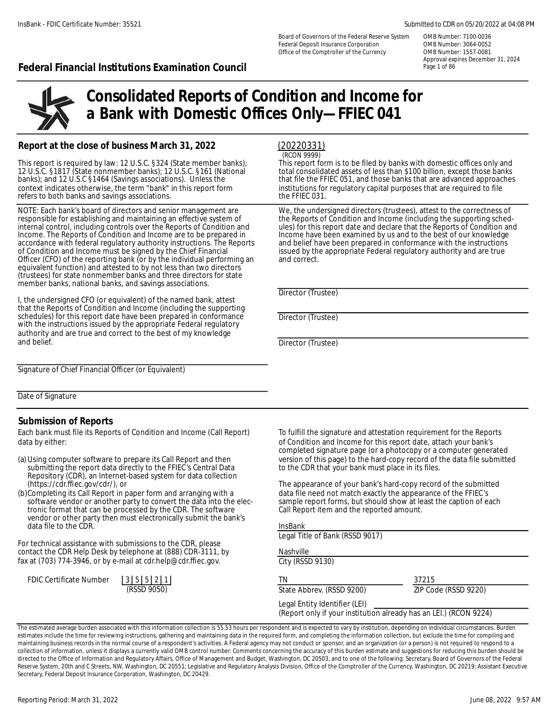Board of Governors of the Federal Reserve System OMB Number: 7100-0036 Federal Deposit Insurance Corporation OMB Number: 3064-0052 Office of the Comptroller of the Currency OMB Number: 1557-0081

#### InsBank - FDIC Certificate Number: 35521 Submitted to CDR on 05/20/2022 at 04:08 PM

Approval expires December 31, 2024

### **Federal Financial Institutions Examination Council** Page 101 86 Page 1 of 86



# **Consolidated Reports of Condition and Income for a Bank with Domestic Offices Only—FFIEC 041**

#### **Report at the close of business March 31, 2022**

refers to both banks and savings associations.

responsible for establishing and maintaining an effective system of the Reports of Condition and Income (including the supporting sched-<br>internal control, including controls over the Reports of Condition and ules) for this Income. The Reports of Condition and Income are to be prepared in Income have been examined by us and to the best of our knowledge accordance with federal regulatory authority instructions. The Reports and belief have been accordance with federal regulatory authority instructions. The Reports and belief have been prepared in conformance with the instructions<br>of Condition and Income must be signed by the Chief Financial sisued by the appropri of Condition and Income must be signed by the Chief Financial issued by the appropriate Federal regulatory authority and are true Officer (CFO) of the reporting bank (or by the individual performing an and correct. equivalent function) and attested to by not less than two directors (trustees) for state nonmember banks and three directors for state member banks, national banks, and savings associations.

I, the undersigned CFO (or equivalent) of the named bank, attest that the Reports of Condition and Income (including the supporting schedules) for this report date have been prepared in conformance Director (Trustee) with the instructions issued by the appropriate Federal regulatory authority and are true and correct to the best of my knowledge and belief. **Director (Trustee)** and belief.

### (20220331)

(RCON 9999)

This report is required by law: 12 U.S.C. §324 (State member banks);<br>This report form is to be filed by banks and to separate only and the state of the state of less than \$100 billion, except those banks if the stanks and 12 U.S.C. §1817 (State nonmember banks); 12 U.S.C. §161 (National total consolidated assets of less than \$100 billion, except those banks<br>banks); and 12 U.S.C §1464 (Savings associations). Unless the that file the FFIEC 05 banks); and 12 U.S.C §1464 (Savings associations). Unless the that file the FFIEC 051, and those banks that are advanced approaches context indicates otherwise, the term "bank" in this report form institutions for regulato institutions for regulatory capital purposes that are required to file the FFIEC 031.

NOTE: Each bank's board of directors and senior management are We, the undersigned directors (trustees), attest to the correctness of ules) for this report date and declare that the Reports of Condition and Income have been examined by us and to the best of our knowledge

Director (Trustee)

Signature of Chief Financial Officer (or Equivalent)

Date of Signature

#### **Submission of Reports**

Each bank must file its Reports of Condition and Income (Call Report) To fulfill the signature and attestation requirement for the Reports data by either: **of Condition and Income for this report date**, attach your bank's

- submitting the report data directly to the FFIEC's Central Data Repository (CDR), an Internet-based system for data collection<br>(https://cdr.ffiec.gov/cdr/), or
- (b)Completing its Call Report in paper form and arranging with a data file need not match exactly the appearance of the FFIEC's<br>software vendor or another party to convert the data into the elec-<br>sample report forms, but s software vendor or another party to convert the data into the elec- sample report forms, but should show at le<br>tronic format that can be processed by the CDR. The software Call Report item and the reported amount. tronic format that can be processed by the CDR. The software Call Report item and the reported amount. vendor or other party then must electronically submit the bank's data file to the CDR.

For technical assistance with submissions to the CDR, please contact the CDR Help Desk by telephone at (888) CDR-3111, by fax at (703) 774-3946, or by e-mail at cdr.help@cdr.ffiec.gov. City (RSSD 9130)

| FDIC Certificate Number | 35521 |             |  |
|-------------------------|-------|-------------|--|
|                         |       | (RSSD 9050) |  |

completed signature page (or a photocopy or a computer generated (a) Using computer software to prepare its Call Report and then version of this page) to the hard-copy record of the data file submitted submitting the report data directly to the FFIEC's Central Data to the CDR that your

The appearance of your bank's hard-copy record of the submitted

InsBank

Legal Title of Bank (RSSD 9017)

Nashville

TN 37215

State Abbrev. (RSSD 9200) ZIP Code (RSSD 9220)

Legal Entity Identifier (LEI)

(Report only if your institution already has an LEI.) (RCON 9224)

The estimated average burden associated with this information collection is 55.53 hours per respondent and is expected to vary by institution, depending on individual circumstances. Burden estimates include the time for reviewing instructions, gathering and maintaining data in the required form, and completing the information collection, but exclude the time for compiling and maintaining business records in the normal course of a respondent's activities. A Federal agency may not conduct or sponsor, and an organization (or a person) is not required to respond to a collection of information, unless it displays a currently valid OMB control number. Comments concerning the accuracy of this burden estimate and suggestions for reducing this burden should be directed to the Office of Information and Regulatory Affairs, Office of Management and Budget, Washington, DC 20503, and to one of the following: Secretary, Board of Governors of the Federal Reserve System, 20th and C Streets, NW, Washington, DC 20551; Legislative and Regulatory Analysis Division, Office of the Comptroller of the Currency, Washington, DC 20219; Assistant Executive Secretary, Federal Deposit Insurance Corporation, Washington, DC 20429.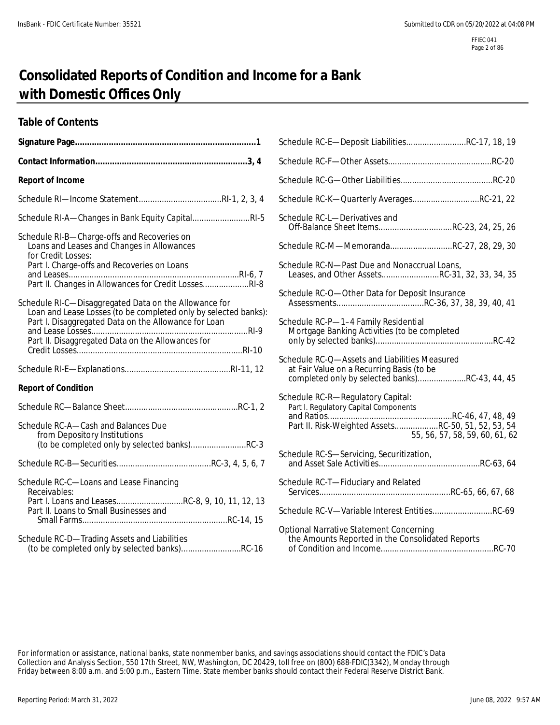# **Consolidated Reports of Condition and Income for a Bank with Domestic Offices Only**

### **Table of Contents**

|                                                                                                                          | Schedule RC-E-Deposit LiabilitiesRC-17, 18, 19                                                                                               |
|--------------------------------------------------------------------------------------------------------------------------|----------------------------------------------------------------------------------------------------------------------------------------------|
|                                                                                                                          |                                                                                                                                              |
| <b>Report of Income</b>                                                                                                  |                                                                                                                                              |
|                                                                                                                          | Schedule RC-K-Quarterly AveragesRC-21, 22                                                                                                    |
| Schedule RI-A-Changes in Bank Equity CapitalRI-5                                                                         | Schedule RC-L-Derivatives and<br>Off-Balance Sheet ItemsRC-23, 24, 25, 26                                                                    |
| Schedule RI-B-Charge-offs and Recoveries on<br>Loans and Leases and Changes in Allowances<br>for Credit Losses:          | Schedule RC-M-MemorandaRC-27, 28, 29, 30                                                                                                     |
| Part I. Charge-offs and Recoveries on Loans<br>Part II. Changes in Allowances for Credit LossesRI-8                      | Schedule RC-N-Past Due and Nonaccrual Loans,<br>Leases, and Other AssetsRC-31, 32, 33, 34, 35                                                |
| Schedule RI-C-Disaggregated Data on the Allowance for<br>Loan and Lease Losses (to be completed only by selected banks): | Schedule RC-O-Other Data for Deposit Insurance                                                                                               |
| Part I. Disaggregated Data on the Allowance for Loan<br>Part II. Disaggregated Data on the Allowances for                | Schedule RC-P-1-4 Family Residential<br>Mortgage Banking Activities (to be completed                                                         |
|                                                                                                                          | Schedule RC-Q-Assets and Liabilities Measured<br>at Fair Value on a Recurring Basis (to be<br>completed only by selected banks)RC-43, 44, 45 |
| <b>Report of Condition</b>                                                                                               |                                                                                                                                              |
|                                                                                                                          | Schedule RC-R-Regulatory Capital:<br>Part I. Regulatory Capital Components                                                                   |
| Schedule RC-A-Cash and Balances Due<br>from Depository Institutions                                                      | Part II. Risk-Weighted AssetsRC-50, 51, 52, 53, 54<br>55, 56, 57, 58, 59, 60, 61, 62                                                         |
|                                                                                                                          | Schedule RC-S-Servicing, Securitization,                                                                                                     |
| Schedule RC-C-Loans and Lease Financing<br>Receivables:                                                                  | Schedule RC-T-Fiduciary and Related                                                                                                          |
| Part I. Loans and LeasesRC-8, 9, 10, 11, 12, 13<br>Part II. Loans to Small Businesses and                                | Schedule RC-V-Variable Interest EntitiesRC-69                                                                                                |
| Schedule RC-D-Trading Assets and Liabilities<br>(to be completed only by selected banks)RC-16                            | <b>Optional Narrative Statement Concerning</b>                                                                                               |

| Schedule RC-E-Deposit LiabilitiesRC-17, 18, 19                                                                                               |                                |
|----------------------------------------------------------------------------------------------------------------------------------------------|--------------------------------|
|                                                                                                                                              |                                |
|                                                                                                                                              |                                |
| Schedule RC-K-Quarterly AveragesRC-21, 22                                                                                                    |                                |
| Schedule RC-L-Derivatives and<br>Off-Balance Sheet ItemsRC-23, 24, 25, 26                                                                    |                                |
| Schedule RC-M-MemorandaRC-27, 28, 29, 30                                                                                                     |                                |
| Schedule RC-N-Past Due and Nonaccrual Loans,<br>Leases, and Other AssetsRC-31, 32, 33, 34, 35                                                |                                |
| Schedule RC-O-Other Data for Deposit Insurance                                                                                               |                                |
| Schedule RC-P-1-4 Family Residential<br>Mortgage Banking Activities (to be completed                                                         |                                |
| Schedule RC-Q-Assets and Liabilities Measured<br>at Fair Value on a Recurring Basis (to be<br>completed only by selected banks)RC-43, 44, 45 |                                |
| Schedule RC-R-Regulatory Capital:<br>Part I. Regulatory Capital Components<br>Part II. Risk-Weighted AssetsRC-50, 51, 52, 53, 54             | 55, 56, 57, 58, 59, 60, 61, 62 |
| Schedule RC-S-Servicing, Securitization,                                                                                                     |                                |
| Schedule RC-T-Fiduciary and Related                                                                                                          |                                |
| Schedule RC-V-Variable Interest EntitiesRC-69                                                                                                |                                |
| Optional Narrative Statement Concerning<br>the Amounts Reported in the Consolidated Reports                                                  |                                |

For information or assistance, national banks, state nonmember banks, and savings associations should contact the FDIC's Data Collection and Analysis Section, 550 17th Street, NW, Washington, DC 20429, toll free on (800) 688-FDIC(3342), Monday through Friday between 8:00 a.m. and 5:00 p.m., Eastern Time. State member banks should contact their Federal Reserve District Bank.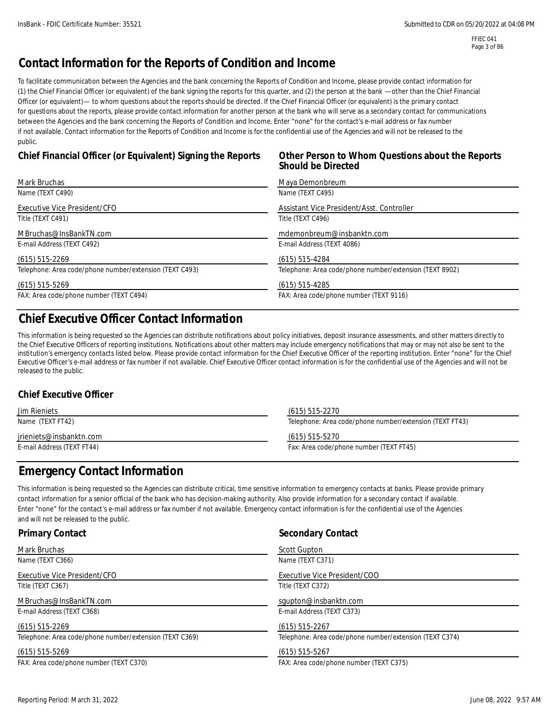## **Contact Information for the Reports of Condition and Income**

To facilitate communication between the Agencies and the bank concerning the Reports of Condition and Income, please provide contact information for (1) the Chief Financial Officer (or equivalent) of the bank signing the reports for this quarter, and (2) the person at the bank —other than the Chief Financial Officer (or equivalent)— to whom questions about the reports should be directed. If the Chief Financial Officer (or equivalent) is the primary contact for questions about the reports, please provide contact information for another person at the bank who will serve as a secondary contact for communications between the Agencies and the bank concerning the Reports of Condition and Income. Enter "none" for the contact's e-mail address or fax number if not available. Contact information for the Reports of Condition and Income is for the confidential use of the Agencies and will not be released to the public.

### **Chief Financial Officer (or Equivalent) Signing the Reports Other Person to Whom Questions about the Reports**

# **Should be Directed**

| Mark Bruchas                                            | Maya Demonbreum                                         |
|---------------------------------------------------------|---------------------------------------------------------|
| Name (TEXT C490)                                        | Name (TEXT C495)                                        |
| Executive Vice President/CFO                            | Assistant Vice President/Asst. Controller               |
| Title (TEXT C491)                                       | Title (TEXT C496)                                       |
| MBruchas@InsBankTN.com                                  | mdemonbreum@insbanktn.com                               |
| E-mail Address (TEXT C492)                              | E-mail Address (TEXT 4086)                              |
| $(615)$ 515-2269                                        | $(615)$ 515-4284                                        |
| Telephone: Area code/phone number/extension (TEXT C493) | Telephone: Area code/phone number/extension (TEXT 8902) |
| $(615)$ 515-5269                                        | $(615)$ 515-4285                                        |
| FAX: Area code/phone number (TEXT C494)                 | FAX: Area code/phone number (TEXT 9116)                 |

# **Chief Executive Officer Contact Information**

This information is being requested so the Agencies can distribute notifications about policy initiatives, deposit insurance assessments, and other matters directly to the Chief Executive Officers of reporting institutions. Notifications about other matters may include emergency notifications that may or may not also be sent to the institution's emergency contacts listed below. Please provide contact information for the Chief Executive Officer of the reporting institution. Enter "none" for the Chief Executive Officer's e-mail address or fax number if not available. Chief Executive Officer contact information is for the confidential use of the Agencies and will not be released to the public.

### **Chief Executive Officer**

| Jim Rieniets               | (615) 515-2270                                          |
|----------------------------|---------------------------------------------------------|
| Name (TEXT FT42)           | Telephone: Area code/phone number/extension (TEXT FT43) |
| jrieniets@insbanktn.com    | (615) 515-5270                                          |
| E-mail Address (TEXT FT44) | Fax: Area code/phone number (TEXT FT45)                 |

### **Emergency Contact Information**

This information is being requested so the Agencies can distribute critical, time sensitive information to emergency contacts at banks. Please provide primary contact information for a senior official of the bank who has decision-making authority. Also provide information for a secondary contact if available. Enter "none" for the contact's e-mail address or fax number if not available. Emergency contact information is for the confidential use of the Agencies and will not be released to the public.

| <b>Primary Contact</b>                                  | <b>Secondary Contact</b>                                |
|---------------------------------------------------------|---------------------------------------------------------|
| Mark Bruchas                                            | Scott Gupton                                            |
| Name (TEXT C366)                                        | Name (TEXT C371)                                        |
| Executive Vice President/CFO                            | Executive Vice President/COO                            |
| Title (TEXT C367)                                       | Title (TEXT C372)                                       |
| MBruchas@InsBankTN.com                                  | squpton@insbanktn.com                                   |
| E-mail Address (TEXT C368)                              | E-mail Address (TEXT C373)                              |
| $(615)$ 515-2269                                        | $(615)$ 515-2267                                        |
| Telephone: Area code/phone number/extension (TEXT C369) | Telephone: Area code/phone number/extension (TEXT C374) |
| $(615)$ 515-5269                                        | $(615)$ 515-5267                                        |
| FAX: Area code/phone number (TEXT C370)                 | FAX: Area code/phone number (TEXT C375)                 |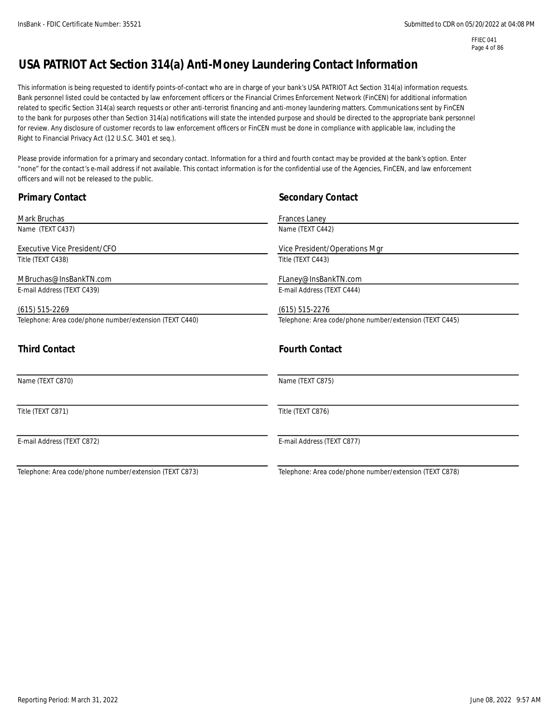FFIEC 041 Page 4 of 86

# **USA PATRIOT Act Section 314(a) Anti-Money Laundering Contact Information**

This information is being requested to identify points-of-contact who are in charge of your bank's USA PATRIOT Act Section 314(a) information requests. Bank personnel listed could be contacted by law enforcement officers or the Financial Crimes Enforcement Network (FinCEN) for additional information related to specific Section 314(a) search requests or other anti-terrorist financing and anti-money laundering matters. Communications sent by FinCEN to the bank for purposes other than Section 314(a) notifications will state the intended purpose and should be directed to the appropriate bank personnel for review. Any disclosure of customer records to law enforcement officers or FinCEN must be done in compliance with applicable law, including the Right to Financial Privacy Act (12 U.S.C. 3401 et seq.).

Please provide information for a primary and secondary contact. Information for a third and fourth contact may be provided at the bank's option. Enter "none" for the contact's e-mail address if not available. This contact information is for the confidential use of the Agencies, FinCEN, and law enforcement officers and will not be released to the public.

| <b>Primary Contact</b>                                  | <b>Secondary Contact</b>                                |
|---------------------------------------------------------|---------------------------------------------------------|
| Mark Bruchas                                            | Frances Laney                                           |
| Name (TEXT C437)                                        | Name (TEXT C442)                                        |
| Executive Vice President/CFO                            | Vice President/Operations Mgr                           |
| Title (TEXT C438)                                       | Title (TEXT C443)                                       |
| MBruchas@InsBankTN.com                                  | FLaney@InsBankTN.com                                    |
| E-mail Address (TEXT C439)                              | E-mail Address (TEXT C444)                              |
| $(615) 515 - 2269$                                      | $(615)$ 515-2276                                        |
| Telephone: Area code/phone number/extension (TEXT C440) | Telephone: Area code/phone number/extension (TEXT C445) |
| <b>Third Contact</b>                                    | <b>Fourth Contact</b>                                   |
| Name (TEXT C870)                                        | Name (TEXT C875)                                        |
| Title (TEXT C871)                                       | Title (TEXT C876)                                       |
| E-mail Address (TEXT C872)                              | E-mail Address (TEXT C877)                              |
| Telephone: Area code/phone number/extension (TEXT C873) | Telephone: Area code/phone number/extension (TEXT C878) |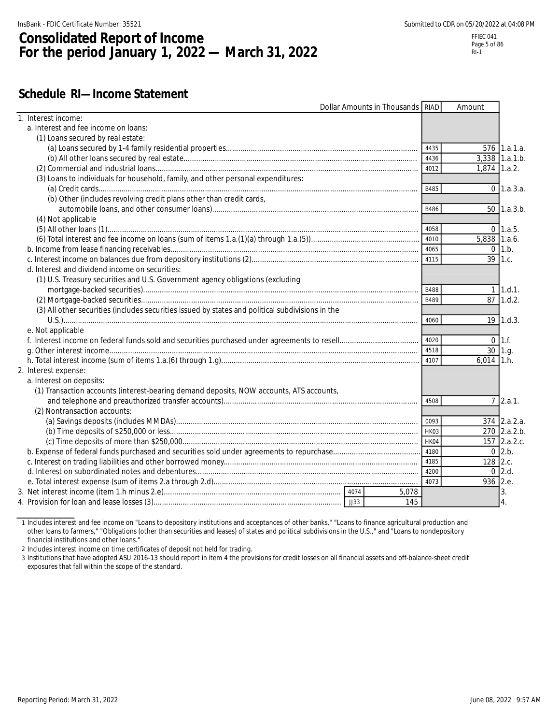# **Consolidated Report of Income For the period January 1, 2022 — March 31, 2022**

### **Schedule RI—Income Statement**

| 1. Interest income:<br>a. Interest and fee income on loans:<br>(1) Loans secured by real estate:<br>576 1.a.1.a.<br>4435<br>4436<br>$3.338$ 1.a.1.b.<br>4012<br>$1,874$ 1.a.2.<br>(3) Loans to individuals for household, family, and other personal expenditures:<br>B485<br>$0 \, 1.a.3.a.$<br>(b) Other (includes revolving credit plans other than credit cards,<br>B486<br>50 1.a.3.b.<br>(4) Not applicable<br>4058<br>$0 \quad 1.a.5.$<br>5,838 1.a.6.<br>4010<br>4065<br>$0 \; 1.b.$<br>39 1.c.<br>d. Interest and dividend income on securities:<br>(1) U.S. Treasury securities and U.S. Government agency obligations (excluding<br>$1 \; 1.d.1.$<br><b>B488</b><br>1.d.2.<br>87<br><b>B489</b><br>(3) All other securities (includes securities issued by states and political subdivisions in the<br>4060<br>$19$   1.d.3.<br>e. Not applicable<br>4020<br>$0 \; 11.f.$<br>4518<br>30 1.g.<br>4107<br>$6,014$ 1.h.<br>2. Interest expense:<br>a. Interest on deposits:<br>(1) Transaction accounts (interest-bearing demand deposits, NOW accounts, ATS accounts,<br>$7 \, 2.a.1.$<br>4508<br>(2) Nontransaction accounts:<br>$374$ 2.a.2.a.<br>270 2.a.2.b.<br>157 2.a.2.c.<br>HK04<br>$0$ 2.b.<br>4180<br>128 2.c.<br>4185<br>$0$ 2.d.<br>4200<br>4073<br>936 2.e.<br>5,078<br>3.<br>$\overline{4}$ .<br>145 |  | Dollar Amounts in Thousands RIAD | Amount |  |
|-----------------------------------------------------------------------------------------------------------------------------------------------------------------------------------------------------------------------------------------------------------------------------------------------------------------------------------------------------------------------------------------------------------------------------------------------------------------------------------------------------------------------------------------------------------------------------------------------------------------------------------------------------------------------------------------------------------------------------------------------------------------------------------------------------------------------------------------------------------------------------------------------------------------------------------------------------------------------------------------------------------------------------------------------------------------------------------------------------------------------------------------------------------------------------------------------------------------------------------------------------------------------------------------------------------------------------|--|----------------------------------|--------|--|
|                                                                                                                                                                                                                                                                                                                                                                                                                                                                                                                                                                                                                                                                                                                                                                                                                                                                                                                                                                                                                                                                                                                                                                                                                                                                                                                             |  |                                  |        |  |
|                                                                                                                                                                                                                                                                                                                                                                                                                                                                                                                                                                                                                                                                                                                                                                                                                                                                                                                                                                                                                                                                                                                                                                                                                                                                                                                             |  |                                  |        |  |
|                                                                                                                                                                                                                                                                                                                                                                                                                                                                                                                                                                                                                                                                                                                                                                                                                                                                                                                                                                                                                                                                                                                                                                                                                                                                                                                             |  |                                  |        |  |
|                                                                                                                                                                                                                                                                                                                                                                                                                                                                                                                                                                                                                                                                                                                                                                                                                                                                                                                                                                                                                                                                                                                                                                                                                                                                                                                             |  |                                  |        |  |
|                                                                                                                                                                                                                                                                                                                                                                                                                                                                                                                                                                                                                                                                                                                                                                                                                                                                                                                                                                                                                                                                                                                                                                                                                                                                                                                             |  |                                  |        |  |
|                                                                                                                                                                                                                                                                                                                                                                                                                                                                                                                                                                                                                                                                                                                                                                                                                                                                                                                                                                                                                                                                                                                                                                                                                                                                                                                             |  |                                  |        |  |
|                                                                                                                                                                                                                                                                                                                                                                                                                                                                                                                                                                                                                                                                                                                                                                                                                                                                                                                                                                                                                                                                                                                                                                                                                                                                                                                             |  |                                  |        |  |
|                                                                                                                                                                                                                                                                                                                                                                                                                                                                                                                                                                                                                                                                                                                                                                                                                                                                                                                                                                                                                                                                                                                                                                                                                                                                                                                             |  |                                  |        |  |
|                                                                                                                                                                                                                                                                                                                                                                                                                                                                                                                                                                                                                                                                                                                                                                                                                                                                                                                                                                                                                                                                                                                                                                                                                                                                                                                             |  |                                  |        |  |
|                                                                                                                                                                                                                                                                                                                                                                                                                                                                                                                                                                                                                                                                                                                                                                                                                                                                                                                                                                                                                                                                                                                                                                                                                                                                                                                             |  |                                  |        |  |
|                                                                                                                                                                                                                                                                                                                                                                                                                                                                                                                                                                                                                                                                                                                                                                                                                                                                                                                                                                                                                                                                                                                                                                                                                                                                                                                             |  |                                  |        |  |
|                                                                                                                                                                                                                                                                                                                                                                                                                                                                                                                                                                                                                                                                                                                                                                                                                                                                                                                                                                                                                                                                                                                                                                                                                                                                                                                             |  |                                  |        |  |
|                                                                                                                                                                                                                                                                                                                                                                                                                                                                                                                                                                                                                                                                                                                                                                                                                                                                                                                                                                                                                                                                                                                                                                                                                                                                                                                             |  |                                  |        |  |
|                                                                                                                                                                                                                                                                                                                                                                                                                                                                                                                                                                                                                                                                                                                                                                                                                                                                                                                                                                                                                                                                                                                                                                                                                                                                                                                             |  |                                  |        |  |
|                                                                                                                                                                                                                                                                                                                                                                                                                                                                                                                                                                                                                                                                                                                                                                                                                                                                                                                                                                                                                                                                                                                                                                                                                                                                                                                             |  |                                  |        |  |
|                                                                                                                                                                                                                                                                                                                                                                                                                                                                                                                                                                                                                                                                                                                                                                                                                                                                                                                                                                                                                                                                                                                                                                                                                                                                                                                             |  |                                  |        |  |
|                                                                                                                                                                                                                                                                                                                                                                                                                                                                                                                                                                                                                                                                                                                                                                                                                                                                                                                                                                                                                                                                                                                                                                                                                                                                                                                             |  |                                  |        |  |
|                                                                                                                                                                                                                                                                                                                                                                                                                                                                                                                                                                                                                                                                                                                                                                                                                                                                                                                                                                                                                                                                                                                                                                                                                                                                                                                             |  |                                  |        |  |
|                                                                                                                                                                                                                                                                                                                                                                                                                                                                                                                                                                                                                                                                                                                                                                                                                                                                                                                                                                                                                                                                                                                                                                                                                                                                                                                             |  |                                  |        |  |
|                                                                                                                                                                                                                                                                                                                                                                                                                                                                                                                                                                                                                                                                                                                                                                                                                                                                                                                                                                                                                                                                                                                                                                                                                                                                                                                             |  |                                  |        |  |
|                                                                                                                                                                                                                                                                                                                                                                                                                                                                                                                                                                                                                                                                                                                                                                                                                                                                                                                                                                                                                                                                                                                                                                                                                                                                                                                             |  |                                  |        |  |
|                                                                                                                                                                                                                                                                                                                                                                                                                                                                                                                                                                                                                                                                                                                                                                                                                                                                                                                                                                                                                                                                                                                                                                                                                                                                                                                             |  |                                  |        |  |
|                                                                                                                                                                                                                                                                                                                                                                                                                                                                                                                                                                                                                                                                                                                                                                                                                                                                                                                                                                                                                                                                                                                                                                                                                                                                                                                             |  |                                  |        |  |
|                                                                                                                                                                                                                                                                                                                                                                                                                                                                                                                                                                                                                                                                                                                                                                                                                                                                                                                                                                                                                                                                                                                                                                                                                                                                                                                             |  |                                  |        |  |
|                                                                                                                                                                                                                                                                                                                                                                                                                                                                                                                                                                                                                                                                                                                                                                                                                                                                                                                                                                                                                                                                                                                                                                                                                                                                                                                             |  |                                  |        |  |
|                                                                                                                                                                                                                                                                                                                                                                                                                                                                                                                                                                                                                                                                                                                                                                                                                                                                                                                                                                                                                                                                                                                                                                                                                                                                                                                             |  |                                  |        |  |
|                                                                                                                                                                                                                                                                                                                                                                                                                                                                                                                                                                                                                                                                                                                                                                                                                                                                                                                                                                                                                                                                                                                                                                                                                                                                                                                             |  |                                  |        |  |
|                                                                                                                                                                                                                                                                                                                                                                                                                                                                                                                                                                                                                                                                                                                                                                                                                                                                                                                                                                                                                                                                                                                                                                                                                                                                                                                             |  |                                  |        |  |
|                                                                                                                                                                                                                                                                                                                                                                                                                                                                                                                                                                                                                                                                                                                                                                                                                                                                                                                                                                                                                                                                                                                                                                                                                                                                                                                             |  |                                  |        |  |
|                                                                                                                                                                                                                                                                                                                                                                                                                                                                                                                                                                                                                                                                                                                                                                                                                                                                                                                                                                                                                                                                                                                                                                                                                                                                                                                             |  |                                  |        |  |
|                                                                                                                                                                                                                                                                                                                                                                                                                                                                                                                                                                                                                                                                                                                                                                                                                                                                                                                                                                                                                                                                                                                                                                                                                                                                                                                             |  |                                  |        |  |
|                                                                                                                                                                                                                                                                                                                                                                                                                                                                                                                                                                                                                                                                                                                                                                                                                                                                                                                                                                                                                                                                                                                                                                                                                                                                                                                             |  |                                  |        |  |
|                                                                                                                                                                                                                                                                                                                                                                                                                                                                                                                                                                                                                                                                                                                                                                                                                                                                                                                                                                                                                                                                                                                                                                                                                                                                                                                             |  |                                  |        |  |
|                                                                                                                                                                                                                                                                                                                                                                                                                                                                                                                                                                                                                                                                                                                                                                                                                                                                                                                                                                                                                                                                                                                                                                                                                                                                                                                             |  |                                  |        |  |
|                                                                                                                                                                                                                                                                                                                                                                                                                                                                                                                                                                                                                                                                                                                                                                                                                                                                                                                                                                                                                                                                                                                                                                                                                                                                                                                             |  |                                  |        |  |
|                                                                                                                                                                                                                                                                                                                                                                                                                                                                                                                                                                                                                                                                                                                                                                                                                                                                                                                                                                                                                                                                                                                                                                                                                                                                                                                             |  |                                  |        |  |
|                                                                                                                                                                                                                                                                                                                                                                                                                                                                                                                                                                                                                                                                                                                                                                                                                                                                                                                                                                                                                                                                                                                                                                                                                                                                                                                             |  |                                  |        |  |
|                                                                                                                                                                                                                                                                                                                                                                                                                                                                                                                                                                                                                                                                                                                                                                                                                                                                                                                                                                                                                                                                                                                                                                                                                                                                                                                             |  |                                  |        |  |
|                                                                                                                                                                                                                                                                                                                                                                                                                                                                                                                                                                                                                                                                                                                                                                                                                                                                                                                                                                                                                                                                                                                                                                                                                                                                                                                             |  |                                  |        |  |

1 Includes interest and fee income on "Loans to depository institutions and acceptances of other banks," "Loans to finance agricultural production and other loans to farmers," "Obligations (other than securities and leases) of states and political subdivisions in the U.S.," and "Loans to nondepository financial institutions and other loans."

2 Includes interest income on time certificates of deposit not held for trading.

3 Institutions that have adopted ASU 2016-13 should report in item 4 the provisions for credit losses on all financial assets and off-balance-sheet credit exposures that fall within the scope of the standard.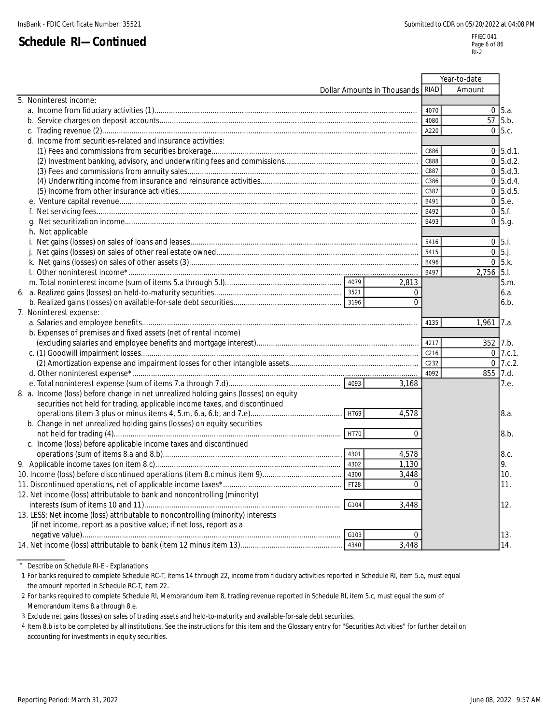|                                                                                      |                             |          |                  | Year-to-date |               |
|--------------------------------------------------------------------------------------|-----------------------------|----------|------------------|--------------|---------------|
|                                                                                      | Dollar Amounts in Thousands |          | RIAD             | Amount       |               |
| 5. Noninterest income:                                                               |                             |          |                  |              |               |
|                                                                                      |                             |          | 4070             | $\Omega$     | 5.a.          |
|                                                                                      |                             |          | 4080             | 57           | 5.b.          |
|                                                                                      |                             |          | A220             |              | $0\,$ 5.c.    |
| d. Income from securities-related and insurance activities:                          |                             |          |                  |              |               |
|                                                                                      |                             |          | C886             |              | $0, 5, d.1$ . |
|                                                                                      |                             |          | C888             |              | $0 \, 5.d.2.$ |
|                                                                                      |                             |          | C887             |              | $0\,$ 5.d.3.  |
|                                                                                      |                             |          | C386             |              | $0\,$ 5.d.4.  |
|                                                                                      |                             |          | C387             |              | $0\,5.d.5$    |
|                                                                                      |                             |          | B491             |              | 0 5.e.        |
|                                                                                      |                             |          | B492             |              | $0\,$ 5.f.    |
|                                                                                      |                             |          | B493             |              | $0\,5.9.$     |
| h. Not applicable                                                                    |                             |          |                  |              |               |
|                                                                                      |                             |          | 5416             | $0\,$ 5.i.   |               |
|                                                                                      |                             |          | 5415             | $0\,5$ .j.   |               |
|                                                                                      |                             |          | B496             |              | $0\,$ 5.k.    |
|                                                                                      |                             |          | B497             | 2,756 5.1.   |               |
|                                                                                      |                             | 2,813    |                  |              | 5.m.          |
|                                                                                      |                             | $\Omega$ |                  |              | 6.a.          |
|                                                                                      |                             | $\Omega$ |                  |              | 6.b.          |
| 7. Noninterest expense:                                                              |                             |          |                  |              |               |
|                                                                                      |                             |          | 4135             | 1,961        | 7.a.          |
| b. Expenses of premises and fixed assets (net of rental income)                      |                             |          |                  |              |               |
|                                                                                      |                             |          | 4217             | 352          | 7.b.          |
|                                                                                      |                             |          | C <sub>216</sub> |              | $0$ 7.c.1.    |
|                                                                                      |                             |          | C232             |              | $0$ 7.c.2.    |
|                                                                                      |                             |          | 4092             | 855 7.d.     |               |
|                                                                                      |                             | 3,168    |                  |              | 7.e.          |
| 8. a. Income (loss) before change in net unrealized holding gains (losses) on equity |                             |          |                  |              |               |
| securities not held for trading, applicable income taxes, and discontinued           |                             |          |                  |              |               |
|                                                                                      |                             | 4,578    |                  |              | 8.a.          |
| b. Change in net unrealized holding gains (losses) on equity securities              |                             |          |                  |              |               |
|                                                                                      | HT70                        | $\Omega$ |                  |              | 8.b.          |
| c. Income (loss) before applicable income taxes and discontinued                     |                             |          |                  |              |               |
|                                                                                      |                             | 4,578    |                  |              | 8.c.          |
|                                                                                      |                             | 1,130    |                  |              | 9.            |
|                                                                                      | 4300                        | 3,448    |                  |              | 10.           |
|                                                                                      |                             |          |                  |              | 11.           |
| 12. Net income (loss) attributable to bank and noncontrolling (minority)             |                             |          |                  |              |               |
|                                                                                      | G104                        | 3,448    |                  |              | 12.           |
| 13. LESS: Net income (loss) attributable to noncontrolling (minority) interests      |                             |          |                  |              |               |
| (if net income, report as a positive value; if net loss, report as a                 |                             |          |                  |              |               |
|                                                                                      | G103                        | $\Omega$ |                  |              | 13.           |
|                                                                                      | 4340                        | 3,448    |                  |              | 14.           |

\* Describe on Schedule RI-E - Explanations

1 For banks required to complete Schedule RC-T, items 14 through 22, income from fiduciary activities reported in Schedule RI, item 5.a, must equal the amount reported in Schedule RC-T, item 22.

2 For banks required to complete Schedule RI, Memorandum item 8, trading revenue reported in Schedule RI, item 5.c, must equal the sum of Memorandum items 8.a through 8.e.

3 Exclude net gains (losses) on sales of trading assets and held-to-maturity and available-for-sale debt securities.

4 Item 8.b is to be completed by all institutions. See the instructions for this item and the Glossary entry for "Securities Activities" for further detail on accounting for investments in equity securities.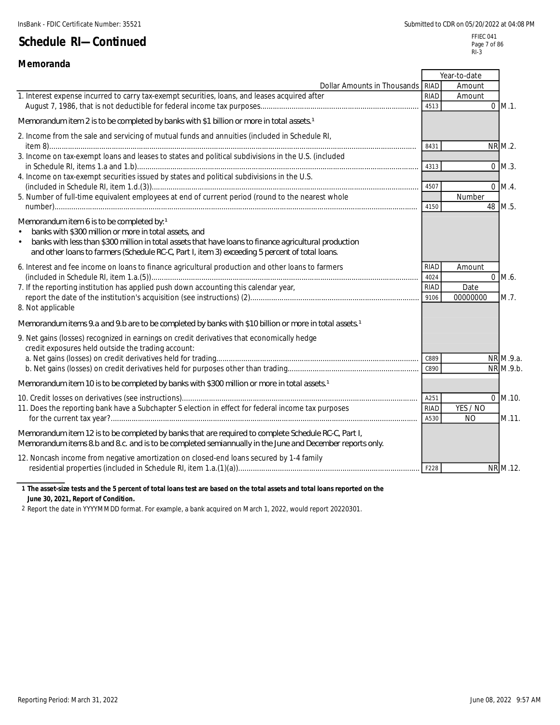| Memoranda                                                                                                                                        |             |                |                   |
|--------------------------------------------------------------------------------------------------------------------------------------------------|-------------|----------------|-------------------|
|                                                                                                                                                  |             | Year-to-date   |                   |
| Dollar Amounts in Thousands RIAD                                                                                                                 |             | Amount         |                   |
| 1. Interest expense incurred to carry tax-exempt securities, loans, and leases acquired after                                                    | <b>RIAD</b> | Amount         |                   |
|                                                                                                                                                  | 4513        |                | $0$ M.1.          |
| Memorandum item 2 is to be completed by banks with \$1 billion or more in total assets 1                                                         |             |                |                   |
| 2. Income from the sale and servicing of mutual funds and annuities (included in Schedule RI,                                                    | 8431        |                | <b>NR M.2.</b>    |
| 3. Income on tax-exempt loans and leases to states and political subdivisions in the U.S. (included                                              |             |                |                   |
|                                                                                                                                                  | 4313        |                | $0$ M.3.          |
| 4. Income on tax-exempt securities issued by states and political subdivisions in the U.S.                                                       |             |                |                   |
|                                                                                                                                                  | 4507        |                | $0 \mathsf{M}4$ . |
| 5. Number of full-time equivalent employees at end of current period (round to the nearest whole                                                 |             | Number         |                   |
|                                                                                                                                                  | 4150        |                | 48 M.5.           |
| Memorandum item 6 is to be completed by: 1                                                                                                       |             |                |                   |
| banks with \$300 million or more in total assets, and                                                                                            |             |                |                   |
| banks with less than \$300 million in total assets that have loans to finance agricultural production<br>$\bullet$                               |             |                |                   |
| and other loans to farmers (Schedule RC-C, Part I, item 3) exceeding 5 percent of total loans.                                                   |             |                |                   |
| 6. Interest and fee income on loans to finance agricultural production and other loans to farmers                                                | <b>RIAD</b> | Amount         |                   |
|                                                                                                                                                  | 4024        |                | $0$ M.6.          |
| 7. If the reporting institution has applied push down accounting this calendar year,                                                             | RIAD        | Date           |                   |
|                                                                                                                                                  | 9106        | 00000000       | M.7.              |
| 8. Not applicable                                                                                                                                |             |                |                   |
| Memorandum items 9.a and 9.b are to be completed by banks with \$10 billion or more in total assets 1                                            |             |                |                   |
| 9. Net gains (losses) recognized in earnings on credit derivatives that economically hedge<br>credit exposures held outside the trading account: |             |                |                   |
|                                                                                                                                                  | C889        |                | NR M.9.a.         |
|                                                                                                                                                  | C890        |                | NR M.9.b.         |
|                                                                                                                                                  |             |                |                   |
| Memorandum item 10 is to be completed by banks with \$300 million or more in total assets 1                                                      |             |                |                   |
|                                                                                                                                                  | A251        |                | $0$ M.10.         |
| 11. Does the reporting bank have a Subchapter S election in effect for federal income tax purposes                                               | <b>RIAD</b> | YES / NO       |                   |
|                                                                                                                                                  | A530        | N <sub>O</sub> | M.11.             |
| Memorandum item 12 is to be completed by banks that are required to complete Schedule RC-C, Part I,                                              |             |                |                   |
| Memorandum items 8 b and 8 c. and is to be completed semiannually in the June and December reports only.                                         |             |                |                   |
| 12. Noncash income from negative amortization on closed-end loans secured by 1-4 family                                                          |             |                |                   |
|                                                                                                                                                  | F228        |                | NR M.12.          |
|                                                                                                                                                  |             |                |                   |

#### **1 The asset-size tests and the 5 percent of total loans test are based on the total assets and total loans reported on the June 30, 2021, Report of Condition.**

2 Report the date in YYYYMMDD format. For example, a bank acquired on March 1, 2022, would report 20220301.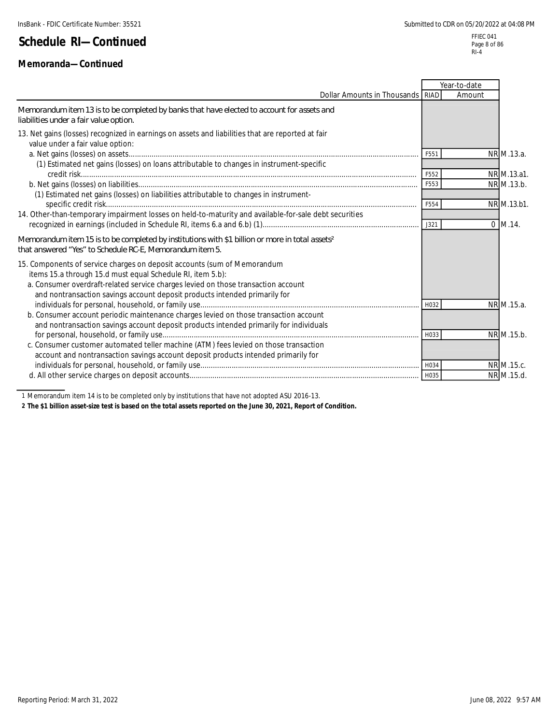### **Memoranda—Continued**

|                                                                                                                                                                                                                                                                                                           |      | Year-to-date |              |
|-----------------------------------------------------------------------------------------------------------------------------------------------------------------------------------------------------------------------------------------------------------------------------------------------------------|------|--------------|--------------|
| Dollar Amounts in Thousands RIAD                                                                                                                                                                                                                                                                          |      | Amount       |              |
| Memorandum item 13 is to be completed by banks that have elected to account for assets and<br>liabilities under a fair value option.                                                                                                                                                                      |      |              |              |
| 13. Net gains (losses) recognized in earnings on assets and liabilities that are reported at fair<br>value under a fair value option:                                                                                                                                                                     |      |              |              |
|                                                                                                                                                                                                                                                                                                           | F551 |              | NR M.13.a.   |
| (1) Estimated net gains (losses) on loans attributable to changes in instrument-specific                                                                                                                                                                                                                  | F552 |              | NR M.13.a1.  |
|                                                                                                                                                                                                                                                                                                           | F553 |              | NR M.13.b.   |
| (1) Estimated net gains (losses) on liabilities attributable to changes in instrument-                                                                                                                                                                                                                    | F554 |              | NR M.13.b1.  |
| 14. Other-than-temporary impairment losses on held-to-maturity and available-for-sale debt securities                                                                                                                                                                                                     |      |              |              |
|                                                                                                                                                                                                                                                                                                           | J321 |              | $0 \,$ M.14. |
| Memorandum item 15 is to be completed by institutions with \$1 billion or more in total assets <sup>2</sup><br>that answered "Yes" to Schedule RC-E, Memorandum item 5.                                                                                                                                   |      |              |              |
| 15. Components of service charges on deposit accounts (sum of Memorandum<br>items 15.a through 15.d must equal Schedule RI, item 5.b):<br>a. Consumer overdraft-related service charges levied on those transaction account<br>and nontransaction savings account deposit products intended primarily for |      |              |              |
|                                                                                                                                                                                                                                                                                                           | H032 |              | NR M.15.a.   |
| b. Consumer account periodic maintenance charges levied on those transaction account<br>and nontransaction savings account deposit products intended primarily for individuals                                                                                                                            |      |              |              |
|                                                                                                                                                                                                                                                                                                           | H033 |              | NR M.15.b.   |
| c. Consumer customer automated teller machine (ATM) fees levied on those transaction<br>account and nontransaction savings account deposit products intended primarily for                                                                                                                                |      |              |              |
|                                                                                                                                                                                                                                                                                                           |      |              | NR M.15.c.   |
|                                                                                                                                                                                                                                                                                                           |      |              | NR M.15.d.   |
|                                                                                                                                                                                                                                                                                                           |      |              |              |

1 Memorandum item 14 is to be completed only by institutions that have not adopted ASU 2016-13.

**2 The \$1 billion asset-size test is based on the total assets reported on the June 30, 2021, Report of Condition.**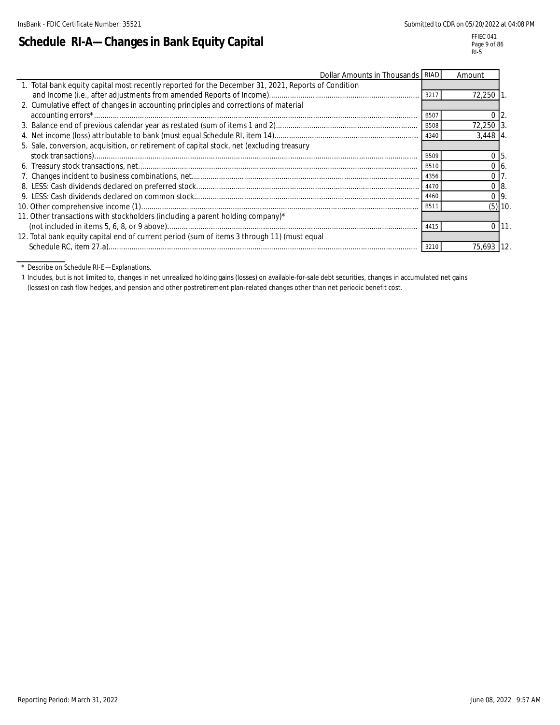l,

# **Schedule RI-A—Changes in Bank Equity Capital**

| Dollar Amounts in Thousands RIAD                                                                    |                   | Amount          |           |
|-----------------------------------------------------------------------------------------------------|-------------------|-----------------|-----------|
| 1. Total bank equity capital most recently reported for the December 31, 2021, Reports of Condition |                   |                 |           |
|                                                                                                     | 3217              | $72,250$ 1.     |           |
| 2. Cumulative effect of changes in accounting principles and corrections of material                |                   |                 |           |
|                                                                                                     | B50               | 0 <sub>12</sub> |           |
|                                                                                                     | <b>B508</b>       | 72,250 3        |           |
|                                                                                                     | 4340              | $3,448$ 4       |           |
| 5. Sale, conversion, acquisition, or retirement of capital stock, net (excluding treasury           |                   |                 |           |
|                                                                                                     | <b>B509</b>       | 0 <sub>5</sub>  |           |
|                                                                                                     | <b>B510</b>       | 0 <sub>6</sub>  |           |
|                                                                                                     | 4356              | $\overline{0}$  |           |
|                                                                                                     | 4470              | $0$ $\vert$ 8.  |           |
|                                                                                                     | 4460              | $0\,$ l $9.$    |           |
|                                                                                                     | B <sub>5</sub> 11 |                 | $(5)$ 10. |
| 11. Other transactions with stockholders (including a parent holding company)*                      |                   |                 |           |
|                                                                                                     | 4415              |                 | 111.      |
| 12. Total bank equity capital end of current period (sum of items 3 through 11) (must equal         |                   |                 |           |
|                                                                                                     | 3210              | 75,693 12.      |           |

\* Describe on Schedule RI-E—Explanations.

1 Includes, but is not limited to, changes in net unrealized holding gains (losses) on available-for-sale debt securities, changes in accumulated net gains (losses) on cash flow hedges, and pension and other postretirement plan-related changes other than net periodic benefit cost.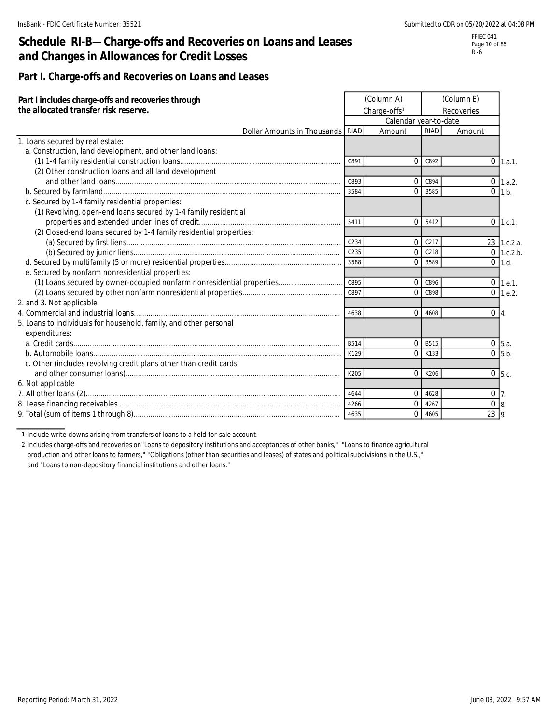## **Schedule RI-B—Charge-offs and Recoveries on Loans and Leases and Changes in Allowances for Credit Losses**

FFIEC 041 Page 10 of 86 RI-6

### **Part I. Charge-offs and Recoveries on Loans and Leases**

| Part I includes charge-offs and recoveries through<br>the allocated transfer risk reserve. |      | (Column A)<br>Charge-offs <sup>1</sup> |         | (Column B)<br>Recoveries |                     |
|--------------------------------------------------------------------------------------------|------|----------------------------------------|---------|--------------------------|---------------------|
|                                                                                            |      | Calendar year-to-date                  |         |                          |                     |
| Dollar Amounts in Thousands RIAD                                                           |      | Amount                                 | RIAD    | Amount                   |                     |
| 1. Loans secured by real estate:                                                           |      |                                        |         |                          |                     |
| a. Construction, land development, and other land loans:                                   |      |                                        |         |                          |                     |
|                                                                                            | C891 | $\Omega$                               | C892    |                          | $0$ 1.a.1.          |
| (2) Other construction loans and all land development                                      |      |                                        |         |                          |                     |
|                                                                                            | C893 | $\Omega$                               | C894    |                          | $0 \quad 1.a.2.$    |
|                                                                                            | 3584 | $\Omega$                               | 3585    | $\Omega$                 | 1.b.                |
| c. Secured by 1-4 family residential properties:                                           |      |                                        |         |                          |                     |
| (1) Revolving, open-end loans secured by 1-4 family residential                            |      |                                        |         |                          |                     |
|                                                                                            | 5411 |                                        | 0.5412  |                          | $0$ 1.c.1.          |
| (2) Closed-end loans secured by 1-4 family residential properties:                         |      |                                        |         |                          |                     |
|                                                                                            | C234 | $\overline{0}$                         | C217    |                          | 23 1.c.2.a.         |
|                                                                                            | C235 | $\Omega$                               | C218    |                          | $0$ 1.c.2.b.        |
|                                                                                            | 3588 | $\Omega$                               | 3589    |                          | $0$ 1.d.            |
| e. Secured by nonfarm nonresidential properties:                                           |      |                                        |         |                          |                     |
| (1) Loans secured by owner-occupied nonfarm nonresidential properties                      | C895 | $\overline{0}$                         | C896    |                          | $0 \text{ } 1.6.1.$ |
|                                                                                            | C897 | $\overline{0}$                         | C898    |                          | $0$ 1.e.2.          |
| 2. and 3. Not applicable                                                                   |      |                                        |         |                          |                     |
|                                                                                            | 4638 | $\Omega$                               | 4608    |                          | $0\vert 4.$         |
| 5. Loans to individuals for household, family, and other personal                          |      |                                        |         |                          |                     |
| expenditures:                                                                              |      |                                        |         |                          |                     |
|                                                                                            | B514 |                                        | 0  B515 |                          | $0\,$ 5.a.          |
|                                                                                            | K129 | $\Omega$                               | K133    |                          | $0$ 5.b.            |
| c. Other (includes revolving credit plans other than credit cards                          |      |                                        |         |                          |                     |
|                                                                                            | K205 | $\Omega$                               | K206    |                          | $0\,$ 5.c.          |
| 6. Not applicable                                                                          |      |                                        |         |                          |                     |
|                                                                                            | 4644 | $\Omega$                               | 4628    |                          | $0\vert 7$ .        |
|                                                                                            | 4266 | $\overline{0}$                         | 4267    |                          | 0 <sub>8</sub>      |
|                                                                                            | 4635 | $\overline{0}$                         | 4605    | 23   9.                  |                     |

1 Include write-downs arising from transfers of loans to a held-for-sale account.

2 Includes charge-offs and recoveries on"Loans to depository institutions and acceptances of other banks," "Loans to finance agricultural production and other loans to farmers," "Obligations (other than securities and leases) of states and political subdivisions in the U.S.," and "Loans to non-depository financial institutions and other loans."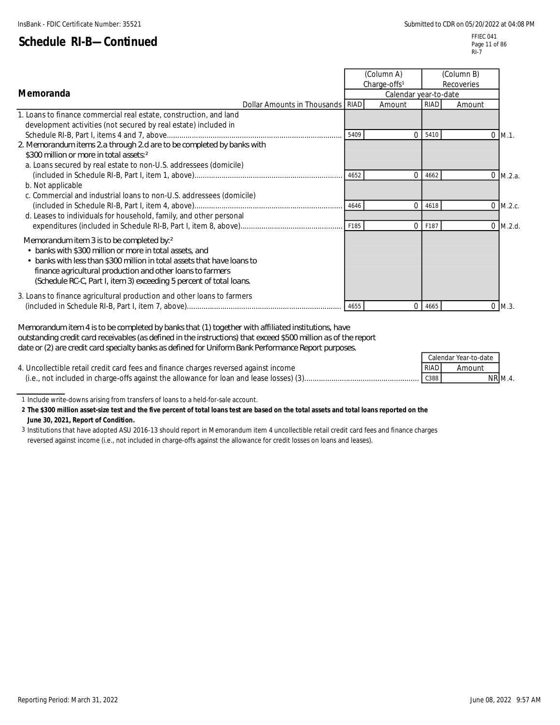FFIEC 041 Page 11 of 86 RI-7

| Memoranda                                                                                                                                                                                                                                                                                                             |      | (Column A)<br>Charge-offs <sup>1</sup><br>Calendar year-to-date |      | (Column B)<br>Recoveries |         |
|-----------------------------------------------------------------------------------------------------------------------------------------------------------------------------------------------------------------------------------------------------------------------------------------------------------------------|------|-----------------------------------------------------------------|------|--------------------------|---------|
| Dollar Amounts in Thousands RIAD                                                                                                                                                                                                                                                                                      |      | Amount                                                          | RIAD | Amount                   |         |
| 1. Loans to finance commercial real estate, construction, and land<br>development activities (not secured by real estate) included in                                                                                                                                                                                 |      |                                                                 |      |                          |         |
|                                                                                                                                                                                                                                                                                                                       | 5409 | $\Omega$                                                        | 5410 | 0                        | $M.1$ . |
| 2. Memorandum items 2a through 2d are to be completed by banks with<br>\$300 million or more in total assets: 2<br>a. Loans secured by real estate to non-U.S. addressees (domicile)                                                                                                                                  |      |                                                                 |      |                          |         |
| b. Not applicable<br>c. Commercial and industrial loans to non-U.S. addressees (domicile)                                                                                                                                                                                                                             | 4652 | $\Omega$                                                        | 4662 |                          | M.2.a.  |
| d. Leases to individuals for household, family, and other personal                                                                                                                                                                                                                                                    | 4646 | $\Omega$                                                        | 4618 |                          | M.2.c.  |
|                                                                                                                                                                                                                                                                                                                       | F185 | $\Omega$                                                        | F187 | $\Omega$                 | M.2.d.  |
| Memorandum item 3 is to be completed by: 2<br>• banks with \$300 million or more in total assets, and<br>• banks with less than \$300 million in total assets that have loans to<br>finance agricultural production and other loans to farmers<br>(Schedule RC-C, Part I, item 3) exceeding 5 percent of total loans. |      |                                                                 |      |                          |         |
| 3. Loans to finance agricultural production and other loans to farmers                                                                                                                                                                                                                                                | 4655 | $\Omega$                                                        | 4665 | $\Omega$                 | $M.3$ . |

*Memorandum item 4 is to be completed by banks that (1) together with affiliated institutions, have outstanding credit card receivables (as defined in the instructions) that exceed \$500 million as of the report date or (2) are credit card specialty banks as defined for Uniform Bank Performance Report purposes.*

|                                                                                         |             | Calendar Year-to-date |           |
|-----------------------------------------------------------------------------------------|-------------|-----------------------|-----------|
| 4. Uncollectible retail credit card fees and finance charges reversed against income    | <b>RIAD</b> | Amount                |           |
| (i.e., not included in charge-offs against the allowance for loan and lease losses) (3) | C388        |                       | $NR$ M.4. |

1 Include write-downs arising from transfers of loans to a held-for-sale account.

**2 The \$300 million asset-size test and the five percent of total loans test are based on the total assets and total loans reported on the June 30, 2021, Report of Condition.**

3 Institutions that have adopted ASU 2016-13 should report in Memorandum item 4 uncollectible retail credit card fees and finance charges reversed against income (i.e., not included in charge-offs against the allowance for credit losses on loans and leases).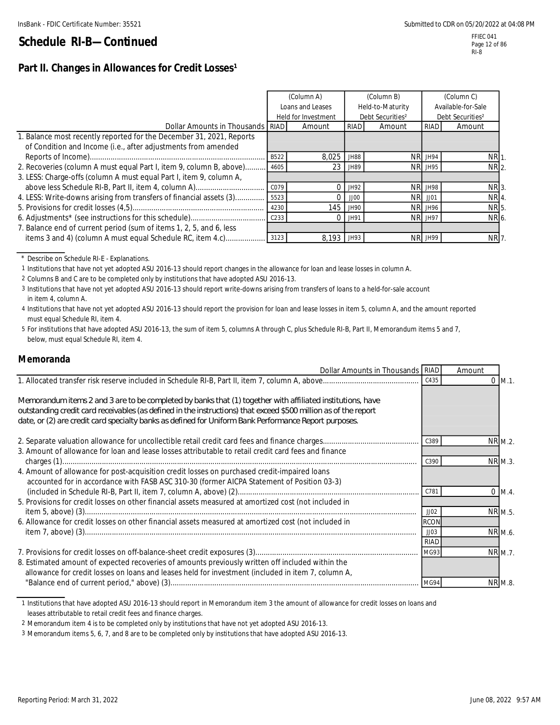RI-8

### **Schedule RI-B—Continued**

### Part II. Changes in Allowances for Credit Losses<sup>1</sup>

|                                                                          |                  | (Column A)<br>Loans and Leases |      | (Column B)<br>Held-to-Maturity |                | (Column C)<br>Available-for-Sale |
|--------------------------------------------------------------------------|------------------|--------------------------------|------|--------------------------------|----------------|----------------------------------|
|                                                                          |                  | Held for Investment            |      | Debt Securities <sup>2</sup>   |                | Debt Securities <sup>2</sup>     |
| Dollar Amounts in Thousands RIAD                                         |                  | Amount                         | RIAD | Amount                         | <b>RIAD</b>    | Amount                           |
| 1. Balance most recently reported for the December 31, 2021, Reports     |                  |                                |      |                                |                |                                  |
| of Condition and Income (i.e., after adjustments from amended            |                  |                                |      |                                |                |                                  |
|                                                                          | B522             | 8,025                          | JH88 |                                | <b>NR JH94</b> | NR <sub>1</sub>                  |
| 2. Recoveries (column A must equal Part I, item 9, column B, above) 4605 |                  | 23 <sup>1</sup>                | JH89 |                                | <b>NR JH95</b> | NR 2.                            |
| 3. LESS: Charge-offs (column A must equal Part I, item 9, column A,      |                  |                                |      |                                |                |                                  |
|                                                                          | C079             | $\Omega$                       | JH92 |                                | <b>NR JH98</b> | NR 3.                            |
| 4. LESS: Write-downs arising from transfers of financial assets (3)      | 5523             |                                | JJOO |                                | <b>NR</b> JJ01 | NR 4.                            |
|                                                                          | 4230             | 145                            | JH90 |                                | <b>NR JH96</b> | NR 5.                            |
|                                                                          | C <sub>233</sub> | $\Omega$                       | JH91 |                                | <b>NR JH97</b> | NR 6.                            |
| 7. Balance end of current period (sum of items 1, 2, 5, and 6, less      |                  |                                |      |                                |                |                                  |
| items 3 and 4) (column A must equal Schedule RC, item 4.c)               | 3123             | 8,193 ЛН93                     |      |                                | NR JH99        | NR 7.                            |

\* Describe on Schedule RI-E - Explanations.

1 Institutions that have not yet adopted ASU 2016-13 should report changes in the allowance for loan and lease losses in column A.

2 Columns B and C are to be completed only by institutions that have adopted ASU 2016-13.

- 3 Institutions that have not yet adopted ASU 2016-13 should report write-downs arising from transfers of loans to a held-for-sale account in item 4, column A.
- 4 Institutions that have not yet adopted ASU 2016-13 should report the provision for loan and lease losses in item 5, column A, and the amount reported must equal Schedule RI, item 4.
- 5 For institutions that have adopted ASU 2016-13, the sum of item 5, columns A through C, plus Schedule RI-B, Part II, Memorandum items 5 and 7, below, must equal Schedule RI, item 4.

#### **Memoranda**

| Dollar Amounts in Thousands RIAD                                                                                                                                                                                                                                                                                                       |             | Amount |                |
|----------------------------------------------------------------------------------------------------------------------------------------------------------------------------------------------------------------------------------------------------------------------------------------------------------------------------------------|-------------|--------|----------------|
|                                                                                                                                                                                                                                                                                                                                        | C435        |        | $0$ M.1.       |
| Memorandum items 2 and 3 are to be completed by banks that (1) together with affiliated institutions, have<br>outstanding credit card receivables (as defined in the instructions) that exceed \$500 million as of the report<br>date, or (2) are credit card specialty banks as defined for Uniform Bank Performance Report purposes. |             |        |                |
|                                                                                                                                                                                                                                                                                                                                        |             |        | NR M.2.        |
| 3. Amount of allowance for loan and lease losses attributable to retail credit card fees and finance                                                                                                                                                                                                                                   |             |        |                |
|                                                                                                                                                                                                                                                                                                                                        | C390        |        | NR M.3.        |
| 4. Amount of allowance for post-acquisition credit losses on purchased credit-impaired loans<br>accounted for in accordance with FASB ASC 310-30 (former AICPA Statement of Position 03-3)                                                                                                                                             | C781        |        | $0 \, M.4.$    |
| 5. Provisions for credit losses on other financial assets measured at amortized cost (not included in                                                                                                                                                                                                                                  |             |        |                |
|                                                                                                                                                                                                                                                                                                                                        | JJO2        |        | NR M.5.        |
| 6. Allowance for credit losses on other financial assets measured at amortized cost (not included in                                                                                                                                                                                                                                   | <b>RCON</b> |        |                |
|                                                                                                                                                                                                                                                                                                                                        | JJO3        |        | NR M.6.        |
|                                                                                                                                                                                                                                                                                                                                        | <b>RIAD</b> |        |                |
|                                                                                                                                                                                                                                                                                                                                        | MG93        |        | NR M.7.        |
| 8. Estimated amount of expected recoveries of amounts previously written off included within the<br>allowance for credit losses on loans and leases held for investment (included in item 7, column A,                                                                                                                                 |             |        |                |
|                                                                                                                                                                                                                                                                                                                                        | MG94        |        | <b>NR M.8.</b> |

1 Institutions that have adopted ASU 2016-13 should report in Memorandum item 3 the amount of allowance for credit losses on loans and leases attributable to retail credit fees and finance charges.

2 Memorandum item 4 is to be completed only by institutions that have not yet adopted ASU 2016-13.

3 Memorandum items 5, 6, 7, and 8 are to be completed only by institutions that have adopted ASU 2016-13.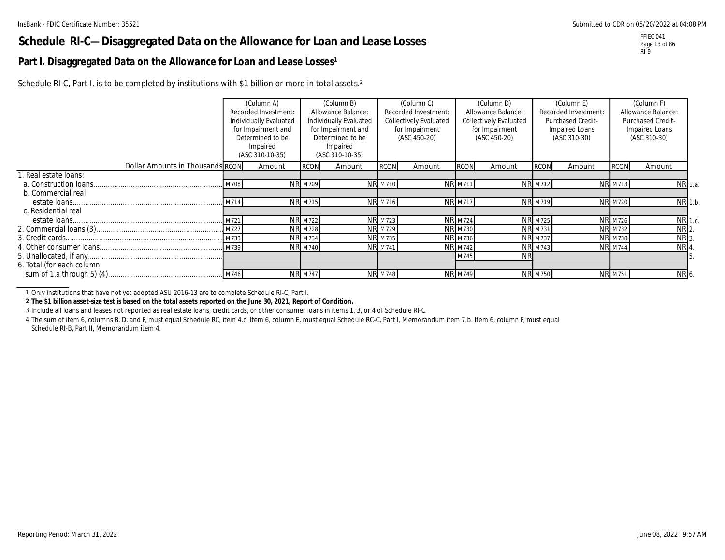### **Schedule RI-C—Disaggregated Data on the Allowance for Loan and Lease Losses**

### Part I. Disaggregated Data on the Allowance for Loan and Lease Losses<sup>1</sup>

Schedule RI-C, Part I, is to be completed by institutions with \$1 billion or more in total assets.<sup>2</sup>

|                                  |      | (Column A)             |                | (Column B)             |                | (Column C)                    |                | (Column D)                    |                | (Column E)           |                | (Column F)         |                    |
|----------------------------------|------|------------------------|----------------|------------------------|----------------|-------------------------------|----------------|-------------------------------|----------------|----------------------|----------------|--------------------|--------------------|
|                                  |      | Recorded Investment:   |                | Allowance Balance:     |                | Recorded Investment:          |                | Allowance Balance:            |                | Recorded Investment: |                | Allowance Balance: |                    |
|                                  |      | Individually Evaluated |                | Individually Evaluated |                | <b>Collectively Evaluated</b> |                | <b>Collectively Evaluated</b> |                | Purchased Credit-    |                | Purchased Credit-  |                    |
|                                  |      | for Impairment and     |                | for Impairment and     |                | for Impairment                |                | for Impairment                |                | Impaired Loans       |                | Impaired Loans     |                    |
|                                  |      | Determined to be       |                | Determined to be       |                | (ASC 450-20)                  |                | (ASC 450-20)                  |                | (ASC 310-30)         |                | (ASC 310-30)       |                    |
|                                  |      | Impaired               |                | Impaired               |                |                               |                |                               |                |                      |                |                    |                    |
|                                  |      | (ASC 310-10-35)        |                | (ASC 310-10-35)        |                |                               |                |                               |                |                      |                |                    |                    |
| Dollar Amounts in Thousands RCON |      | Amount                 | <b>RCON</b>    | Amount                 | <b>RCON</b>    | Amount                        | <b>RCO</b>     | Amount                        | <b>RCON</b>    | Amount               | <b>RCON</b>    | Amount             |                    |
| . Real estate loans:             |      |                        |                |                        |                |                               |                |                               |                |                      |                |                    |                    |
|                                  | M708 |                        | <b>NR M709</b> |                        | <b>NR M710</b> |                               | <b>NR M711</b> |                               | <b>NR M712</b> |                      | <b>NR M713</b> |                    | NR 1.a.            |
| b. Commercial real               |      |                        |                |                        |                |                               |                |                               |                |                      |                |                    |                    |
|                                  | M714 |                        | <b>NR</b> M715 |                        | <b>NR</b> M716 |                               | <b>NR M717</b> |                               | <b>NR M719</b> |                      | <b>NR M720</b> |                    | $NR$ 1.b.          |
| c. Residential real              |      |                        |                |                        |                |                               |                |                               |                |                      |                |                    |                    |
|                                  |      |                        | <b>NR M722</b> |                        | <b>NR M723</b> |                               | <b>NR M724</b> |                               | <b>NR M725</b> |                      | <b>NR M726</b> |                    | NR 1.c.            |
|                                  |      |                        | <b>NR M728</b> |                        | <b>NR M729</b> |                               | <b>NR</b> M730 |                               | <b>NR M731</b> |                      | <b>NR M732</b> |                    | $NR$ <sub>2.</sub> |
|                                  |      |                        | <b>NR M734</b> |                        | <b>NR M735</b> |                               | <b>NR M736</b> |                               | <b>NR</b> M737 |                      | <b>NR M738</b> |                    | $NR$ 3.            |
|                                  |      |                        | <b>NR M740</b> |                        | <b>NR M741</b> |                               | <b>NR M742</b> |                               | <b>NR M743</b> |                      | <b>NR</b> M744 |                    | NR 4.              |
|                                  |      |                        |                |                        |                |                               | M745           | <b>NR</b>                     |                |                      |                |                    |                    |
| 6. Total (for each column        |      |                        |                |                        |                |                               |                |                               |                |                      |                |                    |                    |
|                                  |      |                        | <b>NR M747</b> |                        | <b>NR M748</b> |                               | <b>NR M749</b> |                               | <b>NR M750</b> |                      | <b>NR</b> M751 |                    | NR 6.              |

1 Only institutions that have not yet adopted ASU 2016-13 are to complete Schedule RI-C, Part I.

**2 The \$1 billion asset-size test is based on the total assets reported on the June 30, 2021, Report of Condition.**

3 Include all loans and leases not reported as real estate loans, credit cards, or other consumer loans in items 1, 3, or 4 of Schedule RI-C.

4 The sum of item 6, columns B, D, and F, must equal Schedule RC, item 4.c. Item 6, column E, must equal Schedule RC-C, Part I, Memorandum item 7.b. Item 6, column F, must equal Schedule RI-B, Part II, Memorandum item 4.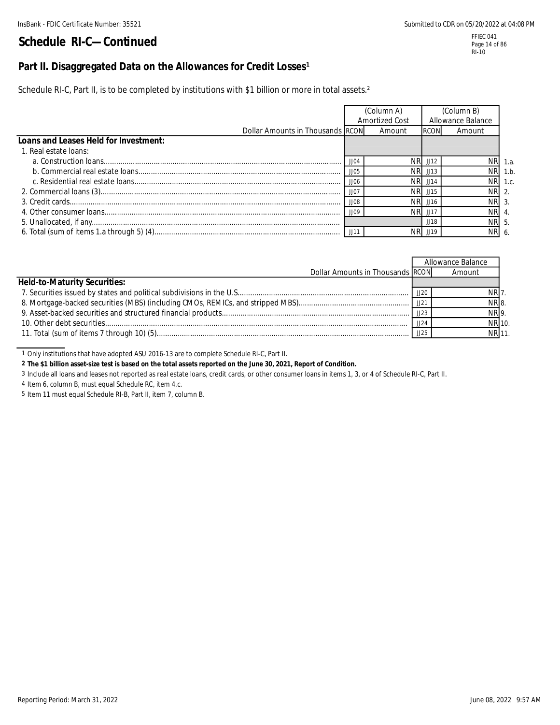### Part II. Disaggregated Data on the Allowances for Credit Losses<sup>1</sup>

Schedule RI-C, Part II, is to be completed by institutions with \$1 billion or more in total assets.<sup>2</sup>

|                                       |                          | (Column A)<br>Amortized Cost |                | (Column B)<br>Allowance Balance |         |
|---------------------------------------|--------------------------|------------------------------|----------------|---------------------------------|---------|
| Dollar Amounts in Thousands RCON      |                          | Amount                       | <b>RCON</b>    | Amount                          |         |
| Loans and Leases Held for Investment: |                          |                              |                |                                 |         |
| 1. Real estate loans:                 |                          |                              |                |                                 |         |
|                                       | JJ04                     | NRI.                         | JJ12           |                                 | NR 1.a. |
|                                       | JJO5                     | NRI.                         | II13           |                                 | NR 1.b. |
|                                       | JJO6                     | NRI                          | JJ14           |                                 | NR 1.c. |
|                                       | JJO                      | NRI                          | JJ15           | NR 2.                           |         |
|                                       | <b>JJOS</b>              | NRI                          | J16            | NR 3.                           |         |
|                                       | <b>JJOS</b>              | NR.                          | $\pm 117$      | NR 4.                           |         |
|                                       |                          |                              | JJ18           | NR 5.                           |         |
|                                       | $\cdot$ JJ1 <sup>1</sup> | NR.                          | $ $ $ $ $ $ 19 | NR 6.                           |         |

|                                     |      | Allowance Balance |  |
|-------------------------------------|------|-------------------|--|
| Dollar Amounts in Thousands RCON    |      | Amount            |  |
| <b>Held-to-Maturity Securities:</b> |      |                   |  |
|                                     | JJ20 | NR <sub>7</sub>   |  |
|                                     | JJ21 | NR 8.             |  |
|                                     | JJ23 | NR 9.             |  |
|                                     | JJ24 | NR 10.            |  |
|                                     | JJ25 | NR 11.            |  |

1 Only institutions that have adopted ASU 2016-13 are to complete Schedule RI-C, Part II.

**2 The \$1 billion asset-size test is based on the total assets reported on the June 30, 2021, Report of Condition.**

3 Include all loans and leases not reported as real estate loans, credit cards, or other consumer loans in items 1, 3, or 4 of Schedule RI-C, Part II.

4 Item 6, column B, must equal Schedule RC, item 4.c.

5 Item 11 must equal Schedule RI-B, Part II, item 7, column B.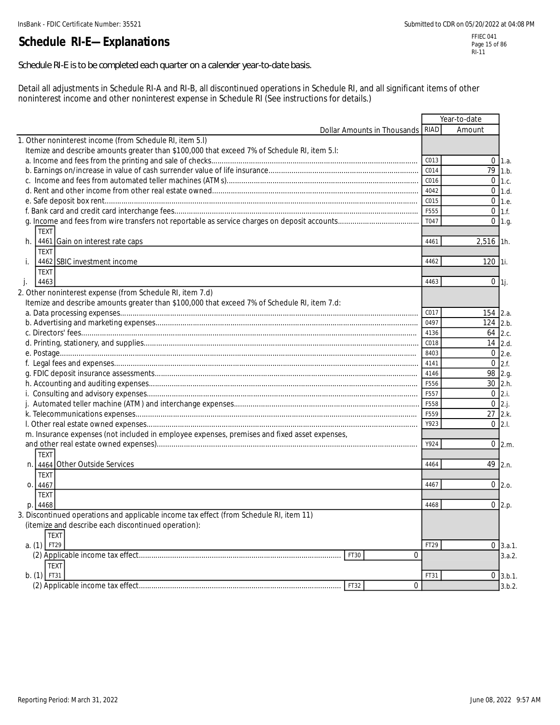# **Schedule RI-E—Explanations**

*Schedule RI-E is to be completed each quarter on a calender year-to-date basis.*

Detail all adjustments in Schedule RI-A and RI-B, all discontinued operations in Schedule RI, and all significant items of other noninterest income and other noninterest expense in Schedule RI (See instructions for details.)

|                                                                                              |                             |             | Year-to-date         |               |
|----------------------------------------------------------------------------------------------|-----------------------------|-------------|----------------------|---------------|
|                                                                                              | Dollar Amounts in Thousands | <b>RIAD</b> | Amount               |               |
| 1. Other noninterest income (from Schedule RI, item 5.I)                                     |                             |             |                      |               |
| Itemize and describe amounts greater than \$100,000 that exceed 7% of Schedule RI, item 5.I: |                             |             |                      |               |
|                                                                                              |                             | C013        | $0 \vert 1.a.$       |               |
|                                                                                              |                             | C014        | $\overline{79}$ 1.b. |               |
|                                                                                              |                             | C016        | $0$ 1.c.             |               |
|                                                                                              |                             | 4042        | $0$ 1.d.             |               |
|                                                                                              |                             | C015        | $0 \mid 1.e.$        |               |
|                                                                                              |                             | F555        | $0$ 1.f.             |               |
|                                                                                              |                             | T047        | $0$   1.g.           |               |
| TEXT                                                                                         |                             |             |                      |               |
| 4461 Gain on interest rate caps<br>h.                                                        |                             | 4461        | $2,516$ 1h.          |               |
| <b>TEXT</b>                                                                                  |                             |             |                      |               |
| 4462 SBIC investment income<br>i.                                                            |                             | 4462        | 120 1i.              |               |
| <b>TEXT</b>                                                                                  |                             |             |                      |               |
| 4463<br>j.                                                                                   |                             | 4463        | $0$ <b>1</b> j.      |               |
| 2. Other noninterest expense (from Schedule RI, item 7.d)                                    |                             |             |                      |               |
| Itemize and describe amounts greater than \$100,000 that exceed 7% of Schedule RI, item 7.d: |                             |             |                      |               |
|                                                                                              |                             | C017        | $154$ 2.a.           |               |
|                                                                                              |                             | 0497        | 124                  |               |
|                                                                                              |                             | 4136        |                      | 2.b           |
|                                                                                              |                             | C018        | $64$ 2.c.            |               |
|                                                                                              |                             |             | $14$ 2.d.            |               |
|                                                                                              |                             | 8403        | $0 \,$ 2.e.          |               |
|                                                                                              |                             | 4141        | $\Omega$             | 2.f.          |
|                                                                                              |                             | 4146        | 98 2.g.              |               |
|                                                                                              |                             | F556        | 30 2.h.              |               |
|                                                                                              |                             | F557        | $0$ 2.i.             |               |
|                                                                                              |                             | F558        | $0$ 2.j.             |               |
|                                                                                              |                             | F559        | 27 2.k.              |               |
|                                                                                              |                             | Y923        | $0 \, 2.1$           |               |
| m. Insurance expenses (not included in employee expenses, premises and fixed asset expenses, |                             |             |                      |               |
|                                                                                              |                             | Y924        | $0$ 2.m.             |               |
| <b>TEXT</b>                                                                                  |                             |             |                      |               |
| n. 4464 Other Outside Services                                                               |                             | 4464        | 49 2.n.              |               |
| <b>TEXT</b>                                                                                  |                             |             |                      |               |
| 0.14467                                                                                      |                             | 4467        | $0\,$ 2.0.           |               |
| <b>TEXT</b>                                                                                  |                             |             |                      |               |
| p. 4468                                                                                      |                             | 4468        | $0$ 2.p.             |               |
| 3. Discontinued operations and applicable income tax effect (from Schedule RI, item 11)      |                             |             |                      |               |
| (itemize and describe each discontinued operation):                                          |                             |             |                      |               |
| <b>TEXT</b>                                                                                  |                             |             |                      |               |
| $a. (1)$ FT29                                                                                |                             | FT29        | $\Omega$             | 3.a.1.        |
|                                                                                              | $\Omega$<br>FT30            |             |                      | 3.a.2.        |
| <b>TEXT</b>                                                                                  |                             |             |                      |               |
| $b. (1)$ FT31                                                                                |                             | FT31        |                      | $0 \, 3.b.1.$ |
|                                                                                              | $\Omega$<br>FT32            |             |                      | 3.b.2.        |
|                                                                                              |                             |             |                      |               |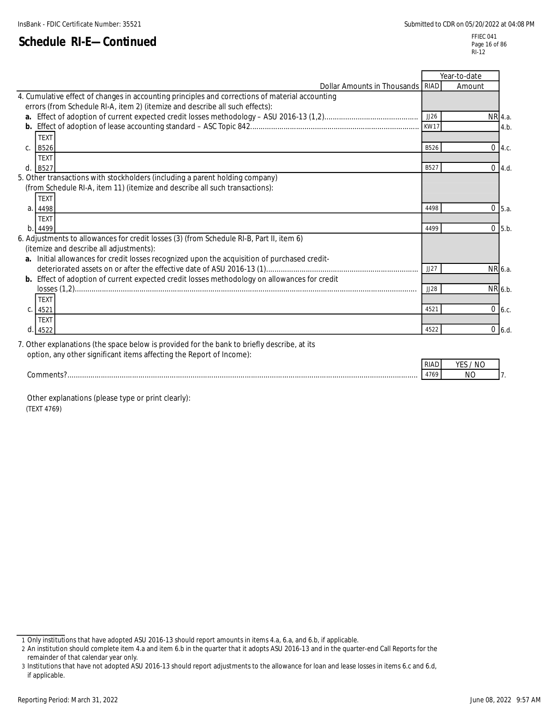|                                                                                                                                                                                 |      | Year-to-date |               |
|---------------------------------------------------------------------------------------------------------------------------------------------------------------------------------|------|--------------|---------------|
| Dollar Amounts in Thousands RIAD                                                                                                                                                |      | Amount       |               |
| 4. Cumulative effect of changes in accounting principles and corrections of material accounting<br>errors (from Schedule RI-A, item 2) (itemize and describe all such effects): |      |              |               |
|                                                                                                                                                                                 | JJ26 | NR 4.a.      |               |
|                                                                                                                                                                                 | KW17 |              | 4.b.          |
| <b>TEXT</b>                                                                                                                                                                     |      |              |               |
| $\mathsf{C}$ .<br><b>B526</b>                                                                                                                                                   | B526 |              | $0 \, 4.c.$   |
| <b>TFXT</b>                                                                                                                                                                     |      |              |               |
| d<br><b>B527</b>                                                                                                                                                                | B527 |              | $0 \, 4.d.$   |
| 5. Other transactions with stockholders (including a parent holding company)                                                                                                    |      |              |               |
| (from Schedule RI-A, item 11) (itemize and describe all such transactions):                                                                                                     |      |              |               |
| TEXT                                                                                                                                                                            |      |              |               |
| 4498<br>a.                                                                                                                                                                      | 4498 |              | $0 \mid 5.a.$ |
| <b>TEXT</b>                                                                                                                                                                     |      |              |               |
| b<br>4499                                                                                                                                                                       | 4499 |              | $0$ 5.b.      |
| 6. Adjustments to allowances for credit losses (3) (from Schedule RI-B, Part II, item 6)                                                                                        |      |              |               |
| (itemize and describe all adjustments):                                                                                                                                         |      |              |               |
| a. Initial allowances for credit losses recognized upon the acquisition of purchased credit-                                                                                    |      |              |               |
|                                                                                                                                                                                 | JJ27 |              | NR 6.a.       |
| <b>b.</b> Effect of adoption of current expected credit losses methodology on allowances for credit                                                                             |      |              |               |
|                                                                                                                                                                                 | JJ28 |              | NR 6.b.       |
| <b>TEXT</b>                                                                                                                                                                     |      |              |               |
| 4521                                                                                                                                                                            | 4521 |              | $0\,6.c.$     |
| <b>TEXT</b>                                                                                                                                                                     |      |              |               |
| d<br>4522                                                                                                                                                                       | 4522 |              | $0\,$ 6.d.    |
| 7. Other evplopetions (the spase below is provided for the benk to briefly describe at its                                                                                      |      |              |               |

7. Other explanations (the space below is provided for the bank to briefly describe, at its option, any other significant items affecting the Report of Income):

| ' I / Y             | w   |  |
|---------------------|-----|--|
| $\sqrt{2}$<br>7 U 7 | NG. |  |

 Other explanations (please type or print clearly): (TEXT 4769)

<sup>1</sup> Only institutions that have adopted ASU 2016-13 should report amounts in items 4.a, 6.a, and 6.b, if applicable.

<sup>2</sup> An institution should complete item 4.a and item 6.b in the quarter that it adopts ASU 2016-13 and in the quarter-end Call Reports for the remainder of that calendar year only.

<sup>3</sup> Institutions that have not adopted ASU 2016-13 should report adjustments to the allowance for loan and lease losses in items 6.c and 6.d, if applicable.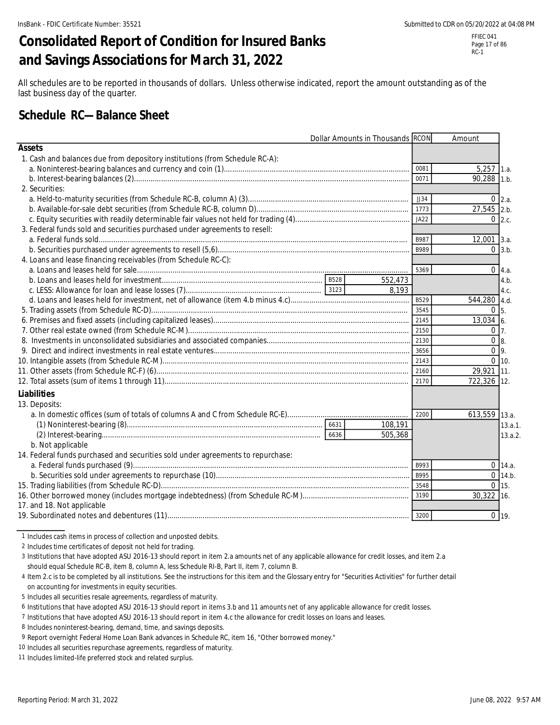# **Consolidated Report of Condition for Insured Banks and Savings Associations for March 31, 2022**

FFIEC 041 Page 17 of 86 RC-1

All schedules are to be reported in thousands of dollars. Unless otherwise indicated, report the amount outstanding as of the last business day of the quarter.

### **Schedule RC—Balance Sheet**

|                                                                                 | Dollar Amounts in Thousands RCON |         |                  | Amount             |                |
|---------------------------------------------------------------------------------|----------------------------------|---------|------------------|--------------------|----------------|
| <b>Assets</b>                                                                   |                                  |         |                  |                    |                |
| 1. Cash and balances due from depository institutions (from Schedule RC-A):     |                                  |         |                  |                    |                |
|                                                                                 |                                  |         | 0081             | $5,257$ 1.a.       |                |
|                                                                                 |                                  |         | 0071             | 90,288 1.b.        |                |
| 2. Securities:                                                                  |                                  |         |                  |                    |                |
|                                                                                 |                                  |         | JJ34             |                    | $0 \, 2.a.$    |
|                                                                                 |                                  |         | 1773             | 27,545 2.b.        |                |
|                                                                                 |                                  |         | JA <sub>22</sub> |                    | $0 \, 2.c.$    |
| 3. Federal funds sold and securities purchased under agreements to resell:      |                                  |         |                  |                    |                |
|                                                                                 |                                  |         | B987             | $12,001$ 3.a.      |                |
|                                                                                 |                                  |         | B989             |                    | $0 \vert 3.b.$ |
| 4. Loans and lease financing receivables (from Schedule RC-C):                  |                                  |         |                  |                    |                |
|                                                                                 |                                  |         | 5369             |                    | $0 \, 4.a.$    |
|                                                                                 |                                  | 552,473 |                  |                    | 4.b.           |
|                                                                                 |                                  | 8.193   |                  |                    | 4.c.           |
|                                                                                 |                                  |         | B529             | 544,280 4.d.       |                |
|                                                                                 |                                  |         | 3545             | 0 <sub>5</sub>     |                |
|                                                                                 |                                  |         |                  | 13,034 6.          |                |
|                                                                                 |                                  |         |                  | $0\vert 7$ .       |                |
|                                                                                 |                                  |         |                  | $\overline{0}$ 8.  |                |
|                                                                                 |                                  |         | 3656             | $0 \overline{9}$ . |                |
|                                                                                 |                                  |         | 2143             | $0 \mid 10.$       |                |
|                                                                                 |                                  |         | 2160             | 29,921 11.         |                |
|                                                                                 |                                  |         | 2170             | 722,326 12.        |                |
| <b>Liabilities</b>                                                              |                                  |         |                  |                    |                |
| 13. Deposits:                                                                   |                                  |         |                  |                    |                |
|                                                                                 |                                  |         | 2200             | 613,559 13.a.      |                |
|                                                                                 |                                  | 108,191 |                  |                    | 13.a.1.        |
|                                                                                 |                                  | 505,368 |                  |                    | 13.a.2.        |
| b. Not applicable                                                               |                                  |         |                  |                    |                |
| 14. Federal funds purchased and securities sold under agreements to repurchase: |                                  |         |                  |                    |                |
|                                                                                 |                                  |         | B993             |                    | $0$ 14.a.      |
|                                                                                 |                                  |         | B995             |                    | 0.14 h         |
|                                                                                 |                                  |         | 3548             |                    | $0 \mid 15.$   |
|                                                                                 |                                  |         | 3190             | 30,322 16.         |                |
| 17. and 18. Not applicable                                                      |                                  |         |                  |                    |                |
|                                                                                 |                                  |         | 3200             |                    | $0$ 19.        |

1 Includes cash items in process of collection and unposted debits.

2 Includes time certificates of deposit not held for trading.

3 Institutions that have adopted ASU 2016-13 should report in item 2.a amounts net of any applicable allowance for credit losses, and item 2.a should equal Schedule RC-B, item 8, column A, less Schedule RI-B, Part II, item 7, column B.

4 Item 2.c is to be completed by all institutions. See the instructions for this item and the Glossary entry for "Securities Activities" for further detail on accounting for investments in equity securities.

5 Includes all securities resale agreements, regardless of maturity.

7 Institutions that have adopted ASU 2016-13 should report in item 4.c the allowance for credit losses on loans and leases.

11 Includes limited-life preferred stock and related surplus.

<sup>6</sup> Institutions that have adopted ASU 2016-13 should report in items 3.b and 11 amounts net of any applicable allowance for credit losses.

<sup>8</sup> Includes noninterest-bearing, demand, time, and savings deposits.

<sup>9</sup> Report overnight Federal Home Loan Bank advances in Schedule RC, item 16, "Other borrowed money."

<sup>10</sup> Includes all securities repurchase agreements, regardless of maturity.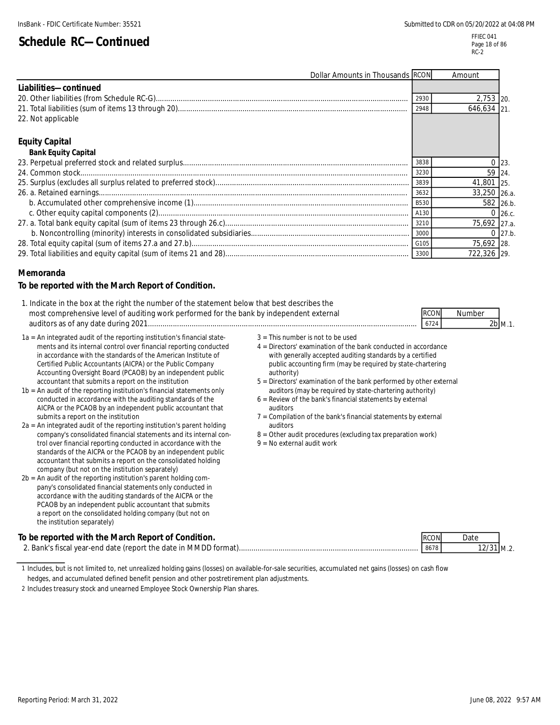| Dollar Amounts in Thousands RCON |      | Amount       |             |
|----------------------------------|------|--------------|-------------|
| Liabilities-continued            |      |              |             |
|                                  | 2930 | 2,753 20.    |             |
|                                  | 2948 | 646.634 21   |             |
| 22. Not applicable               |      |              |             |
|                                  |      |              |             |
| <b>Equity Capital</b>            |      |              |             |
| <b>Bank Equity Capital</b>       |      |              |             |
|                                  | 3838 |              | 23          |
|                                  | 3230 | 59 24        |             |
|                                  | 3839 | 41,801 25.   |             |
|                                  | 3632 | 33,250 26.a. |             |
|                                  | B530 | 582 26.b.    |             |
|                                  | A130 |              | $0\,$ 26.c. |
|                                  | 3210 | 75,692 27.a. |             |
|                                  | 3000 |              | $0\,27.b$   |
|                                  | G105 | 75,692 28.   |             |
|                                  | 3300 | 722,326 29.  |             |

#### **Memoranda**

#### **To be reported with the March Report of Condition.**

| 1. Indicate in the box at the right the number of the statement below that best describes the |             |           |  |
|-----------------------------------------------------------------------------------------------|-------------|-----------|--|
| most comprehensive level of auditing work performed for the bank by independent external      | <b>RCON</b> | Number    |  |
| auditors as of any date during 2021                                                           | 6724        | $2b$ M.1. |  |

- 1a = An integrated audit of the reporting institution's financial state-<br>ments and its internal control over financial reporting conducted  $4 =$  Directors' examination of the bank conducted in accordance ments and its internal control over financial reporting conducted in accordance with the standards of the American Institute of with generally accepted auditing standards by a certified Certified Public Accountants (AICPA) or the Public Company public accounting firm (may be required by state-chartering<br>Accounting Oversight Board (PCAOB) by an independent public authority) authority) Accounting Oversight Board (PCAOB) by an independent public<br>accountant that submits a report on the institution
- 1b = An audit of the reporting institution's financial statements only auditors (may be required by state-chartering authority)<br>conducted in accordance with the auditing standards of the series of the bank's financial stat conducted in accordance with the auditing standards of the AICPA or the PCAOB by an independent public accountant that auditors submits a report on the institution  $7 =$  Compilation of the bank's financial statements by external
- $2a = An integrated audit of the reporting institution's parent holding$ company's consolidated financial statements and its internal con-<br>  $8 =$  Other audit procedures (excluding tax preparation work)<br>  $9 =$  No external audit work trol over financial reporting conducted in accordance with the standards of the AICPA or the PCAOB by an independent public accountant that submits a report on the consolidated holding company (but not on the institution separately)
- 2b = An audit of the reporting institution's parent holding company's consolidated financial statements only conducted in accordance with the auditing standards of the AICPA or the PCAOB by an independent public accountant that submits a report on the consolidated holding company (but not on the institution separately)
- 
- 
- 5 = Directors' examination of the bank performed by other external
- 
- 
- 
- 

| To be reported with the March Report of Condition.              | <b>IRCON</b> | )atı |
|-----------------------------------------------------------------|--------------|------|
| 2. Bank's fiscal year-end date (report the date in MMDD format) | 8678         |      |

<sup>1</sup> Includes, but is not limited to, net unrealized holding gains (losses) on available-for-sale securities, accumulated net gains (losses) on cash flow

hedges, and accumulated defined benefit pension and other postretirement plan adjustments.

<sup>2</sup> Includes treasury stock and unearned Employee Stock Ownership Plan shares.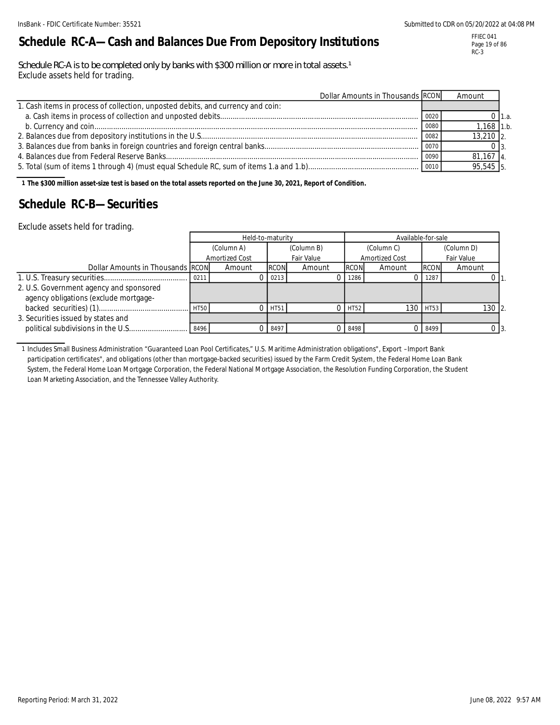# **Schedule RC-A—Cash and Balances Due From Depository Institutions**

Schedule RC-A is to be completed only by banks with \$300 million or more in total assets.<sup>1</sup> Exclude assets held for trading.

| Dollar Amounts in Thousands RCON                                                |       | Amount       |          |
|---------------------------------------------------------------------------------|-------|--------------|----------|
| 1. Cash items in process of collection, unposted debits, and currency and coin: |       |              |          |
|                                                                                 | 0020  |              | 0 I 1.a. |
|                                                                                 | 0080  | $1,168$ 1.b. |          |
|                                                                                 | 0082  | $13,210$ 2.  |          |
|                                                                                 | 0070  |              |          |
|                                                                                 | 0090  | $81,167$ 4.  |          |
|                                                                                 | 10010 | 95,545 5.    |          |

**1 The \$300 million asset-size test is based on the total assets reported on the June 30, 2021, Report of Condition.**

### **Schedule RC-B—Securities**

Exclude assets held for trading.

|                                         |             | Held-to-maturity |             |                          |             | Available-for-sale |             |            |
|-----------------------------------------|-------------|------------------|-------------|--------------------------|-------------|--------------------|-------------|------------|
|                                         |             | (Column A)       |             | (Column B)<br>(Column C) |             |                    |             | (Column D) |
|                                         |             | Amortized Cost   |             | Fair Value               |             | Amortized Cost     |             | Fair Value |
| Dollar Amounts in Thousands RCON        |             | Amount           | <b>RCON</b> | Amount                   | <b>RCON</b> | Amount             | <b>RCON</b> | Amount     |
|                                         | 0211        |                  | 0213        |                          | 1286        |                    | 1287        |            |
| 2. U.S. Government agency and sponsored |             |                  |             |                          |             |                    |             |            |
| agency obligations (exclude mortgage-   |             |                  |             |                          |             |                    |             |            |
|                                         | <b>HT50</b> |                  | HT51        |                          | HT52        | 130                | <b>HT53</b> | $130$ 2.   |
| 3. Securities issued by states and      |             |                  |             |                          |             |                    |             |            |
|                                         | 8496        |                  | 8497        |                          | 8498        |                    | 8499        | ) I3.      |

1 Includes Small Business Administration "Guaranteed Loan Pool Certificates," U.S. Maritime Administration obligations", Export –Import Bank participation certificates", and obligations (other than mortgage-backed securities) issued by the Farm Credit System, the Federal Home Loan Bank System, the Federal Home Loan Mortgage Corporation, the Federal National Mortgage Association, the Resolution Funding Corporation, the Student Loan Marketing Association, and the Tennessee Valley Authority.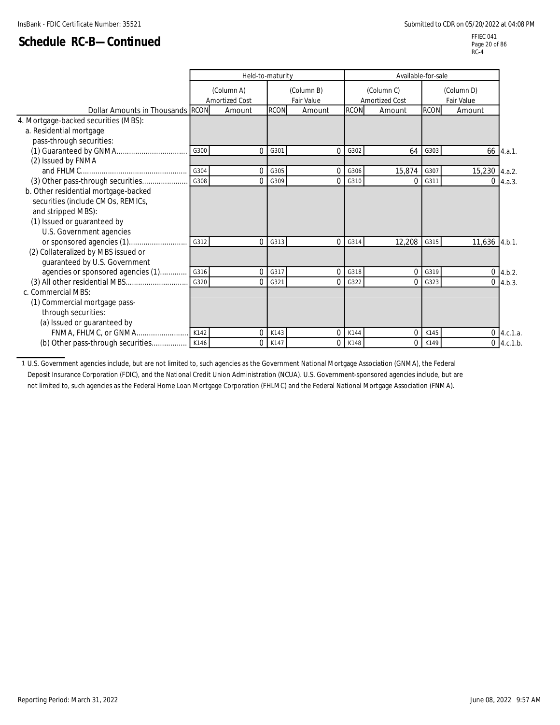FFIEC 041 Page 20 of 86  $RC-4$ 

|                                      |      | Held-to-maturity |             |                   |             | Available-for-sale    |             |                |           |
|--------------------------------------|------|------------------|-------------|-------------------|-------------|-----------------------|-------------|----------------|-----------|
|                                      |      | (Column A)       |             | (Column B)        |             | (Column C)            |             | (Column D)     |           |
|                                      |      | Amortized Cost   |             | <b>Fair Value</b> |             | <b>Amortized Cost</b> |             | Fair Value     |           |
| Dollar Amounts in Thousands RCON     |      | Amount           | <b>RCON</b> | Amount            | <b>RCON</b> | Amount                | <b>RCON</b> | Amount         |           |
| 4. Mortgage-backed securities (MBS): |      |                  |             |                   |             |                       |             |                |           |
| a. Residential mortgage              |      |                  |             |                   |             |                       |             |                |           |
| pass-through securities:             |      |                  |             |                   |             |                       |             |                |           |
|                                      | G300 | $\Omega$         | G301        | $\Omega$          | G302        | 64                    | G303        |                | 66 4.a.1. |
| (2) Issued by FNMA                   |      |                  |             |                   |             |                       |             |                |           |
|                                      | G304 | $\Omega$         | G305        | $\Omega$          | G306        | 15,874                | G307        | 15,230 4.a.2.  |           |
| (3) Other pass-through securities    | G308 | 0                | G309        | 0                 | G310        | 0                     | G311        | $\overline{0}$ | 4.a.3.    |
| b. Other residential mortgage-backed |      |                  |             |                   |             |                       |             |                |           |
| securities (include CMOs, REMICs,    |      |                  |             |                   |             |                       |             |                |           |
| and stripped MBS):                   |      |                  |             |                   |             |                       |             |                |           |
| (1) Issued or guaranteed by          |      |                  |             |                   |             |                       |             |                |           |
| U.S. Government agencies             |      |                  |             |                   |             |                       |             |                |           |
|                                      | G312 | 0                | G313        | $\Omega$          | G314        | 12,208                | G315        | 11,636         | 4.b.1.    |
| (2) Collateralized by MBS issued or  |      |                  |             |                   |             |                       |             |                |           |
| guaranteed by U.S. Government        |      |                  |             |                   |             |                       |             |                |           |
| agencies or sponsored agencies (1)   | G316 | $\Omega$         | G317        | $\Omega$          | G318        | 0                     | G319        | 0              | 4.b.2.    |
|                                      | G320 | 0                | G321        | 0                 | G322        | 0                     | G323        | $\Omega$       | 4.b.3.    |
| c. Commercial MBS:                   |      |                  |             |                   |             |                       |             |                |           |
| (1) Commercial mortgage pass-        |      |                  |             |                   |             |                       |             |                |           |
| through securities:                  |      |                  |             |                   |             |                       |             |                |           |
| (a) Issued or guaranteed by          |      |                  |             |                   |             |                       |             |                |           |
| FNMA, FHLMC, or GNMA                 | K142 | 0                | K143        | $\Omega$          | K144        |                       | K145        | $\mathbf 0$    | 4.c.1.a.  |
|                                      |      | 0                | K147        | 0                 | K148        |                       | K149        | 0              | 4.c.1.b.  |
|                                      |      |                  |             |                   |             |                       |             |                |           |

1 U.S. Government agencies include, but are not limited to, such agencies as the Government National Mortgage Association (GNMA), the Federal Deposit Insurance Corporation (FDIC), and the National Credit Union Administration (NCUA). U.S. Government-sponsored agencies include, but are not limited to, such agencies as the Federal Home Loan Mortgage Corporation (FHLMC) and the Federal National Mortgage Association (FNMA).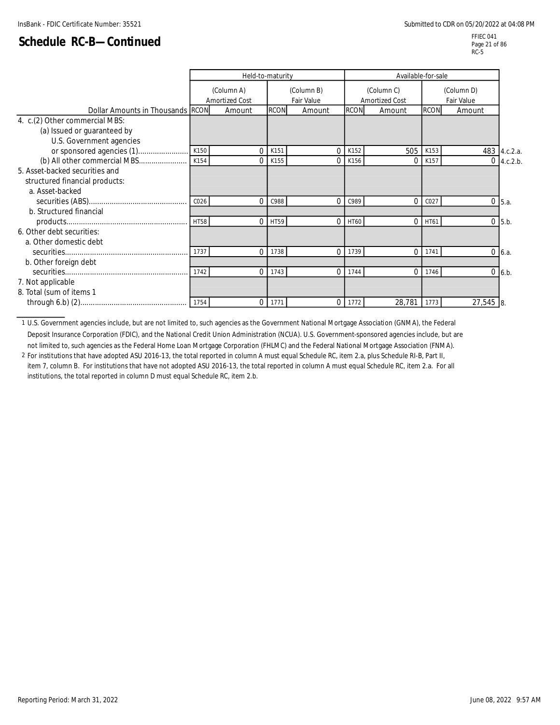FFIEC 041 Page 21 of 86 RC-5

|                                  |                  | Held-to-maturity             |             |                          | Available-for-sale |                              |                          |          |              |
|----------------------------------|------------------|------------------------------|-------------|--------------------------|--------------------|------------------------------|--------------------------|----------|--------------|
|                                  |                  | (Column A)<br>Amortized Cost |             | (Column B)<br>Fair Value |                    | (Column C)<br>Amortized Cost | (Column D)<br>Fair Value |          |              |
| Dollar Amounts in Thousands RCON |                  | Amount                       | <b>RCON</b> | Amount                   | <b>RCON</b>        | Amount                       | <b>RCON</b>              | Amount   |              |
| 4. c.(2) Other commercial MBS:   |                  |                              |             |                          |                    |                              |                          |          |              |
| (a) Issued or guaranteed by      |                  |                              |             |                          |                    |                              |                          |          |              |
| U.S. Government agencies         |                  |                              |             |                          |                    |                              |                          |          |              |
| or sponsored agencies (1)        | K150             | $\Omega$                     | K151        | $\Omega$                 | K152               | 505                          | K153                     |          | 483 4.c.2.a. |
| (b) All other commercial MBS     | K154             | $\Omega$                     | K155        | $\Omega$                 | K156               | 0                            | K157                     | $\Omega$ | 4.c.2.b.     |
| 5. Asset-backed securities and   |                  |                              |             |                          |                    |                              |                          |          |              |
| structured financial products:   |                  |                              |             |                          |                    |                              |                          |          |              |
| a. Asset-backed                  |                  |                              |             |                          |                    |                              |                          |          |              |
|                                  | CO <sub>26</sub> | $\Omega$                     | C988        | $\Omega$                 | C989               | $\Omega$                     | C027                     | $\Omega$ | 5.a.         |
| b. Structured financial          |                  |                              |             |                          |                    |                              |                          |          |              |
|                                  | <b>HT58</b>      | $\Omega$                     | HT59        | $\Omega$                 | HT60               |                              | $0$ HT61                 | $\Omega$ | 5.b.         |
| 6. Other debt securities:        |                  |                              |             |                          |                    |                              |                          |          |              |
| a. Other domestic debt           |                  |                              |             |                          |                    |                              |                          |          |              |
|                                  | 1737             | $\Omega$                     | 1738        | $\Omega$                 | 1739               | 0                            | 1741                     | $\Omega$ | 6.a.         |
| b. Other foreign debt            |                  |                              |             |                          |                    |                              |                          |          |              |
|                                  | 1742             | $\Omega$                     | 1743        | $\mathbf{0}$             | 1744               | $\Omega$                     | 1746                     | $\Omega$ | 6.b          |
| 7. Not applicable                |                  |                              |             |                          |                    |                              |                          |          |              |
| 8. Total (sum of items 1         |                  |                              |             |                          |                    |                              |                          |          |              |
|                                  | 1754             | 0                            | 1771        | $\Omega$                 | 1772               | 28,781                       | 1773                     | 27,545 8 |              |

1 U.S. Government agencies include, but are not limited to, such agencies as the Government National Mortgage Association (GNMA), the Federal Deposit Insurance Corporation (FDIC), and the National Credit Union Administration (NCUA). U.S. Government-sponsored agencies include, but are not limited to, such agencies as the Federal Home Loan Mortgage Corporation (FHLMC) and the Federal National Mortgage Association (FNMA).

2 For institutions that have adopted ASU 2016-13, the total reported in column A must equal Schedule RC, item 2.a, plus Schedule RI-B, Part II, item 7, column B. For institutions that have not adopted ASU 2016-13, the total reported in column A must equal Schedule RC, item 2.a. For all institutions, the total reported in column D must equal Schedule RC, item 2.b.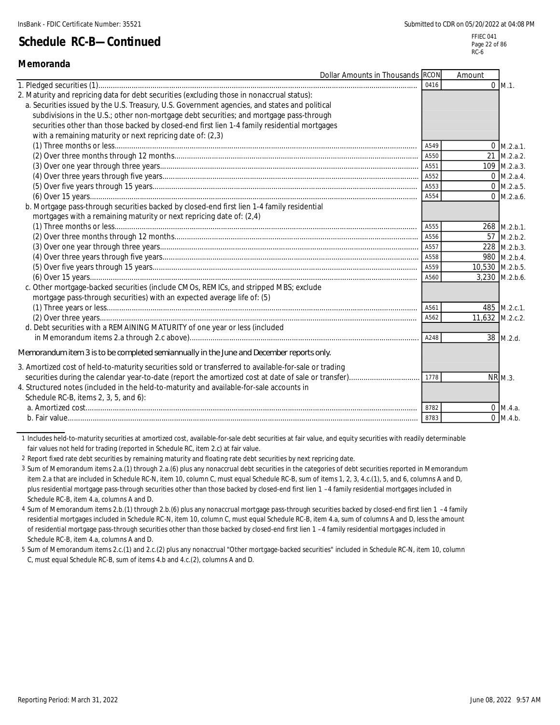**Memoranda**

# **Schedule RC-B—Continued**

|                                                                                                                                                                                                                                                                                                                                                                                                                                                      | Dollar Amounts in Thousands RCON | Amount          |                      |
|------------------------------------------------------------------------------------------------------------------------------------------------------------------------------------------------------------------------------------------------------------------------------------------------------------------------------------------------------------------------------------------------------------------------------------------------------|----------------------------------|-----------------|----------------------|
|                                                                                                                                                                                                                                                                                                                                                                                                                                                      | 0416                             |                 | $0 \, M.1.$          |
| 2. Maturity and repricing data for debt securities (excluding those in nonaccrual status):<br>a. Securities issued by the U.S. Treasury, U.S. Government agencies, and states and political<br>subdivisions in the U.S.; other non-mortgage debt securities; and mortgage pass-through<br>securities other than those backed by closed-end first lien 1-4 family residential mortgages<br>with a remaining maturity or next repricing date of: (2,3) |                                  |                 |                      |
|                                                                                                                                                                                                                                                                                                                                                                                                                                                      | A549                             |                 | $0$ M.2.a.1.         |
|                                                                                                                                                                                                                                                                                                                                                                                                                                                      | A550                             | 21              | M.2.a.2.             |
|                                                                                                                                                                                                                                                                                                                                                                                                                                                      |                                  |                 | 109 M.2.a.3.         |
|                                                                                                                                                                                                                                                                                                                                                                                                                                                      |                                  |                 | $0 \text{ M.2.a.4.}$ |
|                                                                                                                                                                                                                                                                                                                                                                                                                                                      | A553                             |                 | $0$ M.2.a.5.         |
|                                                                                                                                                                                                                                                                                                                                                                                                                                                      | A554                             |                 | $0$ M.2.a.6.         |
| b. Mortgage pass-through securities backed by closed-end first lien 1-4 family residential<br>mortgages with a remaining maturity or next repricing date of: (2,4)                                                                                                                                                                                                                                                                                   |                                  |                 |                      |
|                                                                                                                                                                                                                                                                                                                                                                                                                                                      | A555                             |                 | 268 M.2.b.1.         |
|                                                                                                                                                                                                                                                                                                                                                                                                                                                      | A556                             | 57              | M.2.b.2.             |
|                                                                                                                                                                                                                                                                                                                                                                                                                                                      |                                  |                 | 228 M.2.b.3.         |
|                                                                                                                                                                                                                                                                                                                                                                                                                                                      | A558                             |                 | 980 M.2.b.4.         |
|                                                                                                                                                                                                                                                                                                                                                                                                                                                      | A559                             | 10,530 M.2.b.5. |                      |
|                                                                                                                                                                                                                                                                                                                                                                                                                                                      | A560                             |                 | 3,230 M.2.b.6.       |
| c. Other mortgage-backed securities (include CMOs, REMICs, and stripped MBS; exclude<br>mortgage pass-through securities) with an expected average life of: (5)                                                                                                                                                                                                                                                                                      |                                  |                 |                      |
|                                                                                                                                                                                                                                                                                                                                                                                                                                                      | A561                             |                 | 485 M.2.c.1.         |
|                                                                                                                                                                                                                                                                                                                                                                                                                                                      | A562                             | 11,632 M.2.c.2. |                      |
| d. Debt securities with a REMAINING MATURITY of one year or less (included                                                                                                                                                                                                                                                                                                                                                                           | A248                             |                 | 38 M.2.d.            |
| Memorandum item 3 is to be completed semiannually in the June and December reports only.                                                                                                                                                                                                                                                                                                                                                             |                                  |                 |                      |
| 3. Amortized cost of held-to-maturity securities sold or transferred to available-for-sale or trading<br>4. Structured notes (included in the held-to-maturity and available-for-sale accounts in<br>Schedule RC-B, items 2, 3, 5, and 6):                                                                                                                                                                                                           | 1778                             |                 | <b>NR M.3.</b>       |
|                                                                                                                                                                                                                                                                                                                                                                                                                                                      | 8782                             |                 | $0$ M.4.a.           |
|                                                                                                                                                                                                                                                                                                                                                                                                                                                      | 8783                             |                 | $0 \, M.4.b.$        |

1 Includes held-to-maturity securities at amortized cost, available-for-sale debt securities at fair value, and equity securities with readily determinable fair values not held for trading (reported in Schedule RC, item 2.c) at fair value.

2 Report fixed rate debt securities by remaining maturity and floating rate debt securities by next repricing date.

3 Sum of Memorandum items 2.a.(1) through 2.a.(6) plus any nonaccrual debt securities in the categories of debt securities reported in Memorandum item 2.a that are included in Schedule RC-N, item 10, column C, must equal Schedule RC-B, sum of items 1, 2, 3, 4.c.(1), 5, and 6, columns A and D, plus residential mortgage pass-through securities other than those backed by closed-end first lien 1 –4 family residential mortgages included in Schedule RC-B, item 4.a, columns A and D.

4 Sum of Memorandum items 2.b.(1) through 2.b.(6) plus any nonaccrual mortgage pass-through securities backed by closed-end first lien 1 –4 family residential mortgages included in Schedule RC-N, item 10, column C, must equal Schedule RC-B, item 4.a, sum of columns A and D, less the amount of residential mortgage pass-through securities other than those backed by closed-end first lien 1 –4 family residential mortgages included in Schedule RC-B, item 4.a, columns A and D.

5 Sum of Memorandum items 2.c.(1) and 2.c.(2) plus any nonaccrual "Other mortgage-backed securities" included in Schedule RC-N, item 10, column C, must equal Schedule RC-B, sum of items 4.b and 4.c.(2), columns A and D.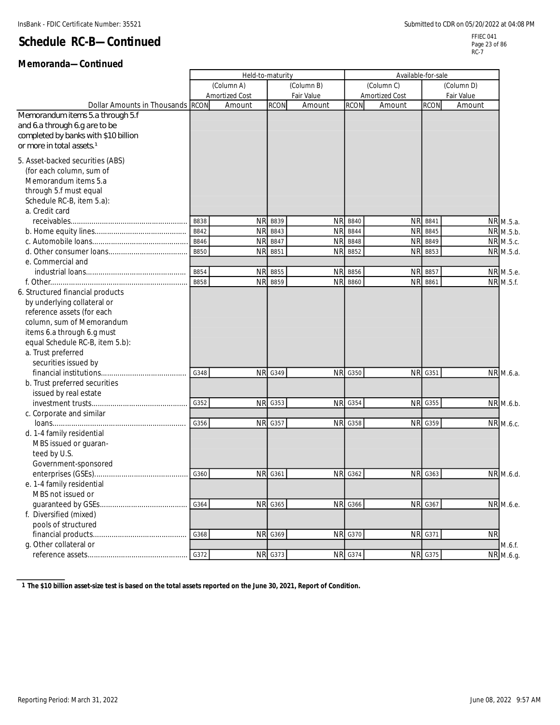### **Memoranda—Continued**

|                                       |             | Held-to-maturity      |             |            |                | Available-for-sale    |                |            |           |
|---------------------------------------|-------------|-----------------------|-------------|------------|----------------|-----------------------|----------------|------------|-----------|
|                                       |             | (Column A)            |             | (Column B) |                | (Column C)            |                | (Column D) |           |
|                                       |             | <b>Amortized Cost</b> |             | Fair Value |                | <b>Amortized Cost</b> |                | Fair Value |           |
| Dollar Amounts in Thousands RCON      |             | Amount                | <b>RCON</b> | Amount     | <b>RCON</b>    | Amount                | <b>RCON</b>    | Amount     |           |
| Memorandum items 5.a through 5.f      |             |                       |             |            |                |                       |                |            |           |
| and 6.a through 6.g are to be         |             |                       |             |            |                |                       |                |            |           |
| completed by banks with \$10 billion  |             |                       |             |            |                |                       |                |            |           |
| or more in total assets. <sup>1</sup> |             |                       |             |            |                |                       |                |            |           |
| 5. Asset-backed securities (ABS)      |             |                       |             |            |                |                       |                |            |           |
| (for each column, sum of              |             |                       |             |            |                |                       |                |            |           |
| Memorandum items 5.a                  |             |                       |             |            |                |                       |                |            |           |
| through 5.f must equal                |             |                       |             |            |                |                       |                |            |           |
| Schedule RC-B, item 5.a):             |             |                       |             |            |                |                       |                |            |           |
| a. Credit card                        |             |                       |             |            |                |                       |                |            |           |
|                                       | <b>B838</b> | <b>NR</b>             | B839        | <b>NR</b>  | B840           | <b>NR</b>             | B841           |            | NR M.5.a. |
|                                       | B842        | <b>NR</b>             | B843        | <b>NR</b>  | <b>B844</b>    | <b>NR</b>             | B845           |            | NR M.5.b. |
|                                       | B846        | <b>NR</b>             | B847        | <b>NR</b>  | <b>B848</b>    | <b>NR</b>             | B849           |            | NR M.5.c. |
|                                       | <b>B850</b> | <b>NR</b>             | B851        | <b>NR</b>  | B852           | <b>NR</b>             | B853           |            | NR M.5.d. |
| e. Commercial and                     |             |                       |             |            |                |                       |                |            |           |
|                                       | B854        | <b>NR</b>             | B855        | <b>NR</b>  | B856           | <b>NR</b>             | B857           |            | NR M.5.e. |
|                                       | B858        | <b>NR</b>             | B859        | <b>NR</b>  | B860           | <b>NR</b>             | B861           |            | NR M.5.f. |
| 6. Structured financial products      |             |                       |             |            |                |                       |                |            |           |
| by underlying collateral or           |             |                       |             |            |                |                       |                |            |           |
| reference assets (for each            |             |                       |             |            |                |                       |                |            |           |
| column, sum of Memorandum             |             |                       |             |            |                |                       |                |            |           |
| items 6.a through 6.g must            |             |                       |             |            |                |                       |                |            |           |
| equal Schedule RC-B, item 5.b):       |             |                       |             |            |                |                       |                |            |           |
| a. Trust preferred                    |             |                       |             |            |                |                       |                |            |           |
| securities issued by                  |             |                       |             |            |                |                       |                |            |           |
|                                       | G348        | <b>NR</b>             | G349        | <b>NR</b>  | G350           | <b>NR</b>             | G351           |            | NR M.6.a. |
| b. Trust preferred securities         |             |                       |             |            |                |                       |                |            |           |
| issued by real estate                 |             |                       |             |            |                |                       |                |            |           |
|                                       | G352        | <b>NR</b>             | G353        | <b>NR</b>  | G354           |                       | <b>NR G355</b> |            | NR M.6.b. |
| c. Corporate and similar              |             |                       |             |            |                |                       |                |            |           |
|                                       | G356        | <b>NR</b>             | G357        | <b>NR</b>  | G358           | <b>NR</b>             | G359           |            | NR M.6.c. |
| d. 1-4 family residential             |             |                       |             |            |                |                       |                |            |           |
| MBS issued or guaran-                 |             |                       |             |            |                |                       |                |            |           |
| teed by U.S.                          |             |                       |             |            |                |                       |                |            |           |
| Government-sponsored                  |             |                       |             |            |                |                       |                |            |           |
|                                       | G360        | <b>NR</b>             | G361        | <b>NR</b>  | G362           |                       | NR G363        |            | NR M.6.d. |
| e. 1-4 family residential             |             |                       |             |            |                |                       |                |            |           |
| MBS not issued or                     |             |                       |             |            |                |                       |                |            |           |
|                                       | G364        | <b>NR</b>             | G365        |            | <b>NR</b> G366 |                       | <b>NR G367</b> |            | NR M.6.e. |
| f. Diversified (mixed)                |             |                       |             |            |                |                       |                |            |           |
| pools of structured                   |             |                       |             |            |                |                       |                |            |           |
| financial products                    | G368        | <b>NR</b>             | G369        |            | <b>NR G370</b> |                       | <b>NR G371</b> | <b>NR</b>  |           |
| g. Other collateral or                |             |                       |             |            |                |                       |                |            | M.6.f.    |
|                                       | G372        |                       | NR G373     |            | <b>NR G374</b> |                       | NR G375        |            | NR M.6.g. |
|                                       |             |                       |             |            |                |                       |                |            |           |

**1 The \$10 billion asset-size test is based on the total assets reported on the June 30, 2021, Report of Condition.**

 $\mathbf{r}$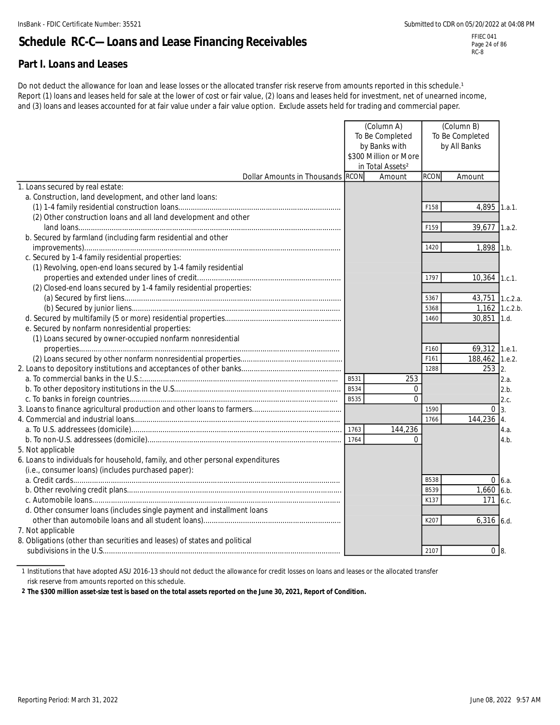Page 24 of 86 RC-8

# **Schedule RC-C—Loans and Lease Financing Receivables**

### **Part I. Loans and Leases**

Do not deduct the allowance for loan and lease losses or the allocated transfer risk reserve from amounts reported in this schedule.<sup>1</sup> Report (1) loans and leases held for sale at the lower of cost or fair value, (2) loans and leases held for investment, net of unearned income, and (3) loans and leases accounted for at fair value under a fair value option. Exclude assets held for trading and commercial paper.

|                                                                                |             | (Column A)                   |             | (Column B)        |             |
|--------------------------------------------------------------------------------|-------------|------------------------------|-------------|-------------------|-------------|
|                                                                                |             | To Be Completed              |             | To Be Completed   |             |
|                                                                                |             | by Banks with                |             | by All Banks      |             |
|                                                                                |             | \$300 Million or More        |             |                   |             |
|                                                                                |             | in Total Assets <sup>2</sup> |             |                   |             |
| Dollar Amounts in Thousands RCON                                               |             | Amount                       | <b>RCON</b> | Amount            |             |
| 1. Loans secured by real estate:                                               |             |                              |             |                   |             |
| a. Construction, land development, and other land loans:                       |             |                              |             |                   |             |
|                                                                                |             |                              | F158        | 4,895             | 1.a.1.      |
| (2) Other construction loans and all land development and other                |             |                              |             |                   |             |
|                                                                                |             |                              | F159        | 39,677            | 1.a.2.      |
| b. Secured by farmland (including farm residential and other                   |             |                              |             |                   |             |
|                                                                                |             |                              | 1420        | 1,898 1.b.        |             |
| c. Secured by 1-4 family residential properties:                               |             |                              |             |                   |             |
| (1) Revolving, open-end loans secured by 1-4 family residential                |             |                              |             |                   |             |
|                                                                                |             |                              | 1797        | $10,364$ 1.c.1.   |             |
| (2) Closed-end loans secured by 1-4 family residential properties:             |             |                              |             |                   |             |
|                                                                                |             |                              | 5367        | 43,751 1.c.2.a.   |             |
|                                                                                |             |                              | 5368        | 1,162 1.c.2.b.    |             |
|                                                                                |             |                              | 1460        | $30,851$ 1.d.     |             |
| e. Secured by nonfarm nonresidential properties:                               |             |                              |             |                   |             |
| (1) Loans secured by owner-occupied nonfarm nonresidential                     |             |                              |             |                   |             |
|                                                                                |             |                              | F160        | 69,312 1.e.1.     |             |
|                                                                                |             |                              | F161        | 188,462 1.e.2.    |             |
|                                                                                |             |                              | 1288        | $253$ 2.          |             |
|                                                                                | B531        | 253                          |             |                   | 2.a.        |
|                                                                                | B534        | $\mathbf 0$                  |             |                   | 2.b.        |
|                                                                                | <b>B535</b> | $\overline{0}$               |             |                   | 2.c.        |
|                                                                                |             |                              | 1590        | $0\overline{3}$ . |             |
|                                                                                |             |                              | 1766        | 144,236 4.        |             |
|                                                                                | 1763        | 144,236                      |             |                   | 4.a.        |
|                                                                                | 1764        | $\Omega$                     |             |                   | 4.b.        |
| 5. Not applicable                                                              |             |                              |             |                   |             |
| 6. Loans to individuals for household, family, and other personal expenditures |             |                              |             |                   |             |
| (i.e., consumer loans) (includes purchased paper):                             |             |                              |             |                   |             |
|                                                                                |             |                              | <b>B538</b> |                   | $0 \, 6.a.$ |
|                                                                                |             |                              | B539        | $1,660$ 6.b.      |             |
|                                                                                |             |                              | K137        | 171 6.c.          |             |
| d. Other consumer loans (includes single payment and installment loans         |             |                              |             |                   |             |
|                                                                                |             |                              | K207        | $6,316$ 6.d.      |             |
| 7. Not applicable                                                              |             |                              |             |                   |             |
| 8. Obligations (other than securities and leases) of states and political      |             |                              |             |                   |             |
|                                                                                |             |                              | 2107        | 0 <sub>8</sub>    |             |

1 Institutions that have adopted ASU 2016-13 should not deduct the allowance for credit losses on loans and leases or the allocated transfer risk reserve from amounts reported on this schedule.

**2 The \$300 million asset-size test is based on the total assets reported on the June 30, 2021, Report of Condition.**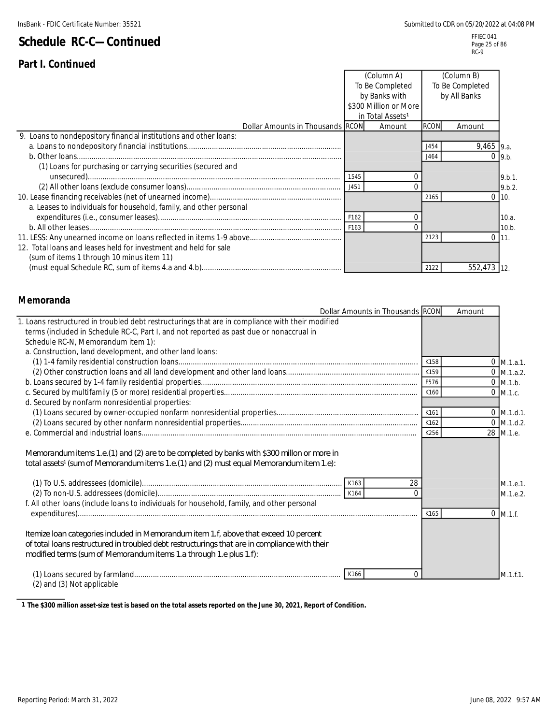### **Part I. Continued**

|                                                                    |      | (Column A)                   |             | (Column B)      |              |
|--------------------------------------------------------------------|------|------------------------------|-------------|-----------------|--------------|
|                                                                    |      | To Be Completed              |             | To Be Completed |              |
|                                                                    |      | by Banks with                |             | by All Banks    |              |
|                                                                    |      | \$300 Million or More        |             |                 |              |
|                                                                    |      | in Total Assets <sup>1</sup> |             |                 |              |
| Dollar Amounts in Thousands RCON                                   |      | Amount                       | <b>RCON</b> | Amount          |              |
| 9. Loans to nondepository financial institutions and other loans:  |      |                              |             |                 |              |
|                                                                    |      |                              | .1454       | $9,465$ 9.a.    |              |
|                                                                    |      |                              | 1464        |                 | $0 \,  9.b.$ |
| (1) Loans for purchasing or carrying securities (secured and       |      |                              |             |                 |              |
|                                                                    | 1545 |                              |             |                 | 9.b.1.       |
|                                                                    | J451 |                              |             |                 | 9.b.2.       |
|                                                                    |      |                              | 2165        |                 | 0110.        |
| a. Leases to individuals for household, family, and other personal |      |                              |             |                 |              |
|                                                                    | F162 |                              |             |                 | 10.a.        |
|                                                                    | F163 |                              |             |                 | 10.b.        |
|                                                                    |      |                              | 2123        |                 | 0111.        |
| 12. Total loans and leases held for investment and held for sale   |      |                              |             |                 |              |
| (sum of items 1 through 10 minus item 11)                          |      |                              |             |                 |              |
|                                                                    |      |                              | 2122        | 552,473 12.     |              |

#### **Memoranda**

|                                                                                                                                                                                                                                                              | Dollar Amounts in Thousands RCON |      | Amount   |                      |
|--------------------------------------------------------------------------------------------------------------------------------------------------------------------------------------------------------------------------------------------------------------|----------------------------------|------|----------|----------------------|
| 1. Loans restructured in troubled debt restructurings that are in compliance with their modified                                                                                                                                                             |                                  |      |          |                      |
| terms (included in Schedule RC-C, Part I, and not reported as past due or nonaccrual in                                                                                                                                                                      |                                  |      |          |                      |
| Schedule RC-N, Memorandum item 1):                                                                                                                                                                                                                           |                                  |      |          |                      |
| a. Construction, land development, and other land loans:                                                                                                                                                                                                     |                                  |      |          |                      |
|                                                                                                                                                                                                                                                              |                                  | K158 |          | M.1.a.1.             |
|                                                                                                                                                                                                                                                              |                                  |      |          | $0$ M.1.a.2.         |
|                                                                                                                                                                                                                                                              |                                  | F576 |          | $0$ M.1.b.           |
|                                                                                                                                                                                                                                                              |                                  | K160 |          | $0$ M.1.c.           |
| d. Secured by nonfarm nonresidential properties:                                                                                                                                                                                                             |                                  |      |          |                      |
|                                                                                                                                                                                                                                                              |                                  | K161 |          | $0$ M.1.d.1.         |
|                                                                                                                                                                                                                                                              |                                  | K162 |          | $0$ M.1.d.2.         |
|                                                                                                                                                                                                                                                              |                                  | K256 |          | 28 M.1.e.            |
| Memorandum items 1.e. (1) and (2) are to be completed by banks with \$300 millon or more in<br>total assets <sup>1</sup> (sum of Memorandum items 1.e. (1) and (2) must equal Memorandum item 1.e):                                                          |                                  |      |          |                      |
|                                                                                                                                                                                                                                                              | 28<br>$\Omega$                   |      |          | M.1.e.1.<br>M.1.e.2. |
| f. All other loans (include loans to individuals for household, family, and other personal                                                                                                                                                                   |                                  |      |          |                      |
|                                                                                                                                                                                                                                                              |                                  | K165 | $\Omega$ | M.1.f.               |
| Itemize Ioan categories included in Memorandum item 1.f, above that exceed 10 percent<br>of total loans restructured in troubled debt restructurings that are in compliance with their<br>modified terms (sum of Memorandum items 1.a through 1.e plus 1.f): |                                  |      |          |                      |
|                                                                                                                                                                                                                                                              | K166<br>0                        |      |          | M.1.f.1.             |

(2) and (3) Not applicable

**1 The \$300 million asset-size test is based on the total assets reported on the June 30, 2021, Report of Condition.**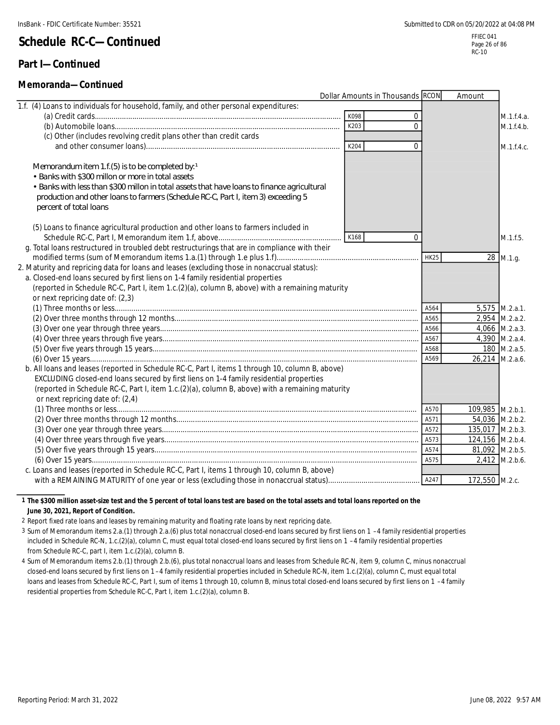#### **Part I—Continued**

#### **Memoranda—Continued**

|                                                                                                  | Dollar Amounts in Thousands RCON |             | Amount           |                  |
|--------------------------------------------------------------------------------------------------|----------------------------------|-------------|------------------|------------------|
| 1.f. (4) Loans to individuals for household, family, and other personal expenditures:            |                                  |             |                  |                  |
|                                                                                                  | K098                             | $\mathbf 0$ |                  | M.1.f.4.a.       |
|                                                                                                  | K203                             | $\Omega$    |                  | M.1.f.4.b.       |
| (c) Other (includes revolving credit plans other than credit cards                               |                                  |             |                  |                  |
|                                                                                                  | K204                             | $\mathbf 0$ |                  | M.1.f.4.c.       |
|                                                                                                  |                                  |             |                  |                  |
| Memorandum item 1.f.(5) is to be completed by: $1$                                               |                                  |             |                  |                  |
| • Banks with \$300 millon or more in total assets                                                |                                  |             |                  |                  |
| • Banks with less than \$300 millon in total assets that have loans to finance agricultural      |                                  |             |                  |                  |
| production and other loans to farmers (Schedule RC-C, Part I, item 3) exceeding 5                |                                  |             |                  |                  |
| percent of total loans                                                                           |                                  |             |                  |                  |
|                                                                                                  |                                  |             |                  |                  |
| (5) Loans to finance agricultural production and other loans to farmers included in              |                                  |             |                  |                  |
|                                                                                                  | K168                             | $\Omega$    |                  | M.1.f.5.         |
| g. Total loans restructured in troubled debt restructurings that are in compliance with their    |                                  |             |                  |                  |
|                                                                                                  |                                  | <b>HK25</b> |                  | 28 M.1.g.        |
| 2. Maturity and repricing data for loans and leases (excluding those in nonaccrual status):      |                                  |             |                  |                  |
| a. Closed-end loans secured by first liens on 1-4 family residential properties                  |                                  |             |                  |                  |
| (reported in Schedule RC-C, Part I, item 1.c.(2)(a), column B, above) with a remaining maturity  |                                  |             |                  |                  |
| or next repricing date of: (2,3)                                                                 |                                  |             |                  |                  |
|                                                                                                  |                                  | A564        |                  | 5,575 M.2.a.1.   |
|                                                                                                  |                                  | A565        |                  | 2,954 M.2.a.2.   |
|                                                                                                  |                                  | A566        |                  | $4,066$ M.2.a.3. |
|                                                                                                  |                                  | A567        |                  | 4,390 M.2.a.4.   |
|                                                                                                  |                                  | A568        |                  | 180 M.2.a.5.     |
|                                                                                                  |                                  | A569        |                  | 26,214 M.2.a.6.  |
| b. All loans and leases (reported in Schedule RC-C, Part I, items 1 through 10, column B, above) |                                  |             |                  |                  |
| EXCLUDING closed-end loans secured by first liens on 1-4 family residential properties           |                                  |             |                  |                  |
| (reported in Schedule RC-C, Part I, item 1.c.(2)(a), column B, above) with a remaining maturity  |                                  |             |                  |                  |
| or next repricing date of: (2,4)                                                                 |                                  |             |                  |                  |
|                                                                                                  |                                  | A570        | 109,985 M.2.b.1. |                  |
|                                                                                                  |                                  | A571        |                  | 54,036 M.2.b.2.  |
|                                                                                                  |                                  |             | 135,017 M.2.b.3. |                  |
|                                                                                                  |                                  | A573        | 124,156 M.2.b.4. |                  |
|                                                                                                  |                                  | A574        | 81,092 M.2.b.5.  |                  |
|                                                                                                  |                                  | A575        |                  | 2,412 M.2.b.6.   |
| c. Loans and leases (reported in Schedule RC-C, Part I, items 1 through 10, column B, above)     |                                  |             |                  |                  |
|                                                                                                  |                                  | A247        | 172,550 M.2.c.   |                  |

#### **1 The \$300 million asset-size test and the 5 percent of total loans test are based on the total assets and total loans reported on the June 30, 2021, Report of Condition.**

2 Report fixed rate loans and leases by remaining maturity and floating rate loans by next repricing date.

3 Sum of Memorandum items 2.a.(1) through 2.a.(6) plus total nonaccrual closed-end loans secured by first liens on 1 –4 family residential properties included in Schedule RC-N, 1.c.(2)(a), column C, must equal total closed-end loans secured by first liens on 1 –4 family residential properties from Schedule RC-C, part I, item 1.c.(2)(a), column B.

4 Sum of Memorandum items 2.b.(1) through 2.b.(6), plus total nonaccrual loans and leases from Schedule RC-N, item 9, column C, minus nonaccrual closed-end loans secured by first liens on 1 –4 family residential properties included in Schedule RC-N, item 1.c.(2)(a), column C, must equal total loans and leases from Schedule RC-C, Part I, sum of items 1 through 10, column B, minus total closed-end loans secured by first liens on 1 -4 family residential properties from Schedule RC-C, Part I, item 1.c.(2)(a), column B.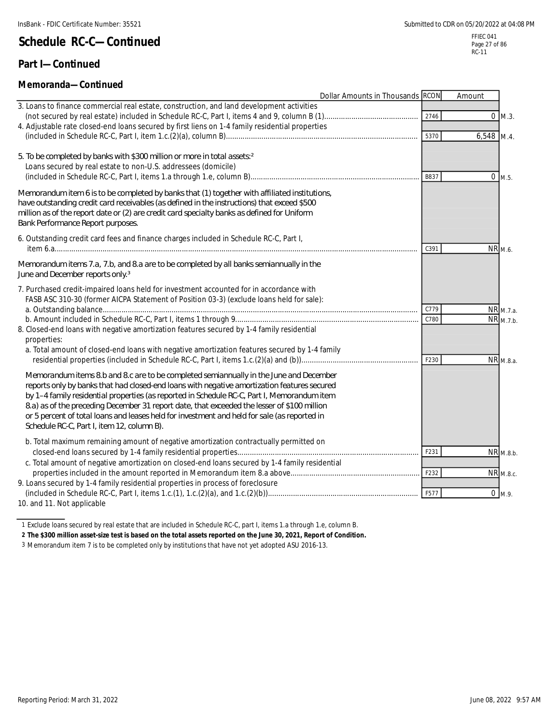### **Part I—Continued**

### **Memoranda—Continued**

| ivici ilui aliua—colitiilucu                                                                                                                                                                                                                                                                                                                                                                                                                                                                                                      | Dollar Amounts in Thousands RCON |              | Amount         |                                    |
|-----------------------------------------------------------------------------------------------------------------------------------------------------------------------------------------------------------------------------------------------------------------------------------------------------------------------------------------------------------------------------------------------------------------------------------------------------------------------------------------------------------------------------------|----------------------------------|--------------|----------------|------------------------------------|
| 3. Loans to finance commercial real estate, construction, and land development activities<br>4. Adjustable rate closed-end loans secured by first liens on 1-4 family residential properties                                                                                                                                                                                                                                                                                                                                      |                                  | 2746<br>5370 | 6,548 M.4.     | $0 \, M.3.$                        |
| 5. To be completed by banks with \$300 million or more in total assets <sup>2</sup><br>Loans secured by real estate to non-U.S. addressees (domicile)                                                                                                                                                                                                                                                                                                                                                                             |                                  | B837         |                | $0$ M.5.                           |
| Memorandum item 6 is to be completed by banks that (1) together with affiliated institutions,<br>have outstanding credit card receivables (as defined in the instructions) that exceed \$500<br>million as of the report date or (2) are credit card specialty banks as defined for Uniform<br>Bank Performance Report purposes.                                                                                                                                                                                                  |                                  |              |                |                                    |
| 6. Outstanding credit card fees and finance charges included in Schedule RC-C, Part I,                                                                                                                                                                                                                                                                                                                                                                                                                                            |                                  | C391         |                | NR <sub>M.6.</sub>                 |
| Memorandum items 7.a, 7.b, and 8.a are to be completed by all banks semiannually in the<br>June and December reports only. <sup>3</sup>                                                                                                                                                                                                                                                                                                                                                                                           |                                  |              |                |                                    |
| 7. Purchased credit-impaired loans held for investment accounted for in accordance with<br>FASB ASC 310-30 (former AICPA Statement of Position 03-3) (exclude loans held for sale):                                                                                                                                                                                                                                                                                                                                               |                                  |              |                |                                    |
| 8. Closed-end loans with negative amortization features secured by 1-4 family residential<br>properties:                                                                                                                                                                                                                                                                                                                                                                                                                          |                                  | C779<br>C780 |                | NR <sub>M.7.a</sub> .<br>NR M.7.b. |
| a. Total amount of closed-end loans with negative amortization features secured by 1-4 family                                                                                                                                                                                                                                                                                                                                                                                                                                     |                                  | F230         |                | NR M.8.a.                          |
| Memorandum items 8 b and 8 c are to be completed semiannually in the June and December<br>reports only by banks that had closed-end loans with negative amortization features secured<br>by 1-4 family residential properties (as reported in Schedule RC-C, Part I, Memorandum item<br>8.a) as of the preceding December 31 report date, that exceeded the lesser of \$100 million<br>or 5 percent of total loans and leases held for investment and held for sale (as reported in<br>Schedule RC-C, Part I, item 12, column B). |                                  |              |                |                                    |
| b. Total maximum remaining amount of negative amortization contractually permitted on                                                                                                                                                                                                                                                                                                                                                                                                                                             |                                  | F231         |                | NR <sub>M.8.b</sub> .              |
| c. Total amount of negative amortization on closed-end loans secured by 1-4 family residential                                                                                                                                                                                                                                                                                                                                                                                                                                    |                                  | F232         |                | <b>NR</b> M.8.c.                   |
| 9. Loans secured by 1-4 family residential properties in process of foreclosure<br>10. and 11. Not applicable                                                                                                                                                                                                                                                                                                                                                                                                                     |                                  | F577         | $\overline{0}$ | M.9.                               |

1 Exclude loans secured by real estate that are included in Schedule RC-C, part I, items 1.a through 1.e, column B.

**2 The \$300 million asset-size test is based on the total assets reported on the June 30, 2021, Report of Condition.**

3 Memorandum item 7 is to be completed only by institutions that have not yet adopted ASU 2016-13.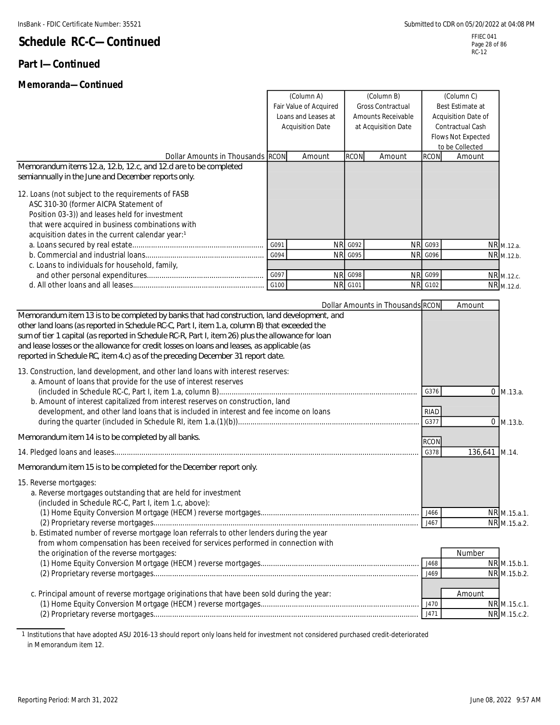### **Part I—Continued**

#### **Memoranda—Continued**

(Column A) (Column B) (Column C)

Page 28 of 86 RC-12

|                                                                                                                                                                                                                                                                                                                                                                                                                                                                                                                                                                          |      | Fair Value of Acquired<br>Loans and Leases at<br><b>Acquisition Date</b> | <b>Gross Contractual</b><br>Amounts Receivable<br>at Acquisition Date |        |                                             | Acquisition Date of<br>Contractual Cash<br>Flows Not Expected<br>to be Collected |                               |
|--------------------------------------------------------------------------------------------------------------------------------------------------------------------------------------------------------------------------------------------------------------------------------------------------------------------------------------------------------------------------------------------------------------------------------------------------------------------------------------------------------------------------------------------------------------------------|------|--------------------------------------------------------------------------|-----------------------------------------------------------------------|--------|---------------------------------------------|----------------------------------------------------------------------------------|-------------------------------|
| Dollar Amounts in Thousands RCON                                                                                                                                                                                                                                                                                                                                                                                                                                                                                                                                         |      | Amount                                                                   | <b>RCON</b>                                                           | Amount | <b>RCON</b>                                 | Amount                                                                           |                               |
| Memorandum items 12.a, 12.b, 12.c, and 12.d are to be completed<br>semiannually in the June and December reports only.                                                                                                                                                                                                                                                                                                                                                                                                                                                   |      |                                                                          |                                                                       |        |                                             |                                                                                  |                               |
| 12. Loans (not subject to the requirements of FASB<br>ASC 310-30 (former AICPA Statement of<br>Position 03-3)) and leases held for investment<br>that were acquired in business combinations with<br>acquisition dates in the current calendar year:1                                                                                                                                                                                                                                                                                                                    | G091 |                                                                          | NR G092                                                               |        | NR G093                                     |                                                                                  | NR <sub>M.12.a.</sub>         |
|                                                                                                                                                                                                                                                                                                                                                                                                                                                                                                                                                                          | G094 |                                                                          | <b>NR G095</b>                                                        |        | <b>NR G096</b>                              |                                                                                  | NR M.12.b.                    |
| c. Loans to individuals for household, family,                                                                                                                                                                                                                                                                                                                                                                                                                                                                                                                           |      |                                                                          |                                                                       |        |                                             |                                                                                  |                               |
|                                                                                                                                                                                                                                                                                                                                                                                                                                                                                                                                                                          | G097 |                                                                          | <b>NR G098</b>                                                        |        | <b>NR G099</b>                              |                                                                                  | NR M.12.c.                    |
|                                                                                                                                                                                                                                                                                                                                                                                                                                                                                                                                                                          | G100 |                                                                          | <b>NR G101</b>                                                        |        | <b>NR G102</b>                              |                                                                                  | NR M.12.d.                    |
| sum of tier 1 capital (as reported in Schedule RC-R, Part I, item 26) plus the allowance for loan                                                                                                                                                                                                                                                                                                                                                                                                                                                                        |      |                                                                          |                                                                       |        |                                             |                                                                                  |                               |
| and lease losses or the allowance for credit losses on loans and leases, as applicable (as<br>reported in Schedule RC, item 4.c) as of the preceding December 31 report date.<br>13. Construction, land development, and other land loans with interest reserves:<br>a. Amount of loans that provide for the use of interest reserves<br>b. Amount of interest capitalized from interest reserves on construction, land<br>development, and other land loans that is included in interest and fee income on loans<br>Memorandum item 14 is to be completed by all banks. |      |                                                                          |                                                                       |        | G376<br>RIAD<br>G377<br><b>RCON</b><br>G378 | 136,641 M.14.                                                                    | $0 \,$ M.13.a.<br>$0$ M.13.b. |
| Memorandum item 15 is to be completed for the December report only.                                                                                                                                                                                                                                                                                                                                                                                                                                                                                                      |      |                                                                          |                                                                       |        |                                             |                                                                                  |                               |
| 15. Reverse mortgages:<br>a. Reverse mortgages outstanding that are held for investment<br>(included in Schedule RC-C, Part I, item 1.c, above):<br>(1) Home Equity Conversion Mortgage (HECM) reverse mortgages<br>b. Estimated number of reverse mortgage loan referrals to other lenders during the year                                                                                                                                                                                                                                                              |      |                                                                          |                                                                       |        | J466<br>J467                                |                                                                                  | NR M 15 a 1<br>NR M.15.a.2.   |
| from whom compensation has been received for services performed in connection with<br>the origination of the reverse mortgages:                                                                                                                                                                                                                                                                                                                                                                                                                                          |      |                                                                          |                                                                       |        |                                             | Number                                                                           |                               |
|                                                                                                                                                                                                                                                                                                                                                                                                                                                                                                                                                                          |      |                                                                          |                                                                       |        | J468                                        |                                                                                  | NR M.15.b.1.                  |
|                                                                                                                                                                                                                                                                                                                                                                                                                                                                                                                                                                          |      |                                                                          |                                                                       |        | J469                                        |                                                                                  | NR M.15.b.2.                  |
| c. Principal amount of reverse mortgage originations that have been sold during the year:                                                                                                                                                                                                                                                                                                                                                                                                                                                                                |      |                                                                          |                                                                       |        |                                             | Amount                                                                           |                               |
|                                                                                                                                                                                                                                                                                                                                                                                                                                                                                                                                                                          |      |                                                                          |                                                                       |        | J470<br>J471                                |                                                                                  | NR M.15.c.1.<br>NR M.15.c.2.  |

1 Institutions that have adopted ASU 2016-13 should report only loans held for investment not considered purchased credit-deteriorated in Memorandum item 12.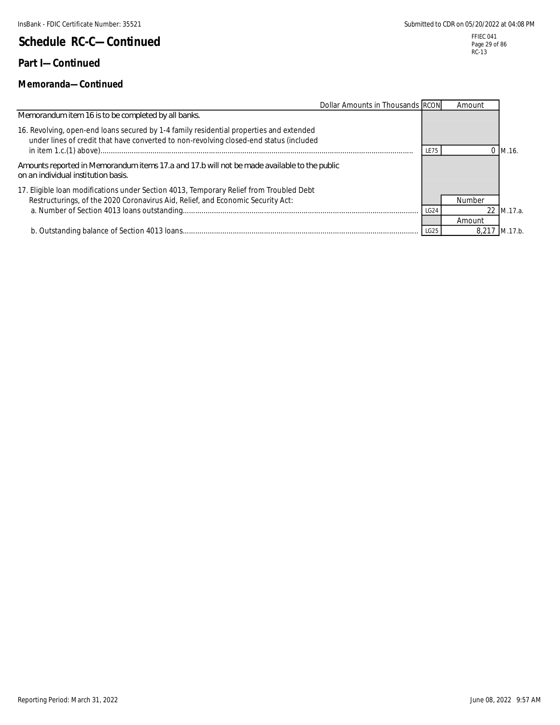### **Part I—Continued**

#### **Memoranda—Continued**

| Dollar Amounts in Thousands RCON                                                                                                                                                  |      | Amount |            |
|-----------------------------------------------------------------------------------------------------------------------------------------------------------------------------------|------|--------|------------|
| Memorandum item 16 is to be completed by all banks.                                                                                                                               |      |        |            |
| 16. Revolving, open-end loans secured by 1-4 family residential properties and extended<br>under lines of credit that have converted to non-revolving closed-end status (included | LE75 |        | M.16.      |
| Amounts reported in Memorandum items 17.a and 17.b will not be made available to the public<br>on an individual institution basis.                                                |      |        |            |
| 17. Eligible loan modifications under Section 4013, Temporary Relief from Troubled Debt<br>Restructurings, of the 2020 Coronavirus Aid, Relief, and Economic Security Act:        |      | Number |            |
|                                                                                                                                                                                   | LG24 |        | 22 M.17.a. |
|                                                                                                                                                                                   |      | Amount |            |
|                                                                                                                                                                                   | LG25 |        | M.17.b.    |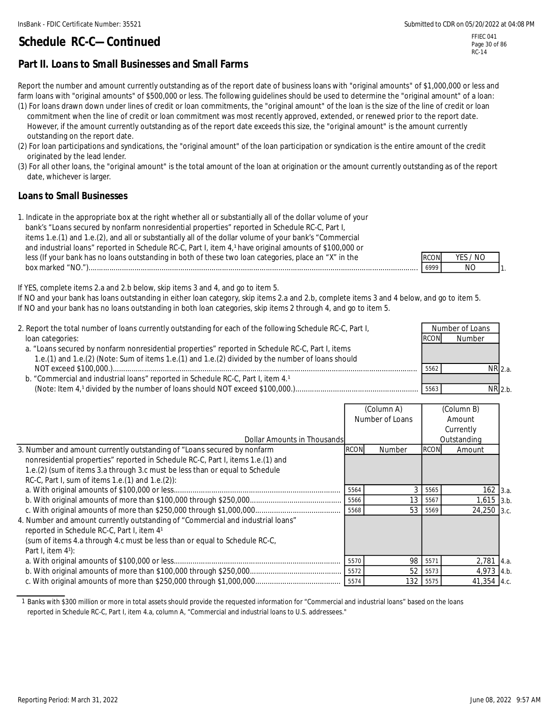FFIEC 041 Page 30 of 86 RC-14

#### **Part II. Loans to Small Businesses and Small Farms**

Report the number and amount currently outstanding as of the report date of business loans with "original amounts" of \$1,000,000 or less and farm loans with "original amounts" of \$500,000 or less. The following guidelines should be used to determine the "original amount" of a loan: (1) For loans drawn down under lines of credit or loan commitments, the "original amount" of the loan is the size of the line of credit or loan

 commitment when the line of credit or loan commitment was most recently approved, extended, or renewed prior to the report date. However, if the amount currently outstanding as of the report date exceeds this size, the "original amount" is the amount currently outstanding on the report date.

(2) For loan participations and syndications, the "original amount" of the loan participation or syndication is the entire amount of the credit originated by the lead lender.

(3) For all other loans, the "original amount" is the total amount of the loan at origination or the amount currently outstanding as of the report date, whichever is larger.

#### **Loans to Small Businesses**

| 1. Indicate in the appropriate box at the right whether all or substantially all of the dollar volume of your |             |          |              |
|---------------------------------------------------------------------------------------------------------------|-------------|----------|--------------|
| bank's "Loans secured by nonfarm nonresidential properties" reported in Schedule RC-C, Part I,                |             |          |              |
| items 1.e.(1) and 1.e.(2), and all or substantially all of the dollar volume of your bank's "Commercial       |             |          |              |
| and industrial loans" reported in Schedule RC-C, Part I, item 4,1 have original amounts of \$100,000 or       |             |          |              |
| less (If your bank has no loans outstanding in both of these two loan categories, place an "X" in the         | <b>RCON</b> | YES / NO |              |
| box marked " $NO."$ )                                                                                         | 6999        | NO.      | $\mathbf{I}$ |

If YES, complete items 2.a and 2.b below, skip items 3 and 4, and go to item 5.

If NO and your bank has loans outstanding in either loan category, skip items 2.a and 2.b, complete items 3 and 4 below, and go to item 5. If NO and your bank has no loans outstanding in both loan categories, skip items 2 through 4, and go to item 5.

| 2. Report the total number of loans currently outstanding for each of the following Schedule RC-C, Part I,<br>loan categories:                                                                        | RCON | Number of Loans<br>Number |  |
|-------------------------------------------------------------------------------------------------------------------------------------------------------------------------------------------------------|------|---------------------------|--|
| a. "Loans secured by nonfarm nonresidential properties" reported in Schedule RC-C, Part I, items<br>1.e.(1) and 1.e.(2) (Note: Sum of items 1.e.(1) and 1.e.(2) divided by the number of loans should |      |                           |  |
| b. "Commercial and industrial loans" reported in Schedule RC-C, Part I, item 4.1                                                                                                                      | 5562 | NR 2.a.                   |  |
|                                                                                                                                                                                                       | 5563 | $NR$ 2.b.                 |  |

|                                                                                 |                 | (Column A)      |             | (Column B)   |      |
|---------------------------------------------------------------------------------|-----------------|-----------------|-------------|--------------|------|
|                                                                                 | Number of Loans |                 | Amount      |              |      |
|                                                                                 |                 |                 |             | Currently    |      |
| Dollar Amounts in Thousands                                                     |                 |                 |             | Outstanding  |      |
| 3. Number and amount currently outstanding of "Loans secured by nonfarm         | <b>RCON</b>     | Number          | <b>RCON</b> | Amount       |      |
| nonresidential properties" reported in Schedule RC-C, Part I, items 1.e.(1) and |                 |                 |             |              |      |
| 1.e.(2) (sum of items 3.a through 3.c must be less than or equal to Schedule    |                 |                 |             |              |      |
| RC-C, Part I, sum of items 1.e.(1) and 1.e.(2)):                                |                 |                 |             |              |      |
|                                                                                 | 5564            | 3               | 5565        | $162$ 3.a.   |      |
|                                                                                 | 5566            | 13              | 5567        | $1,615$ 3.b. |      |
|                                                                                 | 5568            | 53 <sup>1</sup> | 5569        | 24,250 3.c.  |      |
| 4. Number and amount currently outstanding of "Commercial and industrial loans" |                 |                 |             |              |      |
| reported in Schedule RC-C, Part I, item 41                                      |                 |                 |             |              |      |
| (sum of items 4.a through 4.c must be less than or equal to Schedule RC-C,      |                 |                 |             |              |      |
| Part I, item $4$ <sup>1</sup> ):                                                |                 |                 |             |              |      |
|                                                                                 | 5570            | 98              | 5571        | 2,781        | 4.a. |
|                                                                                 | 5572            | 52              | 5573        | 4,973 4.b.   |      |
|                                                                                 | 5574            | 132             | 5575        | 41,354 4.c.  |      |

1 Banks with \$300 million or more in total assets should provide the requested information for "Commercial and industrial loans" based on the loans reported in Schedule RC-C, Part I, item 4.a, column A, "Commercial and industrial loans to U.S. addressees."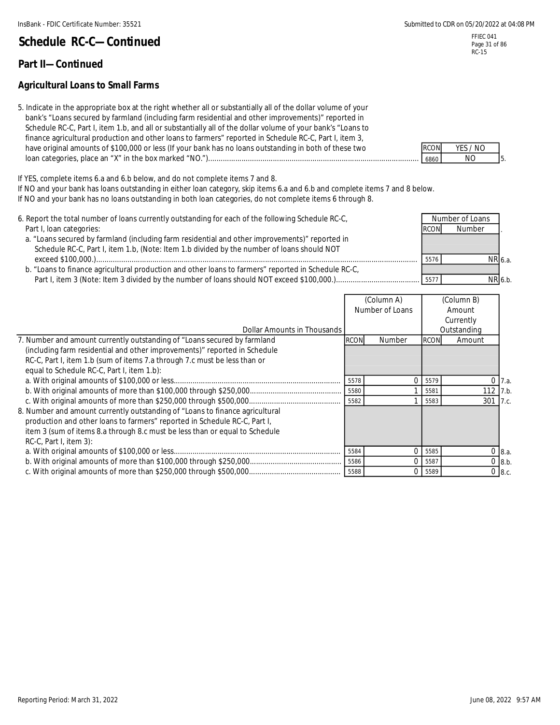#### **Part II—Continued**

#### **Agricultural Loans to Small Farms**

5. Indicate in the appropriate box at the right whether all or substantially all of the dollar volume of your bank's "Loans secured by farmland (including farm residential and other improvements)" reported in Schedule RC-C, Part I, item 1.b, and all or substantially all of the dollar volume of your bank's "Loans to finance agricultural production and other loans to farmers" reported in Schedule RC-C, Part I, item 3, have original amounts of \$100,000 or less (If your bank has no loans outstanding in both of these two loan categories, place an "X" in the box marked "NO.")..................................................................................................... 6860 NO

If YES, complete items 6.a and 6.b below, and do not complete items 7 and 8.

If NO and your bank has loans outstanding in either loan category, skip items 6.a and 6.b and complete items 7 and 8 below. If NO and your bank has no loans outstanding in both loan categories, do not complete items 6 through 8.

6. Report the total number of loans currently outstanding for each of the following Schedule RC-C, Part I, loan categories: . a. "Loans secured by farmland (including farm residential and other improvements)" reported in Schedule RC-C, Part I, item 1.b, (Note: Item 1.b divided by the number of loans should NOT 6.a. b. "Loans to finance agricultural production and other loans to farmers" reported in Schedule RC-C, 6.b. Number of Loans **Number**  exceed \$100,000.).......................................................................................................................................................... 5576 NR Part I, item 3 (Note: Item 3 divided by the number of loans should NOT exceed \$100,000.)........................................ 5577 NR

|                                                                              | <u>iguidhe Al</u> |                 |             | <b>TUULLITE</b> |             |
|------------------------------------------------------------------------------|-------------------|-----------------|-------------|-----------------|-------------|
|                                                                              |                   | Number of Loans |             | Amount          |             |
|                                                                              |                   |                 |             | Currently       |             |
| Dollar Amounts in Thousands                                                  |                   |                 |             | Outstanding     |             |
| 7. Number and amount currently outstanding of "Loans secured by farmland     | <b>RCON</b>       | Number          | <b>RCON</b> | Amount          |             |
| (including farm residential and other improvements)" reported in Schedule    |                   |                 |             |                 |             |
| RC-C, Part I, item 1.b (sum of items 7.a through 7.c must be less than or    |                   |                 |             |                 |             |
| equal to Schedule RC-C, Part I, item 1.b):                                   |                   |                 |             |                 |             |
|                                                                              | 5578              | $\Omega$        | 5579        |                 | 7.a.        |
|                                                                              | 5580              |                 | 5581        | 112             | 7.b.        |
|                                                                              | 5582              |                 | 5583        | 301             | 7.c.        |
| 8. Number and amount currently outstanding of "Loans to finance agricultural |                   |                 |             |                 |             |
| production and other loans to farmers" reported in Schedule RC-C, Part I,    |                   |                 |             |                 |             |
| item 3 (sum of items 8.a through 8.c must be less than or equal to Schedule  |                   |                 |             |                 |             |
| $RC-C$ , Part I, item 3):                                                    |                   |                 |             |                 |             |
|                                                                              | 5584              | $\Omega$        | 5585        |                 | 8.a.        |
|                                                                              | 5586              | $\Omega$        | 5587        |                 | $0$ 8.b.    |
|                                                                              | 5588              | $\Omega$        | 5589        |                 | $0 \, 8.c.$ |

| <b>RCON</b> | YES / NO |  |
|-------------|----------|--|
| 6860        | חוח      |  |

(Column A) (Column B)

FFIEC 041 Page 31 of 86 RC-15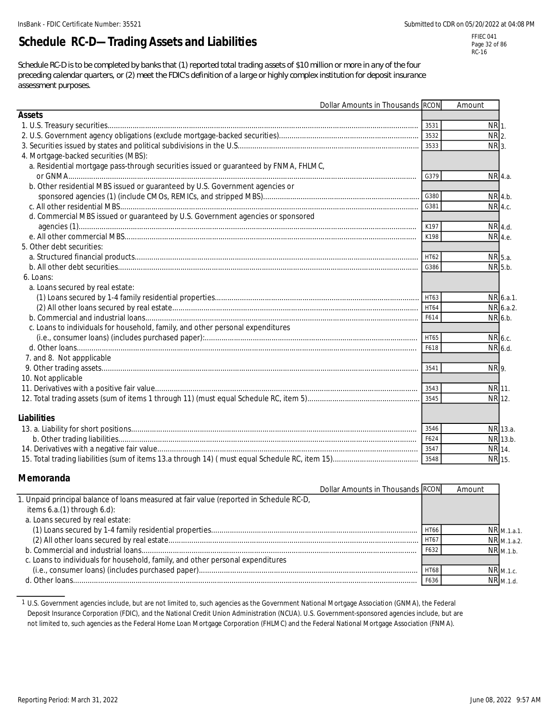# **Schedule RC-D—Trading Assets and Liabilities**

FFIEC 041 Page 32 of 86 RC-16

*Schedule RC-D is to be completed by banks that (1) reported total trading assets of \$10 million or more in any of the four preceding calendar quarters, or (2) meet the FDIC's definition of a large or highly complex institution for deposit insurance assessment purposes.*

|                                                                                      | Dollar Amounts in Thousands RCON |             | Amount  |           |
|--------------------------------------------------------------------------------------|----------------------------------|-------------|---------|-----------|
| <b>Assets</b>                                                                        |                                  |             |         |           |
|                                                                                      |                                  | 3531        | NR 1.   |           |
|                                                                                      |                                  | 3532        | NR 2.   |           |
|                                                                                      |                                  | 3533        | NR 3.   |           |
| 4. Mortgage-backed securities (MBS):                                                 |                                  |             |         |           |
| a. Residential mortgage pass-through securities issued or guaranteed by FNMA, FHLMC, |                                  | G379        |         | NR 4.a.   |
| b. Other residential MBS issued or guaranteed by U.S. Government agencies or         |                                  |             |         |           |
|                                                                                      |                                  | G380        |         | NR 4.b.   |
|                                                                                      |                                  | G381        |         | NR 4.c.   |
| d. Commercial MBS issued or guaranteed by U.S. Government agencies or sponsored      |                                  |             |         |           |
|                                                                                      |                                  | K197        |         | NR 4.d.   |
|                                                                                      |                                  | K198        |         | NR 4.e.   |
| 5. Other debt securities:                                                            |                                  |             |         |           |
|                                                                                      |                                  | HT62        |         | NR 5.a.   |
|                                                                                      |                                  | G386        |         | NR 5.b.   |
| 6. Loans:                                                                            |                                  |             |         |           |
| a. Loans secured by real estate:                                                     |                                  |             |         |           |
|                                                                                      |                                  | HT63        |         | NR 6.a.1. |
|                                                                                      |                                  | <b>HT64</b> |         | NR 6.a.2. |
|                                                                                      |                                  | F614        |         | NR 6.b.   |
| c. Loans to individuals for household, family, and other personal expenditures       |                                  |             |         |           |
|                                                                                      |                                  | <b>HT65</b> | NR 6.c. |           |
|                                                                                      |                                  | F618        |         | NR 6.d.   |
| 7. and 8. Not appplicable                                                            |                                  |             |         |           |
|                                                                                      |                                  | 3541        | NR 9.   |           |
| 10. Not applicable                                                                   |                                  |             |         |           |
|                                                                                      |                                  | 3543        | NR 11.  |           |
|                                                                                      |                                  | 3545        | NR 12.  |           |
| <b>Liabilities</b>                                                                   |                                  |             |         |           |
|                                                                                      |                                  | 3546        |         | NR 13.a.  |
|                                                                                      |                                  | F624        |         | NR 13.b.  |
|                                                                                      |                                  | 3547        |         | NR 14.    |
|                                                                                      |                                  | 3548        | NR 15.  |           |

#### **Memoranda**

| Dollar Amounts in Thousands RCON                                                        |                 | Amount |                 |
|-----------------------------------------------------------------------------------------|-----------------|--------|-----------------|
| 1. Unpaid principal balance of loans measured at fair value (reported in Schedule RC-D, |                 |        |                 |
| items $6.a.(1)$ through $6.d$ ):                                                        |                 |        |                 |
| a. Loans secured by real estate:                                                        |                 |        |                 |
|                                                                                         | HT66            |        | $NR_{M.1.a.1.}$ |
|                                                                                         | HT <sub>6</sub> |        | NR M.1.a.2.     |
|                                                                                         | F63.            |        | NR M.1.b.       |
| c. Loans to individuals for household, family, and other personal expenditures          |                 |        |                 |
|                                                                                         | <b>HT68</b>     |        | $NR$ M.1.c.     |
|                                                                                         | F636            |        | $NR_{M.1.d.}$   |

1 U.S. Government agencies include, but are not limited to, such agencies as the Government National Mortgage Association (GNMA), the Federal Deposit Insurance Corporation (FDIC), and the National Credit Union Administration (NCUA). U.S. Government-sponsored agencies include, but are not limited to, such agencies as the Federal Home Loan Mortgage Corporation (FHLMC) and the Federal National Mortgage Association (FNMA).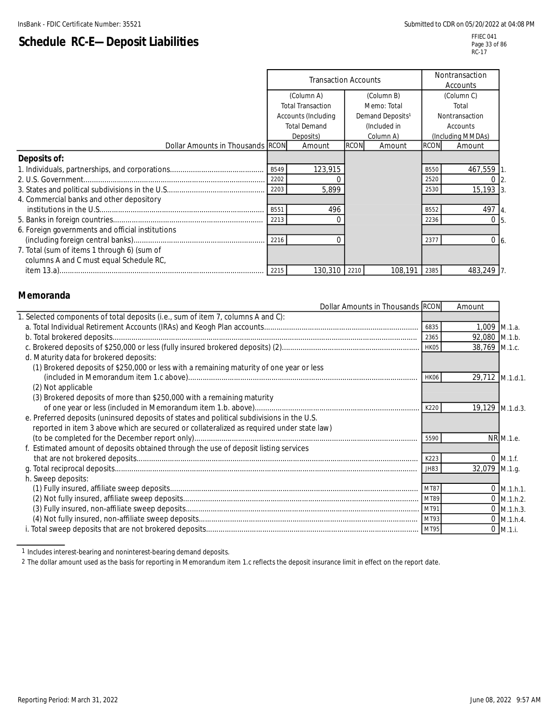# **Schedule RC-E—Deposit Liabilities**

|                                                  | <b>Transaction Accounts</b> |                          |             | Nontransaction<br>Accounts   |             |                                  |
|--------------------------------------------------|-----------------------------|--------------------------|-------------|------------------------------|-------------|----------------------------------|
|                                                  |                             | (Column A)               |             | (Column B)                   | (Column C)  |                                  |
|                                                  |                             | <b>Total Transaction</b> |             | Memo: Total                  |             | Total                            |
|                                                  |                             | Accounts (Including      |             | Demand Deposits <sup>1</sup> |             | Nontransaction                   |
|                                                  |                             | <b>Total Demand</b>      |             | (Included in                 |             | Accounts                         |
|                                                  |                             | Deposits)                |             | Column A)                    |             | (Including MMDAs)                |
| Dollar Amounts in Thousands RCON                 |                             | Amount                   | <b>RCON</b> | Amount                       | <b>RCON</b> | Amount                           |
| Deposits of:                                     |                             |                          |             |                              |             |                                  |
|                                                  | B549                        | 123,915                  |             |                              | <b>B550</b> | 467,559                          |
|                                                  | 2202                        |                          |             |                              | 2520        |                                  |
|                                                  |                             | 5,899                    |             |                              | 2530        | 15,193                           |
| 4. Commercial banks and other depository         |                             |                          |             |                              |             |                                  |
|                                                  | B551                        | 496                      |             |                              | B552        | 497                              |
|                                                  | 2213                        |                          |             |                              | 2236        | $\Omega$                         |
| 6. Foreign governments and official institutions |                             |                          |             |                              |             |                                  |
|                                                  | 2216                        |                          |             |                              | 2377        | $\overline{0}$<br>6 <sub>6</sub> |
| 7. Total (sum of items 1 through 6) (sum of      |                             |                          |             |                              |             |                                  |
| columns A and C must equal Schedule RC,          |                             |                          |             |                              |             |                                  |
|                                                  |                             | 130,310                  | 2210        | 108,191                      | 2385        | 483,249                          |

#### **Memoranda**

| . Selected components of total deposits (i.e., sum of item 7, columns A and C):<br>1,009 M.1.a.<br>6835<br>92,080 M.1.b.<br>2365<br>38,769 M.1.c.<br>d. Maturity data for brokered deposits:<br>(1) Brokered deposits of \$250,000 or less with a remaining maturity of one year or less<br>29,712 M.1.d.1.<br>HK06<br>(2) Not applicable<br>(3) Brokered deposits of more than \$250,000 with a remaining maturity<br>19,129 M.1.d.3.<br>K220<br>e. Preferred deposits (uninsured deposits of states and political subdivisions in the U.S.<br>reported in item 3 above which are secured or collateralized as required under state law)<br>NR M.1.e.<br>5590<br>f. Estimated amount of deposits obtained through the use of deposit listing services<br>$0 \, M.1.f.$<br>K223<br>32,079 M.1.g.<br>JH83<br>h. Sweep deposits:<br>$0$ M.1.h.1.<br>MT87<br>$0$ M.1.h.2.<br>MT89<br>$0$ M.1.h.3.<br>MT91<br>$0$ M.1.h.4.<br>MT93<br>$0$ M.1.i. | Dollar Amounts in Thousands RCON | Amount |  |
|----------------------------------------------------------------------------------------------------------------------------------------------------------------------------------------------------------------------------------------------------------------------------------------------------------------------------------------------------------------------------------------------------------------------------------------------------------------------------------------------------------------------------------------------------------------------------------------------------------------------------------------------------------------------------------------------------------------------------------------------------------------------------------------------------------------------------------------------------------------------------------------------------------------------------------------------|----------------------------------|--------|--|
|                                                                                                                                                                                                                                                                                                                                                                                                                                                                                                                                                                                                                                                                                                                                                                                                                                                                                                                                              |                                  |        |  |
|                                                                                                                                                                                                                                                                                                                                                                                                                                                                                                                                                                                                                                                                                                                                                                                                                                                                                                                                              |                                  |        |  |
|                                                                                                                                                                                                                                                                                                                                                                                                                                                                                                                                                                                                                                                                                                                                                                                                                                                                                                                                              |                                  |        |  |
|                                                                                                                                                                                                                                                                                                                                                                                                                                                                                                                                                                                                                                                                                                                                                                                                                                                                                                                                              |                                  |        |  |
|                                                                                                                                                                                                                                                                                                                                                                                                                                                                                                                                                                                                                                                                                                                                                                                                                                                                                                                                              |                                  |        |  |
|                                                                                                                                                                                                                                                                                                                                                                                                                                                                                                                                                                                                                                                                                                                                                                                                                                                                                                                                              |                                  |        |  |
|                                                                                                                                                                                                                                                                                                                                                                                                                                                                                                                                                                                                                                                                                                                                                                                                                                                                                                                                              |                                  |        |  |
|                                                                                                                                                                                                                                                                                                                                                                                                                                                                                                                                                                                                                                                                                                                                                                                                                                                                                                                                              |                                  |        |  |
|                                                                                                                                                                                                                                                                                                                                                                                                                                                                                                                                                                                                                                                                                                                                                                                                                                                                                                                                              |                                  |        |  |
|                                                                                                                                                                                                                                                                                                                                                                                                                                                                                                                                                                                                                                                                                                                                                                                                                                                                                                                                              |                                  |        |  |
|                                                                                                                                                                                                                                                                                                                                                                                                                                                                                                                                                                                                                                                                                                                                                                                                                                                                                                                                              |                                  |        |  |
|                                                                                                                                                                                                                                                                                                                                                                                                                                                                                                                                                                                                                                                                                                                                                                                                                                                                                                                                              |                                  |        |  |
|                                                                                                                                                                                                                                                                                                                                                                                                                                                                                                                                                                                                                                                                                                                                                                                                                                                                                                                                              |                                  |        |  |
|                                                                                                                                                                                                                                                                                                                                                                                                                                                                                                                                                                                                                                                                                                                                                                                                                                                                                                                                              |                                  |        |  |
|                                                                                                                                                                                                                                                                                                                                                                                                                                                                                                                                                                                                                                                                                                                                                                                                                                                                                                                                              |                                  |        |  |
|                                                                                                                                                                                                                                                                                                                                                                                                                                                                                                                                                                                                                                                                                                                                                                                                                                                                                                                                              |                                  |        |  |
|                                                                                                                                                                                                                                                                                                                                                                                                                                                                                                                                                                                                                                                                                                                                                                                                                                                                                                                                              |                                  |        |  |
|                                                                                                                                                                                                                                                                                                                                                                                                                                                                                                                                                                                                                                                                                                                                                                                                                                                                                                                                              |                                  |        |  |
|                                                                                                                                                                                                                                                                                                                                                                                                                                                                                                                                                                                                                                                                                                                                                                                                                                                                                                                                              |                                  |        |  |
|                                                                                                                                                                                                                                                                                                                                                                                                                                                                                                                                                                                                                                                                                                                                                                                                                                                                                                                                              |                                  |        |  |
|                                                                                                                                                                                                                                                                                                                                                                                                                                                                                                                                                                                                                                                                                                                                                                                                                                                                                                                                              |                                  |        |  |
|                                                                                                                                                                                                                                                                                                                                                                                                                                                                                                                                                                                                                                                                                                                                                                                                                                                                                                                                              |                                  |        |  |

1 Includes interest-bearing and noninterest-bearing demand deposits.

2 The dollar amount used as the basis for reporting in Memorandum item 1.c reflects the deposit insurance limit in effect on the report date.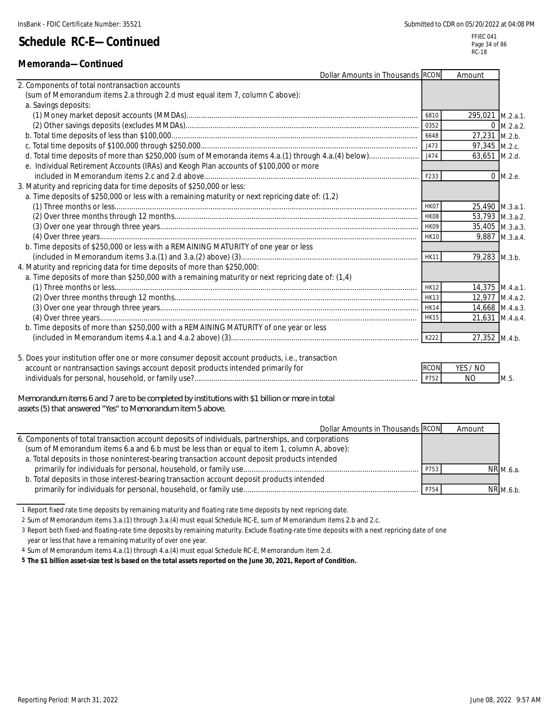### **Memoranda—Continued**

InsBank - FDIC Certificate Number: 35521 Submitted to CDR on 05/20/2022 at 04:08 PM

FFIEC 041 Page 34 of 86 RC-18

| Dollar Amounts in Thousands RCON                                                                   |             | Amount           |                |
|----------------------------------------------------------------------------------------------------|-------------|------------------|----------------|
| 2. Components of total nontransaction accounts                                                     |             |                  |                |
| (sum of Memorandum items 2.a through 2.d must equal item 7, column C above):                       |             |                  |                |
| a. Savings deposits:                                                                               |             |                  |                |
|                                                                                                    | 6810        | 295,021 M.2.a.1. |                |
|                                                                                                    | 0352        |                  | $0$ M.2.a.2.   |
|                                                                                                    | 6648        | 27,231 M.2.b.    |                |
|                                                                                                    |             | 97,345 M.2.c.    |                |
|                                                                                                    | J474        | 63,651 M.2.d.    |                |
| e. Individual Retirement Accounts (IRAs) and Keogh Plan accounts of \$100,000 or more              |             |                  |                |
|                                                                                                    | F233        |                  | $0$ M.2.e.     |
| 3. Maturity and repricing data for time deposits of \$250,000 or less:                             |             |                  |                |
| a. Time deposits of \$250,000 or less with a remaining maturity or next repricing date of: (1,2)   |             |                  |                |
|                                                                                                    | HK07        | 25,490 M.3.a.1.  |                |
|                                                                                                    |             | 53,793 M.3.a.2.  |                |
|                                                                                                    | HK09        | 35,405 M.3.a.3.  |                |
|                                                                                                    | <b>HK10</b> |                  | 9,887 M.3.a.4. |
| b. Time deposits of \$250,000 or less with a REMAINING MATURITY of one year or less                |             |                  |                |
|                                                                                                    | <b>HK11</b> | 79,283 M.3.b.    |                |
| 4. Maturity and repricing data for time deposits of more than \$250,000:                           |             |                  |                |
| a. Time deposits of more than \$250,000 with a remaining maturity or next repricing date of: (1,4) |             |                  |                |
|                                                                                                    | <b>HK12</b> | 14,375 M.4.a.1.  |                |
|                                                                                                    | <b>HK13</b> | 12,977 M.4.a.2.  |                |
|                                                                                                    | <b>HK14</b> | 14,668 M.4.a.3.  |                |
|                                                                                                    | <b>HK15</b> | 21,631 M.4.a.4.  |                |
| b. Time deposits of more than \$250,000 with a REMAINING MATURITY of one year or less              |             |                  |                |
|                                                                                                    | K222        | 27,352 M.4.b.    |                |
|                                                                                                    |             |                  |                |
| 5. Does your institution offer one or more consumer deposit account products, i.e., transaction    |             |                  |                |

| account or nontransaction savings account deposit products intended primarily for | <b>IRCON</b> | $'$ NO<br><b>VFS</b> |        |
|-----------------------------------------------------------------------------------|--------------|----------------------|--------|
| individuals for personal, household, or family use?.                              |              |                      | -IM.S. |

*Memorandum items 6 and 7 are to be completed by institutions with \$1 billion or more in total assets (5) that answered "Yes" to Memorandum item 5 above.*

| Dollar Amounts in Thousands RCON                                                                   |      | Amount |             |
|----------------------------------------------------------------------------------------------------|------|--------|-------------|
| 6. Components of total transaction account deposits of individuals, partnerships, and corporations |      |        |             |
| (sum of Memorandum items 6.a and 6.b must be less than or equal to item 1, column A, above):       |      |        |             |
| a. Total deposits in those noninterest-bearing transaction account deposit products intended       |      |        |             |
|                                                                                                    | P753 |        | NR M.6.a.   |
| b. Total deposits in those interest-bearing transaction account deposit products intended          |      |        |             |
|                                                                                                    | P754 |        | $NR$ M.6.b. |

1 Report fixed rate time deposits by remaining maturity and floating rate time deposits by next repricing date.

2 Sum of Memorandum items 3.a.(1) through 3.a.(4) must equal Schedule RC-E, sum of Memorandum items 2.b and 2.c.

3 Report both fixed-and floating-rate time deposits by remaining maturity. Exclude floating-rate time deposits with a next repricing date of one

year or less that have a remaining maturity of over one year.

4 Sum of Memorandum items 4.a.(1) through 4.a.(4) must equal Schedule RC-E, Memorandum item 2.d.

**5 The \$1 billion asset-size test is based on the total assets reported on the June 30, 2021, Report of Condition.**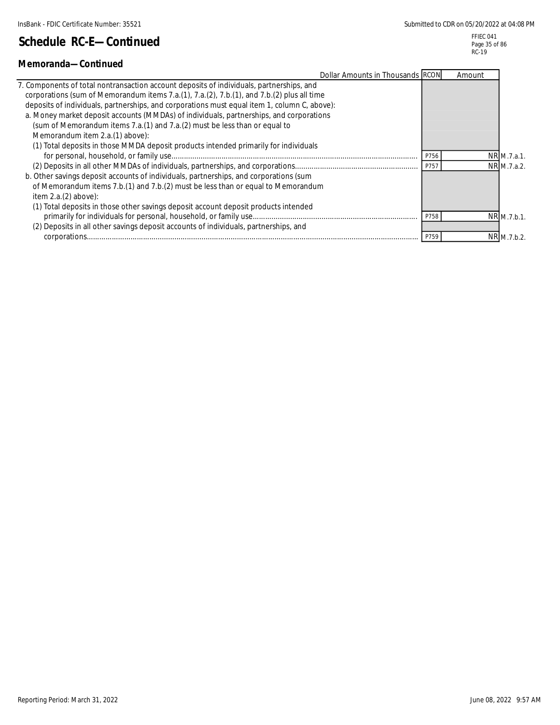FFIEC 041 Page 35 of 86 RC-19

| Memoranda-Continued                                                                          |      |        |             |
|----------------------------------------------------------------------------------------------|------|--------|-------------|
| Dollar Amounts in Thousands RCON                                                             |      | Amount |             |
| 7. Components of total nontransaction account deposits of individuals, partnerships, and     |      |        |             |
| corporations (sum of Memorandum items 7.a.(1), 7.a.(2), 7.b.(1), and 7.b.(2) plus all time   |      |        |             |
| deposits of individuals, partnerships, and corporations must equal item 1, column C, above): |      |        |             |
| a. Money market deposit accounts (MMDAs) of individuals, partnerships, and corporations      |      |        |             |
| (sum of Memorandum items 7.a. (1) and 7.a. (2) must be less than or equal to                 |      |        |             |
| Memorandum item 2.a.(1) above):                                                              |      |        |             |
| (1) Total deposits in those MMDA deposit products intended primarily for individuals         |      |        |             |
|                                                                                              | P756 |        | NR M.7.a.1. |
|                                                                                              | P757 |        | NR M.7.a.2. |
| b. Other savings deposit accounts of individuals, partnerships, and corporations (sum        |      |        |             |
| of Memorandum items 7.b.(1) and 7.b.(2) must be less than or equal to Memorandum             |      |        |             |
| item $2.a.(2) above$ :                                                                       |      |        |             |
| (1) Total deposits in those other savings deposit account deposit products intended          |      |        |             |
|                                                                                              | P758 |        | NR M.7.b.1. |
| (2) Deposits in all other savings deposit accounts of individuals, partnerships, and         |      |        |             |
|                                                                                              | P759 |        | NR M.7.b.2. |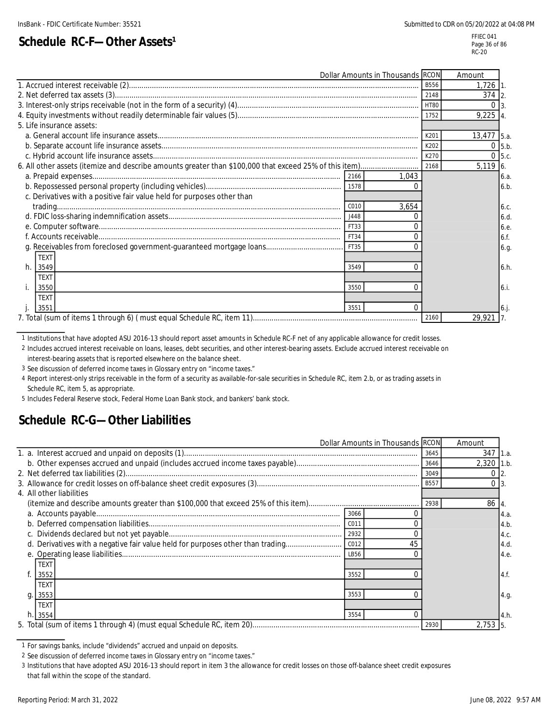# **Schedule RC-F-Other Assets<sup>1</sup>**

FFIEC 041 Page 36 of 86 RC-20

|                                                                                                                                                                                                                                                                                                                                                                                                                                                                                                                            | Dollar Amounts in Thousands RCON |             | Amount        |
|----------------------------------------------------------------------------------------------------------------------------------------------------------------------------------------------------------------------------------------------------------------------------------------------------------------------------------------------------------------------------------------------------------------------------------------------------------------------------------------------------------------------------|----------------------------------|-------------|---------------|
|                                                                                                                                                                                                                                                                                                                                                                                                                                                                                                                            |                                  | B556        | $1,726$ 1.    |
|                                                                                                                                                                                                                                                                                                                                                                                                                                                                                                                            |                                  | 2148        | 374 2.        |
|                                                                                                                                                                                                                                                                                                                                                                                                                                                                                                                            |                                  | <b>HT80</b> | $\Omega$      |
|                                                                                                                                                                                                                                                                                                                                                                                                                                                                                                                            |                                  | 1752        | $9,225$ 4.    |
| 5. Life insurance assets:                                                                                                                                                                                                                                                                                                                                                                                                                                                                                                  |                                  |             |               |
|                                                                                                                                                                                                                                                                                                                                                                                                                                                                                                                            |                                  | K201        | 13,477 5.a.   |
|                                                                                                                                                                                                                                                                                                                                                                                                                                                                                                                            |                                  | K202        | $0 \mid 5.b.$ |
|                                                                                                                                                                                                                                                                                                                                                                                                                                                                                                                            |                                  | K270        | 5.c.          |
|                                                                                                                                                                                                                                                                                                                                                                                                                                                                                                                            |                                  | 2168        | 5,119 6.      |
|                                                                                                                                                                                                                                                                                                                                                                                                                                                                                                                            | 1,043                            |             | 6.a.          |
| 1578                                                                                                                                                                                                                                                                                                                                                                                                                                                                                                                       |                                  |             | 6.b.          |
| c. Derivatives with a positive fair value held for purposes other than                                                                                                                                                                                                                                                                                                                                                                                                                                                     |                                  |             |               |
| C010<br>$\qquad \qquad \textbf{trading} \qquad \qquad \textbf{sum} \qquad \qquad \textbf{max} \qquad \qquad \textbf{max} \qquad \qquad \textbf{max} \qquad \qquad \textbf{max} \qquad \qquad \textbf{max} \qquad \qquad \textbf{max} \qquad \qquad \textbf{max} \qquad \qquad \textbf{max} \qquad \qquad \textbf{max} \qquad \qquad \textbf{max} \qquad \qquad \textbf{max} \qquad \qquad \textbf{max} \qquad \qquad \textbf{max} \qquad \qquad \textbf{max} \qquad \qquad \textbf{max} \qquad \qquad \textbf{max} \qquad$ | 3,654                            |             | 6.c.          |
| J448                                                                                                                                                                                                                                                                                                                                                                                                                                                                                                                       |                                  |             | 6.d.          |
| FT33                                                                                                                                                                                                                                                                                                                                                                                                                                                                                                                       |                                  |             | 6.e.          |
| FT34                                                                                                                                                                                                                                                                                                                                                                                                                                                                                                                       |                                  |             | 6.f.          |
| FT35                                                                                                                                                                                                                                                                                                                                                                                                                                                                                                                       |                                  |             | 6.g.          |
| <b>TEXT</b>                                                                                                                                                                                                                                                                                                                                                                                                                                                                                                                |                                  |             |               |
| h.<br>3549<br>3549                                                                                                                                                                                                                                                                                                                                                                                                                                                                                                         |                                  |             | 6.h.          |
| <b>TEXT</b>                                                                                                                                                                                                                                                                                                                                                                                                                                                                                                                |                                  |             |               |
| 3550<br>3550                                                                                                                                                                                                                                                                                                                                                                                                                                                                                                               |                                  |             | 6.i.          |
| <b>TEXT</b>                                                                                                                                                                                                                                                                                                                                                                                                                                                                                                                |                                  |             |               |
| 3551<br>3551                                                                                                                                                                                                                                                                                                                                                                                                                                                                                                               | $\Omega$                         |             | $6.$ j.       |
|                                                                                                                                                                                                                                                                                                                                                                                                                                                                                                                            |                                  | 2160        | 29,921        |

1 Institutions that have adopted ASU 2016-13 should report asset amounts in Schedule RC-F net of any applicable allowance for credit losses.

2 Includes accrued interest receivable on loans, leases, debt securities, and other interest-bearing assets. Exclude accrued interest receivable on interest-bearing assets that is reported elsewhere on the balance sheet.

3 See discussion of deferred income taxes in Glossary entry on "income taxes."

4 Report interest-only strips receivable in the form of a security as available-for-sale securities in Schedule RC, item 2.b, or as trading assets in Schedule RC, item 5, as appropriate.

5 Includes Federal Reserve stock, Federal Home Loan Bank stock, and bankers' bank stock.

### **Schedule RC-G—Other Liabilities**

|  | Dollar Amounts in Thousands RCON                                                             |             | Amount       |                  |
|--|----------------------------------------------------------------------------------------------|-------------|--------------|------------------|
|  |                                                                                              | 3645        | 347          | 1.2 <sub>1</sub> |
|  |                                                                                              | 3646        | $2,320$ 1.b. |                  |
|  |                                                                                              | 3049        |              |                  |
|  |                                                                                              | <b>B557</b> |              |                  |
|  | 4. All other liabilities                                                                     |             |              |                  |
|  |                                                                                              | 2938        | 86 4.        |                  |
|  | 3066                                                                                         |             |              | 4.a.             |
|  | C011                                                                                         |             |              | 4.b.             |
|  | 2932                                                                                         |             |              | 4.c.             |
|  | d. Derivatives with a negative fair value held for purposes other than trading<br>C012<br>45 |             |              | 4.d.             |
|  | LB56                                                                                         |             |              | 4.e.             |
|  | <b>TEXT</b>                                                                                  |             |              |                  |
|  | 3552<br>3552                                                                                 |             |              | 4.f.             |
|  | TEXT                                                                                         |             |              |                  |
|  | 3553<br>3553<br>$q_{\cdot}$                                                                  |             |              | 4.9.             |
|  | <b>TEXT</b>                                                                                  |             |              |                  |
|  | $h.$ 3554<br>3554                                                                            |             |              | 4.h.             |
|  |                                                                                              |             | $2,753$ 5.   |                  |

<sup>1</sup> For savings banks, include "dividends" accrued and unpaid on deposits.

<sup>2</sup> See discussion of deferred income taxes in Glossary entry on "income taxes."

<sup>3</sup> Institutions that have adopted ASU 2016-13 should report in item 3 the allowance for credit losses on those off-balance sheet credit exposures that fall within the scope of the standard.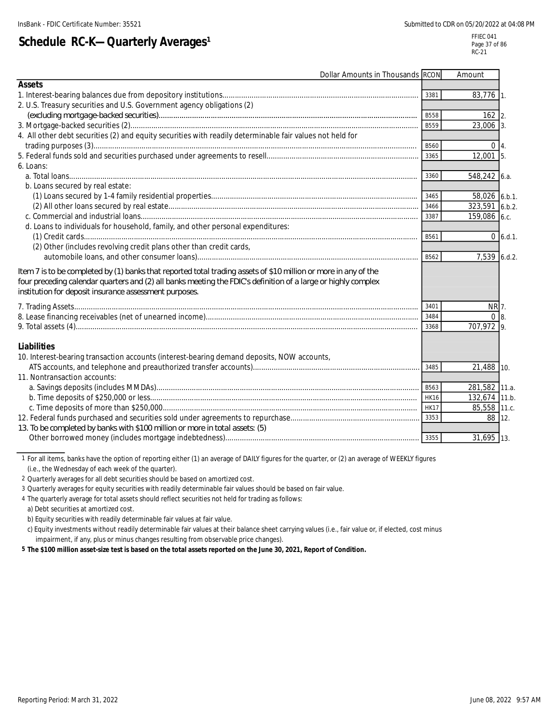# **Schedule RC-K-Quarterly Averages<sup>1</sup>**

| Dollar Amounts in Thousands RCON                                                                                                                                                                                                                                                           |             | Amount         |             |
|--------------------------------------------------------------------------------------------------------------------------------------------------------------------------------------------------------------------------------------------------------------------------------------------|-------------|----------------|-------------|
| Assets                                                                                                                                                                                                                                                                                     |             |                |             |
|                                                                                                                                                                                                                                                                                            | 3381        | $83,776$ 1.    |             |
| 2. U.S. Treasury securities and U.S. Government agency obligations (2)                                                                                                                                                                                                                     |             |                |             |
|                                                                                                                                                                                                                                                                                            | <b>B558</b> | $162$ 2.       |             |
|                                                                                                                                                                                                                                                                                            | <b>B559</b> | $23,006$ 3.    |             |
| 4. All other debt securities (2) and equity securities with readily determinable fair values not held for                                                                                                                                                                                  |             |                |             |
|                                                                                                                                                                                                                                                                                            | B560        | $0\vert 4.$    |             |
|                                                                                                                                                                                                                                                                                            | 3365        | $12,001$ 5.    |             |
| 6. Loans:                                                                                                                                                                                                                                                                                  |             |                |             |
|                                                                                                                                                                                                                                                                                            | 3360        | $548,242$ 6.a. |             |
| b. Loans secured by real estate:                                                                                                                                                                                                                                                           |             |                |             |
|                                                                                                                                                                                                                                                                                            | 3465        | 58,026 6.b.1.  |             |
|                                                                                                                                                                                                                                                                                            | 3466        | 323,591 6.b.2. |             |
|                                                                                                                                                                                                                                                                                            | 3387        | 159,086 6.c.   |             |
| d. Loans to individuals for household, family, and other personal expenditures:                                                                                                                                                                                                            |             |                |             |
|                                                                                                                                                                                                                                                                                            | B561        |                | $0\,6.d.1.$ |
| (2) Other (includes revolving credit plans other than credit cards,                                                                                                                                                                                                                        |             |                |             |
|                                                                                                                                                                                                                                                                                            | B562        | 7,539 6.d.2.   |             |
| Item 7 is to be completed by (1) banks that reported total trading assets of \$10 million or more in any of the<br>four preceding calendar quarters and (2) all banks meeting the FDIC's definition of a large or highly complex<br>institution for deposit insurance assessment purposes. |             |                |             |
|                                                                                                                                                                                                                                                                                            | 3401        | NR 7.          |             |
|                                                                                                                                                                                                                                                                                            | 3484        | $0 \vert 8$ .  |             |
|                                                                                                                                                                                                                                                                                            | 3368        | 707,972 9.     |             |
| Liabilities                                                                                                                                                                                                                                                                                |             |                |             |
| 10. Interest-bearing transaction accounts (interest-bearing demand deposits, NOW accounts,                                                                                                                                                                                                 |             |                |             |
|                                                                                                                                                                                                                                                                                            | 3485        | 21,488 10.     |             |
| 11. Nontransaction accounts:                                                                                                                                                                                                                                                               |             |                |             |
|                                                                                                                                                                                                                                                                                            | B563        | 281,582 11.a.  |             |
|                                                                                                                                                                                                                                                                                            | <b>HK16</b> | 132,674 11.b.  |             |
|                                                                                                                                                                                                                                                                                            | <b>HK17</b> | 85,558 11.c.   |             |
|                                                                                                                                                                                                                                                                                            | 3353        | 88 12.         |             |
| 13. To be completed by banks with \$100 million or more in total assets (5)                                                                                                                                                                                                                |             |                |             |
|                                                                                                                                                                                                                                                                                            | 3355        | 31,695 13.     |             |

1 For all items, banks have the option of reporting either (1) an average of DAILY figures for the quarter, or (2) an average of WEEKLY figures (i.e., the Wednesday of each week of the quarter).

2 Quarterly averages for all debt securities should be based on amortized cost.

3 Quarterly averages for equity securities with readily determinable fair values should be based on fair value.

4 The quarterly average for total assets should reflect securities not held for trading as follows:

a) Debt securities at amortized cost.

b) Equity securities with readily determinable fair values at fair value.

c) Equity investments without readily determinable fair values at their balance sheet carrying values (i.e., fair value or, if elected, cost minus impairment, if any, plus or minus changes resulting from observable price changes).

**5 The \$100 million asset-size test is based on the total assets reported on the June 30, 2021, Report of Condition.**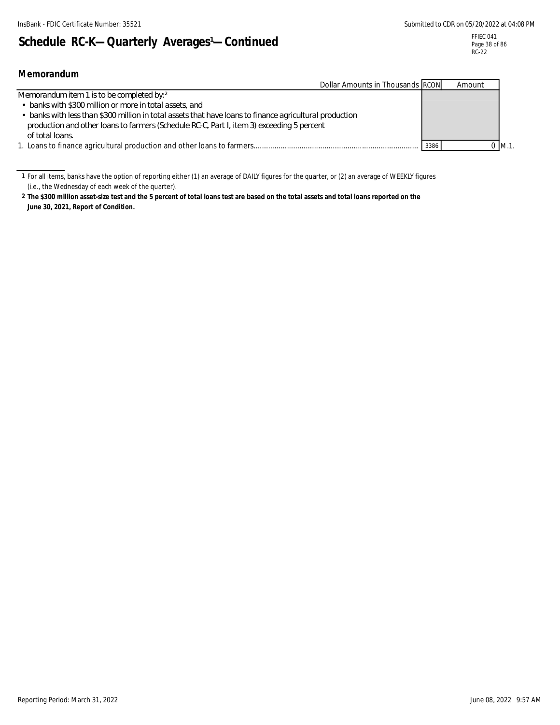# Schedule RC-K--Quarterly Averages<sup>1</sup>-Continued

| Memorandum                                                                                              |      |             |  |
|---------------------------------------------------------------------------------------------------------|------|-------------|--|
| Dollar Amounts in Thousands RCON                                                                        |      | Amount      |  |
| Memorandum item 1 is to be completed by: 2                                                              |      |             |  |
| • banks with \$300 million or more in total assets, and                                                 |      |             |  |
| • banks with less than \$300 million in total assets that have loans to finance agricultural production |      |             |  |
| production and other loans to farmers (Schedule RC-C, Part I, item 3) exceeding 5 percent               |      |             |  |
| of total loans                                                                                          |      |             |  |
|                                                                                                         | 3386 | $0 \,$ M.1. |  |

1 For all items, banks have the option of reporting either (1) an average of DAILY figures for the quarter, or (2) an average of WEEKLY figures (i.e., the Wednesday of each week of the quarter).

**2 The \$300 million asset-size test and the 5 percent of total loans test are based on the total assets and total loans reported on the June 30, 2021, Report of Condition.**

Reporting Period: March 31, 2022 9:57 AM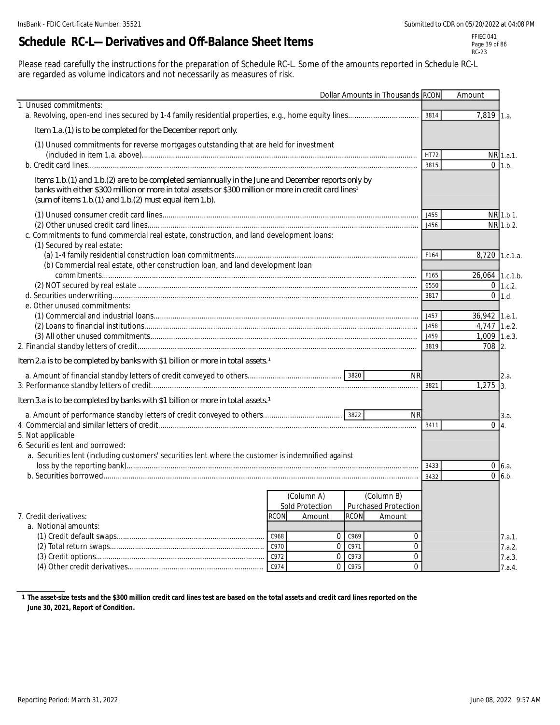# **Schedule RC-L—Derivatives and Off-Balance Sheet Items**

FFIEC 041 Page 39 of 86 RC-23

Please read carefully the instructions for the preparation of Schedule RC-L. Some of the amounts reported in Schedule RC-L are regarded as volume indicators and not necessarily as measures of risk.

|                                                                                                                                                                                                                                                                                        |      |                           |             | Dollar Amounts in Thousands RCON |             | Amount          |                 |
|----------------------------------------------------------------------------------------------------------------------------------------------------------------------------------------------------------------------------------------------------------------------------------------|------|---------------------------|-------------|----------------------------------|-------------|-----------------|-----------------|
| 1. Unused commitments:                                                                                                                                                                                                                                                                 |      |                           |             |                                  |             |                 |                 |
|                                                                                                                                                                                                                                                                                        |      |                           |             |                                  | 3814        | 7,819 1.a.      |                 |
| Item 1.a. (1) is to be completed for the December report only.                                                                                                                                                                                                                         |      |                           |             |                                  |             |                 |                 |
| (1) Unused commitments for reverse mortgages outstanding that are held for investment                                                                                                                                                                                                  |      |                           |             |                                  |             |                 |                 |
|                                                                                                                                                                                                                                                                                        |      |                           |             |                                  | <b>HT72</b> |                 | NR 1.a.1.       |
|                                                                                                                                                                                                                                                                                        |      |                           |             |                                  | 3815        | $\Omega$        | 1.b.            |
| Items 1.b.(1) and 1.b.(2) are to be completed semiannually in the June and December reports only by<br>banks with either \$300 million or more in total assets or \$300 million or more in credit card lines <sup>1</sup><br>(sum of items 1.b. (1) and 1.b. (2) must equal item 1.b). |      |                           |             |                                  |             |                 |                 |
|                                                                                                                                                                                                                                                                                        |      |                           |             |                                  | J455        |                 | NR 1.b.1.       |
|                                                                                                                                                                                                                                                                                        |      |                           |             |                                  | J456        |                 | NR 1.b.2.       |
| c. Commitments to fund commercial real estate, construction, and land development loans:<br>(1) Secured by real estate:                                                                                                                                                                |      |                           |             |                                  |             |                 |                 |
|                                                                                                                                                                                                                                                                                        |      |                           |             |                                  | F164        | 8,720 1.c.1.a.  |                 |
| (b) Commercial real estate, other construction loan, and land development loan                                                                                                                                                                                                         |      |                           |             |                                  |             |                 |                 |
|                                                                                                                                                                                                                                                                                        |      |                           |             |                                  | F165        | 26,064 1.c.1.b. |                 |
|                                                                                                                                                                                                                                                                                        |      |                           |             |                                  | 6550        |                 | $0 \mid 1.c.2.$ |
| e. Other unused commitments:                                                                                                                                                                                                                                                           |      |                           |             |                                  | 3817        |                 | $0$ 1.d.        |
|                                                                                                                                                                                                                                                                                        |      |                           |             |                                  | J457        | 36,942 1.e.1.   |                 |
|                                                                                                                                                                                                                                                                                        |      |                           |             |                                  | J458        | 4,747 1.e.2.    |                 |
|                                                                                                                                                                                                                                                                                        |      |                           |             |                                  | J459        | 1,009 1.e.3.    |                 |
|                                                                                                                                                                                                                                                                                        |      |                           |             |                                  | 3819        | 708 2.          |                 |
| Item 2a is to be completed by banks with \$1 billion or more in total assets 1                                                                                                                                                                                                         |      |                           |             |                                  |             |                 |                 |
|                                                                                                                                                                                                                                                                                        |      |                           |             | <b>NR</b>                        |             |                 | 2.a.            |
|                                                                                                                                                                                                                                                                                        |      |                           |             |                                  | 3821        | 1,275           | 3.              |
| Item 3.a is to be completed by banks with \$1 billion or more in total assets. <sup>1</sup>                                                                                                                                                                                            |      |                           |             |                                  |             |                 |                 |
|                                                                                                                                                                                                                                                                                        |      |                           |             | <b>NR</b>                        |             |                 | 3.a.            |
|                                                                                                                                                                                                                                                                                        |      |                           |             |                                  | 3411        | $0\vert 4$      |                 |
| 5. Not applicable                                                                                                                                                                                                                                                                      |      |                           |             |                                  |             |                 |                 |
| 6. Securities lent and borrowed:<br>a. Securities lent (including customers' securities lent where the customer is indemnified against                                                                                                                                                 |      |                           |             |                                  |             |                 |                 |
|                                                                                                                                                                                                                                                                                        |      |                           |             |                                  | 3433        |                 | $0\,6.a.$       |
|                                                                                                                                                                                                                                                                                        |      |                           |             |                                  | 3432        |                 | $0 \quad 6.b.$  |
|                                                                                                                                                                                                                                                                                        |      |                           |             |                                  |             |                 |                 |
|                                                                                                                                                                                                                                                                                        |      | (Column A)                |             | (Column B)                       |             |                 |                 |
| 7. Credit derivatives:                                                                                                                                                                                                                                                                 | rcon | Sold Protection<br>Amount | <b>RCON</b> | Purchased Protection<br>Amount   |             |                 |                 |
| a. Notional amounts:                                                                                                                                                                                                                                                                   |      |                           |             |                                  |             |                 |                 |
|                                                                                                                                                                                                                                                                                        | C968 | 0                         | C969        | 0                                |             |                 | 7.a.1.          |
|                                                                                                                                                                                                                                                                                        | C970 | 0                         | C971        | 0                                |             |                 | 7.a.2.          |
|                                                                                                                                                                                                                                                                                        | C972 | 0                         | C973        | 0                                |             |                 | 7.a.3.          |
|                                                                                                                                                                                                                                                                                        | C974 | 0                         | C975        | 0                                |             |                 | 7.a.4.          |

**1 The asset-size tests and the \$300 million credit card lines test are based on the total assets and credit card lines reported on the June 30, 2021, Report of Condition.**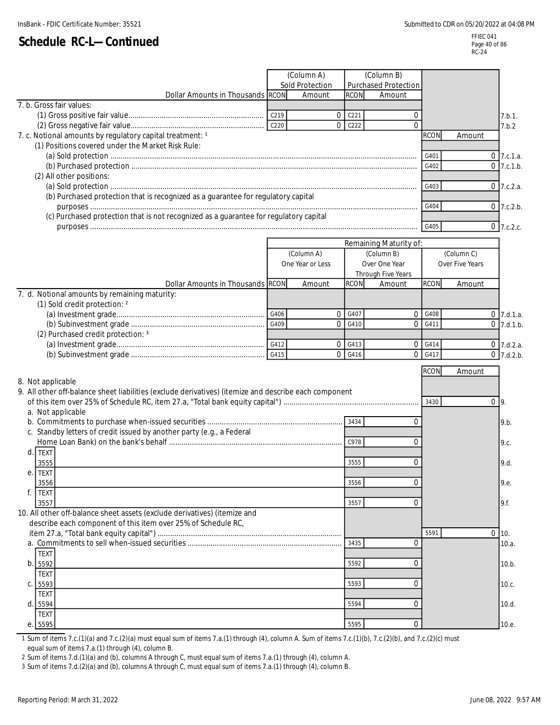#### FFIEC 041 Page 40 of 86 RC-24

|                                                                                                       |      | (Column A)       |                  | (Column B)             |             |                 |              |
|-------------------------------------------------------------------------------------------------------|------|------------------|------------------|------------------------|-------------|-----------------|--------------|
|                                                                                                       |      | Sold Protection  |                  | Purchased Protection   |             |                 |              |
| Dollar Amounts in Thousands RCON                                                                      |      | Amount           | <b>RCON</b>      | Amount                 |             |                 |              |
| 7. b. Gross fair values:                                                                              |      |                  |                  |                        |             |                 |              |
|                                                                                                       |      | $\overline{0}$   | C <sub>221</sub> | $\Omega$               |             |                 | 7.b.1.       |
|                                                                                                       |      | $\Omega$         | C222             | $\Omega$               |             |                 | 7.b.2        |
| 7. c. Notional amounts by regulatory capital treatment: 1                                             |      |                  |                  |                        | <b>RCON</b> | Amount          |              |
| (1) Positions covered under the Market Risk Rule:                                                     |      |                  |                  |                        |             |                 |              |
|                                                                                                       |      |                  |                  |                        | G401        |                 | $0$ 7.c.1.a. |
|                                                                                                       |      |                  |                  |                        | G402        |                 | $0$ 7.c.1.b. |
| (2) All other positions:                                                                              |      |                  |                  |                        |             |                 |              |
| (b) Purchased protection that is recognized as a guarantee for regulatory capital                     |      |                  |                  |                        | G403        |                 | $0$ 7.c.2.a. |
|                                                                                                       |      |                  |                  |                        | G404        |                 | $0$ 7.c.2.b. |
| (c) Purchased protection that is not recognized as a guarantee for regulatory capital                 |      |                  |                  |                        |             |                 |              |
|                                                                                                       |      |                  |                  |                        | G405        |                 | 0 7.c.2.c.   |
|                                                                                                       |      |                  |                  |                        |             |                 |              |
|                                                                                                       |      |                  |                  | Remaining Maturity of: |             |                 |              |
|                                                                                                       |      | (Column A)       |                  | (Column B)             |             | (Column C)      |              |
|                                                                                                       |      | One Year or Less |                  | Over One Year          |             | Over Five Years |              |
|                                                                                                       |      |                  |                  | Through Five Years     | <b>RCON</b> |                 |              |
| Dollar Amounts in Thousands RCON<br>7. d. Notional amounts by remaining maturity:                     |      | Amount           | <b>RCON</b>      | Amount                 |             | Amount          |              |
| (1) Sold credit protection: 2                                                                         |      |                  |                  |                        |             |                 |              |
|                                                                                                       | G406 | $\mathbf{0}$     | G407             |                        | 0 G408      |                 | $0$ 7.d.1.a. |
|                                                                                                       |      | $\mathbf{0}$     | G410             | $\overline{0}$         | G411        |                 | $0$ 7.d.1.b. |
| (2) Purchased credit protection: 3                                                                    |      |                  |                  |                        |             |                 |              |
|                                                                                                       |      | 0                | G413             |                        | 0.6414      |                 | $0$ 7.d.2.a. |
|                                                                                                       | G415 | $\mathbf{0}$     | G416             | $\overline{0}$         | G417        |                 | $0$ 7.d.2.b. |
|                                                                                                       |      |                  |                  |                        | <b>RCON</b> |                 |              |
| 8. Not applicable                                                                                     |      |                  |                  |                        |             | Amount          |              |
| 9. All other off-balance sheet liabilities (exclude derivatives) (itemize and describe each component |      |                  |                  |                        |             |                 |              |
|                                                                                                       |      |                  |                  |                        | 3430        |                 | $0 \mid 9$ . |
| a. Not applicable                                                                                     |      |                  |                  |                        |             |                 |              |
|                                                                                                       |      |                  | 3434             | $\Omega$               |             |                 | 9.b.         |
| c. Standby letters of credit issued by another party (e.g., a Federal                                 |      |                  |                  |                        |             |                 |              |
|                                                                                                       |      |                  | C978             | 0                      |             |                 | 9.c.         |
| <b>TEXT</b><br>d.                                                                                     |      |                  |                  |                        |             |                 |              |
| 3555                                                                                                  |      |                  | 3555             | $\Omega$               |             |                 | 9.d.         |
| <b>TEXT</b><br>e.                                                                                     |      |                  |                  |                        |             |                 |              |
| 3556                                                                                                  |      |                  | 3556             | 0                      |             |                 | 9.e.         |
| f.<br><b>TEXT</b>                                                                                     |      |                  |                  |                        |             |                 |              |
| 3557<br>10. All other off-balance sheet assets (exclude derivatives) (itemize and                     |      |                  | 3557             | 0                      |             |                 | 9.f.         |
| describe each component of this item over 25% of Schedule RC,                                         |      |                  |                  |                        |             |                 |              |
|                                                                                                       |      |                  |                  |                        | 5591        |                 | $0 \mid 10.$ |
|                                                                                                       |      |                  | 3435             | $\overline{0}$         |             |                 | 10.a.        |
| <b>TEXT</b>                                                                                           |      |                  |                  |                        |             |                 |              |
| b.<br>5592                                                                                            |      |                  | 5592             | 0                      |             |                 | 10.b.        |
| <b>TEXT</b>                                                                                           |      |                  |                  |                        |             |                 |              |
| 5593<br>C.                                                                                            |      |                  | 5593             | $\Omega$               |             |                 | 10.c.        |
| <b>TEXT</b>                                                                                           |      |                  |                  |                        |             |                 |              |
| d.<br>5594                                                                                            |      |                  | 5594             | 0                      |             |                 | 10.d.        |
| <b>TEXT</b>                                                                                           |      |                  |                  |                        |             |                 |              |
| e. 5595                                                                                               |      |                  | 5595             | 0                      |             |                 | 10.e.        |

1 Sum of items 7.c.(1)(a) and 7.c.(2)(a) must equal sum of items 7.a.(1) through (4), column A. Sum of items 7.c.(1)(b), 7.c.(2)(b), and 7.c.(2)(c) must equal sum of items 7.a.(1) through (4), column B.

2 Sum of items 7.d.(1)(a) and (b), columns A through C, must equal sum of items 7.a.(1) through (4), column A.

3 Sum of items 7.d.(2)(a) and (b), columns A through C, must equal sum of items 7.a.(1) through (4), column B.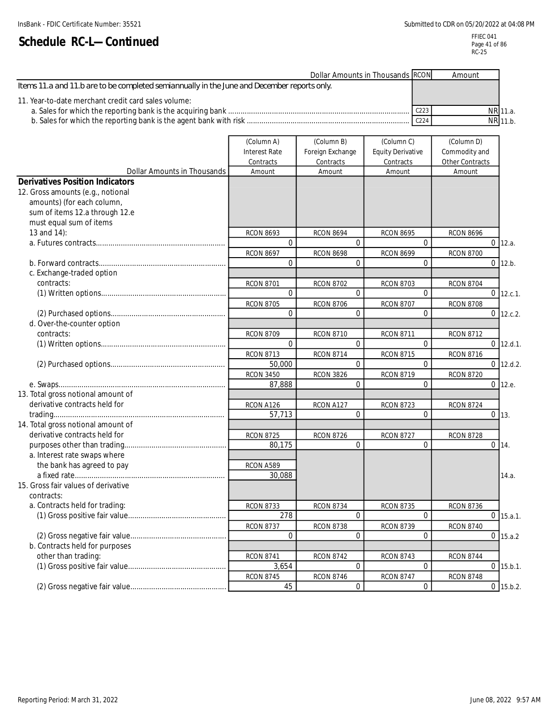| Dollar Amounts in Thousands RCON                                                             |                  | Amount |          |
|----------------------------------------------------------------------------------------------|------------------|--------|----------|
| I tems 11.a and 11.b are to be completed semiannually in the June and December reports only. |                  |        |          |
| 11. Year-to-date merchant credit card sales volume:                                          |                  |        |          |
|                                                                                              | C <sub>223</sub> |        | NR 11.a. |
|                                                                                              | C <sub>224</sub> |        | NR 11.b. |

|                                        | (Column A)           | (Column B)       | (Column C)               | (Column D)       |              |
|----------------------------------------|----------------------|------------------|--------------------------|------------------|--------------|
|                                        | <b>Interest Rate</b> | Foreign Exchange | <b>Equity Derivative</b> | Commodity and    |              |
|                                        | Contracts            | Contracts        | Contracts                | Other Contracts  |              |
| Dollar Amounts in Thousands            | Amount               | Amount           | Amount                   | Amount           |              |
| <b>Derivatives Position Indicators</b> |                      |                  |                          |                  |              |
| 12. Gross amounts (e.g., notional      |                      |                  |                          |                  |              |
| amounts) (for each column,             |                      |                  |                          |                  |              |
| sum of items 12.a through 12.e         |                      |                  |                          |                  |              |
| must equal sum of items                |                      |                  |                          |                  |              |
| 13 and 14):                            | <b>RCON 8693</b>     | <b>RCON 8694</b> | <b>RCON 8695</b>         | <b>RCON 8696</b> |              |
|                                        | $\Omega$             | $\Omega$         | $\Omega$                 | $\Omega$         | 12.a.        |
|                                        | <b>RCON 8697</b>     | <b>RCON 8698</b> | <b>RCON 8699</b>         | <b>RCON 8700</b> |              |
|                                        | $\Omega$             | $\Omega$         | $\Omega$                 |                  | $0$ 12.b.    |
| c. Exchange-traded option              |                      |                  |                          |                  |              |
| contracts:                             | <b>RCON 8701</b>     | <b>RCON 8702</b> | <b>RCON 8703</b>         | <b>RCON 8704</b> |              |
|                                        | $\Omega$             | $\Omega$         | $\Omega$                 |                  | $0$ 12.c.1.  |
|                                        | <b>RCON 8705</b>     | <b>RCON 8706</b> | <b>RCON 8707</b>         | <b>RCON 8708</b> |              |
|                                        | $\mathbf{0}$         | $\mathbf{0}$     | $\mathbf 0$              |                  | $0$ 12.c.2.  |
| d. Over-the-counter option             |                      |                  |                          |                  |              |
| contracts:                             | <b>RCON 8709</b>     | <b>RCON 8710</b> | <b>RCON 8711</b>         | <b>RCON 8712</b> |              |
|                                        | $\Omega$             | $\Omega$         | $\Omega$                 |                  | $0$ 12.d.1.  |
|                                        | <b>RCON 8713</b>     | <b>RCON 8714</b> | <b>RCON 8715</b>         | <b>RCON 8716</b> |              |
|                                        | 50,000               | $\Omega$         | $\Omega$                 | $\overline{0}$   | 12.d.2.      |
|                                        | <b>RCON 3450</b>     | <b>RCON 3826</b> | <b>RCON 8719</b>         | <b>RCON 8720</b> |              |
|                                        | 87,888               | $\Omega$         | $\Omega$                 |                  | $0 \, 12.e.$ |
| 13. Total gross notional amount of     |                      |                  |                          |                  |              |
| derivative contracts held for          | RCON A126            | RCON A127        | <b>RCON 8723</b>         | <b>RCON 8724</b> |              |
|                                        | 57,713               | $\mathbf{0}$     | $\Omega$                 |                  | $0$ 13.      |
| 14. Total gross notional amount of     |                      |                  |                          |                  |              |
| derivative contracts held for          | <b>RCON 8725</b>     | <b>RCON 8726</b> | <b>RCON 8727</b>         | <b>RCON 8728</b> |              |
|                                        | 80.175               | $\Omega$         | $\Omega$                 |                  | $0$ 14.      |
| a. Interest rate swaps where           |                      |                  |                          |                  |              |
| the bank has agreed to pay             | RCON A589            |                  |                          |                  |              |
|                                        | 30,088               |                  |                          |                  | 14.a.        |
| 15. Gross fair values of derivative    |                      |                  |                          |                  |              |
| contracts:                             |                      |                  |                          |                  |              |
| a. Contracts held for trading:         | <b>RCON 8733</b>     | <b>RCON 8734</b> | <b>RCON 8735</b>         | <b>RCON 8736</b> |              |
|                                        | 278                  | $\overline{0}$   | $\overline{0}$           |                  | $0$ 15.a.1.  |
|                                        | <b>RCON 8737</b>     | <b>RCON 8738</b> | <b>RCON 8739</b>         | <b>RCON 8740</b> |              |
|                                        | $\Omega$             | $\Omega$         | $\Omega$                 |                  | $0$ 15.a.2   |
| b. Contracts held for purposes         |                      |                  |                          |                  |              |
| other than trading:                    | <b>RCON 8741</b>     | <b>RCON 8742</b> | <b>RCON 8743</b>         | <b>RCON 8744</b> |              |
|                                        | 3,654                | $\overline{0}$   | $\overline{0}$           |                  | $0$ 15.b.1.  |
|                                        | <b>RCON 8745</b>     | <b>RCON 8746</b> | <b>RCON 8747</b>         | <b>RCON 8748</b> |              |
|                                        | 45                   | 0                | 0                        |                  | $0$ 15.b.2.  |
|                                        |                      |                  |                          |                  |              |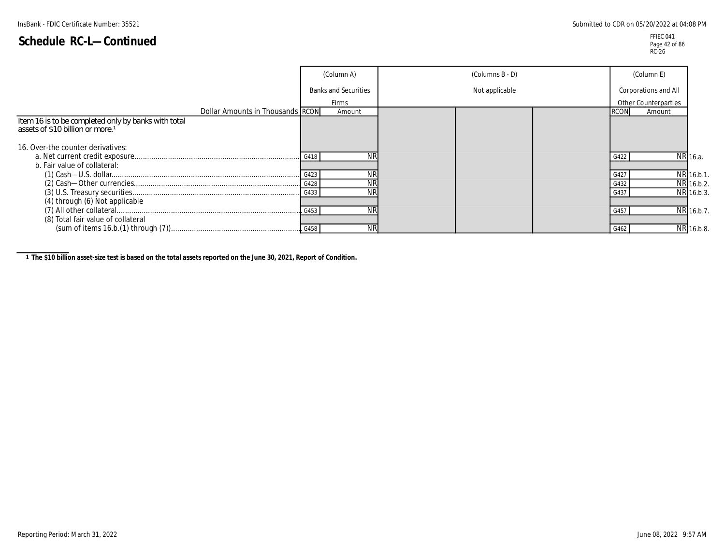FFIEC 041 Page 42 of 86 RC-26

|                                                                                                     | (Column A)                  | (Columns B - D) | (Column E)           |            |
|-----------------------------------------------------------------------------------------------------|-----------------------------|-----------------|----------------------|------------|
|                                                                                                     | <b>Banks and Securities</b> | Not applicable  | Corporations and All |            |
|                                                                                                     | Firms                       |                 | Other Counterparties |            |
| Dollar Amounts in Thousands RCON                                                                    | Amount                      |                 | Amount               |            |
| Item 16 is to be completed only by banks with total<br>assets of \$10 billion or more. <sup>1</sup> |                             |                 |                      |            |
| 16. Over-the counter derivatives:                                                                   |                             |                 |                      |            |
|                                                                                                     |                             |                 |                      | NR 16.a.   |
| b. Fair value of collateral:                                                                        |                             |                 |                      |            |
|                                                                                                     | ΝR                          |                 | G42                  | NR 16.b.1. |
|                                                                                                     |                             |                 | G432                 | NR 16.b.2. |
|                                                                                                     | <b>NR</b>                   |                 |                      | NR 16.b.3. |
| (4) through (6) Not applicable                                                                      |                             |                 |                      |            |
|                                                                                                     | ΝR                          |                 |                      | NR 16.b.7. |
| (8) Total fair value of collateral                                                                  |                             |                 |                      |            |
|                                                                                                     | <b>NR</b>                   |                 | G462                 | NR 16.b.8. |

**1 The \$10 billion asset-size test is based on the total assets reported on the June 30, 2021, Report of Condition.**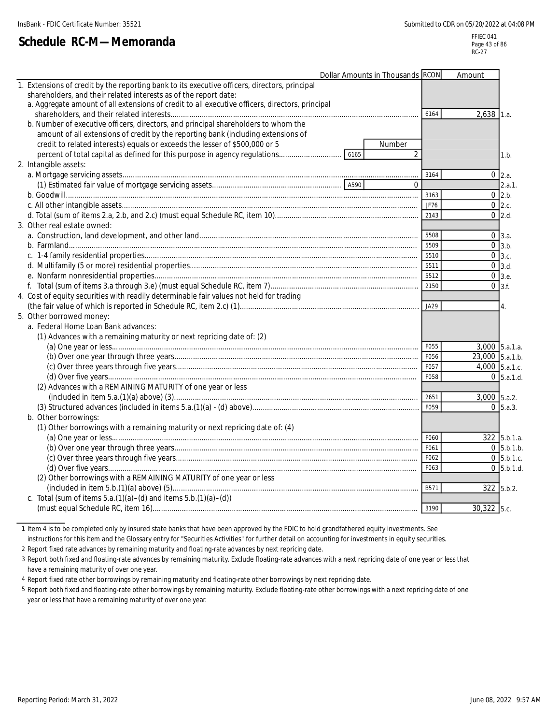**Schedule RC-M—Memoranda**

FFIEC 041 Page 43 of 86 RC-27

| Dollar Amounts in Thousands RCON                                                                     |      | Amount           |                                     |
|------------------------------------------------------------------------------------------------------|------|------------------|-------------------------------------|
| 1. Extensions of credit by the reporting bank to its executive officers, directors, principal        |      |                  |                                     |
| shareholders, and their related interests as of the report date:                                     |      |                  |                                     |
| a. Aggregate amount of all extensions of credit to all executive officers, directors, principal      |      |                  |                                     |
|                                                                                                      | 6164 | $2,638$ 1.a.     |                                     |
| b. Number of executive officers, directors, and principal shareholders to whom the                   |      |                  |                                     |
| amount of all extensions of credit by the reporting bank (including extensions of                    |      |                  |                                     |
| credit to related interests) equals or exceeds the lesser of \$500,000 or 5<br>Number                |      |                  |                                     |
| percent of total capital as defined for this purpose in agency regulations<br>$\overline{2}$<br>6165 |      |                  | 1.b.                                |
| 2. Intangible assets:                                                                                |      |                  |                                     |
|                                                                                                      | 3164 |                  | $0 \vert 2.a.$                      |
| $\Omega$                                                                                             |      |                  | 2.a.1.                              |
|                                                                                                      | 3163 |                  | $0$ 2.b.                            |
|                                                                                                      | JF76 |                  | $0\,$ 2.c.                          |
|                                                                                                      | 2143 |                  | $0 \quad 2.d.$                      |
| 3. Other real estate owned:                                                                          |      |                  |                                     |
|                                                                                                      | 5508 |                  | $0 \, 3.a.$                         |
|                                                                                                      | 5509 |                  | $0 \overline{\smash{\big)}3}$ .b.   |
|                                                                                                      | 5510 |                  | $0 \,$ 3.c.                         |
|                                                                                                      | 5511 |                  | $0 \overline{\smash{\big)}3.d.}$    |
|                                                                                                      | 5512 |                  | $0 \,$ 3.e.                         |
|                                                                                                      | 2150 |                  | $0 \overline{\smash{\big)}\ 3.5}$ . |
| 4. Cost of equity securities with readily determinable fair values not held for trading              |      |                  |                                     |
|                                                                                                      | JA29 |                  | 4.                                  |
| 5. Other borrowed money:                                                                             |      |                  |                                     |
| a. Federal Home Loan Bank advances:                                                                  |      |                  |                                     |
| (1) Advances with a remaining maturity or next repricing date of: (2)                                |      |                  |                                     |
|                                                                                                      | F055 | 3,000 5.a.1.a.   |                                     |
|                                                                                                      | F056 | 23,000 5.a.1.b.  |                                     |
|                                                                                                      | F057 | $4,000$ 5.a.1.c. |                                     |
|                                                                                                      | F058 |                  | $0 \,$ 5.a.1.d.                     |
| (2) Advances with a REMAINING MATURITY of one year or less                                           |      |                  |                                     |
|                                                                                                      | 2651 | $3,000$ 5.a.2.   |                                     |
|                                                                                                      | F059 |                  | $0\,$ 5.a.3.                        |
| b. Other borrowings:                                                                                 |      |                  |                                     |
| (1) Other borrowings with a remaining maturity or next repricing date of: (4)                        |      |                  |                                     |
|                                                                                                      | F060 |                  | 322 5.b.1.a.                        |
|                                                                                                      | F061 |                  | $0$ 5.b.1.b.                        |
|                                                                                                      | F062 |                  | $0\,$ 5.b.1.c.                      |
|                                                                                                      | F063 |                  | $0\,$ 5.b.1.d.                      |
| (2) Other borrowings with a REMAINING MATURITY of one year or less                                   |      |                  |                                     |
|                                                                                                      | B571 |                  | $322$ 5.b.2.                        |
| c. Total (sum of items $5.a.(1)(a) - (d)$ and items $5.b.(1)(a) - (d))$                              |      |                  |                                     |
|                                                                                                      | 3190 | 30,322 5.c.      |                                     |
|                                                                                                      |      |                  |                                     |

1 Item 4 is to be completed only by insured state banks that have been approved by the FDIC to hold grandfathered equity investments. See

instructions for this item and the Glossary entry for "Securities Activities" for further detail on accounting for investments in equity securities.

2 Report fixed rate advances by remaining maturity and floating-rate advances by next repricing date.

3 Report both fixed and floating-rate advances by remaining maturity. Exclude floating-rate advances with a next repricing date of one year or less that have a remaining maturity of over one year.

4 Report fixed rate other borrowings by remaining maturity and floating-rate other borrowings by next repricing date.

5 Report both fixed and floating-rate other borrowings by remaining maturity. Exclude floating-rate other borrowings with a next repricing date of one year or less that have a remaining maturity of over one year.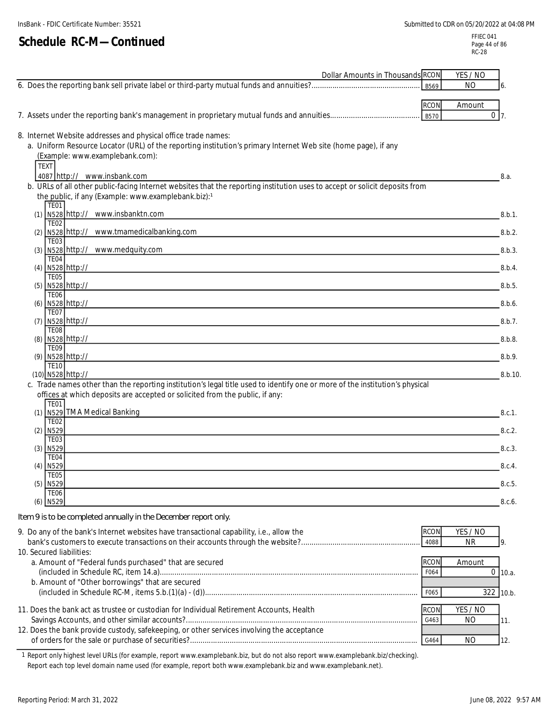| Dollar Amounts in Thousands RCON                                                                                                                                                                                                                                   |                     | YES / NO                 |           |
|--------------------------------------------------------------------------------------------------------------------------------------------------------------------------------------------------------------------------------------------------------------------|---------------------|--------------------------|-----------|
|                                                                                                                                                                                                                                                                    | B569                | NO.                      | 6.        |
|                                                                                                                                                                                                                                                                    | <b>RCON</b>         | Amount                   |           |
|                                                                                                                                                                                                                                                                    | <b>B570</b>         | $\overline{0}$           | 7.        |
| 8. Internet Website addresses and physical office trade names:<br>a. Uniform Resource Locator (URL) of the reporting institution's primary Internet Web site (home page), if any<br>(Example: www.examplebank.com):<br><b>TEXT</b><br>4087 http:// www.insbank.com |                     |                          | 8.a.      |
| b. URLs of all other public-facing Internet websites that the reporting institution uses to accept or solicit deposits from                                                                                                                                        |                     |                          |           |
| the public, if any (Example: www.examplebank.biz):1<br><b>TE01</b>                                                                                                                                                                                                 |                     |                          |           |
| (1) N528 http:// www.insbanktn.com<br><b>TE02</b>                                                                                                                                                                                                                  |                     |                          | 8.b.1.    |
| (2) N528 http:// www.tmamedicalbanking.com                                                                                                                                                                                                                         |                     |                          | 8.b.2.    |
| <b>TE03</b><br>(3) N528 http:// www.medquity.com                                                                                                                                                                                                                   |                     |                          | 8.b.3.    |
| TE <sub>04</sub><br>(4) N528 http://<br><u> 1989 - Johann Barn, amerikan bernama di sebagai bernama dan bernama di sebagai bernama dalam bernama dalam b</u>                                                                                                       |                     |                          | 8.b.4.    |
| <b>TE05</b><br>(5) N528 http://                                                                                                                                                                                                                                    |                     |                          | 8.b.5.    |
| <b>TE06</b>                                                                                                                                                                                                                                                        |                     |                          |           |
| (6) N528 http://<br><b>TE07</b>                                                                                                                                                                                                                                    |                     |                          | 8.b.6.    |
| $(7)$ N528 http://<br><b>TE08</b>                                                                                                                                                                                                                                  |                     |                          | 8.b.7.    |
| (8) N528 http://                                                                                                                                                                                                                                                   |                     |                          | 8.b.8.    |
| <b>TE09</b><br>(9) N528 http://                                                                                                                                                                                                                                    |                     |                          | 8.b.9.    |
| <b>TE10</b><br>(10) N528 http://                                                                                                                                                                                                                                   |                     |                          | 8.b.10    |
| c. Trade names other than the reporting institution's legal title used to identify one or more of the institution's physical                                                                                                                                       |                     |                          |           |
| offices at which deposits are accepted or solicited from the public, if any:<br>TE01                                                                                                                                                                               |                     |                          |           |
| (1) N529 TMA Medical Banking<br><b>TE02</b>                                                                                                                                                                                                                        |                     |                          | 8.c.1.    |
| $(2)$ N <sub>529</sub><br><b>TE03</b>                                                                                                                                                                                                                              |                     |                          | 8.c.2.    |
| $(3)$ N529                                                                                                                                                                                                                                                         |                     |                          | 8.c.3.    |
| TE04<br>N529<br>(4)                                                                                                                                                                                                                                                |                     |                          | 8.c.4.    |
| TF05<br>$(5)$ N529                                                                                                                                                                                                                                                 |                     |                          | 8.c.5.    |
| <b>TE06</b>                                                                                                                                                                                                                                                        |                     |                          |           |
| $(6)$ N529                                                                                                                                                                                                                                                         |                     |                          | 8.c.6.    |
| Item 9 is to be completed annually in the December report only.                                                                                                                                                                                                    |                     |                          |           |
| 9. Do any of the bank's Internet websites have transactional capability, i.e., allow the                                                                                                                                                                           | <b>RCON</b><br>4088 | YES / NO<br><b>NR</b>    | 9.        |
| 10. Secured liabilities:<br>a. Amount of "Federal funds purchased" that are secured                                                                                                                                                                                | <b>RCON</b>         |                          |           |
|                                                                                                                                                                                                                                                                    | F064                | Amount<br>$\overline{0}$ | 10.a.     |
| b. Amount of "Other borrowings" that are secured                                                                                                                                                                                                                   | F065                |                          | 322 10.b. |
| 11. Does the bank act as trustee or custodian for Individual Retirement Accounts, Health                                                                                                                                                                           | <b>RCON</b>         | YES / NO                 |           |
| 12. Does the bank provide custody, safekeeping, or other services involving the acceptance                                                                                                                                                                         | G463                | N <sub>O</sub>           | 11.       |
|                                                                                                                                                                                                                                                                    | G464                | NO                       | 12.       |

1 Report only highest level URLs (for example, report www.examplebank.biz, but do not also report www.examplebank.biz/checking). Report each top level domain name used (for example, report both www.examplebank.biz and www.examplebank.net).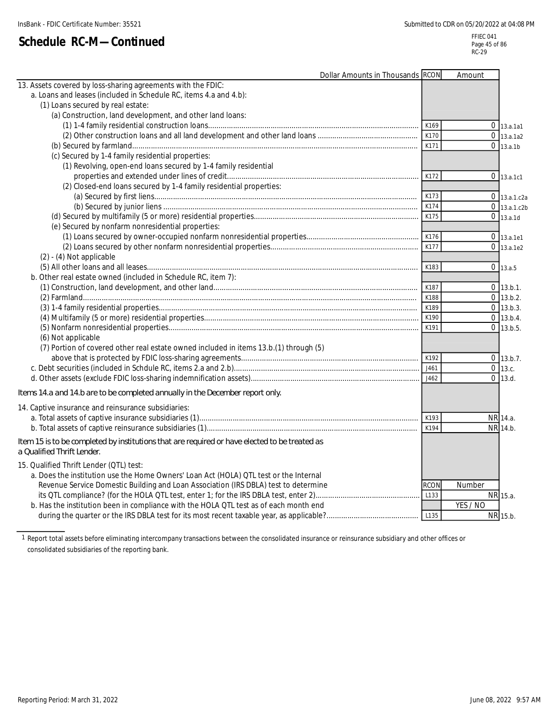|                                                                                                                             | Dollar Amounts in Thousands RCON | Amount                |                |
|-----------------------------------------------------------------------------------------------------------------------------|----------------------------------|-----------------------|----------------|
| 13. Assets covered by loss-sharing agreements with the FDIC:                                                                |                                  |                       |                |
| a. Loans and leases (included in Schedule RC, items 4.a and 4.b):                                                           |                                  |                       |                |
| (1) Loans secured by real estate:                                                                                           |                                  |                       |                |
| (a) Construction, land development, and other land loans:                                                                   |                                  |                       |                |
|                                                                                                                             |                                  | K169                  | $0$ 13.a.1a1   |
|                                                                                                                             |                                  | K170                  | $0$ 13.a.1a2   |
|                                                                                                                             |                                  | K171                  | $0_{13.a.1b}$  |
| (c) Secured by 1-4 family residential properties:                                                                           |                                  |                       |                |
| (1) Revolving, open-end loans secured by 1-4 family residential                                                             |                                  |                       |                |
|                                                                                                                             |                                  | K172                  | $0$ 13.a.1c1   |
| (2) Closed-end loans secured by 1-4 family residential properties:                                                          |                                  |                       |                |
|                                                                                                                             |                                  | K173                  | $0$ 13.a.1.c2a |
|                                                                                                                             |                                  | K174                  | $0$ 13.a.1.c2b |
|                                                                                                                             |                                  | K175                  | $0$ 13.a.1d    |
| (e) Secured by nonfarm nonresidential properties:                                                                           |                                  |                       |                |
|                                                                                                                             |                                  | K176                  | $0$   13.a.1e1 |
|                                                                                                                             |                                  | K177                  | $0$ 13.a.1e2   |
| $(2) - (4)$ Not applicable                                                                                                  |                                  |                       |                |
|                                                                                                                             |                                  | K183                  | $0$ 13.a.5     |
| b. Other real estate owned (included in Schedule RC, item 7):                                                               |                                  |                       |                |
|                                                                                                                             |                                  | K187                  | $0$ 13.b.1.    |
|                                                                                                                             |                                  | K188                  | $0$ 13.b.2.    |
|                                                                                                                             |                                  | K189                  | $0$ 13.b.3.    |
|                                                                                                                             |                                  | K190                  | $0$ 13.b.4.    |
|                                                                                                                             |                                  | K191                  | $0$ 13.b.5.    |
| (6) Not applicable                                                                                                          |                                  |                       |                |
| (7) Portion of covered other real estate owned included in items 13.b.(1) through (5)                                       |                                  |                       |                |
|                                                                                                                             |                                  | K192                  | $0$ 13.b.7.    |
|                                                                                                                             |                                  | J461                  | $0$ 13.c.      |
|                                                                                                                             |                                  | J462                  | $0$ 13.d.      |
| Items 14.a and 14.b are to be completed annually in the December report only.                                               |                                  |                       |                |
| 14. Captive insurance and reinsurance subsidiaries:                                                                         |                                  |                       |                |
|                                                                                                                             |                                  | K193                  | NR 14.a.       |
|                                                                                                                             |                                  | K194                  | NR 14.b.       |
|                                                                                                                             |                                  |                       |                |
| Item 15 is to be completed by institutions that are required or have elected to be treated as<br>a Qualified Thrift Lender. |                                  |                       |                |
|                                                                                                                             |                                  |                       |                |
| 15. Qualified Thrift Lender (QTL) test:                                                                                     |                                  |                       |                |
| a. Does the institution use the Home Owners' Loan Act (HOLA) QTL test or the Internal                                       |                                  |                       |                |
| Revenue Service Domestic Building and Loan Association (IRS DBLA) test to determine                                         |                                  | <b>RCON</b><br>Number |                |
|                                                                                                                             |                                  | L133                  | NR 15.a.       |
| b. Has the institution been in compliance with the HOLA QTL test as of each month end                                       |                                  | YES / NO              |                |
|                                                                                                                             |                                  | L135                  | NR 15.b.       |

1 Report total assets before eliminating intercompany transactions between the consolidated insurance or reinsurance subsidiary and other offices or consolidated subsidiaries of the reporting bank.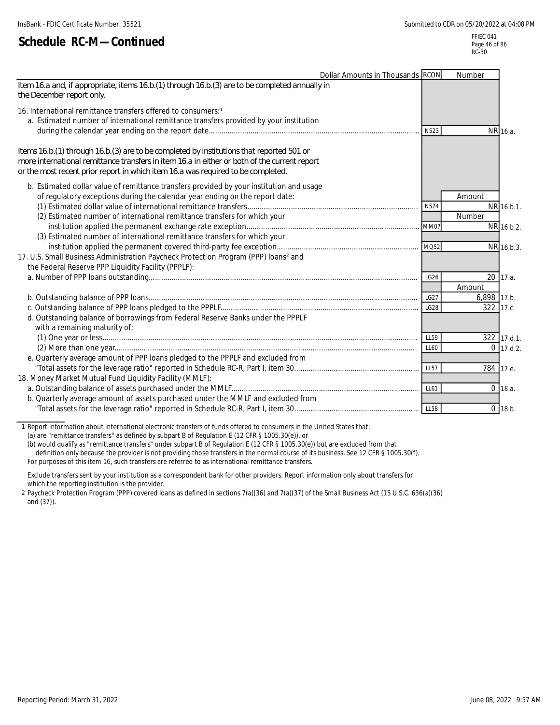|                                                                                                                                                                                                                                                                                | Dollar Amounts in Thousands RCON |                  | Number      |             |
|--------------------------------------------------------------------------------------------------------------------------------------------------------------------------------------------------------------------------------------------------------------------------------|----------------------------------|------------------|-------------|-------------|
| Item 16.a and, if appropriate, items 16.b.(1) through 16.b.(3) are to be completed annually in<br>the December report only.                                                                                                                                                    |                                  |                  |             |             |
| 16. International remittance transfers offered to consumers:1<br>a. Estimated number of international remittance transfers provided by your institution                                                                                                                        |                                  |                  |             |             |
|                                                                                                                                                                                                                                                                                |                                  | N523             |             | NR 16.a.    |
| Items 16.b. (1) through 16.b. (3) are to be completed by institutions that reported 501 or<br>more international remittance transfers in item 16.a in either or both of the current report<br>or the most recent prior report in which item 16.a was required to be completed. |                                  |                  |             |             |
| b. Estimated dollar value of remittance transfers provided by your institution and usage                                                                                                                                                                                       |                                  |                  |             |             |
| of regulatory exceptions during the calendar year ending on the report date:                                                                                                                                                                                                   |                                  |                  | Amount      |             |
| (2) Estimated number of international remittance transfers for which your                                                                                                                                                                                                      |                                  | N524             | Number      | NR 16.b.1.  |
|                                                                                                                                                                                                                                                                                |                                  | MM07             |             | NR 16.b.2.  |
| (3) Estimated number of international remittance transfers for which your                                                                                                                                                                                                      |                                  |                  |             |             |
|                                                                                                                                                                                                                                                                                |                                  | MQ52             |             | NR 16.b.3.  |
| 17. U.S. Small Business Administration Paycheck Protection Program (PPP) loans <sup>2</sup> and                                                                                                                                                                                |                                  |                  |             |             |
| the Federal Reserve PPP Liquidity Facility (PPPLF):                                                                                                                                                                                                                            |                                  |                  |             |             |
|                                                                                                                                                                                                                                                                                |                                  | LG <sub>26</sub> |             | $20$ 17.a.  |
|                                                                                                                                                                                                                                                                                |                                  |                  | Amount      |             |
|                                                                                                                                                                                                                                                                                |                                  | LG27             | 6,898 17.b. |             |
|                                                                                                                                                                                                                                                                                |                                  | <b>LG28</b>      |             | 322 17.c.   |
| d. Outstanding balance of borrowings from Federal Reserve Banks under the PPPLF                                                                                                                                                                                                |                                  |                  |             |             |
| with a remaining maturity of:                                                                                                                                                                                                                                                  |                                  |                  |             |             |
|                                                                                                                                                                                                                                                                                |                                  | LL59             |             | 322 17.d.1. |
|                                                                                                                                                                                                                                                                                |                                  | LL60             |             | $0$ 17.d.2. |
| e. Quarterly average amount of PPP loans pledged to the PPPLF and excluded from                                                                                                                                                                                                |                                  |                  |             |             |
|                                                                                                                                                                                                                                                                                |                                  | <b>LL57</b>      |             | 784 17.e.   |
| 18. Money Market Mutual Fund Liquidity Facility (MMLF):                                                                                                                                                                                                                        |                                  |                  |             |             |
|                                                                                                                                                                                                                                                                                |                                  | LL61             |             | $0$ 18.a.   |
| b. Quarterly average amount of assets purchased under the MMLF and excluded from                                                                                                                                                                                               |                                  |                  |             |             |
|                                                                                                                                                                                                                                                                                |                                  | <b>LL58</b>      |             | $0$ 18.b.   |

1 Report information about international electronic transfers of funds offered to consumers in the United States that:

(a) are "remittance transfers" as defined by subpart B of Regulation E (12 CFR § 1005.30(e)), or

(b) would qualify as "remittance transfers" under subpart B of Regulation E (12 CFR § 1005.30(e)) but are excluded from that

definition only because the provider is not providing those transfers in the normal course of its business. See 12 CFR § 1005.30(f).

For purposes of this item 16, such transfers are referred to as international remittance transfers.

Exclude transfers sent by your institution as a correspondent bank for other providers. Report information only about transfers for which the reporting institution is the provider.

2 Paycheck Protection Program (PPP) covered loans as defined in sections 7(a)(36) and 7(a)(37) of the Small Business Act (15 U.S.C. 636(a)(36) and (37)).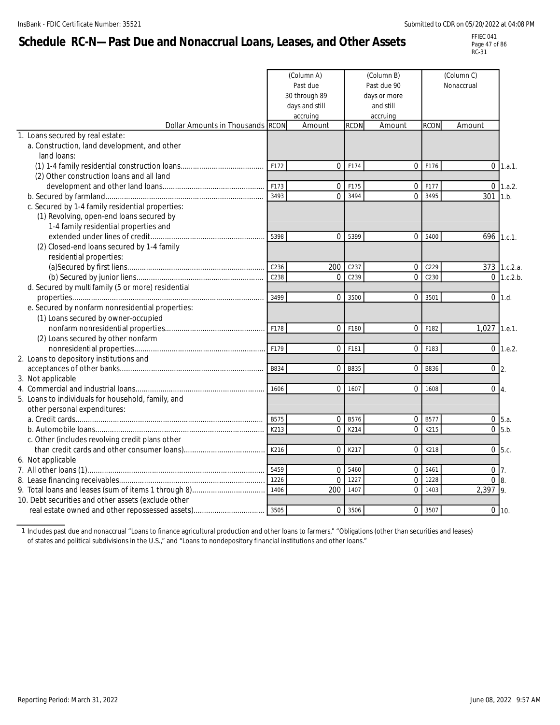# **Schedule RC-N—Past Due and Nonaccrual Loans, Leases, and Other Assets**

FFIEC 041 Page 47 of 86 RC-31

|                                                     |                  | (Column A)<br>Past due<br>30 through 89<br>days and still<br>accruing |             | (Column B)<br>Past due 90<br>days or more<br>and still<br>accruing |                  | (Column C)<br>Nonaccrual |                  |
|-----------------------------------------------------|------------------|-----------------------------------------------------------------------|-------------|--------------------------------------------------------------------|------------------|--------------------------|------------------|
| Dollar Amounts in Thousands RCON                    |                  | Amount                                                                | <b>RCON</b> | Amount                                                             | <b>RCON</b>      | Amount                   |                  |
| 1. Loans secured by real estate:                    |                  |                                                                       |             |                                                                    |                  |                          |                  |
| a. Construction, land development, and other        |                  |                                                                       |             |                                                                    |                  |                          |                  |
| land loans:                                         |                  |                                                                       |             |                                                                    |                  |                          |                  |
|                                                     | F172             | $\Omega$                                                              | F174        | 0                                                                  | F176             | $\mathbf{0}$             | 1.a.1.           |
| (2) Other construction loans and all land           |                  |                                                                       |             |                                                                    |                  |                          |                  |
|                                                     | F173             | $\mathbf{0}$                                                          | F175        | $\overline{0}$                                                     | F177             | $\Omega$                 | 1.a.2.           |
|                                                     | 3493             | $\Omega$                                                              | 3494        | $\Omega$                                                           | 3495             | 301                      | 1.b.             |
| c. Secured by 1-4 family residential properties:    |                  |                                                                       |             |                                                                    |                  |                          |                  |
| (1) Revolving, open-end loans secured by            |                  |                                                                       |             |                                                                    |                  |                          |                  |
| 1-4 family residential properties and               |                  |                                                                       |             |                                                                    |                  |                          |                  |
|                                                     | 5398             | $\Omega$                                                              | 5399        | $\Omega$                                                           | 5400             | 696                      | 1.c.1.           |
| (2) Closed-end loans secured by 1-4 family          |                  |                                                                       |             |                                                                    |                  |                          |                  |
| residential properties:                             | C <sub>236</sub> | 200                                                                   | C237        | 0                                                                  | C229             |                          | 373 1.c.2.a.     |
|                                                     | C238             | $\Omega$                                                              | C239        | $\Omega$                                                           | C <sub>230</sub> | $\Omega$                 | 1.c.2.b.         |
| d. Secured by multifamily (5 or more) residential   |                  |                                                                       |             |                                                                    |                  |                          |                  |
|                                                     | 3499             | $\mathbf 0$                                                           | 3500        | $\overline{0}$                                                     | 3501             | $\mathbf{0}$             | 1.d.             |
| e. Secured by nonfarm nonresidential properties:    |                  |                                                                       |             |                                                                    |                  |                          |                  |
| (1) Loans secured by owner-occupied                 |                  |                                                                       |             |                                                                    |                  |                          |                  |
|                                                     | F178             | $\Omega$                                                              | F180        | $\Omega$                                                           | F182             | 1,027                    | 1.e.1.           |
| (2) Loans secured by other nonfarm                  |                  |                                                                       |             |                                                                    |                  |                          |                  |
|                                                     | F179             | $\mathbf{0}$                                                          | F181        | $\mathbf 0$                                                        | F183             | $\mathbf 0$              | 1.e.2.           |
| 2. Loans to depository institutions and             |                  |                                                                       |             |                                                                    |                  |                          |                  |
|                                                     | B834             | $\Omega$                                                              | B835        | $\Omega$                                                           | B836             | $\overline{0}$           | 2.               |
| 3. Not applicable                                   |                  |                                                                       |             |                                                                    |                  |                          |                  |
|                                                     | 1606             | $\Omega$                                                              | 1607        | $\Omega$                                                           | 1608             | $\mathbf{0}$             | $\overline{4}$ . |
| 5. Loans to individuals for household, family, and  |                  |                                                                       |             |                                                                    |                  |                          |                  |
| other personal expenditures:                        |                  |                                                                       |             |                                                                    |                  |                          |                  |
|                                                     | B575             | $\mathbf 0$                                                           | B576        | $\mathbf 0$                                                        | B577             | $\mathbf{0}$             | 5.a.             |
|                                                     | K213             | $\Omega$                                                              | K214        | 0                                                                  | K215             | $\overline{0}$           | 5.b.             |
| c. Other (includes revolving credit plans other     |                  |                                                                       |             |                                                                    |                  |                          |                  |
|                                                     | K216             | $\Omega$                                                              | K217        | $\Omega$                                                           | K218             | $\Omega$                 | 5.c.             |
| 6. Not applicable                                   |                  |                                                                       |             |                                                                    |                  |                          |                  |
|                                                     | 5459             | $\mathbf 0$                                                           | 5460        | $\mathbf 0$                                                        | 5461             | $\mathbf{0}$             |                  |
|                                                     | 1226             | $\Omega$                                                              | 1227        | $\Omega$                                                           | 1228             | $\Omega$                 | 8                |
|                                                     | 1406             | 200                                                                   | 1407        | $\Omega$                                                           | 1403             | 2,397                    | $\overline{Q}$   |
| 10. Debt securities and other assets (exclude other |                  |                                                                       |             |                                                                    |                  |                          |                  |
|                                                     | 3505             | $\Omega$                                                              | 3506        | $\Omega$                                                           | 3507             |                          | $0 \mid 10.$     |

1 Includes past due and nonaccrual "Loans to finance agricultural production and other loans to farmers," "Obligations (other than securities and leases) of states and political subdivisions in the U.S.," and "Loans to nondepository financial institutions and other loans."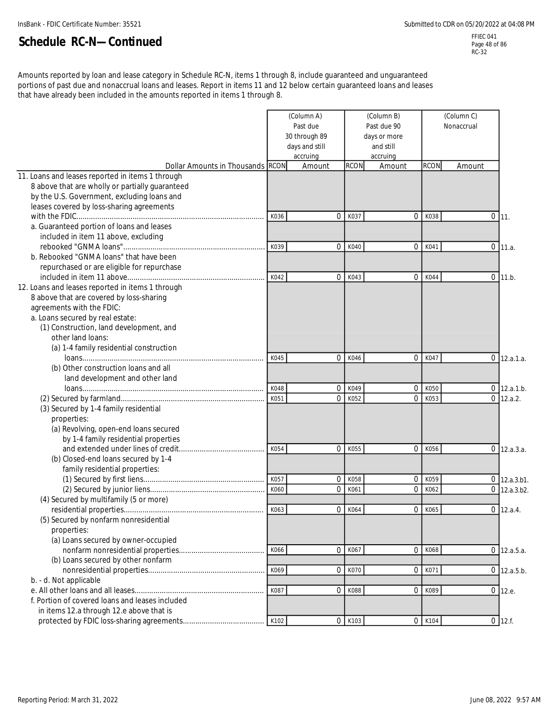FFIEC 041 Page 48 of 86 RC-32

Amounts reported by loan and lease category in Schedule RC-N, items 1 through 8, include guaranteed and unguaranteed portions of past due and nonaccrual loans and leases. Report in items 11 and 12 below certain guaranteed loans and leases that have already been included in the amounts reported in items 1 through 8.

| days and still<br>and still<br>accruing<br>accruing<br><b>RCON</b><br><b>RCON</b><br>Dollar Amounts in Thousands RCON<br>Amount<br>Amount<br>Amount<br>8 above that are wholly or partially guaranteed<br>by the U.S. Government, excluding loans and<br>leases covered by loss-sharing agreements<br>K037<br>K038<br>0<br>$\Omega$<br>0<br>K036<br>111.<br>a. Guaranteed portion of loans and leases<br>included in item 11 above, excluding<br>K039<br>$\mathbf 0$<br>K040<br>$\mathbf 0$<br>K041<br>$0$ 11.a.<br>b. Rebooked "GNMA loans" that have been<br>repurchased or are eligible for repurchase<br>K042<br>K043<br>K044<br>$\mathbf 0$<br>0<br>$\mathbf 0$<br>11.b.<br>12. Loans and leases reported in items 1 through<br>8 above that are covered by loss-sharing<br>agreements with the FDIC:<br>a. Loans secured by real estate:<br>(1) Construction, land development, and<br>other land loans:<br>(a) 1-4 family residential construction<br>0<br>K045<br>0<br>K046<br>K047<br>$0$ 12.a.1.a.<br>(b) Other construction loans and all<br>land development and other land<br>K049<br>$\mathbf 0$<br>K050<br>K048<br>$\mathbf 0$<br>$0$ 12.a.1.b.<br>$\mathbf{0}$<br>$0$ 12.a.2.<br>K051<br>0<br>K052<br>K053<br>(3) Secured by 1-4 family residential<br>properties:<br>(a) Revolving, open-end loans secured<br>by 1-4 family residential properties<br>0<br>K054<br>$\mathbf{0}$<br>K055<br>K056<br>$0$ 12.a.3.a.<br>(b) Closed-end loans secured by 1-4<br>family residential properties:<br>K057<br>$\mathbf{0}$<br>K058<br>$\mathbf 0$<br>K059<br>$0$ 12.a.3.b1.<br>K060<br>$\mathbf 0$<br>K062<br>$0$ 12.a.3.b2.<br>0<br>K061<br>(4) Secured by multifamily (5 or more)<br>K063<br>$\mathbf{0}$<br>K065<br>$\mathbf{0}$<br>K064<br>$0$ 12.a.4.<br>(5) Secured by nonfarm nonresidential<br>properties:<br>(a) Loans secured by owner-occupied<br>K066<br>K068<br>0<br>K067<br>$\overline{0}$<br>$0$ 12.a.5.a.<br>(b) Loans secured by other nonfarm<br>K069<br>K070<br>K071<br>$\mathbf 0$<br>$\overline{0}$<br>$0$ 12.a.5.b.<br>b. - d. Not applicable<br>K087<br>K088<br>$\overline{0}$<br>K089<br>0 12.e.<br>0<br>f. Portion of covered loans and leases included<br>in items 12.a through 12.e above that is<br>K102<br>K103<br>K104<br>$0$ 12.f.<br>0<br>$\mathbf 0$ |                                                  |  | (Column A)<br>Past due<br>30 through 89 | (Column B)<br>Past due 90<br>days or more | (Column C)<br>Nonaccrual |  |  |
|-----------------------------------------------------------------------------------------------------------------------------------------------------------------------------------------------------------------------------------------------------------------------------------------------------------------------------------------------------------------------------------------------------------------------------------------------------------------------------------------------------------------------------------------------------------------------------------------------------------------------------------------------------------------------------------------------------------------------------------------------------------------------------------------------------------------------------------------------------------------------------------------------------------------------------------------------------------------------------------------------------------------------------------------------------------------------------------------------------------------------------------------------------------------------------------------------------------------------------------------------------------------------------------------------------------------------------------------------------------------------------------------------------------------------------------------------------------------------------------------------------------------------------------------------------------------------------------------------------------------------------------------------------------------------------------------------------------------------------------------------------------------------------------------------------------------------------------------------------------------------------------------------------------------------------------------------------------------------------------------------------------------------------------------------------------------------------------------------------------------------------------------------------------------------------------------------------------------------------------------------------------------------------------------------|--------------------------------------------------|--|-----------------------------------------|-------------------------------------------|--------------------------|--|--|
|                                                                                                                                                                                                                                                                                                                                                                                                                                                                                                                                                                                                                                                                                                                                                                                                                                                                                                                                                                                                                                                                                                                                                                                                                                                                                                                                                                                                                                                                                                                                                                                                                                                                                                                                                                                                                                                                                                                                                                                                                                                                                                                                                                                                                                                                                               |                                                  |  |                                         |                                           |                          |  |  |
|                                                                                                                                                                                                                                                                                                                                                                                                                                                                                                                                                                                                                                                                                                                                                                                                                                                                                                                                                                                                                                                                                                                                                                                                                                                                                                                                                                                                                                                                                                                                                                                                                                                                                                                                                                                                                                                                                                                                                                                                                                                                                                                                                                                                                                                                                               |                                                  |  |                                         |                                           |                          |  |  |
|                                                                                                                                                                                                                                                                                                                                                                                                                                                                                                                                                                                                                                                                                                                                                                                                                                                                                                                                                                                                                                                                                                                                                                                                                                                                                                                                                                                                                                                                                                                                                                                                                                                                                                                                                                                                                                                                                                                                                                                                                                                                                                                                                                                                                                                                                               | 11. Loans and leases reported in items 1 through |  |                                         |                                           |                          |  |  |
|                                                                                                                                                                                                                                                                                                                                                                                                                                                                                                                                                                                                                                                                                                                                                                                                                                                                                                                                                                                                                                                                                                                                                                                                                                                                                                                                                                                                                                                                                                                                                                                                                                                                                                                                                                                                                                                                                                                                                                                                                                                                                                                                                                                                                                                                                               |                                                  |  |                                         |                                           |                          |  |  |
|                                                                                                                                                                                                                                                                                                                                                                                                                                                                                                                                                                                                                                                                                                                                                                                                                                                                                                                                                                                                                                                                                                                                                                                                                                                                                                                                                                                                                                                                                                                                                                                                                                                                                                                                                                                                                                                                                                                                                                                                                                                                                                                                                                                                                                                                                               |                                                  |  |                                         |                                           |                          |  |  |
|                                                                                                                                                                                                                                                                                                                                                                                                                                                                                                                                                                                                                                                                                                                                                                                                                                                                                                                                                                                                                                                                                                                                                                                                                                                                                                                                                                                                                                                                                                                                                                                                                                                                                                                                                                                                                                                                                                                                                                                                                                                                                                                                                                                                                                                                                               |                                                  |  |                                         |                                           |                          |  |  |
|                                                                                                                                                                                                                                                                                                                                                                                                                                                                                                                                                                                                                                                                                                                                                                                                                                                                                                                                                                                                                                                                                                                                                                                                                                                                                                                                                                                                                                                                                                                                                                                                                                                                                                                                                                                                                                                                                                                                                                                                                                                                                                                                                                                                                                                                                               |                                                  |  |                                         |                                           |                          |  |  |
|                                                                                                                                                                                                                                                                                                                                                                                                                                                                                                                                                                                                                                                                                                                                                                                                                                                                                                                                                                                                                                                                                                                                                                                                                                                                                                                                                                                                                                                                                                                                                                                                                                                                                                                                                                                                                                                                                                                                                                                                                                                                                                                                                                                                                                                                                               |                                                  |  |                                         |                                           |                          |  |  |
|                                                                                                                                                                                                                                                                                                                                                                                                                                                                                                                                                                                                                                                                                                                                                                                                                                                                                                                                                                                                                                                                                                                                                                                                                                                                                                                                                                                                                                                                                                                                                                                                                                                                                                                                                                                                                                                                                                                                                                                                                                                                                                                                                                                                                                                                                               |                                                  |  |                                         |                                           |                          |  |  |
|                                                                                                                                                                                                                                                                                                                                                                                                                                                                                                                                                                                                                                                                                                                                                                                                                                                                                                                                                                                                                                                                                                                                                                                                                                                                                                                                                                                                                                                                                                                                                                                                                                                                                                                                                                                                                                                                                                                                                                                                                                                                                                                                                                                                                                                                                               |                                                  |  |                                         |                                           |                          |  |  |
|                                                                                                                                                                                                                                                                                                                                                                                                                                                                                                                                                                                                                                                                                                                                                                                                                                                                                                                                                                                                                                                                                                                                                                                                                                                                                                                                                                                                                                                                                                                                                                                                                                                                                                                                                                                                                                                                                                                                                                                                                                                                                                                                                                                                                                                                                               |                                                  |  |                                         |                                           |                          |  |  |
|                                                                                                                                                                                                                                                                                                                                                                                                                                                                                                                                                                                                                                                                                                                                                                                                                                                                                                                                                                                                                                                                                                                                                                                                                                                                                                                                                                                                                                                                                                                                                                                                                                                                                                                                                                                                                                                                                                                                                                                                                                                                                                                                                                                                                                                                                               |                                                  |  |                                         |                                           |                          |  |  |
|                                                                                                                                                                                                                                                                                                                                                                                                                                                                                                                                                                                                                                                                                                                                                                                                                                                                                                                                                                                                                                                                                                                                                                                                                                                                                                                                                                                                                                                                                                                                                                                                                                                                                                                                                                                                                                                                                                                                                                                                                                                                                                                                                                                                                                                                                               |                                                  |  |                                         |                                           |                          |  |  |
|                                                                                                                                                                                                                                                                                                                                                                                                                                                                                                                                                                                                                                                                                                                                                                                                                                                                                                                                                                                                                                                                                                                                                                                                                                                                                                                                                                                                                                                                                                                                                                                                                                                                                                                                                                                                                                                                                                                                                                                                                                                                                                                                                                                                                                                                                               |                                                  |  |                                         |                                           |                          |  |  |
|                                                                                                                                                                                                                                                                                                                                                                                                                                                                                                                                                                                                                                                                                                                                                                                                                                                                                                                                                                                                                                                                                                                                                                                                                                                                                                                                                                                                                                                                                                                                                                                                                                                                                                                                                                                                                                                                                                                                                                                                                                                                                                                                                                                                                                                                                               |                                                  |  |                                         |                                           |                          |  |  |
|                                                                                                                                                                                                                                                                                                                                                                                                                                                                                                                                                                                                                                                                                                                                                                                                                                                                                                                                                                                                                                                                                                                                                                                                                                                                                                                                                                                                                                                                                                                                                                                                                                                                                                                                                                                                                                                                                                                                                                                                                                                                                                                                                                                                                                                                                               |                                                  |  |                                         |                                           |                          |  |  |
|                                                                                                                                                                                                                                                                                                                                                                                                                                                                                                                                                                                                                                                                                                                                                                                                                                                                                                                                                                                                                                                                                                                                                                                                                                                                                                                                                                                                                                                                                                                                                                                                                                                                                                                                                                                                                                                                                                                                                                                                                                                                                                                                                                                                                                                                                               |                                                  |  |                                         |                                           |                          |  |  |
|                                                                                                                                                                                                                                                                                                                                                                                                                                                                                                                                                                                                                                                                                                                                                                                                                                                                                                                                                                                                                                                                                                                                                                                                                                                                                                                                                                                                                                                                                                                                                                                                                                                                                                                                                                                                                                                                                                                                                                                                                                                                                                                                                                                                                                                                                               |                                                  |  |                                         |                                           |                          |  |  |
|                                                                                                                                                                                                                                                                                                                                                                                                                                                                                                                                                                                                                                                                                                                                                                                                                                                                                                                                                                                                                                                                                                                                                                                                                                                                                                                                                                                                                                                                                                                                                                                                                                                                                                                                                                                                                                                                                                                                                                                                                                                                                                                                                                                                                                                                                               |                                                  |  |                                         |                                           |                          |  |  |
|                                                                                                                                                                                                                                                                                                                                                                                                                                                                                                                                                                                                                                                                                                                                                                                                                                                                                                                                                                                                                                                                                                                                                                                                                                                                                                                                                                                                                                                                                                                                                                                                                                                                                                                                                                                                                                                                                                                                                                                                                                                                                                                                                                                                                                                                                               |                                                  |  |                                         |                                           |                          |  |  |
|                                                                                                                                                                                                                                                                                                                                                                                                                                                                                                                                                                                                                                                                                                                                                                                                                                                                                                                                                                                                                                                                                                                                                                                                                                                                                                                                                                                                                                                                                                                                                                                                                                                                                                                                                                                                                                                                                                                                                                                                                                                                                                                                                                                                                                                                                               |                                                  |  |                                         |                                           |                          |  |  |
|                                                                                                                                                                                                                                                                                                                                                                                                                                                                                                                                                                                                                                                                                                                                                                                                                                                                                                                                                                                                                                                                                                                                                                                                                                                                                                                                                                                                                                                                                                                                                                                                                                                                                                                                                                                                                                                                                                                                                                                                                                                                                                                                                                                                                                                                                               |                                                  |  |                                         |                                           |                          |  |  |
|                                                                                                                                                                                                                                                                                                                                                                                                                                                                                                                                                                                                                                                                                                                                                                                                                                                                                                                                                                                                                                                                                                                                                                                                                                                                                                                                                                                                                                                                                                                                                                                                                                                                                                                                                                                                                                                                                                                                                                                                                                                                                                                                                                                                                                                                                               |                                                  |  |                                         |                                           |                          |  |  |
|                                                                                                                                                                                                                                                                                                                                                                                                                                                                                                                                                                                                                                                                                                                                                                                                                                                                                                                                                                                                                                                                                                                                                                                                                                                                                                                                                                                                                                                                                                                                                                                                                                                                                                                                                                                                                                                                                                                                                                                                                                                                                                                                                                                                                                                                                               |                                                  |  |                                         |                                           |                          |  |  |
|                                                                                                                                                                                                                                                                                                                                                                                                                                                                                                                                                                                                                                                                                                                                                                                                                                                                                                                                                                                                                                                                                                                                                                                                                                                                                                                                                                                                                                                                                                                                                                                                                                                                                                                                                                                                                                                                                                                                                                                                                                                                                                                                                                                                                                                                                               |                                                  |  |                                         |                                           |                          |  |  |
|                                                                                                                                                                                                                                                                                                                                                                                                                                                                                                                                                                                                                                                                                                                                                                                                                                                                                                                                                                                                                                                                                                                                                                                                                                                                                                                                                                                                                                                                                                                                                                                                                                                                                                                                                                                                                                                                                                                                                                                                                                                                                                                                                                                                                                                                                               |                                                  |  |                                         |                                           |                          |  |  |
|                                                                                                                                                                                                                                                                                                                                                                                                                                                                                                                                                                                                                                                                                                                                                                                                                                                                                                                                                                                                                                                                                                                                                                                                                                                                                                                                                                                                                                                                                                                                                                                                                                                                                                                                                                                                                                                                                                                                                                                                                                                                                                                                                                                                                                                                                               |                                                  |  |                                         |                                           |                          |  |  |
|                                                                                                                                                                                                                                                                                                                                                                                                                                                                                                                                                                                                                                                                                                                                                                                                                                                                                                                                                                                                                                                                                                                                                                                                                                                                                                                                                                                                                                                                                                                                                                                                                                                                                                                                                                                                                                                                                                                                                                                                                                                                                                                                                                                                                                                                                               |                                                  |  |                                         |                                           |                          |  |  |
|                                                                                                                                                                                                                                                                                                                                                                                                                                                                                                                                                                                                                                                                                                                                                                                                                                                                                                                                                                                                                                                                                                                                                                                                                                                                                                                                                                                                                                                                                                                                                                                                                                                                                                                                                                                                                                                                                                                                                                                                                                                                                                                                                                                                                                                                                               |                                                  |  |                                         |                                           |                          |  |  |
|                                                                                                                                                                                                                                                                                                                                                                                                                                                                                                                                                                                                                                                                                                                                                                                                                                                                                                                                                                                                                                                                                                                                                                                                                                                                                                                                                                                                                                                                                                                                                                                                                                                                                                                                                                                                                                                                                                                                                                                                                                                                                                                                                                                                                                                                                               |                                                  |  |                                         |                                           |                          |  |  |
|                                                                                                                                                                                                                                                                                                                                                                                                                                                                                                                                                                                                                                                                                                                                                                                                                                                                                                                                                                                                                                                                                                                                                                                                                                                                                                                                                                                                                                                                                                                                                                                                                                                                                                                                                                                                                                                                                                                                                                                                                                                                                                                                                                                                                                                                                               |                                                  |  |                                         |                                           |                          |  |  |
|                                                                                                                                                                                                                                                                                                                                                                                                                                                                                                                                                                                                                                                                                                                                                                                                                                                                                                                                                                                                                                                                                                                                                                                                                                                                                                                                                                                                                                                                                                                                                                                                                                                                                                                                                                                                                                                                                                                                                                                                                                                                                                                                                                                                                                                                                               |                                                  |  |                                         |                                           |                          |  |  |
|                                                                                                                                                                                                                                                                                                                                                                                                                                                                                                                                                                                                                                                                                                                                                                                                                                                                                                                                                                                                                                                                                                                                                                                                                                                                                                                                                                                                                                                                                                                                                                                                                                                                                                                                                                                                                                                                                                                                                                                                                                                                                                                                                                                                                                                                                               |                                                  |  |                                         |                                           |                          |  |  |
|                                                                                                                                                                                                                                                                                                                                                                                                                                                                                                                                                                                                                                                                                                                                                                                                                                                                                                                                                                                                                                                                                                                                                                                                                                                                                                                                                                                                                                                                                                                                                                                                                                                                                                                                                                                                                                                                                                                                                                                                                                                                                                                                                                                                                                                                                               |                                                  |  |                                         |                                           |                          |  |  |
|                                                                                                                                                                                                                                                                                                                                                                                                                                                                                                                                                                                                                                                                                                                                                                                                                                                                                                                                                                                                                                                                                                                                                                                                                                                                                                                                                                                                                                                                                                                                                                                                                                                                                                                                                                                                                                                                                                                                                                                                                                                                                                                                                                                                                                                                                               |                                                  |  |                                         |                                           |                          |  |  |
|                                                                                                                                                                                                                                                                                                                                                                                                                                                                                                                                                                                                                                                                                                                                                                                                                                                                                                                                                                                                                                                                                                                                                                                                                                                                                                                                                                                                                                                                                                                                                                                                                                                                                                                                                                                                                                                                                                                                                                                                                                                                                                                                                                                                                                                                                               |                                                  |  |                                         |                                           |                          |  |  |
|                                                                                                                                                                                                                                                                                                                                                                                                                                                                                                                                                                                                                                                                                                                                                                                                                                                                                                                                                                                                                                                                                                                                                                                                                                                                                                                                                                                                                                                                                                                                                                                                                                                                                                                                                                                                                                                                                                                                                                                                                                                                                                                                                                                                                                                                                               |                                                  |  |                                         |                                           |                          |  |  |
|                                                                                                                                                                                                                                                                                                                                                                                                                                                                                                                                                                                                                                                                                                                                                                                                                                                                                                                                                                                                                                                                                                                                                                                                                                                                                                                                                                                                                                                                                                                                                                                                                                                                                                                                                                                                                                                                                                                                                                                                                                                                                                                                                                                                                                                                                               |                                                  |  |                                         |                                           |                          |  |  |
|                                                                                                                                                                                                                                                                                                                                                                                                                                                                                                                                                                                                                                                                                                                                                                                                                                                                                                                                                                                                                                                                                                                                                                                                                                                                                                                                                                                                                                                                                                                                                                                                                                                                                                                                                                                                                                                                                                                                                                                                                                                                                                                                                                                                                                                                                               |                                                  |  |                                         |                                           |                          |  |  |
|                                                                                                                                                                                                                                                                                                                                                                                                                                                                                                                                                                                                                                                                                                                                                                                                                                                                                                                                                                                                                                                                                                                                                                                                                                                                                                                                                                                                                                                                                                                                                                                                                                                                                                                                                                                                                                                                                                                                                                                                                                                                                                                                                                                                                                                                                               |                                                  |  |                                         |                                           |                          |  |  |
|                                                                                                                                                                                                                                                                                                                                                                                                                                                                                                                                                                                                                                                                                                                                                                                                                                                                                                                                                                                                                                                                                                                                                                                                                                                                                                                                                                                                                                                                                                                                                                                                                                                                                                                                                                                                                                                                                                                                                                                                                                                                                                                                                                                                                                                                                               |                                                  |  |                                         |                                           |                          |  |  |
|                                                                                                                                                                                                                                                                                                                                                                                                                                                                                                                                                                                                                                                                                                                                                                                                                                                                                                                                                                                                                                                                                                                                                                                                                                                                                                                                                                                                                                                                                                                                                                                                                                                                                                                                                                                                                                                                                                                                                                                                                                                                                                                                                                                                                                                                                               |                                                  |  |                                         |                                           |                          |  |  |
|                                                                                                                                                                                                                                                                                                                                                                                                                                                                                                                                                                                                                                                                                                                                                                                                                                                                                                                                                                                                                                                                                                                                                                                                                                                                                                                                                                                                                                                                                                                                                                                                                                                                                                                                                                                                                                                                                                                                                                                                                                                                                                                                                                                                                                                                                               |                                                  |  |                                         |                                           |                          |  |  |
|                                                                                                                                                                                                                                                                                                                                                                                                                                                                                                                                                                                                                                                                                                                                                                                                                                                                                                                                                                                                                                                                                                                                                                                                                                                                                                                                                                                                                                                                                                                                                                                                                                                                                                                                                                                                                                                                                                                                                                                                                                                                                                                                                                                                                                                                                               |                                                  |  |                                         |                                           |                          |  |  |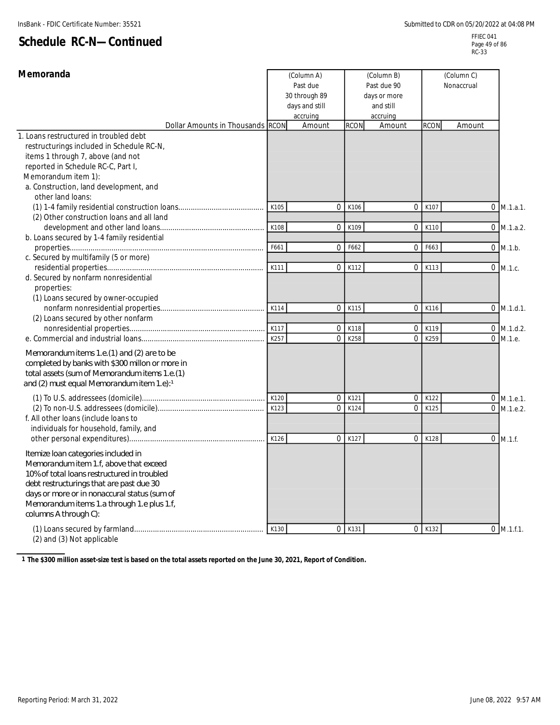| Memoranda                                                                                                                                                                                                                                                                                       |      | (Column A)<br>Past due<br>30 through 89<br>days and still<br>accruing | (Column B)<br>Past due 90<br>days or more<br>and still<br>accruing |                |             | (Column C)<br>Nonaccrual |              |
|-------------------------------------------------------------------------------------------------------------------------------------------------------------------------------------------------------------------------------------------------------------------------------------------------|------|-----------------------------------------------------------------------|--------------------------------------------------------------------|----------------|-------------|--------------------------|--------------|
| Dollar Amounts in Thousands RCON                                                                                                                                                                                                                                                                |      | Amount                                                                | <b>RCON</b>                                                        | Amount         | <b>RCON</b> | Amount                   |              |
| 1. Loans restructured in troubled debt<br>restructurings included in Schedule RC-N,<br>items 1 through 7, above (and not<br>reported in Schedule RC-C, Part I,<br>Memorandum item 1):<br>a. Construction, land development, and<br>other land loans:                                            |      |                                                                       |                                                                    |                |             |                          |              |
|                                                                                                                                                                                                                                                                                                 | K105 | $\Omega$                                                              | K106                                                               | $\mathbf 0$    | K107        |                          | $0$ M.1.a.1. |
| (2) Other construction loans and all land                                                                                                                                                                                                                                                       |      |                                                                       |                                                                    |                |             |                          |              |
| development and other land loans                                                                                                                                                                                                                                                                | K108 | $\overline{0}$                                                        | K109                                                               | $\overline{0}$ | K110        |                          | $0$ M.1.a.2. |
| b. Loans secured by 1-4 family residential                                                                                                                                                                                                                                                      |      |                                                                       |                                                                    |                |             |                          |              |
|                                                                                                                                                                                                                                                                                                 | F661 | $\overline{0}$                                                        | F662                                                               | $\mathbf 0$    | F663        |                          | $0$ M.1.b.   |
| c. Secured by multifamily (5 or more)                                                                                                                                                                                                                                                           |      |                                                                       |                                                                    |                |             |                          |              |
|                                                                                                                                                                                                                                                                                                 | K111 | $\overline{0}$                                                        | K112                                                               | $\mathbf 0$    | K113        |                          | $0$ M.1.c.   |
| d. Secured by nonfarm nonresidential<br>properties:<br>(1) Loans secured by owner-occupied                                                                                                                                                                                                      | K114 | $\overline{0}$                                                        | K115                                                               | $\mathbf{0}$   | K116        |                          | $0$ M.1.d.1. |
| (2) Loans secured by other nonfarm                                                                                                                                                                                                                                                              |      |                                                                       |                                                                    |                |             |                          |              |
|                                                                                                                                                                                                                                                                                                 | K117 | $\boldsymbol{0}$                                                      | K118                                                               | $\mathbf 0$    | K119        |                          | $0$ M.1.d.2. |
|                                                                                                                                                                                                                                                                                                 | K257 | $\overline{0}$                                                        | K258                                                               | $\overline{0}$ | K259        |                          | 0 M.1.e.     |
| Memorandum items 1.e. $(1)$ and $(2)$ are to be<br>completed by banks with \$300 millon or more in<br>total assets (sum of Memorandum items 1.e. (1)<br>and (2) must equal Memorandum item 1.e):1                                                                                               |      |                                                                       |                                                                    |                |             |                          |              |
|                                                                                                                                                                                                                                                                                                 | K120 | $\overline{0}$                                                        | K121                                                               | $\mathbf 0$    | K122        |                          | $0$ M.1.e.1. |
| f. All other loans (include loans to                                                                                                                                                                                                                                                            | K123 | $\Omega$                                                              | K124                                                               | $\Omega$       | K125        |                          | $0$ M.1.e.2. |
| individuals for household, family, and                                                                                                                                                                                                                                                          |      |                                                                       |                                                                    |                |             |                          |              |
|                                                                                                                                                                                                                                                                                                 | K126 | 0                                                                     | K127                                                               | $\mathbf 0$    | K128        |                          | $0$ M.1.f.   |
| Itemize Ioan categories included in<br>Memorandum item 1.f, above that exceed<br>10% of total loans restructured in troubled<br>debt restructurings that are past due 30<br>days or more or in nonaccural status (sum of<br>Memorandum items 1.a through 1.e plus 1.f,<br>columns A through C): |      |                                                                       |                                                                    |                |             |                          |              |
| (2) and (3) Not applicable                                                                                                                                                                                                                                                                      | K130 | $\overline{0}$                                                        | K131                                                               | $\overline{0}$ | K132        |                          | $0$ M.1.f.1. |

**1 The \$300 million asset-size test is based on the total assets reported on the June 30, 2021, Report of Condition.**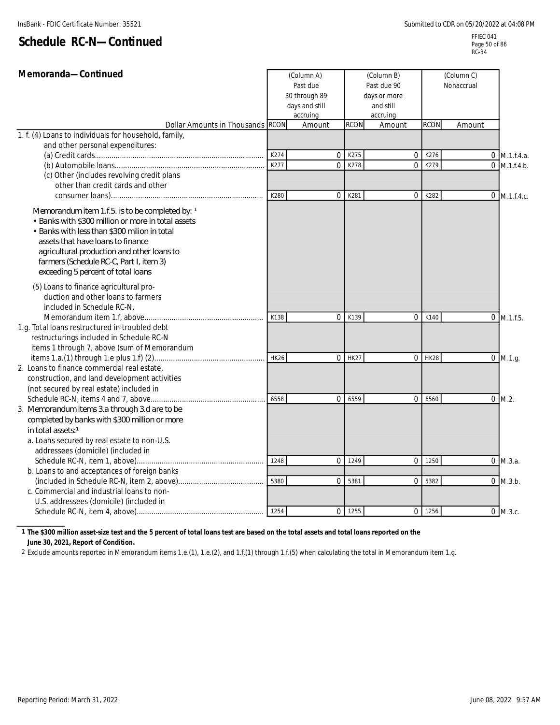| Memoranda-Continued                                                                                                                                                                                                                                                                                                       |             | (Column A)<br>Past due<br>30 through 89<br>days and still<br>accruing | (Column B)<br>Past due 90<br>days or more<br>and still<br>accruing |                |              | (Column C)<br>Nonaccrual |                |
|---------------------------------------------------------------------------------------------------------------------------------------------------------------------------------------------------------------------------------------------------------------------------------------------------------------------------|-------------|-----------------------------------------------------------------------|--------------------------------------------------------------------|----------------|--------------|--------------------------|----------------|
| Dollar Amounts in Thousands RCON                                                                                                                                                                                                                                                                                          |             | Amount                                                                | <b>RCON</b>                                                        | Amount         | <b>RCON</b>  | Amount                   |                |
| 1. f. (4) Loans to individuals for household, family,                                                                                                                                                                                                                                                                     |             |                                                                       |                                                                    |                |              |                          |                |
| and other personal expenditures:                                                                                                                                                                                                                                                                                          |             |                                                                       |                                                                    |                |              |                          |                |
|                                                                                                                                                                                                                                                                                                                           | K274        | 0                                                                     | K275                                                               | $\mathbf 0$    | K276<br>K279 |                          | $0$ M.1.f.4.a. |
| (c) Other (includes revolving credit plans                                                                                                                                                                                                                                                                                | K277        | $\overline{0}$                                                        | K278                                                               | $\mathbf{0}$   |              |                          | $0$ M.1.f.4.b. |
| other than credit cards and other                                                                                                                                                                                                                                                                                         |             |                                                                       |                                                                    |                |              |                          |                |
|                                                                                                                                                                                                                                                                                                                           | K280        | 0                                                                     | K281                                                               | $\mathbf 0$    | K282         |                          | $0$ M.1.f.4.c. |
| Memorandum item 1.f.5. is to be completed by: 1<br>• Banks with \$300 million or more in total assets<br>• Banks with less than \$300 milion in total<br>assets that have loans to finance<br>agricultural production and other loans to<br>farmers (Schedule RC-C, Part I, item 3)<br>exceeding 5 percent of total loans |             |                                                                       |                                                                    |                |              |                          |                |
| (5) Loans to finance agricultural pro-<br>duction and other loans to farmers<br>included in Schedule RC-N,                                                                                                                                                                                                                |             |                                                                       |                                                                    |                |              |                          |                |
|                                                                                                                                                                                                                                                                                                                           | K138        |                                                                       | 0K139                                                              | $\mathbf 0$    | K140         |                          | $0$ M.1.f.5.   |
| 1.g. Total loans restructured in troubled debt                                                                                                                                                                                                                                                                            |             |                                                                       |                                                                    |                |              |                          |                |
| restructurings included in Schedule RC-N                                                                                                                                                                                                                                                                                  |             |                                                                       |                                                                    |                |              |                          |                |
| items 1 through 7, above (sum of Memorandum                                                                                                                                                                                                                                                                               | <b>HK26</b> |                                                                       | $0$ HK27                                                           | $\overline{0}$ | <b>HK28</b>  |                          |                |
| 2. Loans to finance commercial real estate,                                                                                                                                                                                                                                                                               |             |                                                                       |                                                                    |                |              |                          | $0$ M.1.g.     |
| construction, and land development activities                                                                                                                                                                                                                                                                             |             |                                                                       |                                                                    |                |              |                          |                |
| (not secured by real estate) included in                                                                                                                                                                                                                                                                                  |             |                                                                       |                                                                    |                |              |                          |                |
| Schedule RC-N, items 4 and 7, above                                                                                                                                                                                                                                                                                       | 6558        | $\overline{0}$                                                        | 6559                                                               | $\mathbf{0}$   | 6560         |                          | $0$ M.2.       |
| 3. Memorandum items 3.a through 3.d are to be                                                                                                                                                                                                                                                                             |             |                                                                       |                                                                    |                |              |                          |                |
| completed by banks with \$300 million or more                                                                                                                                                                                                                                                                             |             |                                                                       |                                                                    |                |              |                          |                |
| in total assets:1                                                                                                                                                                                                                                                                                                         |             |                                                                       |                                                                    |                |              |                          |                |
| a. Loans secured by real estate to non-U.S.                                                                                                                                                                                                                                                                               |             |                                                                       |                                                                    |                |              |                          |                |
| addressees (domicile) (included in                                                                                                                                                                                                                                                                                        |             |                                                                       |                                                                    |                |              |                          |                |
|                                                                                                                                                                                                                                                                                                                           | 1248        |                                                                       | 0 1249                                                             | $\mathbf 0$    | 1250         |                          | $0$ M.3.a.     |
| b. Loans to and acceptances of foreign banks                                                                                                                                                                                                                                                                              |             |                                                                       |                                                                    |                |              |                          |                |
| c. Commercial and industrial loans to non-                                                                                                                                                                                                                                                                                | 5380        | $\overline{0}$                                                        | 5381                                                               | $\mathbf{0}$   | 5382         |                          | $0$ M.3.b.     |
| U.S. addressees (domicile) (included in                                                                                                                                                                                                                                                                                   |             |                                                                       |                                                                    |                |              |                          |                |
|                                                                                                                                                                                                                                                                                                                           | 1254        |                                                                       | 0 1255                                                             | $\mathbf 0$    | 1256         |                          | $0$ M.3.c.     |
|                                                                                                                                                                                                                                                                                                                           |             |                                                                       |                                                                    |                |              |                          |                |

**1 The \$300 million asset-size test and the 5 percent of total loans test are based on the total assets and total loans reported on the**

**June 30, 2021, Report of Condition.**

2 Exclude amounts reported in Memorandum items 1.e.(1), 1.e.(2), and 1.f.(1) through 1.f.(5) when calculating the total in Memorandum item 1.g.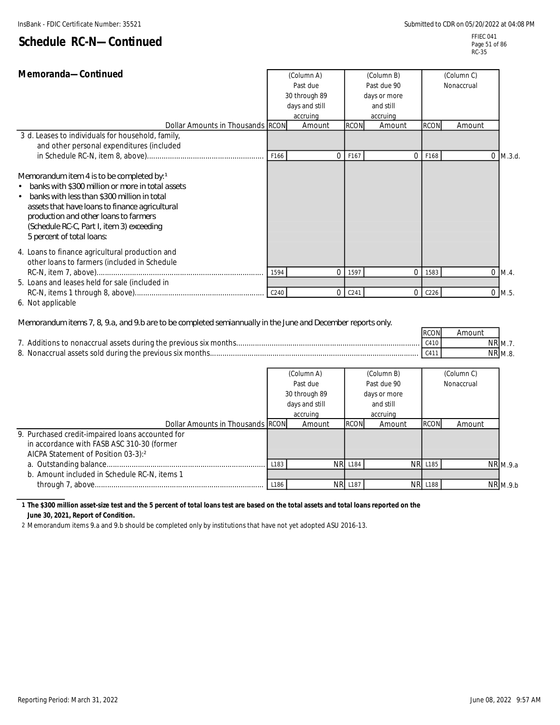#### FFIEC 041 Page 51 of 86 RC-35

|  | Schedule RC-N-Continued |
|--|-------------------------|
|--|-------------------------|

| Memoranda-Continued<br>(Column A)<br>Past due                                                                                                                                                                                                                                                                                   |      |                               | (Column B)<br>Past due 90 | (Column C)<br>Nonaccrual |                  |              |                      |
|---------------------------------------------------------------------------------------------------------------------------------------------------------------------------------------------------------------------------------------------------------------------------------------------------------------------------------|------|-------------------------------|---------------------------|--------------------------|------------------|--------------|----------------------|
|                                                                                                                                                                                                                                                                                                                                 |      | 30 through 89<br>days or more |                           |                          |                  |              |                      |
|                                                                                                                                                                                                                                                                                                                                 |      | days and still                |                           | and still                |                  |              |                      |
|                                                                                                                                                                                                                                                                                                                                 |      | accruing                      |                           | accruing                 |                  |              |                      |
| Dollar Amounts in Thousands RCON                                                                                                                                                                                                                                                                                                |      | Amount                        | <b>RCON</b>               | Amount                   | <b>RCON</b>      | Amount       |                      |
| 3 d. Leases to individuals for household, family,                                                                                                                                                                                                                                                                               |      |                               |                           |                          |                  |              |                      |
| and other personal expenditures (included                                                                                                                                                                                                                                                                                       |      |                               |                           |                          |                  |              |                      |
|                                                                                                                                                                                                                                                                                                                                 | F166 | $\Omega$                      | F167                      | $\overline{0}$           | F168             | $\mathbf{0}$ | M.3.d.               |
| Memorandum item 4 is to be completed by: 1<br>banks with \$300 million or more in total assets<br>banks with less than \$300 million in total<br>$\bullet$<br>assets that have loans to finance agricultural<br>production and other loans to farmers<br>(Schedule RC-C, Part I, item 3) exceeding<br>5 percent of total loans: |      |                               |                           |                          |                  |              |                      |
| 4. Loans to finance agricultural production and<br>other loans to farmers (included in Schedule                                                                                                                                                                                                                                 | 1594 | $\Omega$                      | 1597                      | $\mathbf{0}$             | 1583             | $\mathbf{0}$ | M.4.                 |
| 5. Loans and leases held for sale (included in                                                                                                                                                                                                                                                                                  |      |                               |                           |                          |                  |              |                      |
| 6. Not applicable                                                                                                                                                                                                                                                                                                               | C240 | $\Omega$                      | C <sub>241</sub>          | $\Omega$                 | C <sub>226</sub> |              | $0$ M.5.             |
|                                                                                                                                                                                                                                                                                                                                 |      |                               |                           |                          |                  |              |                      |
| Memorandum items 7, 8, 9.a, and 9.b are to be completed semiannually in the June and December reports only.                                                                                                                                                                                                                     |      |                               |                           |                          | <b>RCON</b>      | Amount       |                      |
|                                                                                                                                                                                                                                                                                                                                 |      |                               |                           |                          | C410             |              | $N\overline{R}$ M.7. |
|                                                                                                                                                                                                                                                                                                                                 |      |                               |                           |                          | C411             |              | NR M.8.              |
|                                                                                                                                                                                                                                                                                                                                 |      |                               |                           |                          |                  |              |                      |
|                                                                                                                                                                                                                                                                                                                                 |      | (Column A)                    |                           | (Column B)               |                  | (Column C)   |                      |
|                                                                                                                                                                                                                                                                                                                                 |      | Past due                      |                           | Past due 90              |                  | Nonaccrual   |                      |
|                                                                                                                                                                                                                                                                                                                                 |      | 30 through 89                 |                           | days or more             |                  |              |                      |
|                                                                                                                                                                                                                                                                                                                                 |      | days and still                |                           | and still                |                  |              |                      |
|                                                                                                                                                                                                                                                                                                                                 |      | accruing                      |                           | accruing                 |                  |              |                      |
| Dollar Amounts in Thousands RCON                                                                                                                                                                                                                                                                                                |      | Amount                        | <b>RCON</b>               | Amount                   | <b>RCON</b>      | Amount       |                      |
| 9. Purchased credit-impaired loans accounted for<br>in accordance with FASB ASC 310-30 (former<br>AICPA Statement of Position 03-3):2                                                                                                                                                                                           |      |                               |                           |                          |                  |              |                      |

a. M.9.a Outstanding balance............................................................................ L183 NR L184 NR L185 NR b. Amount included in Schedule RC-N, items 1  $\overline{\text{NR}}$  M.9.b through 7, above................................................................................. L186 NR L187 NR L188 NR

#### **1 The \$300 million asset-size test and the 5 percent of total loans test are based on the total assets and total loans reported on the June 30, 2021, Report of Condition.**

2 Memorandum items 9.a and 9.b should be completed only by institutions that have not yet adopted ASU 2016-13.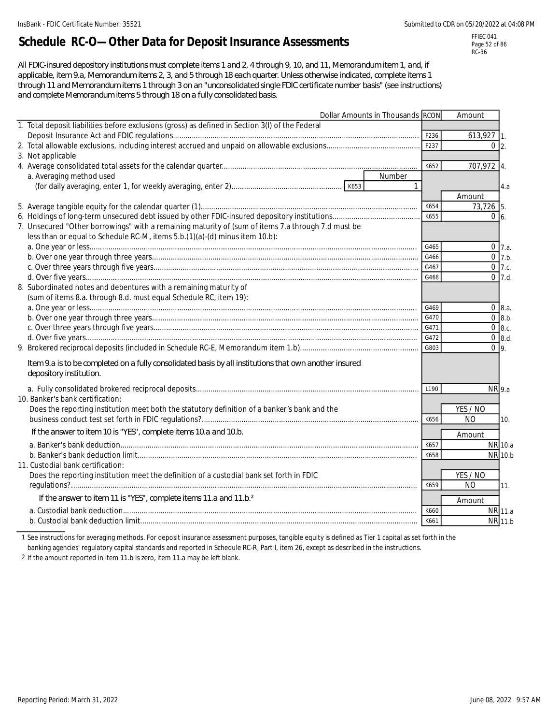# **Schedule RC-O—Other Data for Deposit Insurance Assessments**

FFIEC 041 Page 52 of 86 RC-36

*All FDIC-insured depository institutions must complete items 1 and 2, 4 through 9, 10, and 11, Memorandum item 1, and, if applicable, item 9.a, Memorandum items 2, 3, and 5 through 18 each quarter. Unless otherwise indicated, complete items 1 through 11 and Memorandum items 1 through 3 on an "unconsolidated single FDIC certificate number basis" (see instructions) and complete Memorandum items 5 through 18 on a fully consolidated basis.*

| Dollar Amounts in Thousands RCON                                                                       |              | Amount         |                     |
|--------------------------------------------------------------------------------------------------------|--------------|----------------|---------------------|
| 1. Total deposit liabilities before exclusions (gross) as defined in Section 3(I) of the Federal       |              |                |                     |
|                                                                                                        |              | 613,927 1.     |                     |
|                                                                                                        | F237         | $0\vert 2$ .   |                     |
| 3. Not applicable                                                                                      |              |                |                     |
|                                                                                                        | K652         | 707,972 4.     |                     |
| Number<br>a. Averaging method used                                                                     |              |                |                     |
|                                                                                                        | $\mathbf{1}$ |                | 4.a                 |
|                                                                                                        |              | Amount         |                     |
|                                                                                                        | K654         | 73,726 5.      |                     |
|                                                                                                        | K655         | $0\,6$         |                     |
| 7. Unsecured "Other borrowings" with a remaining maturity of (sum of items 7.a through 7.d must be     |              |                |                     |
| less than or equal to Schedule RC-M, items 5.b.(1)(a)-(d) minus item 10.b):                            |              |                |                     |
|                                                                                                        | G465         |                | $0 \, 7.a.$         |
|                                                                                                        | G466         |                | $0 \t 7.b.$         |
|                                                                                                        | G467         |                | $\overline{0}$ 7.c. |
|                                                                                                        | G468         |                | $0$ 7.d.            |
| 8. Subordinated notes and debentures with a remaining maturity of                                      |              |                |                     |
| (sum of items 8.a. through 8.d. must equal Schedule RC, item 19):                                      |              |                |                     |
|                                                                                                        | G469         |                | $0 \, 8.a.$         |
|                                                                                                        | G470         |                | $0 \, 8.b.$         |
|                                                                                                        | G471         |                | $0$ 8.c.            |
|                                                                                                        | G472         |                | $0 \t 8.d.$         |
|                                                                                                        | G803         | 0 <sub>9</sub> |                     |
| Item 9.a is to be completed on a fully consolidated basis by all institutions that own another insured |              |                |                     |
| depository institution.                                                                                |              |                |                     |
|                                                                                                        | L190         | NR 9.a         |                     |
| 10. Banker's bank certification:                                                                       |              |                |                     |
| Does the reporting institution meet both the statutory definition of a banker's bank and the           |              | YES / NO       |                     |
|                                                                                                        | K656         | <b>NO</b>      | 10.                 |
| If the answer to item 10 is "YES", complete items 10.a and 10.b.                                       |              | Amount         |                     |
|                                                                                                        | K657         |                | NR 10.a             |
|                                                                                                        | K658         |                | NR 10.b             |
| 11. Custodial bank certification:                                                                      |              |                |                     |
| Does the reporting institution meet the definition of a custodial bank set forth in FDIC               |              | YES / NO       |                     |
|                                                                                                        | K659         | <b>NO</b>      | 11.                 |
| If the answer to item 11 is "YES", complete items 11.a and 11.b. <sup>2</sup>                          |              | Amount         |                     |
|                                                                                                        | K660         |                | NR 11.a             |
|                                                                                                        | K661         |                | NR 11.b             |
|                                                                                                        |              |                |                     |

1 See instructions for averaging methods. For deposit insurance assessment purposes, tangible equity is defined as Tier 1 capital as set forth in the

banking agencies' regulatory capital standards and reported in Schedule RC-R, Part I, item 26, except as described in the instructions.

2 If the amount reported in item 11.b is zero, item 11.a may be left blank.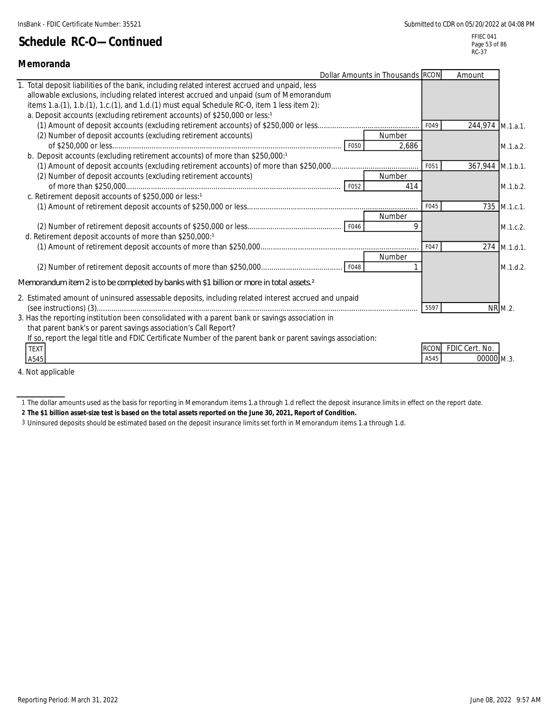| Memoranda                                                                                                                                                                                                                                                                                                                                                         |                     |                              |                |
|-------------------------------------------------------------------------------------------------------------------------------------------------------------------------------------------------------------------------------------------------------------------------------------------------------------------------------------------------------------------|---------------------|------------------------------|----------------|
| Dollar Amounts in Thousands RCON                                                                                                                                                                                                                                                                                                                                  |                     | Amount                       |                |
| Total deposit liabilities of the bank, including related interest accrued and unpaid, less<br>allowable exclusions, including related interest accrued and unpaid (sum of Memorandum<br>items 1.a.(1), 1.b.(1), 1.c.(1), and 1.d.(1) must equal Schedule RC-O, item 1 less item 2):<br>a. Deposit accounts (excluding retirement accounts) of \$250,000 or less:1 |                     |                              |                |
| (2) Number of deposit accounts (excluding retirement accounts)<br>Number                                                                                                                                                                                                                                                                                          | F049                | 244,974 M.1.a.1.             |                |
| F050<br>2,686<br>b. Deposit accounts (excluding retirement accounts) of more than \$250,000:1                                                                                                                                                                                                                                                                     |                     |                              | M.1.a.2.       |
| (2) Number of deposit accounts (excluding retirement accounts)<br>Number                                                                                                                                                                                                                                                                                          | F051                | 367,944 M.1.b.1.             |                |
| F052<br>414<br>c. Retirement deposit accounts of \$250,000 or less:1                                                                                                                                                                                                                                                                                              |                     |                              | M.1.b.2.       |
| Number                                                                                                                                                                                                                                                                                                                                                            | F045                |                              | 735 M.1.c.1.   |
| 9<br>d. Retirement deposit accounts of more than \$250,000:1                                                                                                                                                                                                                                                                                                      |                     |                              | M.1.c.2.       |
| Number                                                                                                                                                                                                                                                                                                                                                            | F047                |                              | $274$ M.1.d.1. |
| F048                                                                                                                                                                                                                                                                                                                                                              |                     |                              | M.1.d.2.       |
| Memorandum item 2 is to be completed by banks with \$1 billion or more in total assets $2^{\circ}$                                                                                                                                                                                                                                                                |                     |                              |                |
| 2. Estimated amount of uninsured assessable deposits, including related interest accrued and unpaid<br>3. Has the reporting institution been consolidated with a parent bank or savings association in                                                                                                                                                            | 5597                |                              | NR M.2.        |
| that parent bank's or parent savings association's Call Report?<br>If so, report the legal title and FDIC Certificate Number of the parent bank or parent savings association:<br><b>TEXT</b><br>A545                                                                                                                                                             | <b>RCON</b><br>A545 | FDIC Cert. No.<br>00000 M.3. |                |

4. Not applicable

**2 The \$1 billion asset-size test is based on the total assets reported on the June 30, 2021, Report of Condition.**

3 Uninsured deposits should be estimated based on the deposit insurance limits set forth in Memorandum items 1.a through 1.d.

<sup>1</sup> The dollar amounts used as the basis for reporting in Memorandum items 1.a through 1.d reflect the deposit insurance limits in effect on the report date.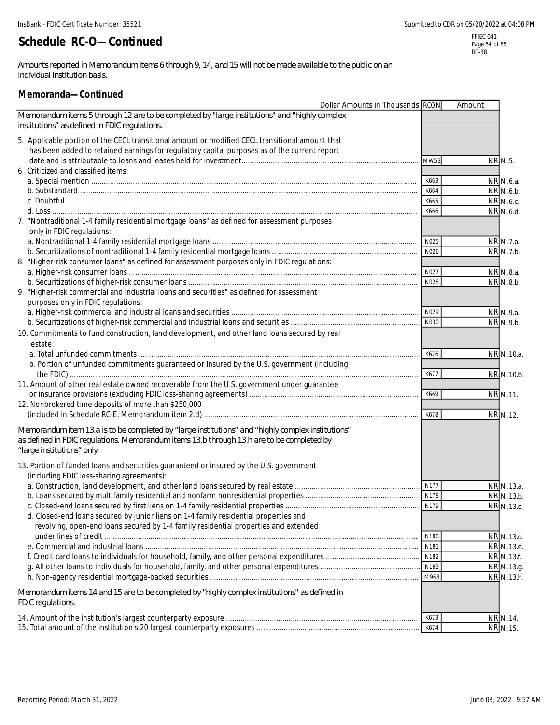*Amounts reported in Memorandum items 6 through 9, 14, and 15 will not be made available to the public on an individual institution basis.*

#### **Memoranda—Continued**

| Dollar Amounts in Thousands RCON                                                                                                               |              | Amount |                        |
|------------------------------------------------------------------------------------------------------------------------------------------------|--------------|--------|------------------------|
| Memorandum items 5 through 12 are to be completed by "large institutions" and "highly complex<br>institutions" as defined in FDIC regulations. |              |        |                        |
|                                                                                                                                                |              |        |                        |
| 5. Applicable portion of the CECL transitional amount or modified CECL transitional amount that                                                |              |        |                        |
| has been added to retained earnings for regulatory capital purposes as of the current report                                                   |              |        |                        |
|                                                                                                                                                | MW53         |        | NR M.5.                |
| 6. Criticized and classified items:                                                                                                            |              |        |                        |
|                                                                                                                                                | K663         |        | NR M.6.a.              |
|                                                                                                                                                | K664<br>K665 |        | NR M.6.b.              |
|                                                                                                                                                | K666         |        | NR M.6.c.<br>NR M.6.d. |
| 7. "Nontraditional 1-4 family residential mortgage loans" as defined for assessment purposes                                                   |              |        |                        |
| only in FDIC regulations:                                                                                                                      |              |        |                        |
|                                                                                                                                                | N025         |        | NR M.7.a.              |
|                                                                                                                                                | N026         |        | NR M.7.b.              |
| 8. "Higher-risk consumer loans" as defined for assessment purposes only in FDIC regulations:                                                   |              |        |                        |
|                                                                                                                                                | N027         |        | NR M.8.a.              |
|                                                                                                                                                | N028         |        | NR M.8.b.              |
| 9. "Higher-risk commercial and industrial loans and securities" as defined for assessment<br>purposes only in FDIC regulations:                |              |        |                        |
|                                                                                                                                                | N029         |        | NR M.9.a.              |
|                                                                                                                                                | N030         |        | NR M.9.b.              |
| 10. Commitments to fund construction, land development, and other land loans secured by real                                                   |              |        |                        |
| estate:                                                                                                                                        |              |        |                        |
|                                                                                                                                                | K676         |        | NR M.10.a.             |
| b. Portion of unfunded commitments guaranteed or insured by the U.S. government (including                                                     |              |        |                        |
|                                                                                                                                                | K677         |        | NR M.10.b.             |
| 11. Amount of other real estate owned recoverable from the U.S. government under guarantee                                                     |              |        |                        |
|                                                                                                                                                | K669         |        | NR M.11.               |
| 12. Nonbrokered time deposits of more than \$250,000                                                                                           |              |        |                        |
|                                                                                                                                                | K678         |        | NR M.12.               |
| Memorandum item 13.a is to be completed by "large institutions" and "highly complex institutions"                                              |              |        |                        |
| as defined in FDIC regulations. Memorandum items 13.b through 13.h are to be completed by                                                      |              |        |                        |
| "large institutions" only.                                                                                                                     |              |        |                        |
|                                                                                                                                                |              |        |                        |
| 13. Portion of funded loans and securities guaranteed or insured by the U.S. government<br>(including FDIC loss-sharing agreements):           |              |        |                        |
|                                                                                                                                                | N177         |        | NR M.13.a.             |
|                                                                                                                                                | N178         |        | NR M.13.b.             |
|                                                                                                                                                |              |        | NR M.13.c.             |
| d. Closed-end loans secured by junior liens on 1-4 family residential properties and                                                           |              |        |                        |
| revolving, open-end loans secured by 1-4 family residential properties and extended                                                            |              |        |                        |
|                                                                                                                                                | N180         |        | NR M.13.d.             |
|                                                                                                                                                | N181         |        | NR M.13.e.             |
|                                                                                                                                                | N182         |        | NR M.13.f.             |
|                                                                                                                                                | N183         |        | NR M.13.g.             |
|                                                                                                                                                | M963         |        | NR M.13.h.             |
| Memorandum items 14 and 15 are to be completed by "highly complex institutions" as defined in<br>FDIC regulations.                             |              |        |                        |
|                                                                                                                                                | K673         |        | NR M.14.               |
|                                                                                                                                                | K674         |        | NR M.15.               |
|                                                                                                                                                |              |        |                        |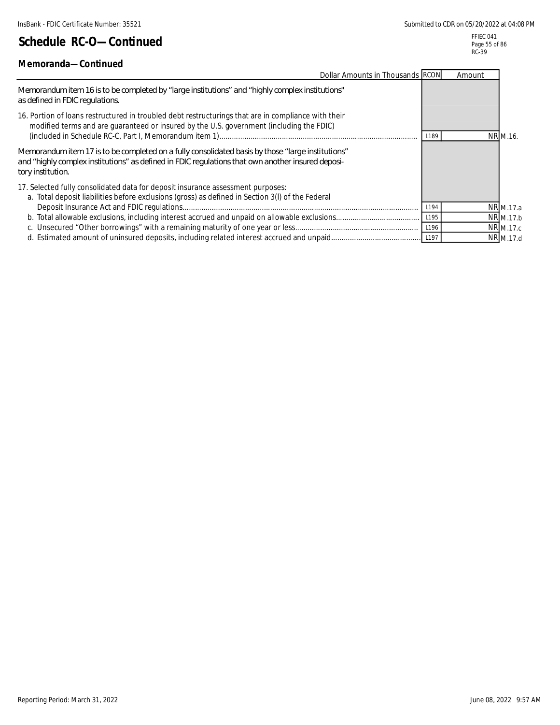### **Memoranda—Continued**

FFIEC 041 Page 55 of 86 RC-39

| <u>ivielijulailua—Culiliiueu</u>                                                                                                                                                                                             |      |        |           |
|------------------------------------------------------------------------------------------------------------------------------------------------------------------------------------------------------------------------------|------|--------|-----------|
| Dollar Amounts in Thousands RCON                                                                                                                                                                                             |      | Amount |           |
| Memorandum item 16 is to be completed by "large institutions" and "highly complex institutions"<br>as defined in FDIC regulations.                                                                                           |      |        |           |
| 16. Portion of loans restructured in troubled debt restructurings that are in compliance with their<br>modified terms and are guaranteed or insured by the U.S. government (including the FDIC)                              | L189 |        | NR M.16.  |
| "Memorandum item 17 is to be completed on a fully consolidated basis by those "large institutions"<br>and "highly complex institutions" as defined in FDIC regulations that own another insured deposi-<br>tory institution. |      |        |           |
| 17. Selected fully consolidated data for deposit insurance assessment purposes:<br>a. Total deposit liabilities before exclusions (gross) as defined in Section 3(I) of the Federal                                          |      |        |           |
|                                                                                                                                                                                                                              | L194 |        | NR M.17.a |
|                                                                                                                                                                                                                              | L195 |        | NR M.17.b |
|                                                                                                                                                                                                                              | L196 |        | NR M.17.c |
|                                                                                                                                                                                                                              |      |        | NR M.17.d |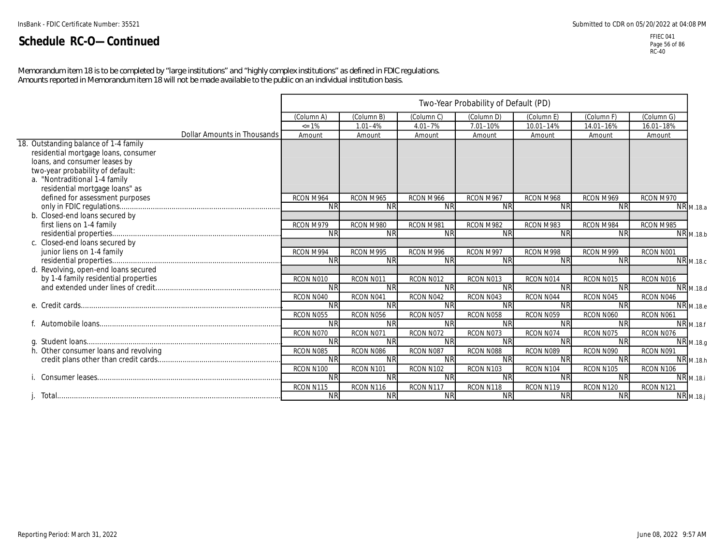*Memorandum item 18 is to be completed by "large institutions" and "highly complex institutions" as defined in FDIC regulations. Amounts reported in Memorandum item 18 will not be made available to the public on an individual institution basis.*

|                                       |            |                        |             | Two-Year Probability of Default (PD) |            |            |            |                  |
|---------------------------------------|------------|------------------------|-------------|--------------------------------------|------------|------------|------------|------------------|
|                                       | (Column A) | (Column B)             | (Column C)  | (Column D)                           | (Column E` | (Column F) | (Column G) |                  |
|                                       | $\leq$ 1%  | $1.01 - 4%$            | $4.01 - 7%$ | 7.01-10%                             | 10.01-14%  | 14.01-16%  | 16.01-18%  |                  |
| Dollar Amounts in Thousands           | Amount     | Amount                 | Amount      | Amount                               | Amount     | Amount     | Amount     |                  |
| 18. Outstanding balance of 1-4 family |            |                        |             |                                      |            |            |            |                  |
| residential mortgage loans, consumer  |            |                        |             |                                      |            |            |            |                  |
| loans, and consumer leases by         |            |                        |             |                                      |            |            |            |                  |
| two-year probability of default:      |            |                        |             |                                      |            |            |            |                  |
| a. "Nontraditional 1-4 family         |            |                        |             |                                      |            |            |            |                  |
| residential mortgage loans" as        |            |                        |             |                                      |            |            |            |                  |
| defined for assessment purposes       | RCON M964  | RCON M965              | RCON M966   | RCON M967                            | RCON M968  | RCON M969  | RCON M970  |                  |
|                                       | <b>NR</b>  | <b>NR</b>              | <b>NR</b>   | <b>NR</b>                            | <b>NR</b>  | <b>NR</b>  |            | NR M.18.a        |
| b. Closed-end loans secured by        |            |                        |             |                                      |            |            |            |                  |
| first liens on 1-4 family             | RCON M979  | RCON M980              | RCON M981   | RCON M982                            | RCON M983  | RCON M984  | RCON M985  |                  |
|                                       | <b>NR</b>  | <b>NR</b>              | <b>NR</b>   | <b>NR</b>                            | <b>NR</b>  | <b>NR</b>  |            | NR M.18.b        |
| c. Closed-end loans secured by        |            |                        |             |                                      |            |            |            |                  |
| junior liens on 1-4 family            | RCON M994  | RCON M995              | RCON M996   | RCON M997                            | RCON M998  | RCON M999  | RCON N001  |                  |
|                                       | <b>NR</b>  | <b>NR</b>              | <b>NR</b>   | <b>NR</b>                            | <b>NR</b>  | <b>NR</b>  |            | <b>NR</b> M.18.c |
| d. Revolving, open-end loans secured  |            |                        |             |                                      |            |            |            |                  |
| by 1-4 family residential properties  | RCON N010  | RCON N011              | RCON N012   | RCON N013                            | RCON N014  | RCON N015  | RCON N016  |                  |
|                                       | <b>NR</b>  | <b>NR</b>              | <b>NR</b>   | <b>NR</b>                            | <b>NR</b>  | <b>NR</b>  |            | NR M.18.d        |
|                                       | RCON N040  | RCON N041              | RCON N042   | RCON N043                            | RCON N044  | RCON N045  | RCON N046  |                  |
|                                       | <b>NR</b>  | <b>NR</b>              | <b>NR</b>   | <b>NR</b>                            | <b>NR</b>  | <b>NR</b>  |            | <b>NR</b> M.18.e |
|                                       | RCON N055  | RCON N056              | RCON N057   | RCON N058                            | RCON N059  | RCON N060  | RCON N061  |                  |
|                                       | <b>NR</b>  | <b>NR</b>              | <b>NR</b>   | <b>NR</b>                            | <b>NR</b>  | <b>NR</b>  |            | <b>NR</b> M.18.f |
|                                       | RCON N070  | RCON N071              | RCON N072   | RCON N073                            | RCON N074  | RCON N075  | RCON N076  |                  |
|                                       | <b>NR</b>  | <b>NR</b>              | <b>NR</b>   | <b>NR</b>                            | <b>NR</b>  | <b>NR</b>  |            | <b>NR</b> M.18.g |
|                                       | RCON N085  | RCON N086              | RCON N087   | RCON N088                            | RCON N089  | RCON N090  | RCON N091  |                  |
|                                       | <b>NR</b>  | <b>NR</b>              | <b>NR</b>   | <b>NR</b>                            | <b>NR</b>  | <b>NR</b>  |            | NR M.18.h        |
|                                       |            |                        |             |                                      |            |            |            |                  |
|                                       | <b>NR</b>  | <b>NR</b>              | <b>NR</b>   | <b>NR</b>                            | <b>NR</b>  | <b>NR</b>  |            | <b>NR</b> M.18.i |
|                                       | RCON N115  |                        | RCON N117   | RCON N118                            | RCON N119  | RCON N120  | RCON N121  |                  |
|                                       | <b>NR</b>  | <b>NR</b>              | <b>NR</b>   | <b>NR</b>                            | <b>NR</b>  | <b>NR</b>  |            | <b>NR</b> M.18.j |
| h. Other consumer loans and revolving | RCON N100  | RCON N101<br>RCON N116 | RCON N102   | RCON N103                            | RCON N104  | RCON N105  | RCON N106  |                  |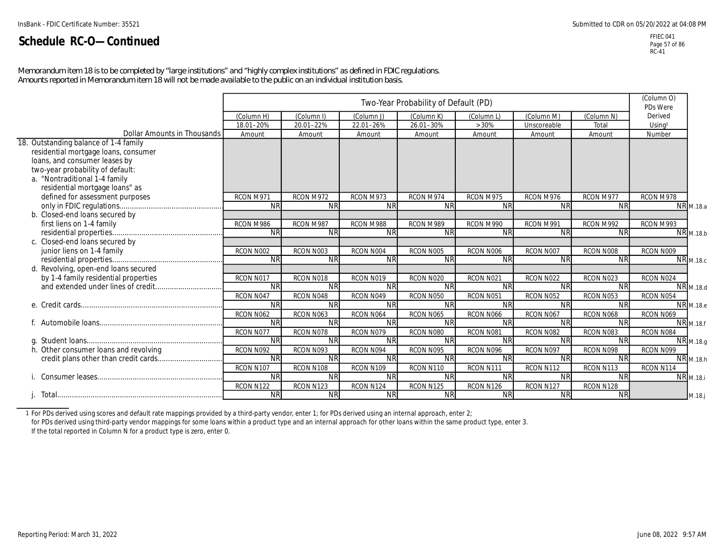*Memorandum item 18 is to be completed by "large institutions" and "highly complex institutions" as defined in FDIC regulations. Amounts reported in Memorandum item 18 will not be made available to the public on an individual institution basis.*

|                                       |            |            |            | Two-Year Probability of Default (PD) |           |                        |            | (Column O)<br>PDs Were |                      |
|---------------------------------------|------------|------------|------------|--------------------------------------|-----------|------------------------|------------|------------------------|----------------------|
|                                       | (Column H) | (Column I) | (Column J) | (Column K)                           | (Column L | (Column M)             | (Column N) | Derived                |                      |
|                                       | 18.01-20%  | 20.01-22%  | 22.01-26%  | 26.01-30%                            | >30%      | Unscoreable            | Total      | Using <sup>1</sup>     |                      |
| Dollar Amounts in Thousands           | Amount     | Amount     | Amount     | Amount                               | Amount    | Amount                 | Amount     | Number                 |                      |
| 18. Outstanding balance of 1-4 family |            |            |            |                                      |           |                        |            |                        |                      |
| residential mortgage loans, consumer  |            |            |            |                                      |           |                        |            |                        |                      |
| loans, and consumer leases by         |            |            |            |                                      |           |                        |            |                        |                      |
| two-year probability of default:      |            |            |            |                                      |           |                        |            |                        |                      |
| a. "Nontraditional 1-4 family         |            |            |            |                                      |           |                        |            |                        |                      |
| residential mortgage loans" as        |            |            |            |                                      |           |                        |            |                        |                      |
| defined for assessment purposes       | RCON M971  | RCON M972  | RCON M973  | RCON M974                            | RCON M975 | RCON M976              | RCON M977  | RCON M978              |                      |
|                                       | <b>NR</b>  | <b>NR</b>  | <b>NR</b>  | $\overline{\text{NR}}$               | <b>NR</b> | $\overline{\text{NR}}$ | <b>NR</b>  |                        | <b>NR</b> M.18.a     |
| b. Closed-end loans secured by        |            |            |            |                                      |           |                        |            |                        |                      |
| first liens on 1-4 family             | RCON M986  | RCON M987  | RCON M988  | RCON M989                            | RCON M990 | RCON M991              | RCON M992  | RCON M993              |                      |
|                                       | <b>NR</b>  | <b>NR</b>  | <b>NR</b>  | <b>NR</b>                            | <b>NR</b> | <b>NR</b>              | <b>NR</b>  |                        | NR M.18.b            |
| c. Closed-end loans secured by        |            |            |            |                                      |           |                        |            |                        |                      |
| junior liens on 1-4 family            | RCON N002  | RCON N003  | RCON N004  | RCON N005                            | RCON N006 | RCON N007              | RCON N008  | RCON N009              |                      |
|                                       | <b>NR</b>  | <b>NR</b>  | <b>NR</b>  | <b>NR</b>                            | <b>NR</b> | <b>NR</b>              | <b>NR</b>  |                        | <b>NR</b> M.18.c     |
| d. Revolving, open-end loans secured  |            |            |            |                                      |           |                        |            |                        |                      |
| by 1-4 family residential properties  | RCON N017  | RCON N018  | RCON N019  | RCON N020                            | RCON N021 | RCON N022              | RCON N023  | RCON N024              |                      |
|                                       | <b>NR</b>  | <b>NR</b>  | <b>NR</b>  | <b>NR</b>                            | <b>NR</b> | <b>NR</b>              | <b>NR</b>  |                        | NR M.18.d            |
|                                       | RCON N047  | RCON N048  | RCON N049  | RCON N050                            | RCON N051 | RCON N052              | RCON N053  | RCON N054              |                      |
|                                       | <b>NR</b>  | <b>NR</b>  | <b>NR</b>  | <b>NR</b>                            | <b>NR</b> | <b>NR</b>              | <b>NR</b>  |                        | <b>NR</b> M.18.e     |
|                                       | RCON N062  | RCON N063  | RCON N064  | RCON N065                            | RCON N066 | RCON N067              | RCON N068  | RCON N069              |                      |
|                                       | NR         | <b>NR</b>  | <b>NR</b>  | <b>NR</b>                            | <b>NR</b> | <b>NR</b>              | <b>NR</b>  |                        | NR <sub>M.18.f</sub> |
|                                       | RCON N077  | RCON N078  | RCON N079  | RCON N080                            | RCON N081 | RCON N082              | RCON N083  | RCON N084              |                      |
|                                       | <b>NR</b>  | <b>NR</b>  | <b>NR</b>  | <b>NR</b>                            | <b>NR</b> | <b>NR</b>              | <b>NR</b>  |                        | NR M.18.g            |
| h. Other consumer loans and revolving | RCON N092  | RCON N093  | RCON N094  | RCON N095                            | RCON N096 | RCON N097              | RCON N098  | RCON N099              |                      |
|                                       | <b>NR</b>  | <b>NR</b>  | <b>NR</b>  | <b>NR</b>                            | <b>NR</b> | <b>NR</b>              | <b>NR</b>  |                        | <b>NR</b> M.18.h     |
|                                       | RCON N107  | RCON N108  | RCON N109  | RCON N110                            | RCON N111 | RCON N112              | RCON N113  | RCON N114              |                      |
|                                       | <b>NR</b>  | <b>NR</b>  | <b>NR</b>  | <b>NR</b>                            | <b>NR</b> | <b>NR</b>              | <b>NR</b>  |                        | <b>NR</b> M.18.i     |
|                                       | RCON N122  | RCON N123  | RCON N124  | RCON N125                            | RCON N126 | RCON N127              | RCON N128  |                        |                      |
|                                       | <b>NR</b>  | <b>NR</b>  | <b>NR</b>  | <b>NR</b>                            | <b>NR</b> | <b>NR</b>              | <b>NR</b>  |                        | M.18.j               |

1 For PDs derived using scores and default rate mappings provided by a third-party vendor, enter 1; for PDs derived using an internal approach, enter 2; for PDs derived using third-party vendor mappings for some loans within a product type and an internal approach for other loans within the same product type, enter 3.

If the total reported in Column N for a product type is zero, enter 0.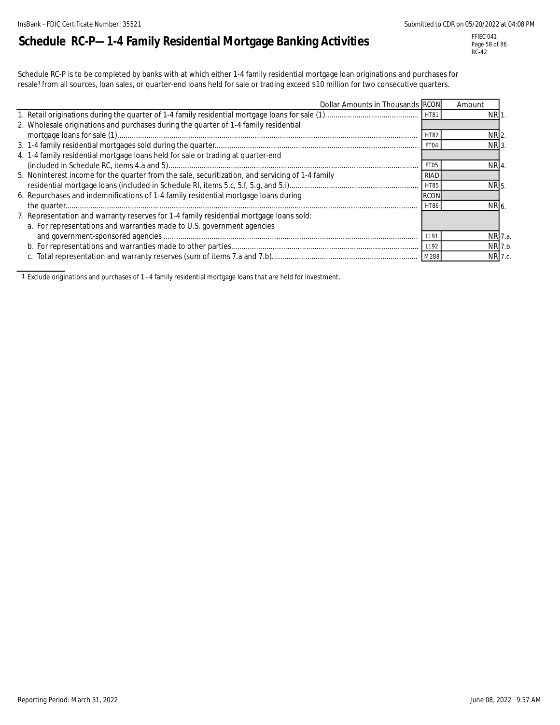# **Schedule RC-P—1-4 Family Residential Mortgage Banking Activities**

FFIEC 041 Page 58 of 86 RC-42

Schedule RC-P is to be completed by banks with at which either 1-4 family residential mortgage loan originations and purchases for resale<sup>1</sup> from all sources, loan sales, or quarter-end loans held for sale or trading exceed \$10 million for two consecutive quarters.

| Dollar Amounts in Thousands RCON                                                                 |                  | Amount          |         |
|--------------------------------------------------------------------------------------------------|------------------|-----------------|---------|
|                                                                                                  |                  | <b>NR1</b>      |         |
| 2. Wholesale originations and purchases during the quarter of 1-4 family residential             |                  |                 |         |
|                                                                                                  | <b>HT82</b>      | NR 2.           |         |
|                                                                                                  | FT04             | NR <sub>3</sub> |         |
| 4. 1-4 family residential mortgage loans held for sale or trading at quarter-end                 |                  |                 |         |
|                                                                                                  | FT <sub>05</sub> | NR 4.           |         |
| 5. Noninterest income for the quarter from the sale, securitization, and servicing of 1-4 family | RIAD             |                 |         |
|                                                                                                  | HT85             | NR 5.           |         |
| 6. Repurchases and indemnifications of 1-4 family residential mortgage loans during              | <b>RCON</b>      |                 |         |
|                                                                                                  | <b>HT86</b>      | NR 6.           |         |
| 7. Representation and warranty reserves for 1-4 family residential mortgage loans sold:          |                  |                 |         |
| a. For representations and warranties made to U.S. government agencies                           |                  |                 |         |
|                                                                                                  | L191             |                 | NR 7.a. |
|                                                                                                  | L <sub>192</sub> |                 | NR 7.b. |
|                                                                                                  |                  |                 | NR 7.c. |

1 Exclude originations and purchases of 1 –4 family residential mortgage loans that are held for investment.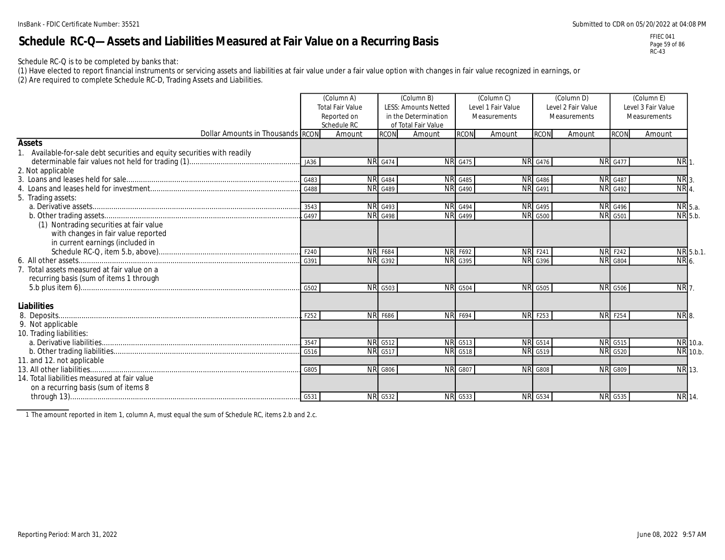# **Schedule RC-Q—Assets and Liabilities Measured at Fair Value on a Recurring Basis**

FFIEC 041 Page 59 of 86 RC-43

Schedule RC-Q is to be completed by banks that:

(1) Have elected to report financial instruments or servicing assets and liabilities at fair value under a fair value option with changes in fair value recognized in earnings, or

(2) Are required to complete Schedule RC-D, Trading Assets and Liabilities.

|                                                                          |                          | (Column A)<br><b>Total Fair Value</b> |                | (Column B)<br><b>LESS: Amounts Netted</b>   |                             | (Column C)<br>Level 1 Fair Value |                | (Column D)<br>Level 2 Fair Value | Level 3 Fair Value |                 |               |
|--------------------------------------------------------------------------|--------------------------|---------------------------------------|----------------|---------------------------------------------|-----------------------------|----------------------------------|----------------|----------------------------------|--------------------|-----------------|---------------|
|                                                                          |                          | Reported on<br>Schedule RC            |                | in the Determination<br>of Total Fair Value |                             | Measurements                     |                | Measurements                     |                    | Measurements    |               |
| Dollar Amounts in Thousands RCON                                         |                          | Amount                                | <b>RCON</b>    | Amount                                      | <b>RCON</b>                 | Amount                           | <b>RCON</b>    | Amount                           | <b>RCON</b>        | Amount          |               |
| <b>Assets</b>                                                            |                          |                                       |                |                                             |                             |                                  |                |                                  |                    |                 |               |
| 1. Available-for-sale debt securities and equity securities with readily |                          |                                       |                |                                             |                             |                                  |                |                                  |                    |                 |               |
|                                                                          | JA36                     |                                       | <b>NR</b> G474 |                                             | <b>NR</b> G475              |                                  | <b>NR</b> G476 |                                  | <b>NR</b> G477     | NR <sub>1</sub> |               |
| 2. Not applicable                                                        |                          |                                       |                |                                             |                             |                                  |                |                                  |                    |                 |               |
|                                                                          | $\cdot$ G483             |                                       | <b>NR</b> G484 |                                             | <b>NR</b> G485              |                                  | <b>NR</b> G486 |                                  | <b>NR</b> G487     | NR <sub>3</sub> |               |
|                                                                          | G488                     |                                       | <b>NR</b> G489 |                                             | $\overline{\text{NR}}$ G490 |                                  | <b>NR</b> G491 |                                  | <b>NR</b> G492     | NR <sub>4</sub> |               |
| 5. Trading assets:                                                       |                          |                                       |                |                                             |                             |                                  |                |                                  |                    |                 |               |
|                                                                          | .3543                    |                                       | <b>NR</b> G493 |                                             | <b>NR G494</b>              |                                  | <b>NR</b> G495 |                                  | <b>NR</b> G496     |                 | NR 5.a.       |
|                                                                          | . 6497                   |                                       | <b>NR G498</b> |                                             | <b>NR</b> G499              |                                  | <b>NR</b> G500 |                                  | <b>NR G501</b>     |                 | NR 5.b.       |
| (1) Nontrading securities at fair value                                  |                          |                                       |                |                                             |                             |                                  |                |                                  |                    |                 |               |
| with changes in fair value reported                                      |                          |                                       |                |                                             |                             |                                  |                |                                  |                    |                 |               |
| in current earnings (included in                                         |                          |                                       |                |                                             |                             |                                  |                |                                  |                    |                 |               |
|                                                                          | F240                     |                                       | <b>NR F684</b> |                                             | <b>NR F692</b>              |                                  | <b>NR</b> F241 |                                  | <b>NR F242</b>     |                 | NR 5.b.1.     |
|                                                                          | $\overline{\text{G}391}$ |                                       | <b>NR</b> G392 |                                             | <b>NR</b> G395              |                                  | <b>NR</b> G396 |                                  | <b>NR</b> G804     | NR 6.           |               |
| 7. Total assets measured at fair value on a                              |                          |                                       |                |                                             |                             |                                  |                |                                  |                    |                 |               |
| recurring basis (sum of items 1 through                                  |                          |                                       |                |                                             |                             |                                  |                |                                  |                    |                 |               |
|                                                                          |                          |                                       | NR G503        |                                             | <b>NR G504</b>              |                                  | <b>NR</b> G505 |                                  | <b>NR</b> G506     | <b>NR7</b>      |               |
|                                                                          |                          |                                       |                |                                             |                             |                                  |                |                                  |                    |                 |               |
| Liabilities                                                              |                          |                                       |                |                                             |                             |                                  |                |                                  |                    |                 |               |
|                                                                          | .L F252                  |                                       | NR F686        |                                             | <b>NR F694</b>              |                                  | <b>NR</b> F253 |                                  | <b>NR F254</b>     | NR 8.           |               |
| 9. Not applicable                                                        |                          |                                       |                |                                             |                             |                                  |                |                                  |                    |                 |               |
| 10. Trading liabilities:                                                 |                          |                                       |                |                                             |                             |                                  |                |                                  |                    |                 |               |
|                                                                          | 3547                     |                                       | NR G512        |                                             | <b>NR G513</b>              |                                  | <b>NR</b> G514 |                                  | <b>NR</b> G515     |                 | NR 10.a.      |
|                                                                          |                          |                                       | <b>NR</b> G517 |                                             | <b>NR G518</b>              |                                  | <b>NR</b> G519 |                                  | <b>NR</b> G520     |                 | NR 10.b.      |
| 11. and 12. not applicable                                               |                          |                                       |                |                                             |                             |                                  |                |                                  |                    |                 |               |
|                                                                          | G805                     |                                       | <b>NR G806</b> |                                             | <b>NR</b> G807              |                                  | <b>NR G808</b> |                                  | <b>NR G809</b>     |                 | <b>NR</b> 13. |
| 14. Total liabilities measured at fair value                             |                          |                                       |                |                                             |                             |                                  |                |                                  |                    |                 |               |
| on a recurring basis (sum of items 8                                     |                          |                                       |                |                                             |                             |                                  |                |                                  |                    |                 |               |
|                                                                          |                          |                                       | <b>NR</b> G532 |                                             | <b>NR</b> G533              |                                  | <b>NR</b> G534 |                                  | <b>NR</b> G535     |                 | NR 14.        |

1 The amount reported in item 1, column A, must equal the sum of Schedule RC, items 2.b and 2.c.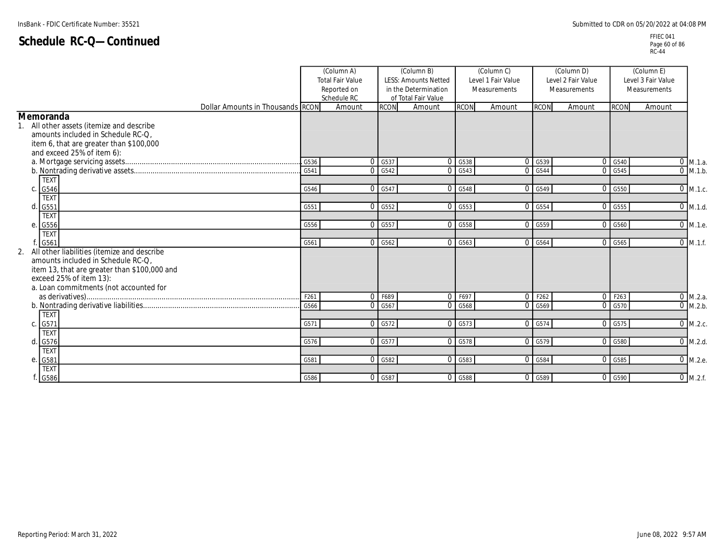|                                                                                                                                                                                                           |       | (Column A)<br><b>Total Fair Value</b><br>Reported on |                      | (Column B)<br><b>LESS: Amounts Netted</b><br>in the Determination<br>Schedule RC<br>of Total Fair Value |                                 | (Column C)<br>Level 1 Fair Value<br>Measurements |                                 |        | (Column D)<br>Level 2 Fair Value<br>Measurements |                       | (Column E)<br>Level 3 Fair Value<br>Measurements |  |
|-----------------------------------------------------------------------------------------------------------------------------------------------------------------------------------------------------------|-------|------------------------------------------------------|----------------------|---------------------------------------------------------------------------------------------------------|---------------------------------|--------------------------------------------------|---------------------------------|--------|--------------------------------------------------|-----------------------|--------------------------------------------------|--|
| Dollar Amounts in Thousands RCON                                                                                                                                                                          |       | Amount                                               | <b>RCON</b>          | Amount                                                                                                  | <b>RCON</b>                     | Amount                                           | <b>RCON</b>                     | Amount | <b>RCON</b>                                      | Amount                |                                                  |  |
| Memoranda<br>1. All other assets (itemize and describe<br>amounts included in Schedule RC-Q,<br>item 6, that are greater than \$100,000<br>and exceed 25% of item 6):                                     |       |                                                      |                      |                                                                                                         |                                 |                                                  |                                 |        |                                                  |                       |                                                  |  |
|                                                                                                                                                                                                           | .G536 | $\Omega$                                             | G537                 |                                                                                                         | O G538                          |                                                  | 0.6539                          |        | 0 G540                                           | $\overline{0}$ M.1.a. |                                                  |  |
|                                                                                                                                                                                                           | G541  | $\Omega$                                             | G542                 |                                                                                                         | 0.6543                          |                                                  | 0.6544                          |        | 0 G545                                           | $0$ M.1.b.            |                                                  |  |
| <b>TEXT</b><br>G546<br>C.                                                                                                                                                                                 | G546  | $\Omega$                                             | G547                 |                                                                                                         | $\overline{0}$ G <sub>548</sub> |                                                  | $\overline{0}$ G <sub>549</sub> |        | $0$ G <sub>550</sub>                             | $0$ M.1.c.            |                                                  |  |
| <b>TEXT</b><br>G551<br>d.                                                                                                                                                                                 | G551  |                                                      | 0 G552               |                                                                                                         | $0 \quad 6553$                  |                                                  | 0 G554                          |        | $0$ G <sub>555</sub>                             | $0$ M.1.d.            |                                                  |  |
| <b>TEXT</b><br>е.<br>G556                                                                                                                                                                                 | G556  |                                                      | $0$ G <sub>557</sub> |                                                                                                         | 0 G558                          |                                                  | $0$ $G559$                      |        | 0 G560                                           | 0 M.1.e.              |                                                  |  |
| <b>TEXT</b><br>G561                                                                                                                                                                                       | G561  | $\Omega$                                             | G562                 |                                                                                                         | $0 \quad 6563$                  |                                                  | 0.6564                          |        | 0 G565                                           | $0$ M.1.f.            |                                                  |  |
| 2. All other liabilities (itemize and describe<br>amounts included in Schedule RC-Q.<br>item 13, that are greater than \$100,000 and<br>exceed 25% of item 13):<br>a. Loan commitments (not accounted for |       |                                                      |                      |                                                                                                         |                                 |                                                  |                                 |        |                                                  |                       |                                                  |  |
|                                                                                                                                                                                                           | F261  |                                                      | $0$ F689             | $\Omega$                                                                                                | F697                            |                                                  | 0 F262                          |        | $\overline{0}$ F263                              | $0$ M.2.a.            |                                                  |  |
| <b>TEXT</b>                                                                                                                                                                                               | G566  | $\Omega$                                             | G567                 | $\Omega$                                                                                                | G568                            |                                                  | 0.6569                          |        | 0 G570                                           | $0$ M.2.b.            |                                                  |  |
| G571<br>C.                                                                                                                                                                                                | G571  | $\overline{0}$                                       | G572                 |                                                                                                         | $0$ G <sub>573</sub>            |                                                  | 0 G574                          |        | 0 G575                                           | $0$ M.2.c.            |                                                  |  |
| <b>TEXT</b><br>d.<br>G576                                                                                                                                                                                 | G576  |                                                      | 0 G577               |                                                                                                         | $0$ $G578$                      |                                                  | $\overline{0}$ G <sub>579</sub> |        | $\overline{0}$ G <sub>580</sub>                  | $0$ M.2.d.            |                                                  |  |
| <b>TEXT</b><br>G581<br>е.                                                                                                                                                                                 | G581  |                                                      | 0 G582               |                                                                                                         | $0$ G <sub>5</sub> 83           |                                                  | 0 G584                          |        | 0 G585                                           | 0 M.2.e.              |                                                  |  |
| <b>TEXT</b><br>G586                                                                                                                                                                                       | G586  |                                                      | $0$ G <sub>587</sub> |                                                                                                         | $0$ G <sub>588</sub>            |                                                  | 0 G589                          |        | $0$ $G590$                                       | $0$ M.2.f.            |                                                  |  |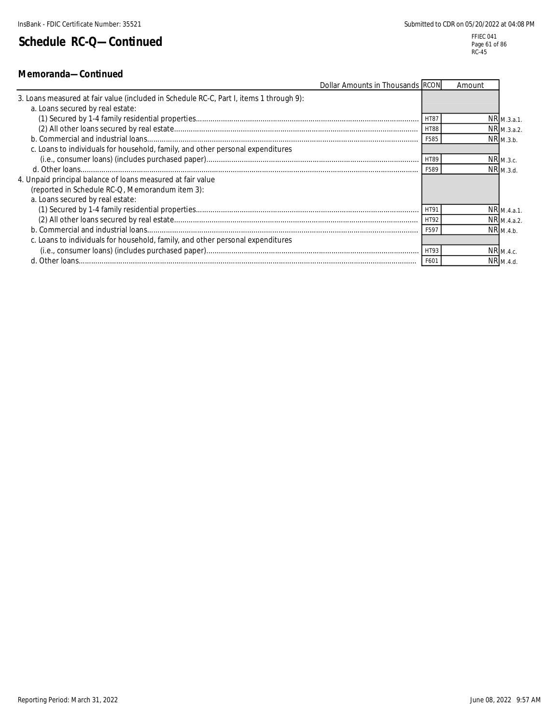#### **Memoranda—Continued**

| Dollar Amounts in Thousands RCON                                                        |                  | Amount |                         |
|-----------------------------------------------------------------------------------------|------------------|--------|-------------------------|
| 3. Loans measured at fair value (included in Schedule RC-C, Part I, items 1 through 9): |                  |        |                         |
| a. Loans secured by real estate:                                                        |                  |        |                         |
|                                                                                         | HT87             |        | $NR_{M.3.a.1.}$         |
|                                                                                         | <b>HT88</b>      |        | NR M.3.a.2.             |
|                                                                                         | F585             |        | $NR_{M.3.b.}$           |
| c. Loans to individuals for household, family, and other personal expenditures          |                  |        |                         |
|                                                                                         | HT89             |        | $NR_{M.3.c.}$           |
|                                                                                         | F589             |        | NR M.3.d.               |
| 4. Unpaid principal balance of loans measured at fair value                             |                  |        |                         |
| (reported in Schedule RC-Q, Memorandum item 3):                                         |                  |        |                         |
| a. Loans secured by real estate:                                                        |                  |        |                         |
|                                                                                         |                  |        | NR M.4.a.1.             |
|                                                                                         | HT92             |        | $NR$ <sub>M.4.a.2</sub> |
|                                                                                         | F597             |        | NR M.4.b.               |
| c. Loans to individuals for household, family, and other personal expenditures          |                  |        |                         |
|                                                                                         | HT93             |        | NR <sub>M.4.c.</sub>    |
|                                                                                         | F60 <sup>-</sup> |        | $NR$ <sub>M.4.d.</sub>  |
|                                                                                         |                  |        |                         |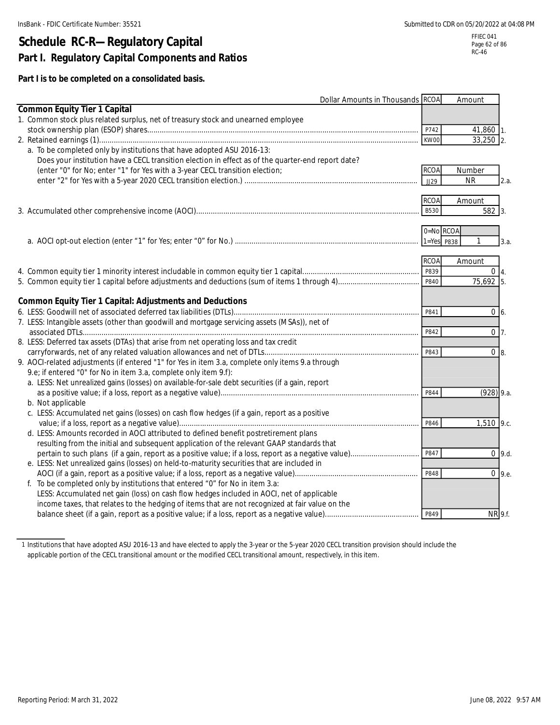# **Schedule RC-R—Regulatory Capital Part I. Regulatory Capital Components and Ratios**

RC-46

#### **Part I is to be completed on a consolidated basis.**

|                                                                                                    | Dollar Amounts in Thousands RCOA | Amount             |
|----------------------------------------------------------------------------------------------------|----------------------------------|--------------------|
| <b>Common Equity Tier 1 Capital</b>                                                                |                                  |                    |
| 1. Common stock plus related surplus, net of treasury stock and unearned employee                  |                                  |                    |
|                                                                                                    | P742                             | 41,860 1.          |
|                                                                                                    | KW00                             | 33,250 2.          |
| a. To be completed only by institutions that have adopted ASU 2016-13:                             |                                  |                    |
| Does your institution have a CECL transition election in effect as of the quarter-end report date? |                                  |                    |
| (enter "0" for No; enter "1" for Yes with a 3-year CECL transition election;                       | <b>RCOA</b>                      | Number             |
|                                                                                                    | JJ29                             | <b>NR</b><br>2.a.  |
|                                                                                                    | <b>RCOA</b>                      | Amount             |
|                                                                                                    | B530                             | $582$ 3.           |
|                                                                                                    |                                  |                    |
|                                                                                                    | 0=No RCOA                        |                    |
|                                                                                                    | $1 = Yes$ P838                   | 3.a.               |
|                                                                                                    | <b>RCOA</b>                      | Amount             |
|                                                                                                    | P839                             | $0\vert 4.$        |
|                                                                                                    | P840                             | 75,692 5.          |
|                                                                                                    |                                  |                    |
| <b>Common Equity Tier 1 Capital: Adjustments and Deductions</b>                                    |                                  |                    |
|                                                                                                    | P841                             | $0\,6.$            |
| 7. LESS: Intangible assets (other than goodwill and mortgage servicing assets (MSAs)), net of      |                                  |                    |
|                                                                                                    | P842                             | $0\overline{7}$ .  |
| 8. LESS: Deferred tax assets (DTAs) that arise from net operating loss and tax credit              |                                  |                    |
|                                                                                                    | P843                             | $0 \overline{8}$ . |
| 9. AOCI-related adjustments (if entered "1" for Yes in item 3.a, complete only items 9.a through   |                                  |                    |
| 9.e; if entered "0" for No in item 3.a, complete only item 9.f):                                   |                                  |                    |
| a. LESS: Net unrealized gains (losses) on available-for-sale debt securities (if a gain, report    |                                  |                    |
|                                                                                                    | P844                             | $(928)$ 9.a.       |
| b. Not applicable                                                                                  |                                  |                    |
| c. LESS: Accumulated net gains (losses) on cash flow hedges (if a gain, report as a positive       |                                  |                    |
|                                                                                                    | P846                             | 1,510 9.c.         |
| d. LESS: Amounts recorded in AOCI attributed to defined benefit postretirement plans               |                                  |                    |
| resulting from the initial and subsequent application of the relevant GAAP standards that          |                                  |                    |
|                                                                                                    | P847                             | $0 \, 9.d.$        |
| e. LESS: Net unrealized gains (losses) on held-to-maturity securities that are included in         |                                  |                    |
|                                                                                                    | P848                             | 0 9.e.             |
| f. To be completed only by institutions that entered "0" for No in item 3.a:                       |                                  |                    |
| LESS: Accumulated net gain (loss) on cash flow hedges included in AOCI, net of applicable          |                                  |                    |
| income taxes, that relates to the hedging of items that are not recognized at fair value on the    |                                  |                    |
|                                                                                                    | P849                             | NR 9.f.            |

1 Institutions that have adopted ASU 2016-13 and have elected to apply the 3-year or the 5-year 2020 CECL transition provision should include the applicable portion of the CECL transitional amount or the modified CECL transitional amount, respectively, in this item.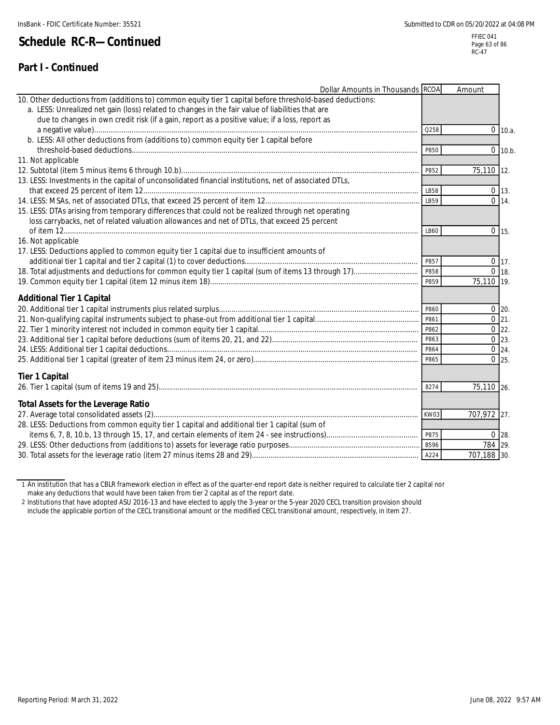### **Part I - Continued**

Page 63 of 86 RC-47

| Dollar Amounts in Thousands RCOA                                                                         |             | Amount      |                    |
|----------------------------------------------------------------------------------------------------------|-------------|-------------|--------------------|
| 10. Other deductions from (additions to) common equity tier 1 capital before threshold-based deductions: |             |             |                    |
| a. LESS: Unrealized net gain (loss) related to changes in the fair value of liabilities that are         |             |             |                    |
| due to changes in own credit risk (if a gain, report as a positive value; if a loss, report as           |             |             |                    |
|                                                                                                          | Q258        |             | $0$ 10.a.          |
| b. LESS: All other deductions from (additions to) common equity tier 1 capital before                    |             |             |                    |
|                                                                                                          | P850        |             | $0$ 10.b.          |
| 11. Not applicable                                                                                       |             |             |                    |
|                                                                                                          | P852        | 75,110 12.  |                    |
| 13. LESS: Investments in the capital of unconsolidated financial institutions, net of associated DTLs,   |             |             |                    |
|                                                                                                          | LB58        |             | $0$ 13.            |
|                                                                                                          | LB59        |             | $0 \, 14.$         |
| 15. LESS: DTAs arising from temporary differences that could not be realized through net operating       |             |             |                    |
| loss carrybacks, net of related valuation allowances and net of DTLs, that exceed 25 percent             |             |             |                    |
|                                                                                                          | LB60        |             | $0 \mid 15.$       |
| 16. Not applicable                                                                                       |             |             |                    |
| 17. LESS: Deductions applied to common equity tier 1 capital due to insufficient amounts of              |             |             |                    |
|                                                                                                          | P857        |             | $0 \mid 17.$       |
|                                                                                                          | P858        |             | $0$ 18.            |
|                                                                                                          | P859        | 75,110 19.  |                    |
| <b>Additional Tier 1 Capital</b>                                                                         |             |             |                    |
|                                                                                                          | P860        |             | $0$ 20.            |
|                                                                                                          | P861        |             | $0$ 21.            |
|                                                                                                          | P862        |             | $0$ 22.            |
|                                                                                                          | P863        |             | $0 \, 23.$         |
|                                                                                                          | P864        |             | $\overline{0}$ 24. |
|                                                                                                          | P865        |             | $0$ 25.            |
| <b>Tier 1 Capital</b>                                                                                    |             |             |                    |
|                                                                                                          | 8274        | 75,110 26.  |                    |
|                                                                                                          |             |             |                    |
| <b>Total Assets for the Leverage Ratio</b>                                                               |             |             |                    |
|                                                                                                          | KW03        | 707,972 27. |                    |
| 28. LESS: Deductions from common equity tier 1 capital and additional tier 1 capital (sum of             |             |             |                    |
|                                                                                                          | P875        |             | $0 \, 28.$         |
|                                                                                                          | <b>B596</b> | 784 29.     |                    |
|                                                                                                          | A224        | 707,188 30. |                    |

1 An institution that has a CBLR framework election in effect as of the quarter-end report date is neither required to calculate tier 2 capital nor make any deductions that would have been taken from tier 2 capital as of the report date.

2 Institutions that have adopted ASU 2016-13 and have elected to apply the 3-year or the 5-year 2020 CECL transition provision should

include the applicable portion of the CECL transitional amount or the modified CECL transitional amount, respectively, in item 27.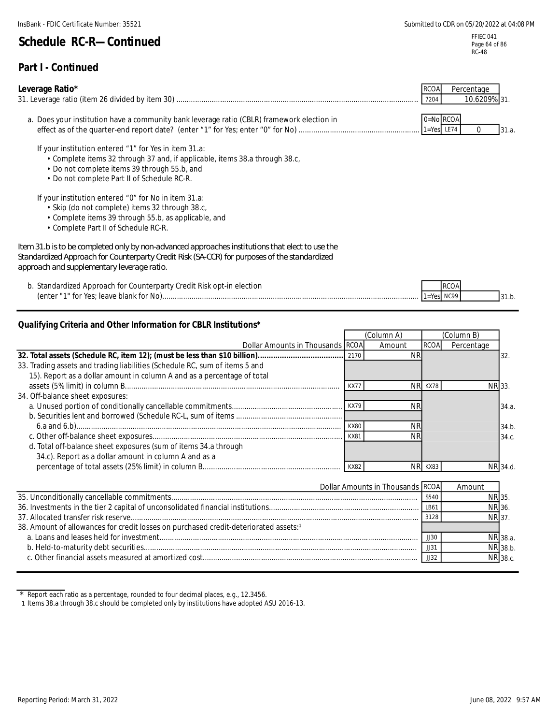FFIEC 041 Page 64 of 86 RC-48

31.b.

RCOA

#### **Part I - Continued**

#### **Leverage Ratio\*** 31. a. Does your institution have a community bank leverage ratio (CBLR) framework election in  $0=$ No  $_{\rm NCOA}$ 31.a. If your institution entered "1" for Yes in item 31.a: • Complete items 32 through 37 and, if applicable, items 38.a through 38.c, RCOA Percentage 31. Leverage ratio (item 26 divided by item 30) .................................................................................................................... 7204 10.6209% effect as of the quarter-end report date? (enter "1" for Yes; enter "0" for No) .......................................................... 1=Yes LE74 0

- Do not complete items 39 through 55.b, and
- Do not complete Part II of Schedule RC-R.

If your institution entered "0" for No in item 31.a:

- Skip (do not complete) items 32 through 38.c,
- Complete items 39 through 55.b, as applicable, and
- Complete Part II of Schedule RC-R.

| Item 31.b is to be completed only by non-advanced approaches institutions that elect to use the |
|-------------------------------------------------------------------------------------------------|
| Standardized Approach for Counterparty Credit Risk (SA-CCR) for purposes of the standardized    |
| approach and supplementary leverage ratio.                                                      |

b. Standardized Approach for Counterparty Credit Risk opt-in election (enter "1" for Yes; leave blank for No)........................................................................................................................... 1=Yes NC99

#### **Qualifying Criteria and Other Information for CBLR Institutions\***

|                                                                             | (Column A)  |                                  |             |            |          |
|-----------------------------------------------------------------------------|-------------|----------------------------------|-------------|------------|----------|
| Dollar Amounts in Thousands RCOA                                            |             | Amount                           | <b>RCOA</b> | Percentage |          |
|                                                                             | 2170        | NF                               |             |            | 32.      |
| 33. Trading assets and trading liabilities (Schedule RC, sum of items 5 and |             |                                  |             |            |          |
| 15). Report as a dollar amount in column A and as a percentage of total     |             |                                  |             |            |          |
|                                                                             | <b>KX77</b> |                                  | NR KX78     |            | NR 33.   |
| 34. Off-balance sheet exposures:                                            |             |                                  |             |            |          |
|                                                                             |             | ΝR                               |             |            | 34.a.    |
|                                                                             |             |                                  |             |            |          |
|                                                                             | <b>KX80</b> | ΝR                               |             |            | 34.b.    |
|                                                                             | KX81        |                                  |             |            | 34.c.    |
| d. Total off-balance sheet exposures (sum of items 34.a through             |             |                                  |             |            |          |
| 34.c). Report as a dollar amount in column A and as a                       |             |                                  |             |            |          |
|                                                                             | <b>KX82</b> | <b>NRI</b>                       | KX83        |            | NR 34.d. |
|                                                                             |             |                                  |             |            |          |
|                                                                             |             | Dollar Amounts in Thousands RCOA |             | Amount     |          |
|                                                                             |             |                                  | S540        |            | NR 35    |
|                                                                             |             |                                  |             |            |          |

|                                                                                                  | - 224U          |              | INT 35.  |
|--------------------------------------------------------------------------------------------------|-----------------|--------------|----------|
|                                                                                                  | LB61            |              | NR 36.   |
|                                                                                                  | 3128            | <b>NR</b> 37 |          |
| 38. Amount of allowances for credit losses on purchased credit-deteriorated assets: <sup>1</sup> |                 |              |          |
|                                                                                                  | JJ30            |              | NR 38.a. |
|                                                                                                  | $\frac{113}{7}$ |              | NR 38.b. |
|                                                                                                  | JJ32            |              | NR 38.c. |
|                                                                                                  |                 |              |          |

Report each ratio as a percentage, rounded to four decimal places, e.g., 12.3456.

1 Items 38.a through 38.c should be completed only by institutions have adopted ASU 2016-13.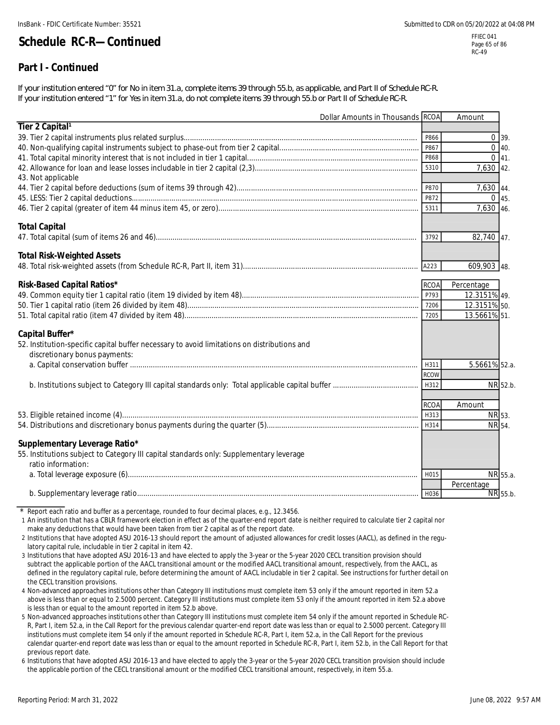RC-49

# **Schedule RC-R—Continued**

### **Part I - Continued**

*If your institution entered "0" for No in item 31.a, complete items 39 through 55.b, as applicable, and Part II of Schedule RC-R. If your institution entered "1" for Yes in item 31.a, do not complete items 39 through 55.b or Part II of Schedule RC-R.*

|                                                                                             | Dollar Amounts in Thousands RCOA |             | Amount                 |  |
|---------------------------------------------------------------------------------------------|----------------------------------|-------------|------------------------|--|
| Tier 2 Capital <sup>1</sup>                                                                 |                                  |             |                        |  |
|                                                                                             |                                  | P866        | $0 \overline{39}$ .    |  |
|                                                                                             |                                  | P867        | $0 \, 40.$             |  |
|                                                                                             |                                  | P868        | $0 \, 41.$             |  |
|                                                                                             |                                  | 5310        | 7,630 42.              |  |
| 43. Not applicable                                                                          |                                  |             |                        |  |
|                                                                                             |                                  | P870        | 7,630 44.              |  |
|                                                                                             |                                  | P872        | 0.45.                  |  |
|                                                                                             |                                  | 5311        | 7,630 46.              |  |
| <b>Total Capital</b>                                                                        |                                  |             |                        |  |
|                                                                                             |                                  | 3792        | 82,740 47.             |  |
| <b>Total Risk-Weighted Assets</b>                                                           |                                  |             |                        |  |
|                                                                                             |                                  | A223        | 609,903 48.            |  |
|                                                                                             |                                  |             |                        |  |
| Risk-Based Capital Ratios*                                                                  |                                  | <b>RCOA</b> | Percentage             |  |
|                                                                                             |                                  | P793        | 12.3151% 49.           |  |
|                                                                                             |                                  | 7206        | 12.3151% 50.           |  |
|                                                                                             |                                  | 7205        | 13.5661% 51.           |  |
| Capital Buffer*                                                                             |                                  |             |                        |  |
| 52. Institution-specific capital buffer necessary to avoid limitations on distributions and |                                  |             |                        |  |
| discretionary bonus payments:                                                               |                                  |             |                        |  |
|                                                                                             |                                  | H311        | 5.5661% 52.a.          |  |
|                                                                                             |                                  | <b>RCOW</b> |                        |  |
|                                                                                             |                                  | H312        | NR 52.b.               |  |
|                                                                                             |                                  | <b>RCOA</b> | Amount                 |  |
|                                                                                             |                                  | H313        | NR 53.                 |  |
|                                                                                             |                                  | H314        | NR 54.                 |  |
|                                                                                             |                                  |             |                        |  |
| Supplementary Leverage Ratio*                                                               |                                  |             |                        |  |
| 55. Institutions subject to Category III capital standards only: Supplementary leverage     |                                  |             |                        |  |
| ratio information:                                                                          |                                  |             |                        |  |
|                                                                                             |                                  | H015        | NR 55.a.<br>Percentage |  |
|                                                                                             |                                  | H036        | NR 55.b.               |  |
|                                                                                             |                                  |             |                        |  |

\* Report each ratio and buffer as a percentage, rounded to four decimal places, e.g., 12.3456.

1 An institution that has a CBLR framework election in effect as of the quarter-end report date is neither required to calculate tier 2 capital nor make any deductions that would have been taken from tier 2 capital as of the report date.

- 2 Institutions that have adopted ASU 2016-13 should report the amount of adjusted allowances for credit losses (AACL), as defined in the regulatory capital rule, includable in tier 2 capital in item 42.
- 3 Institutions that have adopted ASU 2016-13 and have elected to apply the 3-year or the 5-year 2020 CECL transition provision should subtract the applicable portion of the AACL transitional amount or the modified AACL transitional amount, respectively, from the AACL, as defined in the regulatory capital rule, before determining the amount of AACL includable in tier 2 capital. See instructions for further detail on the CECL transition provisions.
- 4 Non-advanced approaches institutions other than Category III institutions must complete item 53 only if the amount reported in item 52.a above is less than or equal to 2.5000 percent. Category III institutions must complete item 53 only if the amount reported in item 52.a above is less than or equal to the amount reported in item 52.b above.
- 5 Non-advanced approaches institutions other than Category III institutions must complete item 54 only if the amount reported in Schedule RC-R, Part I, item 52.a, in the Call Report for the previous calendar quarter-end report date was less than or equal to 2.5000 percent. Category III institutions must complete item 54 only if the amount reported in Schedule RC-R, Part I, item 52.a, in the Call Report for the previous calendar quarter-end report date was less than or equal to the amount reported in Schedule RC-R, Part I, item 52.b, in the Call Report for that previous report date.

6 Institutions that have adopted ASU 2016-13 and have elected to apply the 3-year or the 5-year 2020 CECL transition provision should include the applicable portion of the CECL transitional amount or the modified CECL transitional amount, respectively, in item 55.a.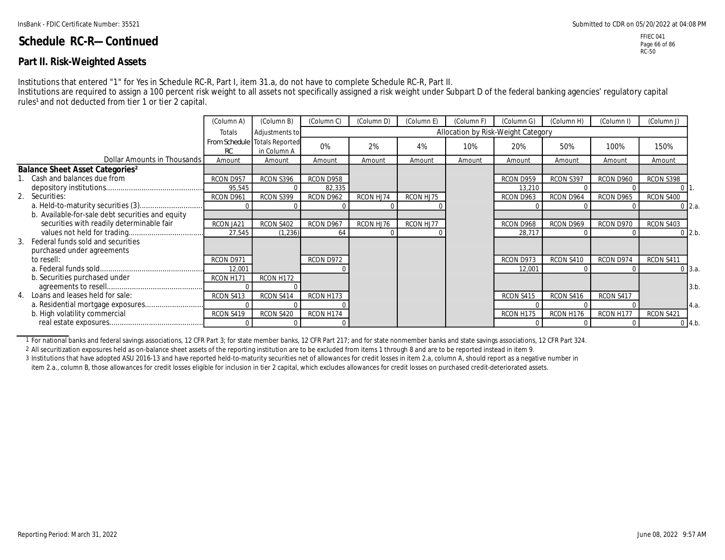#### **Part II. Risk-Weighted Assets**

Institutions that entered "1" for Yes in Schedule RC-R, Part I, item 31.a, do not have to complete Schedule RC-R, Part II.

Institutions are required to assign a 100 percent risk weight to all assets not specifically assigned a risk weight under Subpart D of the federal banking agencies' regulatory capital rules<sup>1</sup> and not deducted from tier 1 or tier 2 capital.

|                                                  | (Column A) | (Column B)                                   | (Column C) | (Column D) | (Column E) | (Column F) | (Column G)                         | (Column H) | (Column I) | (Column J) |                   |  |
|--------------------------------------------------|------------|----------------------------------------------|------------|------------|------------|------------|------------------------------------|------------|------------|------------|-------------------|--|
|                                                  | Totals     | Adjustments to                               |            |            |            |            | Allocation by Risk-Weight Category |            |            |            |                   |  |
|                                                  | RC         | From Schedule Totals Reported<br>in Column A | 0%         | 2%         | 4%         | 10%        | 20%                                | 50%        | 100%       | 150%       |                   |  |
| Dollar Amounts in Thousands                      | Amount     | Amount                                       | Amount     | Amount     | Amount     | Amount     | Amount                             | Amount     | Amount     | Amount     |                   |  |
| Balance Sheet Asset Categories <sup>2</sup>      |            |                                              |            |            |            |            |                                    |            |            |            |                   |  |
| Cash and balances due from                       | RCON D957  | RCON S396                                    | RCON D958  |            |            |            | RCON D959                          | RCON S397  | RCON D960  | RCON S398  |                   |  |
|                                                  | 95,545     |                                              | 82,335     |            |            |            | 13,210                             |            |            |            |                   |  |
| 2. Securities:                                   | RCON D961  | RCON S399                                    | RCON D962  | RCON HJ74  | RCON HJ75  |            | RCON D963                          | RCON D964  | RCON D965  | RCON S400  |                   |  |
|                                                  |            |                                              |            |            |            |            |                                    |            |            |            | $0 \, 2.a.$       |  |
| b. Available-for-sale debt securities and equity |            |                                              |            |            |            |            |                                    |            |            |            |                   |  |
| securities with readily determinable fair        | RCON JA21  | RCON S402                                    | RCON D967  | RCON HJ76  | RCON HJ77  |            | RCON D968                          | RCON D969  | RCON D970  | RCON S403  |                   |  |
|                                                  | 27,545     | (1, 236)                                     | 64         |            |            |            | 28,717                             |            |            |            | $0$ 2.b.          |  |
| 3. Federal funds sold and securities             |            |                                              |            |            |            |            |                                    |            |            |            |                   |  |
| purchased under agreements                       |            |                                              |            |            |            |            |                                    |            |            |            |                   |  |
| to resell:                                       | RCON D971  |                                              | RCON D972  |            |            |            | RCON D973                          | RCON S410  | RCON D974  | RCON S411  |                   |  |
|                                                  | 12,001     |                                              |            |            |            |            | 12,001                             |            |            |            | 0 <sup>3.a.</sup> |  |
| b. Securities purchased under                    | RCON H171  | RCON H172                                    |            |            |            |            |                                    |            |            |            |                   |  |
|                                                  |            |                                              |            |            |            |            |                                    |            |            |            | 3.b               |  |
| 4. Loans and leases held for sale:               | RCON S413  | RCON S414                                    | RCON H173  |            |            |            | RCON S415                          | RCON S416  | RCON S417  |            |                   |  |
|                                                  |            |                                              |            |            |            |            |                                    |            |            |            | 4.a.              |  |
| b. High volatility commercial                    | RCON S419  | RCON S420                                    | RCON H174  |            |            |            | RCON H175                          | RCON H176  | RCON H177  | RCON S421  |                   |  |
|                                                  |            |                                              |            |            |            |            |                                    |            |            |            | $0\,4.b.$         |  |

1 For national banks and federal savings associations, 12 CFR Part 3; for state member banks, 12 CFR Part 217; and for state nonmember banks and state savings associations, 12 CFR Part 324.

2 All securitization exposures held as on-balance sheet assets of the reporting institution are to be excluded from items 1 through 8 and are to be reported instead in item 9.

3 Institutions that have adopted ASU 2016-13 and have reported held-to-maturity securities net of allowances for credit losses in item 2.a, column A, should report as a negative number in item 2.a., column B, those allowances for credit losses eligible for inclusion in tier 2 capital, which excludes allowances for credit losses on purchased credit-deteriorated assets.

FFIEC 041 Page 66 of 86 RC-50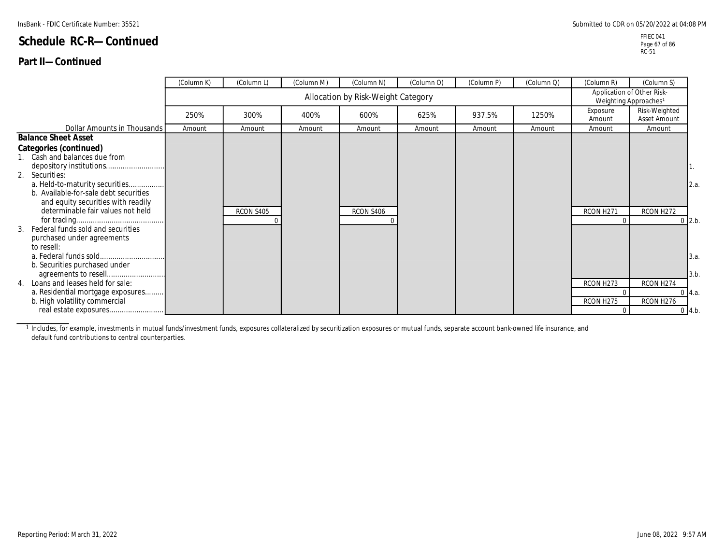#### **Part II—Continued**

FFIEC 041 Page 67 of 86 RC-51

|                                                                                                               | (Column K) | (Column L) | (Column M) | (Column N)                         | (Column O) | (Column P) | (Column Q) | (Column R)                                                      | (Column S)                    |             |  |  |
|---------------------------------------------------------------------------------------------------------------|------------|------------|------------|------------------------------------|------------|------------|------------|-----------------------------------------------------------------|-------------------------------|-------------|--|--|
|                                                                                                               |            |            |            | Allocation by Risk-Weight Category |            |            |            | Application of Other Risk-<br>Weighting Approaches <sup>1</sup> |                               |             |  |  |
|                                                                                                               | 250%       | 300%       | 400%       | 600%                               | 625%       | 937.5%     | 1250%      | Exposure<br>Amount                                              | Risk-Weighted<br>Asset Amount |             |  |  |
| Dollar Amounts in Thousands                                                                                   | Amount     | Amount     | Amount     | Amount                             | Amount     | Amount     | Amount     | Amount                                                          | Amount                        |             |  |  |
| <b>Balance Sheet Asset</b>                                                                                    |            |            |            |                                    |            |            |            |                                                                 |                               |             |  |  |
| Categories (continued)<br>1. Cash and balances due from                                                       |            |            |            |                                    |            |            |            |                                                                 |                               |             |  |  |
| 2. Securities:                                                                                                |            |            |            |                                    |            |            |            |                                                                 |                               | 1.          |  |  |
| a. Held-to-maturity securities<br>b. Available-for-sale debt securities<br>and equity securities with readily |            |            |            |                                    |            |            |            |                                                                 |                               | 2.a.        |  |  |
| determinable fair values not held                                                                             |            | RCON S405  |            | RCON S406                          |            |            |            | RCON H271                                                       | RCON H272                     | $0 \, 2.b.$ |  |  |
| 3. Federal funds sold and securities<br>purchased under agreements<br>to resell:                              |            |            |            |                                    |            |            |            |                                                                 |                               |             |  |  |
| b. Securities purchased under                                                                                 |            |            |            |                                    |            |            |            |                                                                 |                               | 3.a.        |  |  |
| 4. Loans and leases held for sale:                                                                            |            |            |            |                                    |            |            |            | RCON H273                                                       | RCON H274                     | 3.b.        |  |  |
| a. Residential mortgage exposures                                                                             |            |            |            |                                    |            |            |            | $\Omega$                                                        |                               | $0\,$ 4.a.  |  |  |
| b. High volatility commercial                                                                                 |            |            |            |                                    |            |            |            | RCON H275                                                       | RCON H276                     |             |  |  |
|                                                                                                               |            |            |            |                                    |            |            |            | $\Omega$                                                        |                               | 04.b.       |  |  |

1 Includes, for example, investments in mutual funds/investment funds, exposures collateralized by securitization exposures or mutual funds, separate account bank-owned life insurance, and default fund contributions to central counterparties.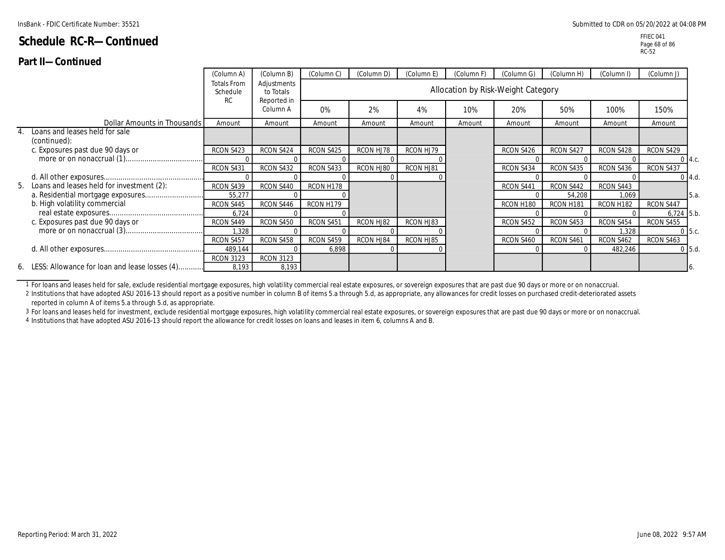#### **Part II—Continued**

|                                                   | (Column A)                     | (Column B)               | (Column C) | (Column D) | (Column E) | (Column F)                         | (Column G) | (Column H) | (Column I) | (Column J)   |               |
|---------------------------------------------------|--------------------------------|--------------------------|------------|------------|------------|------------------------------------|------------|------------|------------|--------------|---------------|
|                                                   | <b>Totals From</b><br>Schedule | Adjustments<br>to Totals |            |            |            | Allocation by Risk-Weight Category |            |            |            |              |               |
|                                                   | <b>RC</b>                      | Reported in<br>Column A  | 0%         | 2%         | 4%         | 10%                                | 20%        | 50%        | 100%       | 150%         |               |
| Dollar Amounts in Thousands                       | Amount                         | Amount                   | Amount     | Amount     | Amount     | Amount                             | Amount     | Amount     | Amount     | Amount       |               |
| 4. Loans and leases held for sale<br>(continued): |                                |                          |            |            |            |                                    |            |            |            |              |               |
| c. Exposures past due 90 days or                  | RCON S423                      | RCON S424                | RCON S425  | RCON HJ78  | RCON HJ79  |                                    | RCON S426  | RCON S427  | RCON S428  | RCON S429    |               |
|                                                   |                                |                          |            |            |            |                                    |            |            |            | $0\,$ 4.c.   |               |
|                                                   | RCON S431                      | RCON S432                | RCON S433  | RCON HJ80  | RCON HJ81  |                                    | RCON S434  | RCON S435  | RCON S436  | RCON S437    |               |
|                                                   |                                |                          |            |            |            |                                    |            |            |            | $0\,$ 4.d.   |               |
| 5. Loans and leases held for investment (2):      | RCON S439                      | RCON S440                | RCON H178  |            |            |                                    | RCON S441  | RCON S442  | RCON S443  |              |               |
|                                                   | 55,277                         |                          |            |            |            |                                    |            | 54,208     | 1,069      |              | <b>1</b> 5.a. |
| b. High volatility commercial                     | RCON S445                      | RCON S446                | RCON H179  |            |            |                                    | RCON H180  | RCON H181  | RCON H182  | RCON S447    |               |
|                                                   | 6,724                          |                          |            |            |            |                                    |            |            |            | $6,724$ 5.b. |               |
| c. Exposures past due 90 days or                  | RCON S449                      | RCON S450                | RCON S451  | RCON HJ82  | RCON HJ83  |                                    | RCON S452  | RCON S453  | RCON S454  | RCON S455    |               |
|                                                   | 1,328                          |                          |            |            |            |                                    |            |            | 1,328      | $0\,$ 5.c.   |               |
|                                                   | RCON S457                      | RCON S458                | RCON S459  | RCON HJ84  | RCON HJ85  |                                    | RCON S460  | RCON S461  | RCON S462  | RCON S463    |               |
|                                                   | 489,144                        |                          | 6,898      |            |            |                                    |            |            | 482,246    | $0$ 5.d.     |               |
|                                                   | <b>RCON 3123</b>               | <b>RCON 3123</b>         |            |            |            |                                    |            |            |            |              |               |
| 6. LESS: Allowance for loan and lease losses (4)  | 8,193                          | 8,193                    |            |            |            |                                    |            |            |            |              |               |

1 For loans and leases held for sale, exclude residential mortgage exposures, high volatility commercial real estate exposures, or sovereign exposures that are past due 90 days or more or on nonaccrual.

2 Institutions that have adopted ASU 2016-13 should report as a positive number in column B of items 5.a through 5.d, as appropriate, any allowances for credit losses on purchased credit-deteriorated assets reported in column A of items 5.a through 5.d, as appropriate.

3 For loans and leases held for investment, exclude residential mortgage exposures, high volatility commercial real estate exposures, or sovereign exposures that are past due 90 days or more or on nonaccrual.

4 Institutions that have adopted ASU 2016-13 should report the allowance for credit losses on loans and leases in item 6, columns A and B.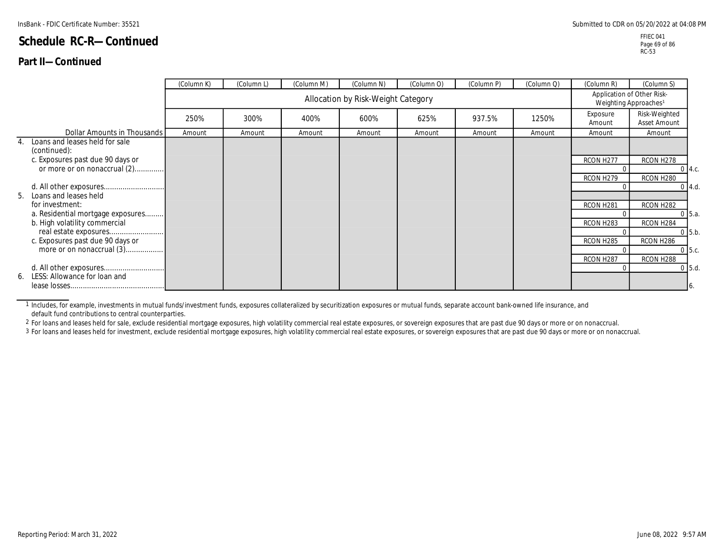#### **Part II—Continued**

|    |                                                | (Column K) | (Column L)                         | (Column M) | (Column N) | (Column O) | (Column P) | (Column Q) | (Column R)            | (Column S)                                                      |             |
|----|------------------------------------------------|------------|------------------------------------|------------|------------|------------|------------|------------|-----------------------|-----------------------------------------------------------------|-------------|
|    |                                                |            | Allocation by Risk-Weight Category |            |            |            |            |            |                       | Application of Other Risk-<br>Weighting Approaches <sup>1</sup> |             |
|    |                                                | 250%       | 300%                               | 400%       | 600%       | 625%       | 937.5%     | 1250%      | Exposure<br>Amount    | Risk-Weighted<br>Asset Amount                                   |             |
|    | Dollar Amounts in Thousands                    | Amount     | Amount                             | Amount     | Amount     | Amount     | Amount     | Amount     | Amount                | Amount                                                          |             |
| 4. | Loans and leases held for sale<br>(continued): |            |                                    |            |            |            |            |            |                       |                                                                 |             |
|    | c. Exposures past due 90 days or               |            |                                    |            |            |            |            |            | RCON H277             | RCON H278                                                       |             |
|    | or more or on nonaccrual (2)                   |            |                                    |            |            |            |            |            |                       |                                                                 | $0 \, 4.c.$ |
|    |                                                |            |                                    |            |            |            |            |            | RCON H <sub>279</sub> | RCON H280                                                       |             |
|    | 5. Loans and leases held                       |            |                                    |            |            |            |            |            |                       |                                                                 | $0 \, 4.d.$ |
|    | for investment:                                |            |                                    |            |            |            |            |            | RCON H <sub>281</sub> | RCON H282                                                       |             |
|    | a. Residential mortgage exposures              |            |                                    |            |            |            |            |            |                       |                                                                 | $0\,5.a.$   |
|    | b. High volatility commercial                  |            |                                    |            |            |            |            |            | RCON H283             | RCON H284                                                       |             |
|    |                                                |            |                                    |            |            |            |            |            |                       |                                                                 | $0\,5.b.$   |
|    | c. Exposures past due 90 days or               |            |                                    |            |            |            |            |            | RCON H285             | RCON H286                                                       |             |
|    | more or on nonaccrual (3)                      |            |                                    |            |            |            |            |            |                       |                                                                 | $0\,$ 5.c.  |
|    |                                                |            |                                    |            |            |            |            |            | RCON H287             | RCON H288                                                       |             |
|    |                                                |            |                                    |            |            |            |            |            |                       |                                                                 | $0$ 5.d.    |
|    | 6. LESS: Allowance for loan and                |            |                                    |            |            |            |            |            |                       |                                                                 | 16.         |

1 Includes, for example, investments in mutual funds/investment funds, exposures collateralized by securitization exposures or mutual funds, separate account bank-owned life insurance, and default fund contributions to central counterparties.

2 For loans and leases held for sale, exclude residential mortgage exposures, high volatility commercial real estate exposures, or sovereign exposures that are past due 90 days or more or on nonaccrual.

3 For loans and leases held for investment, exclude residential mortgage exposures, high volatility commercial real estate exposures, or sovereign exposures that are past due 90 days or more or on nonaccrual.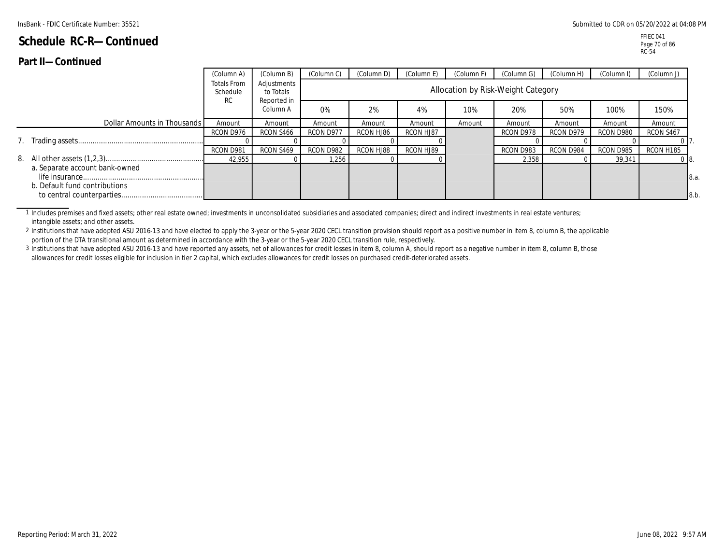|                                                                 | (Column A)                                  | (Column B)                              | (Column C) | (Column D) | (Column E | (Column F) | (Column G)                         | (Column H) | (Column I) | (Column J)     |
|-----------------------------------------------------------------|---------------------------------------------|-----------------------------------------|------------|------------|-----------|------------|------------------------------------|------------|------------|----------------|
|                                                                 | <b>Totals From</b><br>Schedule<br><b>RC</b> | Adjustments<br>to Totals<br>Reported in |            |            |           |            | Allocation by Risk-Weight Category |            |            |                |
|                                                                 |                                             | Column A                                | 0%         | 2%         | 4%        | 10%        | 20%                                | 50%        | 100%       | 150%           |
| Dollar Amounts in Thousands                                     | Amount                                      | Amount                                  | Amount     | Amount     | Amount    | Amount     | Amount                             | Amount     | Amount     | Amount         |
|                                                                 | RCON D976                                   | RCON S466                               | RCON D977  | RCON HJ86  | RCON HJ87 |            | RCON D978                          | RCON D979  | RCON D980  | RCON S467      |
|                                                                 |                                             |                                         |            |            |           |            |                                    |            |            |                |
|                                                                 | RCON D981                                   | RCON S469                               | RCON D982  | RCON HJ88  | RCON HJ89 |            | RCON D983                          | RCON D984  | RCON D985  | RCON H185      |
|                                                                 | 42,955                                      |                                         | ,256       |            |           |            | 2,358                              |            | 39,341     | $0$ $\vert$ 8. |
| a. Separate account bank-owned<br>b. Default fund contributions |                                             |                                         |            |            |           |            |                                    |            |            | 8.a.<br>8.b    |

1 Includes premises and fixed assets; other real estate owned; investments in unconsolidated subsidiaries and associated companies; direct and indirect investments in real estate ventures; intangible assets; and other assets.

2 Institutions that have adopted ASU 2016-13 and have elected to apply the 3-year or the 5-year 2020 CECL transition provision should report as a positive number in item 8, column B, the applicable portion of the DTA transitional amount as determined in accordance with the 3-year or the 5-year 2020 CECL transition rule, respectively.

3 Institutions that have adopted ASU 2016-13 and have reported any assets, net of allowances for credit losses in item 8, column A, should report as a negative number in item 8, column B, those allowances for credit losses eligible for inclusion in tier 2 capital, which excludes allowances for credit losses on purchased credit-deteriorated assets.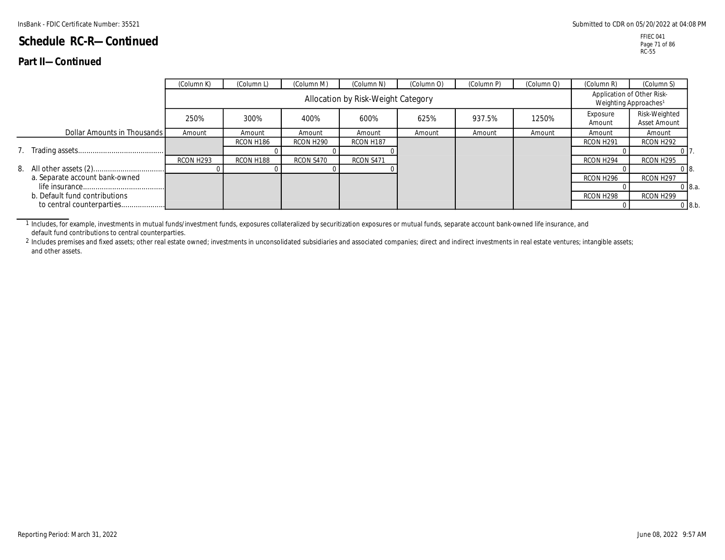#### **Part II—Continued**

|                                | (Column K) | (Column L)                         | (Column M)            | (Column N) | (Column O) | (Column P) | (Column Q) | (Column R)            | (Column S)                                                      |  |
|--------------------------------|------------|------------------------------------|-----------------------|------------|------------|------------|------------|-----------------------|-----------------------------------------------------------------|--|
|                                |            | Allocation by Risk-Weight Category |                       |            |            |            |            |                       | Application of Other Risk-<br>Weighting Approaches <sup>1</sup> |  |
|                                | 250%       | 300%                               | 400%                  | 600%       | 625%       | 937.5%     | 1250%      | Exposure<br>Amount    | Risk-Weighted<br>Asset Amount                                   |  |
| Dollar Amounts in Thousands    | Amount     | Amount                             | Amount                | Amount     | Amount     | Amount     | Amount     | Amount                | Amount                                                          |  |
|                                |            | RCON H186                          | RCON H <sub>290</sub> | RCON H187  |            |            |            | RCON H <sub>291</sub> | RCON H <sub>292</sub>                                           |  |
|                                |            |                                    |                       |            |            |            |            |                       |                                                                 |  |
|                                | RCON H293  | RCON H188                          | RCON S470             | RCON S471  |            |            |            | RCON H <sub>294</sub> | RCON H <sub>295</sub>                                           |  |
|                                |            |                                    |                       |            |            |            |            |                       | 018.                                                            |  |
| a. Separate account bank-owned |            |                                    |                       |            |            |            |            | RCON H296             | RCON H <sub>297</sub>                                           |  |
|                                |            |                                    |                       |            |            |            |            |                       | $0\,8.a.$                                                       |  |
| b. Default fund contributions  |            |                                    |                       |            |            |            |            | RCON H298             | RCON H <sub>299</sub>                                           |  |
| to central counterparties      |            |                                    |                       |            |            |            |            |                       | 0.8 b.                                                          |  |

1 Includes, for example, investments in mutual funds/investment funds, exposures collateralized by securitization exposures or mutual funds, separate account bank-owned life insurance, and default fund contributions to central counterparties.

2 Includes premises and fixed assets; other real estate owned; investments in unconsolidated subsidiaries and associated companies; direct and indirect investments in real estate ventures; intangible assets; and other assets.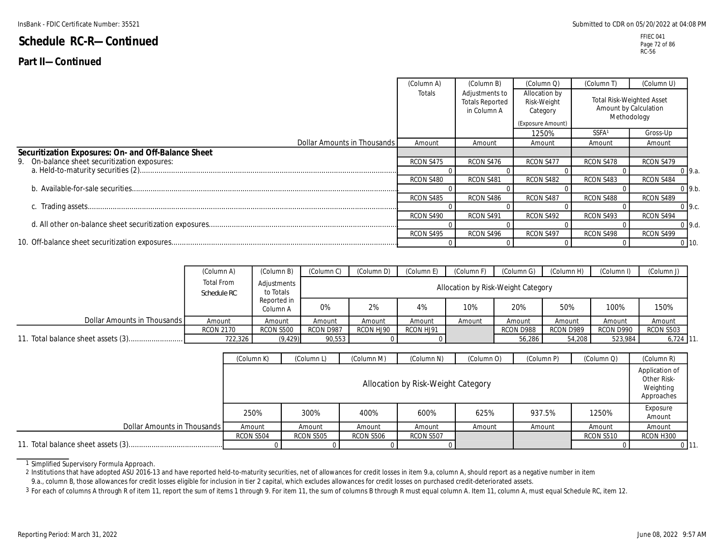#### **Part II—Continued**

|                                                     | (Column A) | (Column B)                                              | (Column Q)                                                    | (Column T)        | (Column U)                                                        |
|-----------------------------------------------------|------------|---------------------------------------------------------|---------------------------------------------------------------|-------------------|-------------------------------------------------------------------|
|                                                     | Totals     | Adjustments to<br><b>Totals Reported</b><br>in Column A | Allocation by<br>Risk-Weight<br>Category<br>(Exposure Amount) |                   | Total Risk-Weighted Asset<br>Amount by Calculation<br>Methodology |
|                                                     |            |                                                         | 1250%                                                         | SSFA <sup>1</sup> | Gross-Up                                                          |
| Dollar Amounts in Thousands                         | Amount     | Amount                                                  | Amount                                                        | Amount            | Amount                                                            |
| Securitization Exposures: On- and Off-Balance Sheet |            |                                                         |                                                               |                   |                                                                   |
| 9. On-balance sheet securitization exposures:       | RCON S475  | RCON S476                                               | RCON S477                                                     | RCON S478         | RCON S479                                                         |
|                                                     |            |                                                         |                                                               |                   | $0\,9.a.$                                                         |
|                                                     | RCON S480  | RCON S481                                               | RCON S482                                                     | RCON S483         | RCON S484                                                         |
|                                                     |            |                                                         |                                                               |                   | 0.9 b.                                                            |
|                                                     | RCON S485  | RCON S486                                               | RCON S487                                                     | RCON S488         | RCON S489                                                         |
|                                                     |            |                                                         |                                                               |                   | $0\,9.c.$                                                         |
|                                                     | RCON S490  | RCON S491                                               | RCON S492                                                     | RCON S493         | RCON S494                                                         |
|                                                     |            |                                                         |                                                               |                   | 0.9.d.                                                            |
|                                                     | RCON S495  | RCON S496                                               | RCON S497                                                     | RCON S498         | RCON S499                                                         |
|                                                     |            |                                                         |                                                               |                   | $0$ 10.                                                           |

|                             | (Column A)                | (Column B)               | Column C)                          | (Column D) | (Column E) | (Column F) | (Column G) | (Column H) | (Column I) | (Column J) |  |  |
|-----------------------------|---------------------------|--------------------------|------------------------------------|------------|------------|------------|------------|------------|------------|------------|--|--|
|                             | Total From<br>Schedule RC | Adjustments<br>to Totals | Allocation by Risk-Weight Category |            |            |            |            |            |            |            |  |  |
|                             |                           | Reported in<br>Column A  | 0%                                 | 2%         | 4%         | 10%        | 20%        | 50%        | 100%       | 150%       |  |  |
| Dollar Amounts in Thousands | Amount                    | Amount                   | Amount                             | Amount     | Amount     | Amount     | Amount     | Amount     | Amount     | Amount     |  |  |
|                             | <b>RCON 2170</b>          | <b>RCON S500</b>         | RCON D987                          | RCON HJ90  | RCON HJ91  |            | RCON D988  | RCON D989  | RCON D990  | RCON S503  |  |  |
|                             | 722,326                   | (9, 429)                 | 90,553                             |            |            |            | 56,286     | 54,208     | 523,984    | $6,724$ 11 |  |  |

|                             | (Column K) | (Column L)                                                                        | (Column M) | (Column N)       | (Column O) | (Column P) | (Column Q) | (Column R)         |  |  |  |  |
|-----------------------------|------------|-----------------------------------------------------------------------------------|------------|------------------|------------|------------|------------|--------------------|--|--|--|--|
|                             |            | Application of<br>Other Risk-<br>Allocation by Risk-Weight Category<br>Approaches |            |                  |            |            |            |                    |  |  |  |  |
|                             | 250%       | 300%                                                                              | 400%       | 600%             | 625%       | 937.5%     | 1250%      | Exposure<br>Amount |  |  |  |  |
| Dollar Amounts in Thousands | Amount     | Amount                                                                            | Amount     | Amount           | Amount     | Amount     | Amount     | Amount             |  |  |  |  |
|                             | RCON S504  | <b>RCON S505</b>                                                                  | RCON S506  | <b>RCON S507</b> |            |            | RCON S510  | RCON H300          |  |  |  |  |
|                             |            |                                                                                   |            |                  |            |            |            |                    |  |  |  |  |

1 Simplified Supervisory Formula Approach.

2 Institutions that have adopted ASU 2016-13 and have reported held-to-maturity securities, net of allowances for credit losses in item 9.a, column A, should report as a negative number in item 9.a., column B, those allowances for credit losses eligible for inclusion in tier 2 capital, which excludes allowances for credit losses on purchased credit-deteriorated assets.

3 For each of columns A through R of item 11, report the sum of items 1 through 9. For item 11, the sum of columns B through R must equal column A. Item 11, column A, must equal Schedule RC, item 12.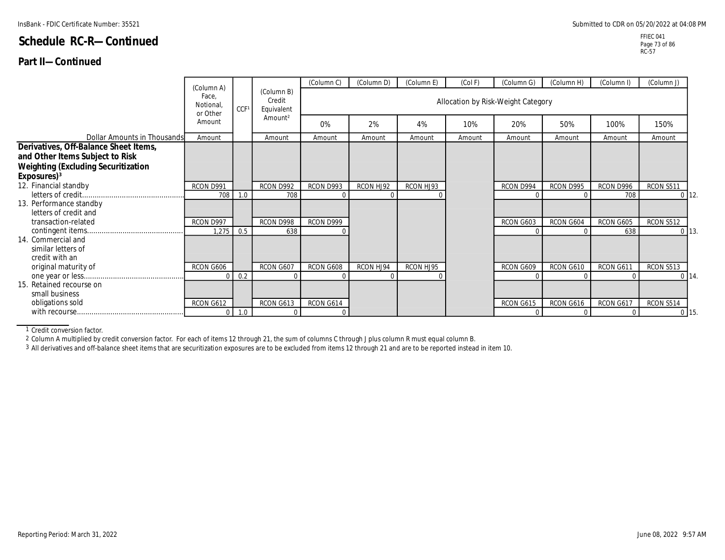### **Part II—Continued**

|                                                                                                                                                   | (Column A)                    |                  |                                    | (Column C) | (Column D) | (Column E) | (Col F)                            | (Column G) | (Column H) | (Column I) | (Column J)       |             |
|---------------------------------------------------------------------------------------------------------------------------------------------------|-------------------------------|------------------|------------------------------------|------------|------------|------------|------------------------------------|------------|------------|------------|------------------|-------------|
|                                                                                                                                                   | Face.<br>Notional<br>or Other | CCF <sup>®</sup> | (Column B)<br>Credit<br>Equivalent |            |            |            | Allocation by Risk-Weight Category |            |            |            |                  |             |
|                                                                                                                                                   | Amount                        |                  | Amount <sup>2</sup>                | 0%         | 2%         | 4%         | 10%                                | 20%        | 50%        | 100%       | 150%             |             |
| Dollar Amounts in Thousands                                                                                                                       | Amount                        |                  | Amount                             | Amount     | Amount     | Amount     | Amount                             | Amount     | Amoun      | Amount     | Amount           |             |
| Derivatives, Off-Balance Sheet Items,<br>and Other Items Subject to Risk<br><b>Weighting (Excluding Securitization</b><br>Exposures) <sup>3</sup> |                               |                  |                                    |            |            |            |                                    |            |            |            |                  |             |
| 12. Financial standby                                                                                                                             | RCON D991                     |                  | RCON D992                          | RCON D993  | RCON HJ92  | RCON HJ93  |                                    | RCON D994  | RCON D995  | RCON D996  | <b>RCON S511</b> |             |
|                                                                                                                                                   | 708                           | 1.0              | 708                                |            |            |            |                                    |            |            | 708        |                  | $0 \mid 12$ |
| 13. Performance standby<br>letters of credit and                                                                                                  |                               |                  |                                    |            |            |            |                                    |            |            |            |                  |             |
| transaction-related                                                                                                                               | RCON D997                     |                  | RCON D998                          | RCON D999  |            |            |                                    | RCON G603  | RCON G604  | RCON G605  | <b>RCON S512</b> |             |
| 14. Commercial and<br>similar letters of<br>credit with an                                                                                        | 1,275                         | 0.5              | 638                                |            |            |            |                                    |            |            | 638        |                  | $0 \mid 13$ |
| original maturity of                                                                                                                              | RCON G606                     |                  | RCON G607                          | RCON G608  | RCON HJ94  | RCON HJ95  |                                    | RCON G609  | RCON G610  | RCON G611  | RCON S513        |             |
| 15. Retained recourse on<br>small business                                                                                                        | $\Omega$                      | 0.2              | $\Omega$                           |            |            |            |                                    |            |            |            |                  | $0 \mid 14$ |
| obligations sold                                                                                                                                  | RCON G612                     |                  | RCON G613                          | RCON G614  |            |            |                                    | RCON G615  | RCON G616  | RCON G617  | RCON S514        |             |
|                                                                                                                                                   | $\mathbf 0$                   | 1.0              | $\Omega$                           |            |            |            |                                    |            |            |            |                  | $0$ 15      |

1 Credit conversion factor.

2 Column A multiplied by credit conversion factor. For each of items 12 through 21, the sum of columns C through J plus column R must equal column B.

3 All derivatives and off-balance sheet items that are securitization exposures are to be excluded from items 12 through 21 and are to be reported instead in item 10.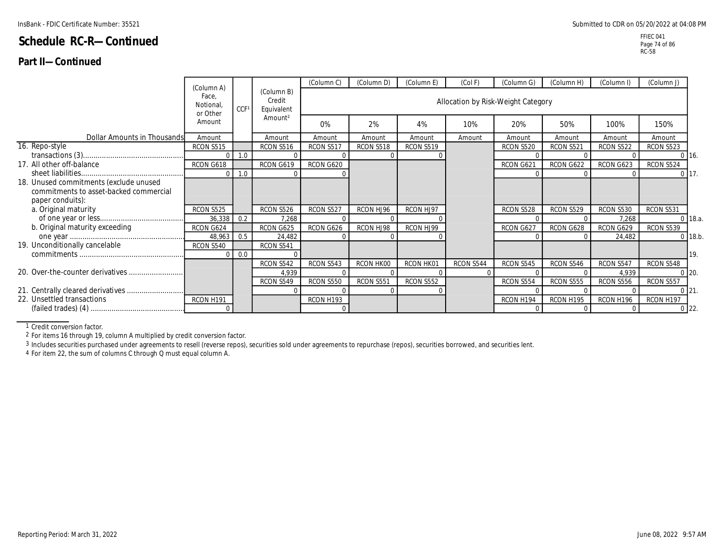### **Part II—Continued**

FFIEC 041 Page 74 of 86 RC-58

|                                        | (Column A)                    |      |                                    | (Column C)       | (Column D) | (Column E)       | (Col F)                            | (Column G)       | (Column H) | (Column I)       | (Column J)       |              |
|----------------------------------------|-------------------------------|------|------------------------------------|------------------|------------|------------------|------------------------------------|------------------|------------|------------------|------------------|--------------|
|                                        | Face.<br>Notional<br>or Other | CCF1 | (Column B)<br>Credit<br>Equivalent |                  |            |                  | Allocation by Risk-Weight Category |                  |            |                  |                  |              |
|                                        | Amount                        |      | Amount <sup>2</sup>                | 0%               | 2%         | 4%               | 10%                                | 20%              | 50%        | 100%             | 150%             |              |
| Dollar Amounts in Thousands            | Amount                        |      | Amount                             | Amount           | Amount     | Amount           | Amount                             | Amoun            | Amoun      | Amount           | Amount           |              |
| 16. Repo-style                         | RCON S515                     |      | <b>RCON S516</b>                   | <b>RCON S517</b> | RCON S518  | RCON S519        |                                    | <b>RCON S520</b> | RCON S521  | <b>RCON S522</b> | <b>RCON S523</b> |              |
|                                        | $\Omega$                      | 1.0  |                                    |                  |            |                  |                                    |                  |            |                  |                  | $0\,16.$     |
| 17. All other off-balance              | RCON G618                     |      | RCON G619                          | RCON G620        |            |                  |                                    | RCON G621        | RCON G622  | RCON G623        | RCON S524        |              |
|                                        | $\Omega$                      | 1.0  |                                    |                  |            |                  |                                    |                  |            |                  |                  | $0 \mid 17.$ |
| 18. Unused commitments (exclude unused |                               |      |                                    |                  |            |                  |                                    |                  |            |                  |                  |              |
| commitments to asset-backed commercial |                               |      |                                    |                  |            |                  |                                    |                  |            |                  |                  |              |
| paper conduits):                       |                               |      |                                    |                  |            |                  |                                    |                  |            |                  |                  |              |
| a. Original maturity                   | RCON S525                     |      | RCON S526                          | RCON S527        | RCON HJ96  | RCON HJ97        |                                    | RCON S528        | RCON S529  | <b>RCON S530</b> | RCON S531        |              |
|                                        | 36,338                        | 0.2  | 7,268                              |                  |            |                  |                                    |                  |            | 7,268            |                  | $0$ 18.a.    |
| b. Original maturity exceeding         | RCON G624                     |      | RCON G625                          | RCON G626        | RCON HJ98  | RCON HJ99        |                                    | RCON G627        | RCON G628  | RCON G629        | RCON S539        |              |
|                                        | 48,963                        | 0.5  | 24,482                             |                  |            |                  |                                    |                  |            | 24,482           |                  | $0$ 18.b.    |
| 19. Unconditionally cancelable         | <b>RCON S540</b>              |      | RCON S541                          |                  |            |                  |                                    |                  |            |                  |                  |              |
|                                        | $\Omega$                      | 0.0  |                                    |                  |            |                  |                                    |                  |            |                  |                  | 19.          |
|                                        |                               |      | RCON S542                          | RCON S543        | RCON HK00  | RCON HK01        | RCON S544                          | RCON S545        | RCON S546  | RCON S547        | RCON S548        |              |
|                                        |                               |      | 4,939                              |                  |            |                  |                                    |                  |            | 4,939            |                  | $0 \, 20$    |
|                                        |                               |      | RCON S549                          | <b>RCON S550</b> | RCON S551  | <b>RCON S552</b> |                                    | RCON S554        | RCON S555  | <b>RCON S556</b> | RCON S557        |              |
|                                        |                               |      | $\Omega$                           |                  |            |                  |                                    |                  |            |                  |                  | $0 \ 21$     |
| 22. Unsettled transactions             | RCON H191                     |      |                                    | RCON H193        |            |                  |                                    | RCON H194        | RCON H195  | RCON H196        | RCON H197        |              |
|                                        |                               |      |                                    |                  |            |                  |                                    |                  |            |                  |                  | $0$ 22.      |

1 Credit conversion factor.

2 For items 16 through 19, column A multiplied by credit conversion factor.

<sup>3</sup> Includes securities purchased under agreements to resell (reverse repos), securities sold under agreements to repurchase (repos), securities borrowed, and securities lent.

4 For item 22, the sum of columns C through Q must equal column A.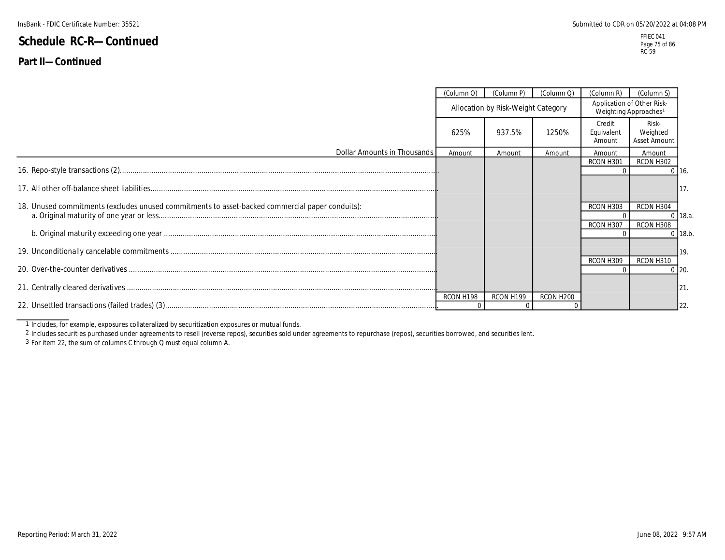## **Part II—Continued**

|                                                                                                 | (Column O) | (Column P)                         | (Column Q)            | (Column R)                                                      | (Column S)                        |            |
|-------------------------------------------------------------------------------------------------|------------|------------------------------------|-----------------------|-----------------------------------------------------------------|-----------------------------------|------------|
|                                                                                                 |            | Allocation by Risk-Weight Category |                       | Application of Other Risk-<br>Weighting Approaches <sup>1</sup> |                                   |            |
|                                                                                                 | 625%       | 937.5%                             | 1250%                 | Credit<br>Equivalent<br>Amount                                  | Risk-<br>Weighted<br>Asset Amount |            |
| Dollar Amounts in Thousands                                                                     | Amount     | Amount                             | Amount                | Amount                                                          | Amount                            |            |
|                                                                                                 |            |                                    |                       | RCON H301                                                       | RCON H302                         | $0$ 16.    |
|                                                                                                 |            |                                    |                       |                                                                 |                                   | 117.       |
| 18. Unused commitments (excludes unused commitments to asset-backed commercial paper conduits): |            |                                    |                       | RCON H303                                                       | RCON H304                         | $0$ 18.a.  |
|                                                                                                 |            |                                    |                       | RCON H307                                                       | RCON H308                         | $0$ 18.b.  |
|                                                                                                 |            |                                    |                       |                                                                 |                                   | <b>19.</b> |
|                                                                                                 |            |                                    |                       | RCON H309                                                       | RCON H310                         | $0$ 20.    |
|                                                                                                 |            |                                    |                       |                                                                 |                                   | $ 21$ .    |
|                                                                                                 | RCON H198  | RCON H199                          | RCON H <sub>200</sub> |                                                                 |                                   |            |
|                                                                                                 |            |                                    |                       |                                                                 |                                   | 122.       |

1 Includes, for example, exposures collateralized by securitization exposures or mutual funds.

2 Includes securities purchased under agreements to resell (reverse repos), securities sold under agreements to repurchase (repos), securities borrowed, and securities lent.

3 For item 22, the sum of columns C through Q must equal column A.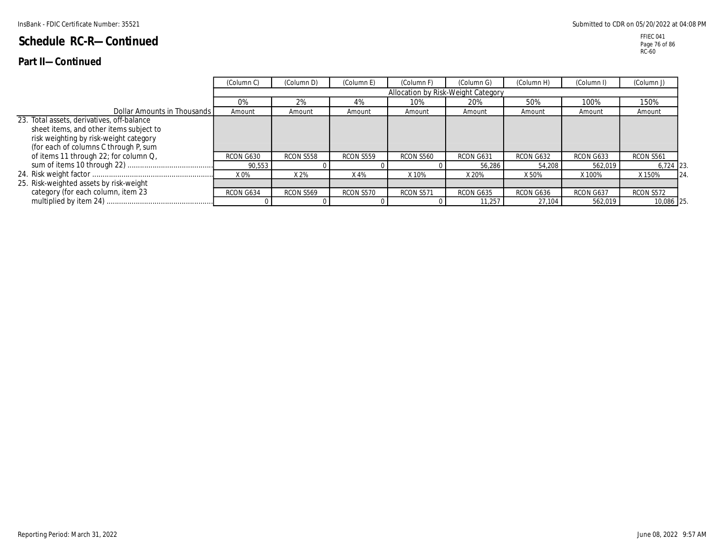### **Part II—Continued**

|                                                                                                                                                                          | (Column C) | (Column D)       | (Column E)       | (Column F)       | (Column G)                         | (Column H) | (Column I) | (Column J)       |    |
|--------------------------------------------------------------------------------------------------------------------------------------------------------------------------|------------|------------------|------------------|------------------|------------------------------------|------------|------------|------------------|----|
|                                                                                                                                                                          |            |                  |                  |                  | Allocation by Risk-Weight Category |            |            |                  |    |
|                                                                                                                                                                          | 0%         | 2%               | 4%               | 10%              | 20%                                | 50%        | 100%       | 150%             |    |
| Dollar Amounts in Thousands                                                                                                                                              | Amount     | Amount           | Amount           | Amount           | Amount                             | Amount     | Amount     | Amount           |    |
| 23. Total assets, derivatives, off-balance<br>sheet items, and other items subject to<br>risk weighting by risk-weight category<br>(for each of columns C through P, sum |            |                  |                  |                  |                                    |            |            |                  |    |
| of items 11 through 22; for column Q,                                                                                                                                    | RCON G630  | RCON S558        | <b>RCON S559</b> | <b>RCON S560</b> | RCON G631                          | RCON G632  | RCON G633  | <b>RCON S561</b> |    |
|                                                                                                                                                                          | 90,553     |                  |                  |                  | 56,286                             | 54,208     | 562.019    | 6,724 23.        |    |
|                                                                                                                                                                          | X 0%       | X 2%             | $X$ 4%           | X 10%            | X 20%                              | X 50%      | X 100%     | X 150%           | 24 |
| 25. Risk-weighted assets by risk-weight                                                                                                                                  |            |                  |                  |                  |                                    |            |            |                  |    |
| category (for each column, item 23                                                                                                                                       | RCON G634  | <b>RCON S569</b> | <b>RCON S570</b> | RCON S571        | RCON G635                          | RCON G636  | RCON G637  | <b>RCON S572</b> |    |
|                                                                                                                                                                          |            |                  |                  |                  | 11.257                             | 27.104     | 562.019    | 10,086 25.       |    |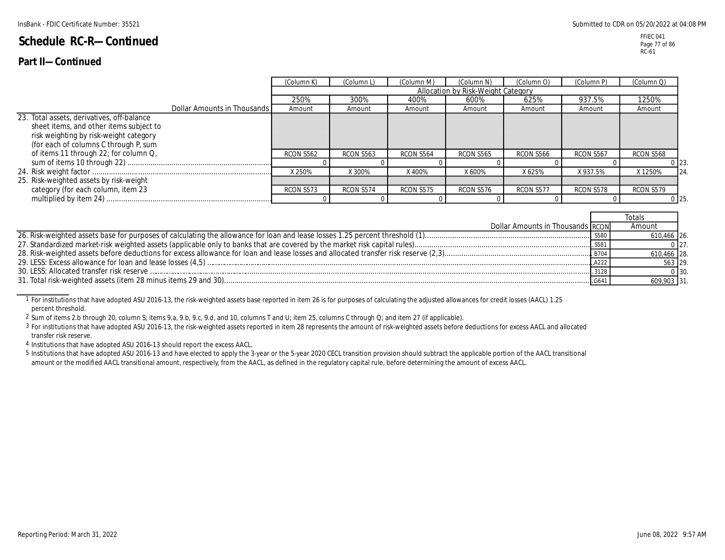## **Part II—Continued**

|                                                                                                                                                                          |                             | (Column K)       | (Column L)       | (Column M) | (Column N)                         | (Column O)       | (Column P) | (Column Q)       |
|--------------------------------------------------------------------------------------------------------------------------------------------------------------------------|-----------------------------|------------------|------------------|------------|------------------------------------|------------------|------------|------------------|
|                                                                                                                                                                          |                             |                  |                  |            | Allocation by Risk-Weight Category |                  |            |                  |
|                                                                                                                                                                          |                             | 250%             | 300%             | 400%       | 600%                               | 625%             | 937.5%     | 1250%            |
|                                                                                                                                                                          | Dollar Amounts in Thousands | Amount           | Amount           | Amount     | Amount                             | Amount           | Amount     | Amount           |
| 23. Total assets, derivatives, off-balance<br>sheet items, and other items subject to<br>risk weighting by risk-weight category<br>(for each of columns C through P, sum |                             |                  |                  |            |                                    |                  |            |                  |
| of items 11 through 22; for column Q,                                                                                                                                    |                             | <b>RCON S562</b> | <b>RCON S563</b> | RCON S564  | <b>RCON S565</b>                   | <b>RCON S566</b> | RCON S567  | RCON S568        |
|                                                                                                                                                                          |                             | X 250%           | X 300%           | X 400%     | X 600%                             | X 625%           | X 937.5%   | X 1250%<br>24    |
| 25. Risk-weighted assets by risk-weight                                                                                                                                  |                             |                  |                  |            |                                    |                  |            |                  |
| category (for each column, item 23                                                                                                                                       |                             | RCON S573        | RCON S574        | RCON S575  | RCON S576                          | RCON S577        | RCON S578  | RCON S579        |
|                                                                                                                                                                          |                             |                  |                  |            |                                    |                  |            | 0 <sub>125</sub> |

|                                  | cotals      |            |
|----------------------------------|-------------|------------|
| Dollar Amounts in Thousands RCON | Amount      |            |
|                                  | 610,466 26. |            |
|                                  |             | 0.27.      |
|                                  | 610,466 28. |            |
|                                  | 563 29.     |            |
|                                  |             | $0 \, 30.$ |
|                                  | 609,903 31. |            |

1 For institutions that have adopted ASU 2016-13, the risk-weighted assets base reported in item 26 is for purposes of calculating the adjusted allowances for credit losses (AACL) 1.25 percent threshold.

2 Sum of items 2.b through 20, column S; items 9.a, 9.b, 9.c, 9.d, and 10, columns T and U; item 25, columns C through Q; and item 27 (if applicable).

3 For institutions that have adopted ASU 2016-13, the risk-weighted assets reported in item 28 represents the amount of risk-weighted assets before deductions for excess AACL and allocated transfer risk reserve.

4 Institutions that have adopted ASU 2016-13 should report the excess AACL.

5 Institutions that have adopted ASU 2016-13 and have elected to apply the 3-year or the 5-year 2020 CECL transition provision should subtract the applicable portion of the AACL transitional amount or the modified AACL transitional amount, respectively, from the AACL, as defined in the regulatory capital rule, before determining the amount of excess AACL.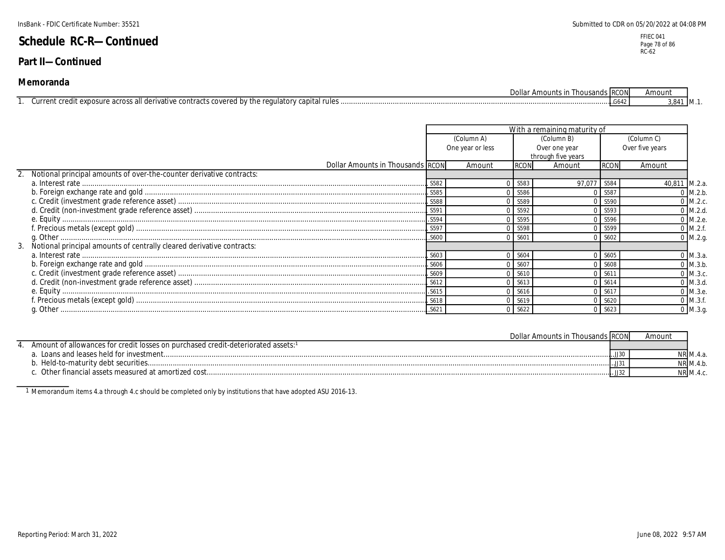### **Part II—Continued**

| Dollar<br>Amounts<br>` Thousands IRC.                                                                                                            | $\sim$ . $\sim$<br><b>UIV</b> | Amount |                  |
|--------------------------------------------------------------------------------------------------------------------------------------------------|-------------------------------|--------|------------------|
| contro,<br>the<br>uula‡.<br>AYNO <sup>r</sup><br>lerivative<br>ידורור<br>эc<br>$.10$ romando.<br>√urren.<br>11 L.A.R<br>.<br>avital<br>11.1<br>. |                               | 3.841  | $1 \, M_{\odot}$ |

|                                                                         |        |                  |             | With a remaining maturity of |             |                 |
|-------------------------------------------------------------------------|--------|------------------|-------------|------------------------------|-------------|-----------------|
|                                                                         |        | (Column A)       |             | (Column B)                   |             | (Column C)      |
|                                                                         |        | One year or less |             | Over one year                |             | Over five years |
|                                                                         |        |                  |             | through five years           |             |                 |
| Dollar Amounts in Thousands RCON                                        |        | Amount           | <b>RCON</b> | Amount                       | <b>RCON</b> | Amount          |
| 2. Notional principal amounts of over-the-counter derivative contracts: |        |                  |             |                              |             |                 |
|                                                                         | .S582  |                  | S583        | 97,077                       | S584        | 40,811 M.2.a.   |
|                                                                         |        |                  | S586        |                              | S587        | $0$ M.2.b.      |
|                                                                         |        |                  | S589        |                              | S590        | $0$ M.2.c.      |
|                                                                         |        |                  | S592        |                              | S593        | $0$ M.2.d.      |
|                                                                         |        |                  | 0 S595      |                              | S596        | 0 M.2.e.        |
|                                                                         |        |                  | S598        |                              | S599        | $0$ M.2.f.      |
|                                                                         |        |                  | S60'        |                              | S602        | $0$ M.2.g.      |
|                                                                         |        |                  |             |                              |             |                 |
|                                                                         | . S603 |                  | S604        |                              | S605        | $)$ M.3.a.      |
|                                                                         |        |                  | S60         |                              | S608        | $0$ M.3.b.      |
|                                                                         |        |                  | S610        |                              | S611        | $0$ M.3.c.      |
|                                                                         |        |                  | S613        |                              | S614        | $0$ M.3.d.      |
|                                                                         |        |                  | 0 S616      |                              | 0 S617      | 0 M.3.e.        |
|                                                                         |        |                  | 0 S619      |                              | S620        | $0$ M.3.f.      |
|                                                                         | .S621  |                  | S622        |                              | 0.5623      | $0$ M.3.g.      |

| Dollar Amounts in Thousands RCON                                                |                   |               |  |
|---------------------------------------------------------------------------------|-------------------|---------------|--|
| Amount of allowances for credit losses on purchased credit-deteriorated assets: |                   |               |  |
| Loans and leases held for investment                                            | . . <b>.</b> JJ30 | NR M.4.a      |  |
| Held-to-maturity debt securities                                                | $.1.$ JJ31.       | $NR$ M.4. $r$ |  |
| Other financial assets measured at amortized cost.                              | .l. JJ32          | NR M.4.0      |  |

1 Memorandum items 4.a through 4.c should be completed only by institutions that have adopted ASU 2016-13.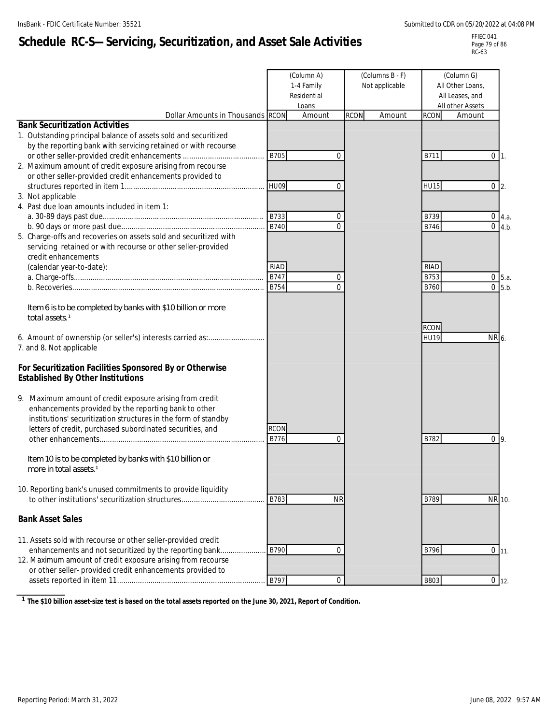# **Schedule RC-S—Servicing, Securitization, and Asset Sale Activities**

FFIEC 041 Page 79 of 86 RC-63

|                                                                                                                                                                                                                                                     |                            | (Column A)<br>1-4 Family<br>Residential<br>Loans |             | (Columns B - F)<br>Not applicable | (Column G)<br>All Other Loans,<br>All Leases, and<br>All other Assets |                                                         |  |
|-----------------------------------------------------------------------------------------------------------------------------------------------------------------------------------------------------------------------------------------------------|----------------------------|--------------------------------------------------|-------------|-----------------------------------|-----------------------------------------------------------------------|---------------------------------------------------------|--|
| Dollar Amounts in Thousands RCON                                                                                                                                                                                                                    |                            | Amount                                           | <b>RCON</b> | Amount                            | <b>RCON</b>                                                           | Amount                                                  |  |
| <b>Bank Securitization Activities</b><br>1. Outstanding principal balance of assets sold and securitized<br>by the reporting bank with servicing retained or with recourse                                                                          |                            |                                                  |             |                                   |                                                                       |                                                         |  |
| 2. Maximum amount of credit exposure arising from recourse<br>or other seller-provided credit enhancements provided to                                                                                                                              | <b>B705</b>                | 0                                                |             |                                   | B711                                                                  | $0 \mid 1$ .                                            |  |
| 3. Not applicable<br>4. Past due loan amounts included in item 1:                                                                                                                                                                                   | <b>HU09</b>                | 0                                                |             |                                   | <b>HU15</b>                                                           | $\mathbf 0$<br>$\overline{2}$ .                         |  |
|                                                                                                                                                                                                                                                     | <b>B733</b><br><b>B740</b> | 0<br>$\Omega$                                    |             |                                   | B739<br>B746                                                          | $\mathbf{0}$<br>4.a.<br>$0 \overline{\phantom{a}}$ 4.b. |  |
| 5. Charge-offs and recoveries on assets sold and securitized with<br>servicing retained or with recourse or other seller-provided<br>credit enhancements                                                                                            |                            |                                                  |             |                                   |                                                                       |                                                         |  |
| (calendar year-to-date):                                                                                                                                                                                                                            | RIAD<br><b>B747</b>        | 0                                                |             |                                   | <b>RIAD</b><br>B753                                                   | $\mathbf{0}$<br>5.a.                                    |  |
|                                                                                                                                                                                                                                                     | B754                       | $\Omega$                                         |             |                                   | B760                                                                  | 0, 5.b.                                                 |  |
| Item 6 is to be completed by banks with \$10 billion or more<br>total assets. <sup>1</sup>                                                                                                                                                          |                            |                                                  |             |                                   | <b>RCON</b>                                                           |                                                         |  |
| 7. and 8. Not applicable                                                                                                                                                                                                                            |                            |                                                  |             |                                   | HU19                                                                  | NR 6.                                                   |  |
| For Securitization Facilities Sponsored By or Otherwise<br><b>Established By Other Institutions</b>                                                                                                                                                 |                            |                                                  |             |                                   |                                                                       |                                                         |  |
| 9. Maximum amount of credit exposure arising from credit<br>enhancements provided by the reporting bank to other<br>institutions' securitization structures in the form of standby<br>letters of credit, purchased subordinated securities, and     | <b>RCON</b>                |                                                  |             |                                   |                                                                       |                                                         |  |
|                                                                                                                                                                                                                                                     | B776                       | $\Omega$                                         |             |                                   | B782                                                                  | 0<br>9.                                                 |  |
| Item 10 is to be completed by banks with \$10 billion or<br>more in total assets 1                                                                                                                                                                  |                            |                                                  |             |                                   |                                                                       |                                                         |  |
| 10. Reporting bank's unused commitments to provide liquidity                                                                                                                                                                                        | B783                       | <b>NR</b>                                        |             |                                   | B789                                                                  | NR 10.                                                  |  |
| <b>Bank Asset Sales</b>                                                                                                                                                                                                                             |                            |                                                  |             |                                   |                                                                       |                                                         |  |
| 11. Assets sold with recourse or other seller-provided credit<br>enhancements and not securitized by the reporting bank<br>12. Maximum amount of credit exposure arising from recourse<br>or other seller- provided credit enhancements provided to | B790                       | $\Omega$                                         |             |                                   | B796                                                                  | $0$ 11.                                                 |  |
|                                                                                                                                                                                                                                                     | B797                       | $\Omega$                                         |             |                                   | <b>B803</b>                                                           | $0_1$ 12.                                               |  |

**1 The \$10 billion asset-size test is based on the total assets reported on the June 30, 2021, Report of Condition.**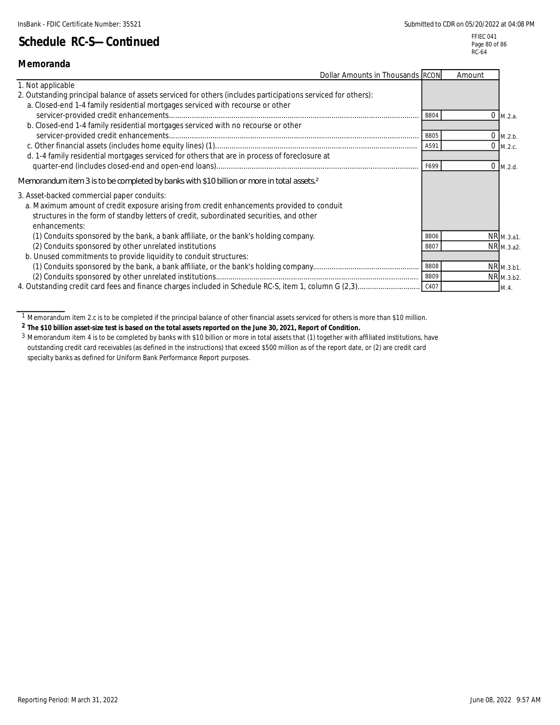FFIEC 041 Page 80 of 86 RC-64

| Memoranda                                                                                                                                                                                       |             |        |            |
|-------------------------------------------------------------------------------------------------------------------------------------------------------------------------------------------------|-------------|--------|------------|
| Dollar Amounts in Thousands RCON                                                                                                                                                                |             | Amount |            |
| 1. Not applicable                                                                                                                                                                               |             |        |            |
| 2. Outstanding principal balance of assets serviced for others (includes participations serviced for others):<br>a. Closed-end 1-4 family residential mortgages serviced with recourse or other |             |        |            |
|                                                                                                                                                                                                 | B804        |        | $0$ M.2.a. |
| b. Closed-end 1-4 family residential mortgages serviced with no recourse or other                                                                                                               |             |        |            |
|                                                                                                                                                                                                 | <b>B805</b> |        | $0$ M.2.b. |
|                                                                                                                                                                                                 | A591        |        | $0$ M.2.c. |
| d. 1-4 family residential mortgages serviced for others that are in process of foreclosure at                                                                                                   |             |        |            |
|                                                                                                                                                                                                 | F699        |        | $0$ M.2.d. |
| Memorandum item 3 is to be completed by banks with \$10 billion or more in total assets <sup>2</sup>                                                                                            |             |        |            |
| 3. Asset-backed commercial paper conduits:                                                                                                                                                      |             |        |            |
| a. Maximum amount of credit exposure arising from credit enhancements provided to conduit                                                                                                       |             |        |            |
| structures in the form of standby letters of credit, subordinated securities, and other<br>enhancements:                                                                                        |             |        |            |
| (1) Conduits sponsored by the bank, a bank affiliate, or the bank's holding company.                                                                                                            | <b>B806</b> |        | NR M.3.a1. |
| (2) Conduits sponsored by other unrelated institutions                                                                                                                                          | B807        |        | NR M.3.a2. |
| b. Unused commitments to provide liquidity to conduit structures:                                                                                                                               |             |        |            |
|                                                                                                                                                                                                 | <b>B808</b> |        | NR M.3.b1. |
|                                                                                                                                                                                                 | B809        |        | NR M.3.b2. |
|                                                                                                                                                                                                 |             |        | M.4.       |

**2 The \$10 billion asset-size test is based on the total assets reported on the June 30, 2021, Report of Condition.**

<sup>&</sup>lt;sup>1</sup> Memorandum item 2.c is to be completed if the principal balance of other financial assets serviced for others is more than \$10 million.

<sup>3</sup> Memorandum item 4 is to be completed by banks with \$10 billion or more in total assets that (1) together with affiliated institutions, have outstanding credit card receivables (as defined in the instructions) that exceed \$500 million as of the report date, or (2) are credit card specialty banks as defined for Uniform Bank Performance Report purposes.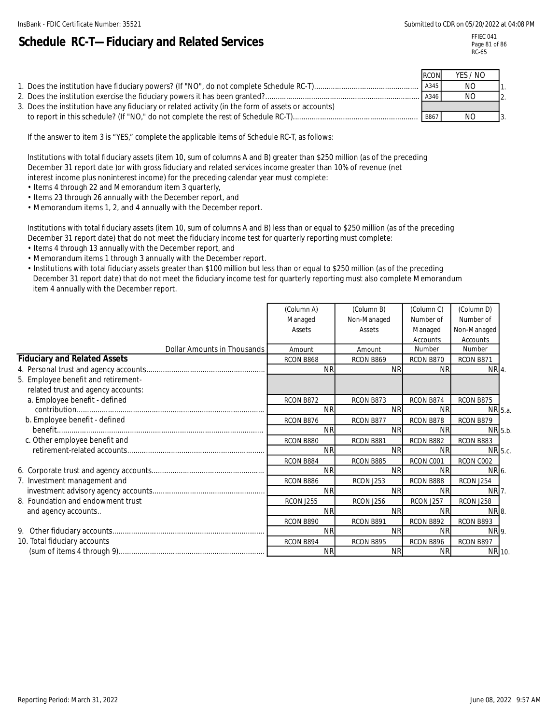# **Schedule RC-T—Fiduciary and Related Services**

FFIEC 041 Page 81 of 86 RC-65

|                                                                                                    | <b>RCON</b> | YES / NO |  |
|----------------------------------------------------------------------------------------------------|-------------|----------|--|
|                                                                                                    | A345        | NO       |  |
|                                                                                                    | A346        | NO       |  |
| 3. Does the institution have any fiduciary or related activity (in the form of assets or accounts) |             |          |  |
|                                                                                                    | B867        | NO.      |  |

If the answer to item 3 is "YES," complete the applicable items of Schedule RC-T, as follows:

Institutions with total fiduciary assets (item 10, sum of columns A and B) greater than \$250 million (as of the preceding December 31 report date )or with gross fiduciary and related services income greater than 10% of revenue (net interest income plus noninterest income) for the preceding calendar year must complete:

- Items 4 through 22 and Memorandum item 3 quarterly,
- Items 23 through 26 annually with the December report, and
- Memorandum items 1, 2, and 4 annually with the December report.

Institutions with total fiduciary assets (item 10, sum of columns A and B) less than or equal to \$250 million (as of the preceding December 31 report date) that do not meet the fiduciary income test for quarterly reporting must complete:

- Items 4 through 13 annually with the December report, and
- Memorandum items 1 through 3 annually with the December report.
- Institutions with total fiduciary assets greater than \$100 million but less than or equal to \$250 million (as of the preceding December 31 report date) that do not meet the fiduciary income test for quarterly reporting must also complete Memorandum item 4 annually with the December report.

|                                     | (Column A)       | (Column B)       | (Column C)       | (Column D)  |  |
|-------------------------------------|------------------|------------------|------------------|-------------|--|
|                                     | Managed          | Non-Managed      | Number of        | Number of   |  |
|                                     | Assets           | Assets           | Managed          | Non-Managed |  |
|                                     |                  |                  | Accounts         | Accounts    |  |
| Dollar Amounts in Thousands         | Amount           | Amount           | Number           | Number      |  |
| <b>Fiduciary and Related Assets</b> | RCON B868        | RCON B869        | RCON B870        | RCON B871   |  |
|                                     | <b>NR</b>        | <b>NR</b>        | <b>NR</b>        | NR 4.       |  |
| 5. Employee benefit and retirement- |                  |                  |                  |             |  |
| related trust and agency accounts:  |                  |                  |                  |             |  |
| a. Employee benefit - defined       | RCON B872        | RCON B873        | RCON B874        | RCON B875   |  |
|                                     | <b>NR</b>        | <b>NR</b>        | <b>NR</b>        | NR 5.a.     |  |
| b. Employee benefit - defined       | RCON B876        | RCON B877        | RCON B878        | RCON B879   |  |
|                                     | <b>NR</b>        | <b>NR</b>        | <b>NR</b>        | NR 5.b.     |  |
| c. Other employee benefit and       | RCON B880        | RCON B881        | RCON B882        | RCON B883   |  |
|                                     | <b>NR</b>        | <b>NR</b>        | <b>NR</b>        | NR 5.c.     |  |
|                                     | RCON B884        | RCON B885        | RCON C001        | RCON C002   |  |
|                                     | <b>NR</b>        | <b>NR</b>        | <b>NR</b>        | NR 6.       |  |
| 7. Investment management and        | RCON B886        | <b>RCON J253</b> | RCON B888        | RCON J254   |  |
|                                     | <b>NR</b>        | <b>NR</b>        | <b>NR</b>        | NR 7.       |  |
| 8. Foundation and endowment trust   | <b>RCON J255</b> | <b>RCON J256</b> | <b>RCON J257</b> | RCON J258   |  |
| and agency accounts                 | <b>NR</b>        | <b>NR</b>        | <b>NR</b>        | NR 8.       |  |
|                                     | RCON B890        | RCON B891        | RCON B892        | RCON B893   |  |
|                                     | <b>NR</b>        | <b>NR</b>        | <b>NR</b>        | NR 9.       |  |
| 10. Total fiduciary accounts        | RCON B894        | RCON B895        | RCON B896        | RCON B897   |  |
|                                     | <b>NR</b>        | <b>NR</b>        | <b>NR</b>        | NR 10.      |  |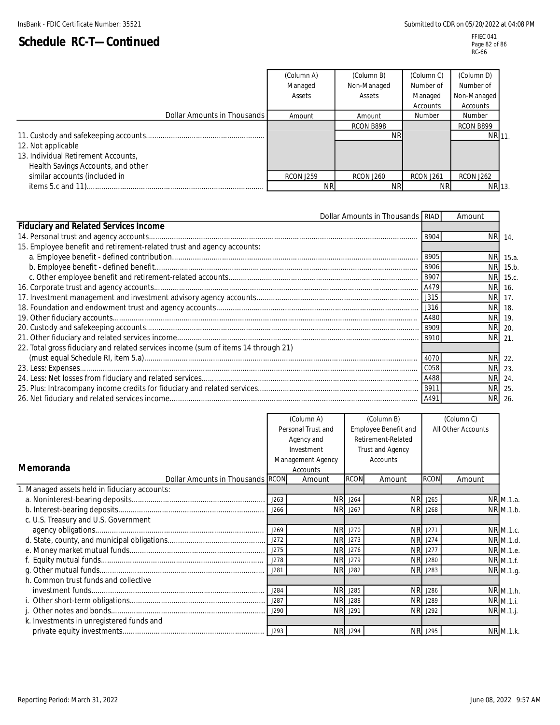#### FFIEC 041 Page 82 of 86 RC-66

|                                     | (Column A)       | (Column B)       | (Column C)       | (Column D)       |
|-------------------------------------|------------------|------------------|------------------|------------------|
|                                     | Managed          | Non-Managed      | Number of        | Number of        |
|                                     | Assets           | Assets           | Managed          | Non-Managed      |
|                                     |                  |                  | Accounts         | Accounts         |
| Dollar Amounts in Thousands         | Amount           | Amount           | Number           | Number           |
|                                     |                  | RCON B898        |                  | RCON B899        |
|                                     |                  | ΝR               |                  | NR 11.           |
| 12. Not applicable                  |                  |                  |                  |                  |
| 13. Individual Retirement Accounts, |                  |                  |                  |                  |
| Health Savings Accounts, and other  |                  |                  |                  |                  |
| similar accounts (included in       | <b>RCON J259</b> | <b>RCON J260</b> | <b>RCON J261</b> | <b>RCON J262</b> |
|                                     | ΝR               | <b>NR</b>        | <b>NR</b>        | NR 13.           |

| Dollar Amounts in Thousands RIAD                                                   |             | Amount    |          |
|------------------------------------------------------------------------------------|-------------|-----------|----------|
| <b>Fiduciary and Related Services Income</b>                                       |             |           |          |
|                                                                                    | <b>B904</b> | NR.       | 14.      |
| 15. Employee benefit and retirement-related trust and agency accounts:             |             |           |          |
|                                                                                    | B905        | <b>NR</b> | 15.a.    |
|                                                                                    | <b>B906</b> | <b>NR</b> | 15.b.    |
|                                                                                    |             |           | NR 15.c. |
|                                                                                    |             | <b>NR</b> | 16.      |
|                                                                                    |             | <b>NR</b> | 17.      |
|                                                                                    |             | <b>NR</b> | 18.      |
|                                                                                    |             | NR.       | 19.      |
|                                                                                    |             | <b>NR</b> | 20.      |
|                                                                                    |             |           | NR 21    |
| 22. Total gross fiduciary and related services income (sum of items 14 through 21) |             |           |          |
|                                                                                    | 4070        |           | NR 22.   |
|                                                                                    | C058        | NR.       | 23.      |
|                                                                                    | A488        | NR.       | 24       |
|                                                                                    |             | <b>NR</b> | 25.      |
|                                                                                    | A491        | <b>NR</b> | -26.     |

|                                               | (Column A) |                    | (Column B)                             |                             |                | (Column C)         |           |
|-----------------------------------------------|------------|--------------------|----------------------------------------|-----------------------------|----------------|--------------------|-----------|
|                                               |            | Personal Trust and |                                        | <b>Employee Benefit and</b> |                | All Other Accounts |           |
|                                               |            | Agency and         | Retirement-Related<br>Trust and Agency |                             |                |                    |           |
|                                               |            | Investment         |                                        |                             |                |                    |           |
|                                               |            | Management Agency  |                                        | Accounts                    |                |                    |           |
| Memoranda                                     |            | Accounts           |                                        |                             |                |                    |           |
| Dollar Amounts in Thousands RCON              |            | Amount             | <b>RCON</b>                            | Amount                      | <b>RCON</b>    | Amount             |           |
| 1. Managed assets held in fiduciary accounts: |            |                    |                                        |                             |                |                    |           |
|                                               | J263       | <b>NR</b>          | J264                                   |                             | NR J265        |                    | NR M.1.a. |
|                                               | J266       | <b>NR</b>          | J267                                   | NR.                         | J268           |                    | NR M.1.b. |
| c. U.S. Treasury and U.S. Government          |            |                    |                                        |                             |                |                    |           |
|                                               | J269       | <b>NR</b>          | J270                                   |                             | NR J271        |                    | NR M.1.c. |
|                                               | J272       | <b>NR</b>          | J273                                   |                             | NR J274        |                    | NR M.1.d. |
|                                               | J275       | <b>NR</b>          | J276                                   |                             | <b>NR</b> J277 |                    | NR M.1.e. |
|                                               | J278       | <b>NR</b>          | J279                                   |                             | <b>NR</b> J280 |                    | NR M.1.f. |
|                                               | J281       | <b>NR</b>          | J282                                   | <b>NR</b>                   | J283           |                    | NR M.1.g. |
| h. Common trust funds and collective          |            |                    |                                        |                             |                |                    |           |
|                                               | J284       | <b>NR</b>          | J285                                   |                             | NR J286        |                    | NR M.1.h. |
|                                               | J287       | <b>NR</b>          | J288                                   |                             | NR J289        |                    | NR M.1.i. |
|                                               | J290       | <b>NR</b>          | J291                                   | <b>NR</b>                   | J292           |                    | NR M.1.j. |
| k. Investments in unregistered funds and      |            |                    |                                        |                             |                |                    |           |
|                                               |            |                    | <b>NR</b> J294                         |                             | NR J295        |                    | NR M.1.k. |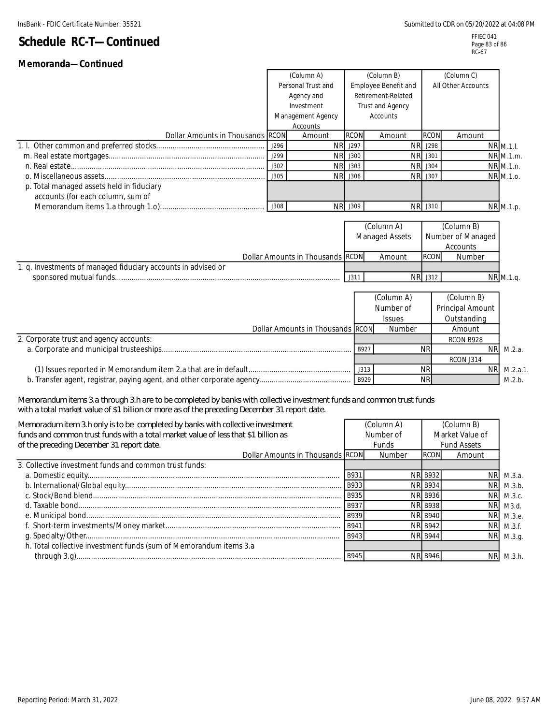#### FFIEC 041 Page 83 of 86 RC-67

# **Schedule RC-T—Continued Memoranda—Continued**

|                                                                                                                                                                                                                        |            | (Column A)                                        |                | (Column B)              |                    |                   |                         |
|------------------------------------------------------------------------------------------------------------------------------------------------------------------------------------------------------------------------|------------|---------------------------------------------------|----------------|-------------------------|--------------------|-------------------|-------------------------|
|                                                                                                                                                                                                                        |            | Personal Trust and<br><b>Employee Benefit and</b> |                |                         | All Other Accounts |                   |                         |
|                                                                                                                                                                                                                        | Agency and |                                                   |                | Retirement-Related      |                    |                   |                         |
|                                                                                                                                                                                                                        |            | Investment                                        |                | <b>Trust and Agency</b> |                    |                   |                         |
|                                                                                                                                                                                                                        |            | Management Agency                                 |                | Accounts                |                    |                   |                         |
|                                                                                                                                                                                                                        |            | Accounts                                          |                |                         |                    |                   |                         |
| Dollar Amounts in Thousands RCON                                                                                                                                                                                       |            | Amount                                            | <b>RCON</b>    | Amount                  | <b>RCON</b>        | Amount            |                         |
|                                                                                                                                                                                                                        | J296       |                                                   | <b>NR</b> J297 | <b>NR</b>               | J298               |                   | <b>NR M.1.I.</b>        |
|                                                                                                                                                                                                                        | J299       |                                                   | NR J300        | <b>NR</b>               | J301               |                   | $NR$ <sub>M.1.m</sub> . |
|                                                                                                                                                                                                                        | J302       | <b>NR</b>                                         | J303           | <b>NR</b>               | J304               |                   | $NR$ M.1.n.             |
|                                                                                                                                                                                                                        | J305       |                                                   | NR J306        | <b>NR</b>               | J307               |                   | NR M.1.0.               |
| p. Total managed assets held in fiduciary                                                                                                                                                                              |            |                                                   |                |                         |                    |                   |                         |
| accounts (for each column, sum of                                                                                                                                                                                      |            |                                                   |                |                         |                    |                   |                         |
|                                                                                                                                                                                                                        | J308       |                                                   | NR J309        |                         | NR J310            |                   | NR M.1.p.               |
|                                                                                                                                                                                                                        |            |                                                   |                |                         |                    |                   |                         |
|                                                                                                                                                                                                                        |            |                                                   |                | (Column A)              |                    | (Column B)        |                         |
|                                                                                                                                                                                                                        |            |                                                   |                | Managed Assets          |                    | Number of Managed |                         |
|                                                                                                                                                                                                                        |            |                                                   |                |                         |                    | Accounts          |                         |
|                                                                                                                                                                                                                        |            | Dollar Amounts in Thousands RCON                  |                | Amount                  | <b>RCON</b>        | Number            |                         |
| 1. q. Investments of managed fiduciary accounts in advised or                                                                                                                                                          |            |                                                   |                |                         |                    |                   |                         |
|                                                                                                                                                                                                                        |            |                                                   | J311           | <b>NR</b>               | J312               |                   | NR M.1.q.               |
|                                                                                                                                                                                                                        |            |                                                   |                |                         |                    |                   |                         |
|                                                                                                                                                                                                                        |            |                                                   |                | (Column A)              |                    | (Column B)        |                         |
|                                                                                                                                                                                                                        |            |                                                   |                | Number of               |                    | Principal Amount  |                         |
|                                                                                                                                                                                                                        |            |                                                   |                | <b>Issues</b>           |                    | Outstanding       |                         |
|                                                                                                                                                                                                                        |            | Dollar Amounts in Thousands RCON                  |                | Number                  |                    | Amount            |                         |
| 2. Corporate trust and agency accounts:                                                                                                                                                                                |            |                                                   |                |                         |                    | RCON B928         |                         |
|                                                                                                                                                                                                                        |            |                                                   | B927           |                         | <b>NR</b>          | <b>NR</b>         | M.2.a.                  |
|                                                                                                                                                                                                                        |            |                                                   |                |                         |                    | RCON J314         |                         |
|                                                                                                                                                                                                                        |            |                                                   | J313           |                         | <b>NR</b>          | <b>NR</b>         | $M.2.a.1$ .             |
|                                                                                                                                                                                                                        |            |                                                   | B929           |                         | <b>NR</b>          |                   | M.2.b.                  |
|                                                                                                                                                                                                                        |            |                                                   |                |                         |                    |                   |                         |
| Memorandum items 3.a through 3.h are to be completed by banks with collective investment funds and common trust funds<br>with a total market value of \$1 billion or more as of the preceding December 31 report date. |            |                                                   |                |                         |                    |                   |                         |
|                                                                                                                                                                                                                        |            |                                                   |                |                         |                    |                   |                         |

| Memoradum item 3.h only is to be completed by banks with collective investment<br>funds and common trust funds with a total market value of less that \$1 billion as<br>of the preceding December 31 report date. |             | (Column A)<br>Number of<br><b>Funds</b> |                 | (Column B)<br>Market Value of<br><b>Fund Assets</b> |             |  |
|-------------------------------------------------------------------------------------------------------------------------------------------------------------------------------------------------------------------|-------------|-----------------------------------------|-----------------|-----------------------------------------------------|-------------|--|
| Dollar Amounts in Thousands RCON                                                                                                                                                                                  |             | Number                                  | RCON            | Amount                                              |             |  |
| 3. Collective investment funds and common trust funds:                                                                                                                                                            |             |                                         |                 |                                                     |             |  |
|                                                                                                                                                                                                                   | B931        |                                         | <b>NRI B932</b> | NR.                                                 | M.3.a.      |  |
|                                                                                                                                                                                                                   | B933        |                                         | <b>NRI B934</b> | <b>NRI</b>                                          | M.3.b.      |  |
|                                                                                                                                                                                                                   | <b>B935</b> |                                         | <b>NR B936</b>  |                                                     | NR M.3.c.   |  |
|                                                                                                                                                                                                                   | B937        |                                         | <b>NRI B938</b> | NR.                                                 | M3.d.       |  |
|                                                                                                                                                                                                                   | B939        |                                         | <b>NR B940</b>  | <b>NRI</b>                                          | М.3.е.      |  |
|                                                                                                                                                                                                                   | B941        |                                         | <b>NR B942</b>  |                                                     | $NR$ M.3.f. |  |
|                                                                                                                                                                                                                   | B943        |                                         | <b>NR B944</b>  |                                                     | NR M.3.g.   |  |
| h. Total collective investment funds (sum of Memorandum items 3.a                                                                                                                                                 |             |                                         |                 |                                                     |             |  |
|                                                                                                                                                                                                                   | - B945      |                                         |                 | <b>NR</b>                                           | M.3.h.      |  |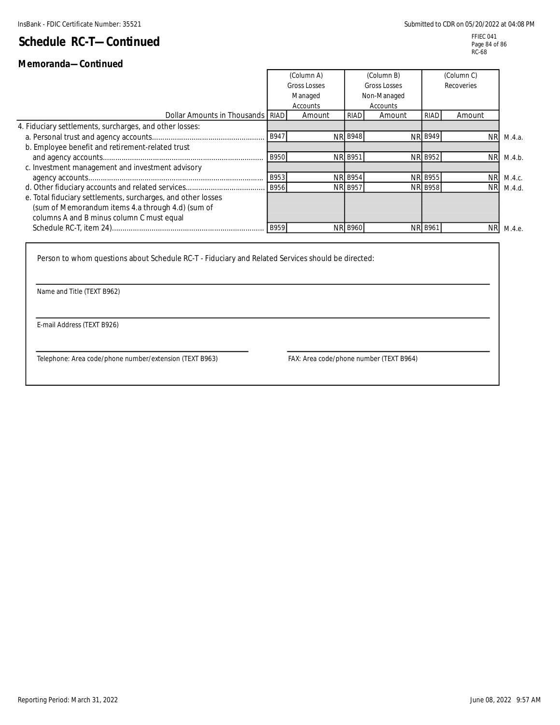## **Memoranda—Continued**

|                                                              |      | (Column A)<br><b>Gross Losses</b><br>Managed<br>Accounts |                | (Column B)<br>Gross Losses<br>Non-Managed<br>Accounts |                | (Column C)<br>Recoveries |           |
|--------------------------------------------------------------|------|----------------------------------------------------------|----------------|-------------------------------------------------------|----------------|--------------------------|-----------|
| Dollar Amounts in Thousands RIAD                             |      | Amount                                                   | RIAD           | Amount                                                | RIAD           | Amount                   |           |
| 4. Fiduciary settlements, surcharges, and other losses:      |      |                                                          |                |                                                       |                |                          |           |
|                                                              |      |                                                          | <b>NR B948</b> |                                                       | <b>NR B949</b> | <b>NR</b>                | M.4.a.    |
| b. Employee benefit and retirement-related trust             |      |                                                          |                |                                                       |                |                          |           |
|                                                              | B950 |                                                          | <b>NR B951</b> |                                                       | <b>NR B952</b> |                          | NR M.4.b. |
| c. Investment management and investment advisory             |      |                                                          |                |                                                       |                |                          |           |
|                                                              | B953 |                                                          | <b>NR B954</b> |                                                       | <b>NR B955</b> | NR.                      | M.4.c.    |
|                                                              |      |                                                          | <b>NR B957</b> |                                                       | <b>NR B958</b> | <b>NR</b>                | M.4.d.    |
| e. Total fiduciary settlements, surcharges, and other losses |      |                                                          |                |                                                       |                |                          |           |
| (sum of Memorandum items 4.a through 4.d) (sum of            |      |                                                          |                |                                                       |                |                          |           |
| columns A and B minus column C must equal                    |      |                                                          |                |                                                       |                |                          |           |
|                                                              |      |                                                          | <b>NR B960</b> |                                                       | <b>NR B961</b> | <b>NR</b>                | M.4.e.    |

Person to whom questions about Schedule RC-T - Fiduciary and Related Services should be directed:

Name and Title (TEXT B962)

E-mail Address (TEXT B926)

Telephone: Area code/phone number/extension (TEXT B963) FAX: Area code/phone number (TEXT B964)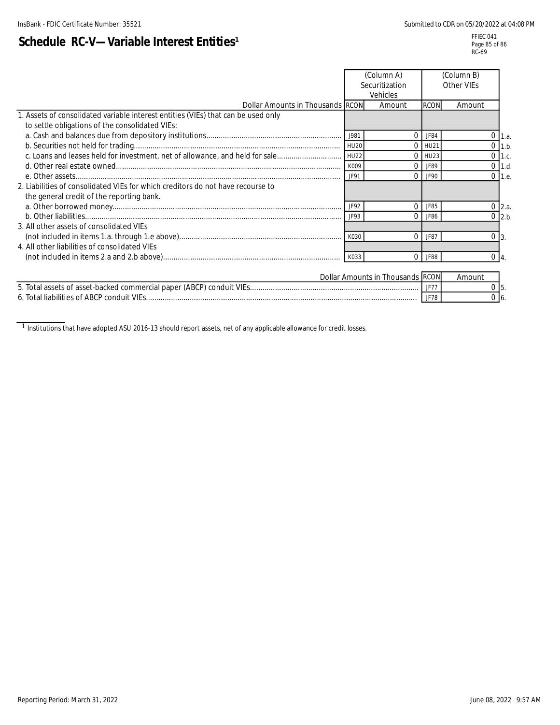j.

#### FFIEC 041 Page 85 of 86 RC-69

|                                                                                                                                      |      | (Column A)<br>Securitization<br>Vehicles |             | (Column B)<br>Other VIEs |                    |      |
|--------------------------------------------------------------------------------------------------------------------------------------|------|------------------------------------------|-------------|--------------------------|--------------------|------|
| Dollar Amounts in Thousands RCON                                                                                                     |      | Amount                                   | <b>RCON</b> | Amount                   |                    |      |
| 1. Assets of consolidated variable interest entities (VIEs) that can be used only<br>to settle obligations of the consolidated VIEs: |      |                                          |             |                          |                    |      |
|                                                                                                                                      | J981 | $\Omega$                                 | JF84        |                          | 0                  | 1.a. |
|                                                                                                                                      |      | $\Omega$                                 | HU21        |                          | $0$ 1.b.           |      |
|                                                                                                                                      |      | $\Omega$                                 | HU23        |                          | $0$ 1.c.           |      |
|                                                                                                                                      | K009 | $\Omega$                                 | JF89        |                          | $0$ 1.d.           |      |
|                                                                                                                                      | JF91 | $\Omega$                                 | JF90        |                          | $0 \,$ 1.e.        |      |
| 2. Liabilities of consolidated VIEs for which creditors do not have recourse to<br>the general credit of the reporting bank.         |      |                                          |             |                          |                    |      |
|                                                                                                                                      | JF92 | $\Omega$                                 | JF85        |                          | $0 \, 2.a.$        |      |
|                                                                                                                                      | JF93 | $\Omega$                                 | JF86        |                          | $0$ 2.b.           |      |
| 3. All other assets of consolidated VIEs                                                                                             |      |                                          |             |                          |                    |      |
|                                                                                                                                      | K030 | $\Omega$                                 | JF87        |                          | 0<br>$\mathbf{1}3$ |      |
| 4. All other liabilities of consolidated VIEs                                                                                        |      |                                          |             |                          |                    |      |
|                                                                                                                                      | K033 | $\Omega$                                 | JF88        |                          | 0 <sub>14</sub>    |      |
|                                                                                                                                      |      | Dollar Amounts in Thousands RCON         |             | Amount                   |                    |      |
|                                                                                                                                      |      |                                          | JF77        |                          | $0\,$ 5.           |      |
|                                                                                                                                      |      |                                          | JF78        |                          | $0\vert 6$         |      |

 $^{-1}$  Institutions that have adopted ASU 2016-13 should report assets, net of any applicable allowance for credit losses.